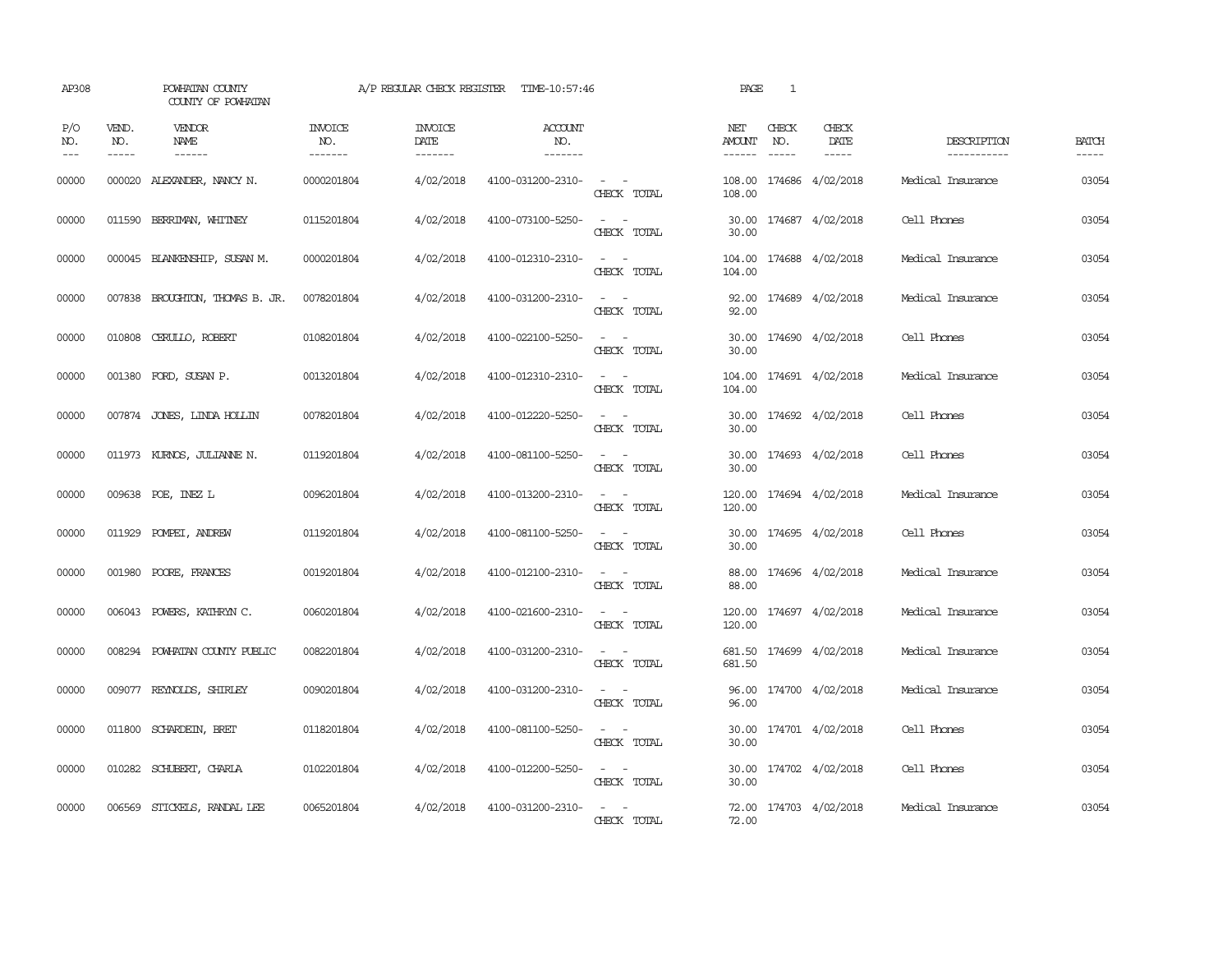| AP308               |                             | POWHATAN COUNTY<br>COUNTY OF POWHATAN |                           | A/P REGULAR CHECK REGISTER        | TIME-10:57:46                    |                                                            | PAGE                    | $\mathbf{1}$ |                              |                            |                       |
|---------------------|-----------------------------|---------------------------------------|---------------------------|-----------------------------------|----------------------------------|------------------------------------------------------------|-------------------------|--------------|------------------------------|----------------------------|-----------------------|
| P/O<br>NO.<br>$---$ | VEND.<br>NO.<br>$- - - - -$ | VENDOR<br>NAME<br>$- - - - - -$       | INVOICE<br>NO.<br>------- | <b>INVOICE</b><br>DATE<br>------- | <b>ACCOUNT</b><br>NO.<br>------- |                                                            | NET<br>AMOUNT<br>------ | CHECK<br>NO. | CHECK<br>DATE<br>$- - - - -$ | DESCRIPTION<br>----------- | <b>BATCH</b><br>----- |
| 00000               | 000020                      | ALEXANDER, NANCY N.                   | 0000201804                | 4/02/2018                         | 4100-031200-2310-                | $\omega_{\rm{max}}$ and $\omega_{\rm{max}}$<br>CHECK TOTAL | 108.00<br>108.00        |              | 174686 4/02/2018             | Medical Insurance          | 03054                 |
| 00000               | 011590                      | BERRIMAN, WHITNEY                     | 0115201804                | 4/02/2018                         | 4100-073100-5250-                | $\sim$ $ \sim$<br>CHECK TOTAL                              | 30.00<br>30.00          |              | 174687 4/02/2018             | Cell Phones                | 03054                 |
| 00000               |                             | 000045 BLANKENSHIP, SUSAN M.          | 0000201804                | 4/02/2018                         | 4100-012310-2310-                | $\omega_{\rm{max}}$ and $\omega_{\rm{max}}$<br>CHECK TOTAL | 104.00<br>104.00        |              | 174688 4/02/2018             | Medical Insurance          | 03054                 |
| 00000               |                             | 007838 BROUGHTON, THOMAS B. JR.       | 0078201804                | 4/02/2018                         | 4100-031200-2310-                | $\omega_{\rm{max}}$ and $\omega_{\rm{max}}$<br>CHECK TOTAL | 92.00                   |              | 92.00 174689 4/02/2018       | Medical Insurance          | 03054                 |
| 00000               |                             | 010808 CERULLO, ROBERT                | 0108201804                | 4/02/2018                         | 4100-022100-5250-                | $\sim$ 100 $\sim$<br>CHECK TOTAL                           | 30.00                   |              | 30.00 174690 4/02/2018       | Cell Phones                | 03054                 |
| 00000               |                             | 001380 FORD, SUSAN P.                 | 0013201804                | 4/02/2018                         | 4100-012310-2310-                | $\omega_{\rm{max}}$ , $\omega_{\rm{max}}$<br>CHECK TOTAL   | 104.00<br>104.00        |              | 174691 4/02/2018             | Medical Insurance          | 03054                 |
| 00000               |                             | 007874 JONES, LINDA HOLLIN            | 0078201804                | 4/02/2018                         | 4100-012220-5250-                | $\sim$ $ \sim$<br>CHECK TOTAL                              | 30.00<br>30.00          |              | 174692 4/02/2018             | Cell Phones                | 03054                 |
| 00000               |                             | 011973 KURNOS, JULIANNE N.            | 0119201804                | 4/02/2018                         | 4100-081100-5250-                | $\sim$ $ \sim$<br>CHECK TOTAL                              | 30.00                   |              | 30.00 174693 4/02/2018       | Cell Phones                | 03054                 |
| 00000               |                             | 009638 POE, INEZ L                    | 0096201804                | 4/02/2018                         | 4100-013200-2310-                | $\omega_{\rm{max}}$ and $\omega_{\rm{max}}$<br>CHECK TOTAL | 120.00                  |              | 120.00 174694 4/02/2018      | Medical Insurance          | 03054                 |
| 00000               |                             | 011929 POMPEI, ANDREW                 | 0119201804                | 4/02/2018                         | 4100-081100-5250-                | $\sim$ $ \sim$<br>CHECK TOTAL                              | 30.00<br>30.00          |              | 174695 4/02/2018             | Cell Phones                | 03054                 |
| 00000               | 001980                      | POORE, FRANCES                        | 0019201804                | 4/02/2018                         | 4100-012100-2310-                | $\sim$ $ -$<br>CHECK TOTAL                                 | 88.00<br>88.00          |              | 174696 4/02/2018             | Medical Insurance          | 03054                 |
| 00000               |                             | 006043 POWERS, KATHRYN C.             | 0060201804                | 4/02/2018                         | 4100-021600-2310-                | $\sim$ $ -$<br>CHECK TOTAL                                 | 120.00<br>120.00        |              | 174697 4/02/2018             | Medical Insurance          | 03054                 |
| 00000               |                             | 008294 POWHATAN COUNTY PUBLIC         | 0082201804                | 4/02/2018                         | 4100-031200-2310-                | $\sim$ $ \sim$<br>CHECK TOTAL                              | 681.50                  |              | 681.50 174699 4/02/2018      | Medical Insurance          | 03054                 |
| 00000               |                             | 009077 REYNOLDS, SHIRLEY              | 0090201804                | 4/02/2018                         | 4100-031200-2310-                | $\omega_{\rm{max}}$ and $\omega_{\rm{max}}$<br>CHECK TOTAL | 96.00                   |              | 96.00 174700 4/02/2018       | Medical Insurance          | 03054                 |
| 00000               |                             | 011800 SCHARDEIN, BRET                | 0118201804                | 4/02/2018                         | 4100-081100-5250-                | $\sim$ $ \sim$<br>CHECK TOTAL                              | 30.00<br>30.00          |              | 174701 4/02/2018             | Cell Phones                | 03054                 |
| 00000               |                             | 010282 SCHUBERT, CHARLA               | 0102201804                | 4/02/2018                         | 4100-012200-5250-                | $\sim 100$ km s $^{-1}$<br>CHECK TOTAL                     | 30.00<br>30.00          |              | 174702 4/02/2018             | Cell Phones                | 03054                 |
| 00000               |                             | 006569 STICKELS, RANDAL LEE           | 0065201804                | 4/02/2018                         | 4100-031200-2310-                | CHECK TOTAL                                                | 72.00                   |              | 72.00 174703 4/02/2018       | Medical Insurance          | 03054                 |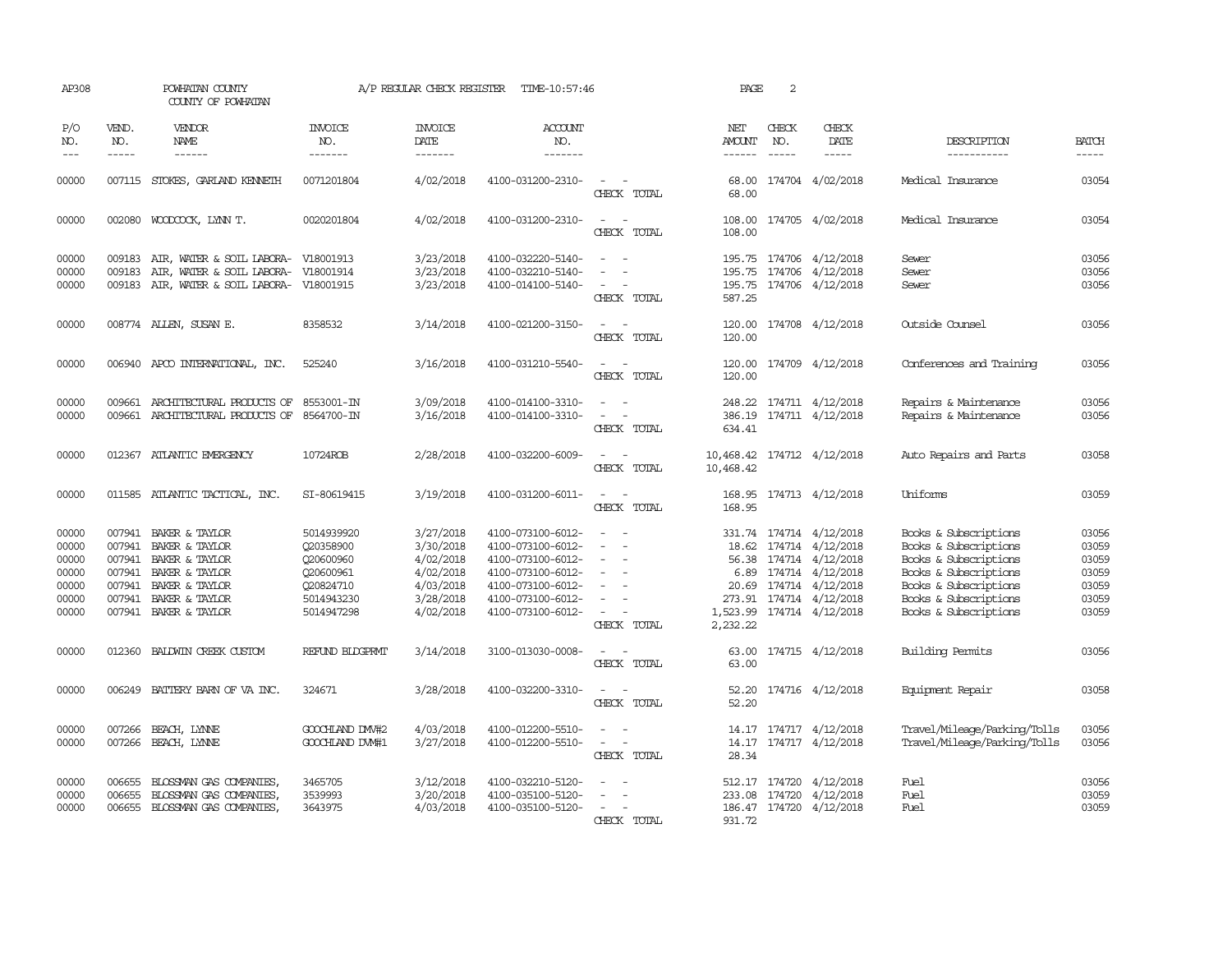| AP308                                                       |                                      | POWHATAN COUNTY<br>COUNTY OF POWHATAN                                                                                                           |                                                                                            | A/P REGULAR CHECK REGISTER                                                              | TIME-10:57:46                                                                                                                                   |                                                                                                                             | PAGE                           | 2                           |                                                                                                                                                                               |                                                                                                                                                                             |                                                             |
|-------------------------------------------------------------|--------------------------------------|-------------------------------------------------------------------------------------------------------------------------------------------------|--------------------------------------------------------------------------------------------|-----------------------------------------------------------------------------------------|-------------------------------------------------------------------------------------------------------------------------------------------------|-----------------------------------------------------------------------------------------------------------------------------|--------------------------------|-----------------------------|-------------------------------------------------------------------------------------------------------------------------------------------------------------------------------|-----------------------------------------------------------------------------------------------------------------------------------------------------------------------------|-------------------------------------------------------------|
| P/O<br>NO.<br>$ -$                                          | VEND.<br>NO.<br>$\frac{1}{2}$        | VENDOR<br><b>NAME</b>                                                                                                                           | INVOICE<br>NO.<br>-------                                                                  | <b>INVOICE</b><br>DATE<br>-------                                                       | <b>ACCOUNT</b><br>NO.<br>-------                                                                                                                |                                                                                                                             | NET<br>AMOUNT<br>$- - - - - -$ | CHECK<br>NO.<br>$- - - - -$ | CHECK<br>DATE<br>$- - - - -$                                                                                                                                                  | DESCRIPTION<br>------------                                                                                                                                                 | <b>BATCH</b><br>-----                                       |
| 00000                                                       |                                      | 007115 STOKES, GARLAND KENNETH                                                                                                                  | 0071201804                                                                                 | 4/02/2018                                                                               | 4100-031200-2310-                                                                                                                               | CHECK TOTAL                                                                                                                 | 68.00<br>68.00                 |                             | 174704 4/02/2018                                                                                                                                                              | Medical Insurance                                                                                                                                                           | 03054                                                       |
| 00000                                                       |                                      | 002080 WOODCOCK, LYNN T.                                                                                                                        | 0020201804                                                                                 | 4/02/2018                                                                               | 4100-031200-2310-                                                                                                                               | $\sim$<br>$\sim$<br>CHECK TOTAL                                                                                             | 108.00<br>108.00               |                             | 174705 4/02/2018                                                                                                                                                              | Medical Insurance                                                                                                                                                           | 03054                                                       |
| 00000<br>00000<br>00000                                     | 009183<br>009183                     | AIR, WATER & SOIL LABORA- V18001913<br>AIR, WATER & SOIL LABORA- V18001914<br>009183 AIR, WATER & SOIL LABORA- V18001915                        |                                                                                            | 3/23/2018<br>3/23/2018<br>3/23/2018                                                     | 4100-032220-5140-<br>4100-032210-5140-<br>4100-014100-5140-                                                                                     | $\overline{\phantom{a}}$<br>$\sim$<br>CHECK TOTAL                                                                           | 587.25                         |                             | 195.75 174706 4/12/2018<br>195.75 174706 4/12/2018<br>195.75 174706 4/12/2018                                                                                                 | Sewer<br>Sewer<br>Sewer                                                                                                                                                     | 03056<br>03056<br>03056                                     |
| 00000                                                       |                                      | 008774 ALLEN, SUSAN E.                                                                                                                          | 8358532                                                                                    | 3/14/2018                                                                               | 4100-021200-3150-                                                                                                                               | CHECK TOTAL                                                                                                                 | 120.00<br>120.00               |                             | 174708 4/12/2018                                                                                                                                                              | Outside Counsel                                                                                                                                                             | 03056                                                       |
| 00000                                                       |                                      | 006940 APCO INTERNATIONAL, INC.                                                                                                                 | 525240                                                                                     | 3/16/2018                                                                               | 4100-031210-5540-                                                                                                                               | $ -$<br>CHECK TOTAL                                                                                                         | 120.00                         |                             | 120.00 174709 4/12/2018                                                                                                                                                       | Conferences and Training                                                                                                                                                    | 03056                                                       |
| 00000<br>00000                                              |                                      | 009661 ARCHITECTURAL PRODUCTS OF<br>009661 ARCHITECTURAL PRODUCTS OF 8564700-IN                                                                 | 8553001-IN                                                                                 | 3/09/2018<br>3/16/2018                                                                  | 4100-014100-3310-<br>4100-014100-3310-                                                                                                          | $\sim$ $-$<br>$\overline{\phantom{a}}$<br>CHECK TOTAL                                                                       | 634.41                         |                             | 248.22 174711 4/12/2018<br>386.19 174711 4/12/2018                                                                                                                            | Repairs & Maintenance<br>Repairs & Maintenance                                                                                                                              | 03056<br>03056                                              |
| 00000                                                       |                                      | 012367 ATLANTIC EMERGENCY                                                                                                                       | 10724ROB                                                                                   | 2/28/2018                                                                               | 4100-032200-6009-                                                                                                                               | $\sim$ $\sim$<br>CHECK TOTAL                                                                                                | 10,468.42                      |                             | 10,468.42 174712 4/12/2018                                                                                                                                                    | Auto Repairs and Parts                                                                                                                                                      | 03058                                                       |
| 00000                                                       |                                      | 011585 ATLANTIC TACTICAL, INC.                                                                                                                  | SI-80619415                                                                                | 3/19/2018                                                                               | 4100-031200-6011-                                                                                                                               | $\sim$ $ \sim$<br>CHECK TOTAL                                                                                               | 168.95                         |                             | 168.95 174713 4/12/2018                                                                                                                                                       | Uniforms                                                                                                                                                                    | 03059                                                       |
| 00000<br>00000<br>00000<br>00000<br>00000<br>00000<br>00000 | 007941<br>007941<br>007941<br>007941 | 007941 BAKER & TAYLOR<br>BAKER & TAYLOR<br>007941 BAKER & TAYLOR<br>BAKER & TAYLOR<br>BAKER & TAYLOR<br>BAKER & TAYLOR<br>007941 BAKER & TAYLOR | 5014939920<br>Q20358900<br>Q20600960<br>Q20600961<br>Q20824710<br>5014943230<br>5014947298 | 3/27/2018<br>3/30/2018<br>4/02/2018<br>4/02/2018<br>4/03/2018<br>3/28/2018<br>4/02/2018 | 4100-073100-6012-<br>4100-073100-6012-<br>4100-073100-6012-<br>4100-073100-6012-<br>4100-073100-6012-<br>4100-073100-6012-<br>4100-073100-6012- | $\overline{\phantom{a}}$<br>$\overline{\phantom{a}}$<br>CHECK TOTAL                                                         | 1,523.99<br>2,232.22           |                             | 331.74 174714 4/12/2018<br>18.62 174714 4/12/2018<br>56.38 174714 4/12/2018<br>6.89 174714 4/12/2018<br>20.69 174714 4/12/2018<br>273.91 174714 4/12/2018<br>174714 4/12/2018 | Books & Subscriptions<br>Books & Subscriptions<br>Books & Subscriptions<br>Books & Subscriptions<br>Books & Subscriptions<br>Books & Subscriptions<br>Books & Subscriptions | 03056<br>03059<br>03059<br>03059<br>03059<br>03059<br>03059 |
| 00000                                                       | 012360                               | BALDWIN CREEK CUSTOM                                                                                                                            | REFUND BLDGPRMT                                                                            | 3/14/2018                                                                               | 3100-013030-0008-                                                                                                                               | $\frac{1}{2} \left( \frac{1}{2} \right) \left( \frac{1}{2} \right) = \frac{1}{2} \left( \frac{1}{2} \right)$<br>CHECK TOTAL | 63.00<br>63.00                 |                             | 174715 4/12/2018                                                                                                                                                              | Building Permits                                                                                                                                                            | 03056                                                       |
| 00000                                                       | 006249                               | BATTERY BARN OF VA INC.                                                                                                                         | 324671                                                                                     | 3/28/2018                                                                               | 4100-032200-3310-                                                                                                                               | $\overline{\phantom{a}}$<br>$\sim$<br>CHECK TOTAL                                                                           | 52.20<br>52.20                 |                             | 174716 4/12/2018                                                                                                                                                              | Equipment Repair                                                                                                                                                            | 03058                                                       |
| 00000<br>00000                                              | 007266<br>007266                     | BEACH, LYNNE<br>BEACH, LYNNE                                                                                                                    | GOOCHLAND DW#2<br>GOOCHLAND DW#1                                                           | 4/03/2018<br>3/27/2018                                                                  | 4100-012200-5510-<br>4100-012200-5510-                                                                                                          | $\overline{\phantom{a}}$<br>$\sim$<br>$\overline{\phantom{a}}$<br>CHECK TOTAL                                               | 28.34                          |                             | 14.17 174717 4/12/2018<br>14.17 174717 4/12/2018                                                                                                                              | Travel/Mileage/Parking/Tolls<br>Travel/Mileage/Parking/Tolls                                                                                                                | 03056<br>03056                                              |
| 00000<br>00000<br>00000                                     | 006655<br>006655                     | BLOSSMAN GAS COMPANIES,<br>BLOSSMAN GAS COMPANIES.<br>006655 BLOSSMAN GAS COMPANIES,                                                            | 3465705<br>3539993<br>3643975                                                              | 3/12/2018<br>3/20/2018<br>4/03/2018                                                     | 4100-032210-5120-<br>4100-035100-5120-<br>4100-035100-5120-                                                                                     | CHECK TOTAL                                                                                                                 | 931.72                         |                             | 512.17 174720 4/12/2018<br>233.08 174720 4/12/2018<br>186.47 174720 4/12/2018                                                                                                 | Fuel<br>Fuel<br>Fuel                                                                                                                                                        | 03056<br>03059<br>03059                                     |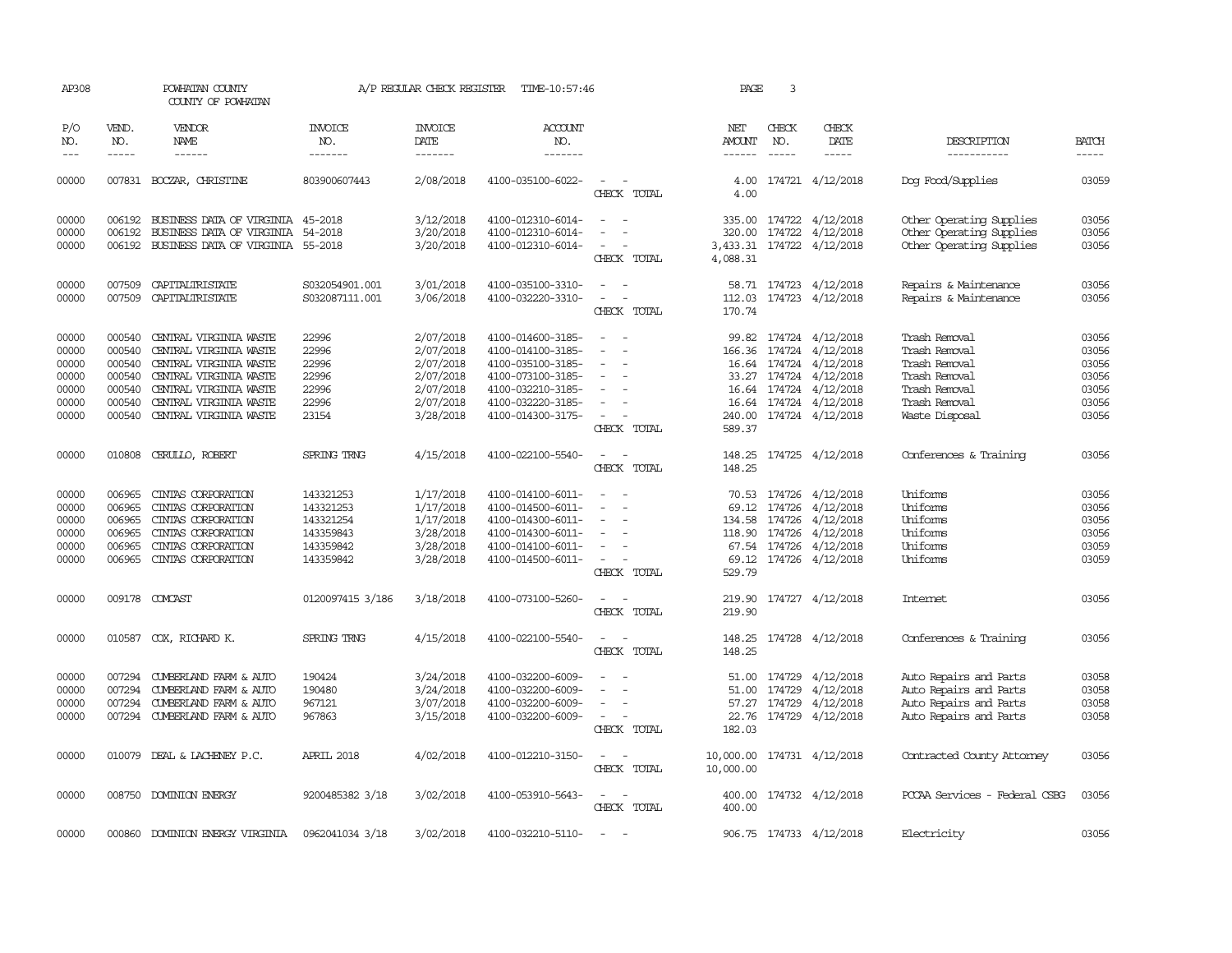| AP308               |                             | POWHATAN COUNTY<br>COUNTY OF POWHATAN    |                                  | A/P REGULAR CHECK REGISTER        | TIME-10:57:46                          |                                         | PAGE                           | 3                             |                                                   |                                                |                       |
|---------------------|-----------------------------|------------------------------------------|----------------------------------|-----------------------------------|----------------------------------------|-----------------------------------------|--------------------------------|-------------------------------|---------------------------------------------------|------------------------------------------------|-----------------------|
| P/O<br>NO.<br>$---$ | VEND.<br>NO.<br>$- - - - -$ | VENDOR<br>NAME                           | INVOICE<br>NO.<br>-------        | <b>INVOICE</b><br>DATE<br>------- | <b>ACCOUNT</b><br>NO.<br>-------       |                                         | NET<br>AMOUNT<br>$- - - - - -$ | CHECK<br>NO.<br>$\frac{1}{2}$ | CHECK<br>DATE<br>-----                            | DESCRIPTION<br>-----------                     | <b>BATCH</b><br>----- |
| 00000               |                             | 007831 BOCZAR, CHRISTINE                 | 803900607443                     | 2/08/2018                         | 4100-035100-6022-                      | $\sim$<br>CHECK TOTAL                   | 4.00<br>4.00                   |                               | 174721 4/12/2018                                  | Dog Food/Supplies                              | 03059                 |
| 00000               | 006192                      | BUSINESS DATA OF VIRGINIA 45-2018        |                                  | 3/12/2018                         | 4100-012310-6014-                      | $\overline{\phantom{a}}$                |                                |                               | 335.00 174722 4/12/2018                           | Other Operating Supplies                       | 03056                 |
| 00000               | 006192                      | BUSINESS DATA OF VIRGINIA                | 54-2018                          | 3/20/2018                         | 4100-012310-6014-                      |                                         | 320.00                         |                               | 174722 4/12/2018                                  | Other Operating Supplies                       | 03056                 |
| 00000               |                             | 006192 BUSINESS DATA OF VIRGINIA 55-2018 |                                  | 3/20/2018                         | 4100-012310-6014-                      | CHECK TOTAL                             | 4,088.31                       |                               | 3,433.31 174722 4/12/2018                         | Other Operating Supplies                       | 03056                 |
| 00000<br>00000      | 007509<br>007509            | CAPITALIRISTATE<br>CAPITALIRISTATE       | S032054901.001<br>S032087111.001 | 3/01/2018<br>3/06/2018            | 4100-035100-3310-<br>4100-032220-3310- | $\sim$                                  |                                |                               | 58.71 174723 4/12/2018<br>112.03 174723 4/12/2018 | Repairs & Maintenance<br>Repairs & Maintenance | 03056<br>03056        |
|                     |                             |                                          |                                  |                                   |                                        | CHECK TOTAL                             | 170.74                         |                               |                                                   |                                                |                       |
| 00000               | 000540                      | CENTRAL VIRGINIA WASTE                   | 22996                            | 2/07/2018                         | 4100-014600-3185-                      |                                         |                                |                               | 99.82 174724 4/12/2018                            | Trash Removal                                  | 03056                 |
| 00000               | 000540                      | CENTRAL VIRGINIA WASTE                   | 22996                            | 2/07/2018                         | 4100-014100-3185-                      | $\equiv$<br>$\overline{\phantom{a}}$    |                                |                               | 166.36 174724 4/12/2018                           | Trash Removal                                  | 03056                 |
| 00000               | 000540                      | CENTRAL VIRGINIA WASTE                   | 22996                            | 2/07/2018                         | 4100-035100-3185-                      |                                         |                                |                               | 16.64 174724 4/12/2018                            | Trash Removal                                  | 03056                 |
| 00000               | 000540                      | CENTRAL VIRGINIA WASTE                   | 22996                            | 2/07/2018                         | 4100-073100-3185-                      |                                         |                                |                               | 33.27 174724 4/12/2018                            | Trash Removal                                  | 03056                 |
| 00000               | 000540                      | CENTRAL VIRGINIA WASTE                   | 22996                            | 2/07/2018                         | 4100-032210-3185-                      |                                         |                                |                               | 16.64 174724 4/12/2018                            | Trash Removal                                  | 03056                 |
| 00000               | 000540                      | CENTRAL VIRGINIA WASTE                   | 22996                            | 2/07/2018                         | 4100-032220-3185-                      |                                         |                                |                               | 16.64 174724 4/12/2018                            | Trash Removal                                  | 03056                 |
| 00000               | 000540                      | CENTRAL VIRGINIA WASTE                   | 23154                            | 3/28/2018                         | 4100-014300-3175-                      | $\overline{\phantom{a}}$<br>CHECK TOTAL | 240.00<br>589.37               |                               | 174724 4/12/2018                                  | Waste Disposal                                 | 03056                 |
| 00000               |                             | 010808 CERULLO, ROBERT                   | SPRING TRNG                      | 4/15/2018                         | 4100-022100-5540-                      | CHECK TOTAL                             | 148.25<br>148.25               |                               | 174725 4/12/2018                                  | Conferences & Training                         | 03056                 |
|                     |                             |                                          |                                  |                                   |                                        |                                         |                                |                               |                                                   |                                                |                       |
| 00000               | 006965                      | CINIAS CORPORATION                       | 143321253                        | 1/17/2018                         | 4100-014100-6011-                      |                                         |                                |                               | 70.53 174726 4/12/2018                            | Uniforms                                       | 03056                 |
| 00000               | 006965                      | CINIAS CORPORATION                       | 143321253                        | 1/17/2018                         | 4100-014500-6011-                      |                                         |                                |                               | 69.12 174726 4/12/2018                            | Uniforms                                       | 03056                 |
| 00000               | 006965                      | CINIAS CORPORATION                       | 143321254                        | 1/17/2018                         | 4100-014300-6011-                      |                                         | 134.58                         |                               | 174726 4/12/2018                                  | Uniforms                                       | 03056                 |
| 00000               | 006965                      | CINIAS CORPORATION                       | 143359843                        | 3/28/2018                         | 4100-014300-6011-                      | $\overline{\phantom{a}}$                |                                |                               | 118.90 174726 4/12/2018                           | Uniforms                                       | 03056                 |
| 00000               | 006965                      | CINIAS CORPORATION                       | 143359842                        | 3/28/2018                         | 4100-014100-6011-                      |                                         |                                | 67.54 174726                  | 4/12/2018                                         | Uniforms                                       | 03059                 |
| 00000               |                             | 006965 CINTAS CORPORATION                | 143359842                        | 3/28/2018                         | 4100-014500-6011-                      | $\sim$<br>CHECK TOTAL                   | 529.79                         |                               | 69.12 174726 4/12/2018                            | Uniforms                                       | 03059                 |
|                     |                             |                                          |                                  |                                   |                                        |                                         |                                |                               |                                                   |                                                |                       |
| 00000               |                             | 009178 COMCAST                           | 0120097415 3/186                 | 3/18/2018                         | 4100-073100-5260-                      | CHECK TOTAL                             | 219.90<br>219.90               |                               | 174727 4/12/2018                                  | Internet                                       | 03056                 |
| 00000               |                             | 010587 COX, RICHARD K.                   | SPRING TRNG                      | 4/15/2018                         | 4100-022100-5540-                      | $\overline{\phantom{a}}$<br>CHECK TOTAL | 148.25<br>148.25               |                               | 174728 4/12/2018                                  | Conferences & Training                         | 03056                 |
| 00000               | 007294                      | CUMBERLAND FARM & AUTO                   | 190424                           | 3/24/2018                         | 4100-032200-6009-                      |                                         | 51.00                          |                               | 174729 4/12/2018                                  | Auto Repairs and Parts                         | 03058                 |
| 00000               | 007294                      | CUMBERLAND FARM & AUTO                   | 190480                           | 3/24/2018                         | 4100-032200-6009-                      |                                         | 51.00                          |                               | 174729 4/12/2018                                  | Auto Repairs and Parts                         | 03058                 |
| 00000               | 007294                      | CUMBERLAND FARM & AUTO                   | 967121                           | 3/07/2018                         | 4100-032200-6009-                      |                                         | 57.27                          |                               | 174729 4/12/2018                                  | Auto Repairs and Parts                         | 03058                 |
| 00000               |                             | 007294 CUMBERLAND FARM & AUTO            | 967863                           | 3/15/2018                         | 4100-032200-6009-                      | $\overline{\phantom{a}}$<br>CHECK TOTAL | 182.03                         |                               | 22.76 174729 4/12/2018                            | Auto Repairs and Parts                         | 03058                 |
| 00000               |                             | 010079 DEAL & LACHENEY P.C.              | APRIL 2018                       | 4/02/2018                         | 4100-012210-3150-                      |                                         | 10,000.00                      |                               | 174731 4/12/2018                                  | Contracted County Attomey                      | 03056                 |
|                     |                             |                                          |                                  |                                   |                                        | CHECK TOTAL                             | 10,000.00                      |                               |                                                   |                                                |                       |
| 00000               |                             | 008750 DOMINION ENERGY                   | 9200485382 3/18                  | 3/02/2018                         | 4100-053910-5643-                      | CHECK TOTAL                             | 400.00<br>400.00               |                               | 174732 4/12/2018                                  | PCCAA Services - Federal CSBG                  | 03056                 |
| 00000               | 000860                      | DOMINION ENERGY VIRGINIA                 | 0962041034 3/18                  | 3/02/2018                         | 4100-032210-5110-                      | $\sim$                                  |                                |                               | 906.75 174733 4/12/2018                           | Electricity                                    | 03056                 |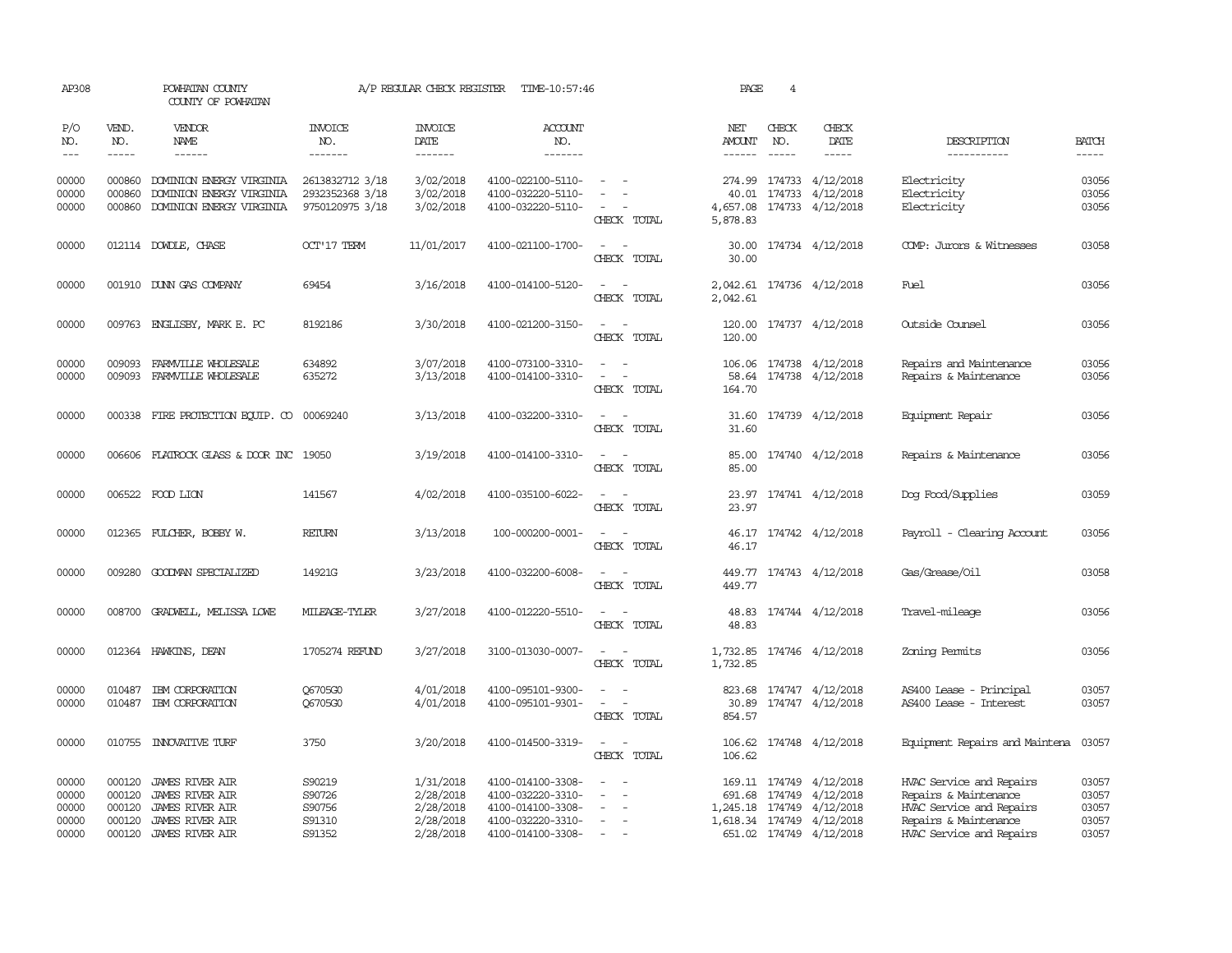| AP308                                     |                                                | POWHATAN COUNTY<br>COUNTY OF POWHATAN                                                                            |                                                       | A/P REGULAR CHECK REGISTER                                    | TIME-10:57:46                                                                                         |                                                                                                                                                         | PAGE                 | 4                             |                                                                                                                           |                                                                                                                                    |                                           |
|-------------------------------------------|------------------------------------------------|------------------------------------------------------------------------------------------------------------------|-------------------------------------------------------|---------------------------------------------------------------|-------------------------------------------------------------------------------------------------------|---------------------------------------------------------------------------------------------------------------------------------------------------------|----------------------|-------------------------------|---------------------------------------------------------------------------------------------------------------------------|------------------------------------------------------------------------------------------------------------------------------------|-------------------------------------------|
| P/O<br>NO.<br>$\qquad \qquad -$           | VEND.<br>NO.<br>-----                          | VENDOR<br>NAME                                                                                                   | <b>INVOICE</b><br>NO.<br>-------                      | <b>INVOICE</b><br>DATE<br>-------                             | <b>ACCOUNT</b><br>NO.<br>-------                                                                      |                                                                                                                                                         | NET<br><b>AMOUNT</b> | CHECK<br>NO.<br>$\frac{1}{2}$ | CHECK<br>DATE                                                                                                             | DESCRIPTION<br>-----------                                                                                                         | <b>BATCH</b><br>-----                     |
| 00000<br>00000<br>00000                   | 000860<br>000860<br>000860                     | DOMINION ENERGY VIRGINIA<br>DOMINION ENERGY VIRGINIA<br>DOMINION ENERGY VIRGINIA                                 | 2613832712 3/18<br>2932352368 3/18<br>9750120975 3/18 | 3/02/2018<br>3/02/2018<br>3/02/2018                           | 4100-022100-5110-<br>4100-032220-5110-<br>4100-032220-5110-                                           | $\equiv$<br>CHECK TOTAL                                                                                                                                 | 4,657.08<br>5,878.83 |                               | 274.99 174733 4/12/2018<br>40.01 174733 4/12/2018<br>174733 4/12/2018                                                     | Electricity<br>Electricity<br>Electricity                                                                                          | 03056<br>03056<br>03056                   |
| 00000                                     |                                                | 012114 DOWDLE, CHASE                                                                                             | <b>OCT'17 TERM</b>                                    | 11/01/2017                                                    | 4100-021100-1700-                                                                                     | $\overline{\phantom{a}}$<br>CHECK TOTAL                                                                                                                 | 30.00                |                               | 30.00 174734 4/12/2018                                                                                                    | COMP: Jurors & Witnesses                                                                                                           | 03058                                     |
| 00000                                     |                                                | 001910 DUNN GAS COMPANY                                                                                          | 69454                                                 | 3/16/2018                                                     | 4100-014100-5120-                                                                                     | $\sim$<br>CHECK TOTAL                                                                                                                                   | 2,042.61             |                               | 2,042.61 174736 4/12/2018                                                                                                 | Fuel                                                                                                                               | 03056                                     |
| 00000                                     | 009763                                         | ENGLISBY, MARK E. PC                                                                                             | 8192186                                               | 3/30/2018                                                     | 4100-021200-3150-                                                                                     | $\equiv$<br>CHECK TOTAL                                                                                                                                 | 120.00<br>120.00     |                               | 174737 4/12/2018                                                                                                          | Outside Counsel                                                                                                                    | 03056                                     |
| 00000<br>00000                            | 009093<br>009093                               | FARMVILLE WHOLESALE<br>FARMVILLE WHOLESALE                                                                       | 634892<br>635272                                      | 3/07/2018<br>3/13/2018                                        | 4100-073100-3310-<br>4100-014100-3310-                                                                | $\omega_{\rm{max}}$ and $\omega_{\rm{max}}$<br>$\sim$ $ -$<br>CHECK TOTAL                                                                               | 164.70               |                               | 106.06 174738 4/12/2018<br>58.64 174738 4/12/2018                                                                         | Repairs and Maintenance<br>Repairs & Maintenance                                                                                   | 03056<br>03056                            |
| 00000                                     |                                                | 000338 FIRE PROTECTION EQUIP. CO 00069240                                                                        |                                                       | 3/13/2018                                                     | 4100-032200-3310-                                                                                     | $\overline{\phantom{a}}$<br>CHECK TOTAL                                                                                                                 | 31.60                |                               | 31.60 174739 4/12/2018                                                                                                    | Equipment Repair                                                                                                                   | 03056                                     |
| 00000                                     |                                                | 006606 FLATROCK GLASS & DOOR INC 19050                                                                           |                                                       | 3/19/2018                                                     | 4100-014100-3310-                                                                                     | $\frac{1}{2} \left( \frac{1}{2} \right) \left( \frac{1}{2} \right) = \frac{1}{2} \left( \frac{1}{2} \right)$<br>CHECK TOTAL                             | 85.00<br>85.00       |                               | 174740 4/12/2018                                                                                                          | Repairs & Maintenance                                                                                                              | 03056                                     |
| 00000                                     |                                                | 006522 FOOD LION                                                                                                 | 141567                                                | 4/02/2018                                                     | 4100-035100-6022-                                                                                     | $\overline{\phantom{a}}$<br>CHECK TOTAL                                                                                                                 | 23.97<br>23.97       |                               | 174741 4/12/2018                                                                                                          | Dog Food/Supplies                                                                                                                  | 03059                                     |
| 00000                                     |                                                | 012365 FULCHER, BOBBY W.                                                                                         | <b>RETURN</b>                                         | 3/13/2018                                                     | 100-000200-0001-                                                                                      | $\frac{1}{2} \left( \frac{1}{2} \right) \left( \frac{1}{2} \right) = \frac{1}{2} \left( \frac{1}{2} \right)$<br>CHECK TOTAL                             | 46.17                |                               | 46.17 174742 4/12/2018                                                                                                    | Payroll - Clearing Account                                                                                                         | 03056                                     |
| 00000                                     |                                                | 009280 GOODMAN SPECIALIZED                                                                                       | 14921G                                                | 3/23/2018                                                     | 4100-032200-6008-                                                                                     | $\sim$<br>CHECK TOTAL                                                                                                                                   | 449.77               |                               | 449.77 174743 4/12/2018                                                                                                   | Gas/Grease/Oil                                                                                                                     | 03058                                     |
| 00000                                     |                                                | 008700 GRADWELL, MELISSA LOWE                                                                                    | MILEAGE-TYLER                                         | 3/27/2018                                                     | 4100-012220-5510-                                                                                     | $\frac{1}{2} \left( \frac{1}{2} \right) \left( \frac{1}{2} \right) = \frac{1}{2} \left( \frac{1}{2} \right)$<br>CHECK TOTAL                             | 48.83<br>48.83       |                               | 174744 4/12/2018                                                                                                          | Travel-mileage                                                                                                                     | 03056                                     |
| 00000                                     |                                                | 012364 HAWKINS, DEAN                                                                                             | 1705274 REFUND                                        | 3/27/2018                                                     | 3100-013030-0007-                                                                                     | $ -$<br>CHECK TOTAL                                                                                                                                     | 1,732.85             |                               | 1,732.85 174746 4/12/2018                                                                                                 | Zoning Permits                                                                                                                     | 03056                                     |
| 00000<br>00000                            | 010487<br>010487                               | IBM CORPORATION<br>IBM CORPORATION                                                                               | Q6705G0<br>Q6705G0                                    | 4/01/2018<br>4/01/2018                                        | 4100-095101-9300-<br>4100-095101-9301-                                                                | $\overline{\phantom{a}}$<br>$\frac{1}{2} \left( \frac{1}{2} \right) \left( \frac{1}{2} \right) = \frac{1}{2} \left( \frac{1}{2} \right)$<br>CHECK TOTAL | 854.57               |                               | 823.68 174747 4/12/2018<br>30.89 174747 4/12/2018                                                                         | AS400 Lease - Principal<br>AS400 Lease - Interest                                                                                  | 03057<br>03057                            |
| 00000                                     |                                                | 010755 INNOVATIVE TURF                                                                                           | 3750                                                  | 3/20/2018                                                     | 4100-014500-3319-                                                                                     | $\omega_{\rm{max}}$ and $\omega_{\rm{max}}$<br>CHECK TOTAL                                                                                              | 106.62               |                               | 106.62 174748 4/12/2018                                                                                                   | Equipment Repairs and Maintena                                                                                                     | 03057                                     |
| 00000<br>00000<br>00000<br>00000<br>00000 | 000120<br>000120<br>000120<br>000120<br>000120 | JAMES RIVER AIR<br><b>JAMES RIVER AIR</b><br>JAMES RIVER AIR<br><b>JAMES RIVER AIR</b><br><b>JAMES RIVER AIR</b> | S90219<br>S90726<br>S90756<br>S91310<br>S91352        | 1/31/2018<br>2/28/2018<br>2/28/2018<br>2/28/2018<br>2/28/2018 | 4100-014100-3308-<br>4100-032220-3310-<br>4100-014100-3308-<br>4100-032220-3310-<br>4100-014100-3308- | $\equiv$<br>$\overline{\phantom{a}}$<br>$\sim$                                                                                                          |                      | 691.68 174749                 | 169.11 174749 4/12/2018<br>4/12/2018<br>1,245.18 174749 4/12/2018<br>1,618.34 174749 4/12/2018<br>651.02 174749 4/12/2018 | HVAC Service and Repairs<br>Repairs & Maintenance<br>HVAC Service and Repairs<br>Repairs & Maintenance<br>HVAC Service and Repairs | 03057<br>03057<br>03057<br>03057<br>03057 |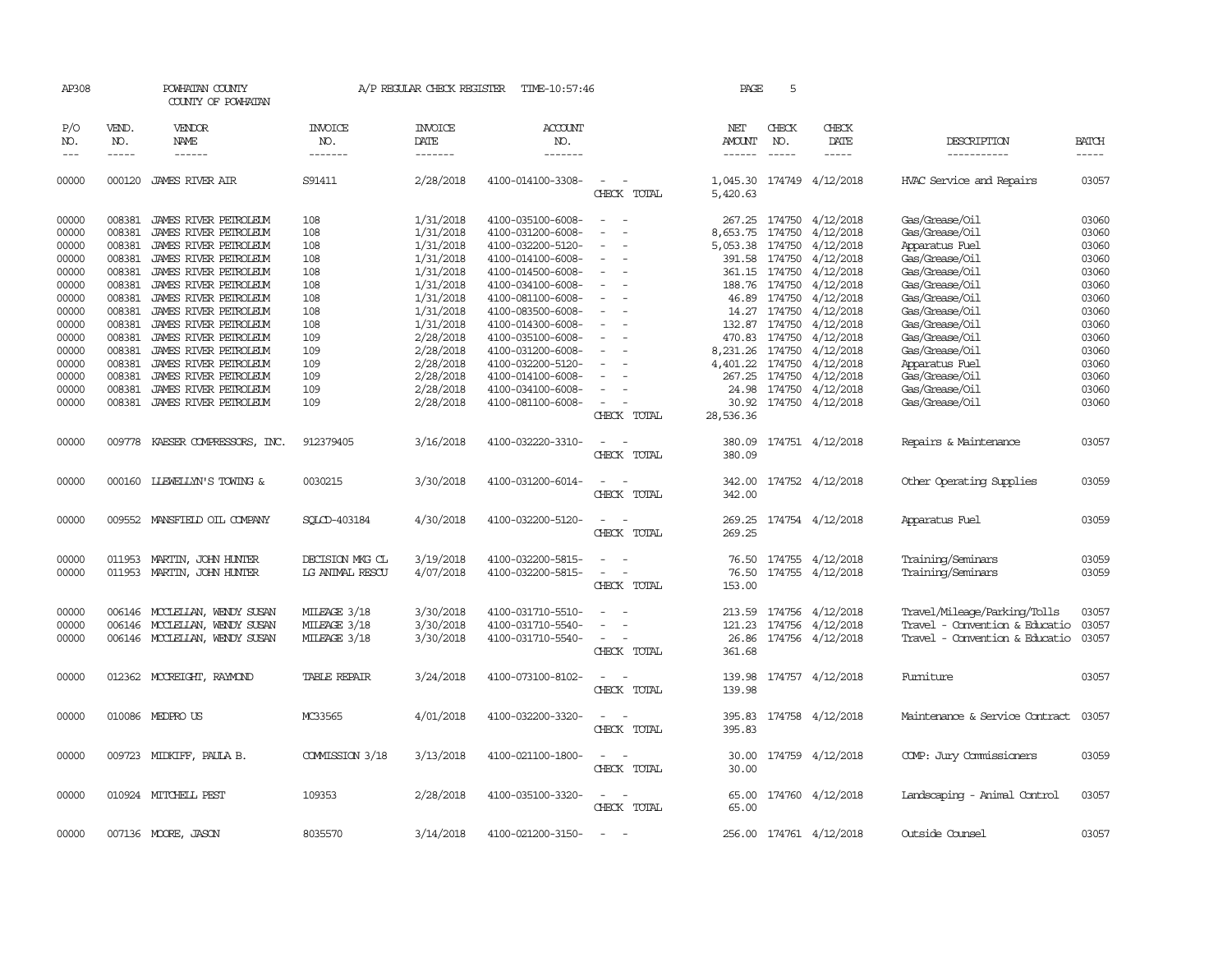| AP308               |                             | POWHATAN COUNTY<br>COUNTY OF POWHATAN          |                                  | A/P REGULAR CHECK REGISTER        | TIME-10:57:46                          |                                                      | PAGE                           | 5                           |                           |                                  |                             |
|---------------------|-----------------------------|------------------------------------------------|----------------------------------|-----------------------------------|----------------------------------------|------------------------------------------------------|--------------------------------|-----------------------------|---------------------------|----------------------------------|-----------------------------|
| P/O<br>NO.<br>$---$ | VEND.<br>NO.<br>$- - - - -$ | VENDOR<br>NAME<br>------                       | <b>INVOICE</b><br>NO.<br>------- | <b>INVOICE</b><br>DATE<br>------- | <b>ACCOUNT</b><br>NO.<br>-------       |                                                      | NET<br>AMOUNT<br>$- - - - - -$ | CHECK<br>NO.<br>$- - - - -$ | CHECK<br>DATE<br>-----    | DESCRIPTION<br>-----------       | <b>BATCH</b><br>$- - - - -$ |
| 00000               |                             | 000120 JAMES RIVER AIR                         | S91411                           | 2/28/2018                         | 4100-014100-3308-                      | $\sim$<br>CHECK TOTAL                                | 5,420.63                       |                             | 1,045.30 174749 4/12/2018 | HVAC Service and Repairs         | 03057                       |
| 00000<br>00000      | 008381<br>008381            | JAMES RIVER PETROLEUM<br>JAMES RIVER PETROLEUM | 108<br>108                       | 1/31/2018<br>1/31/2018            | 4100-035100-6008-<br>4100-031200-6008- | $\sim$<br>$\sim$                                     | 267.25<br>8,653.75             | 174750<br>174750            | 4/12/2018<br>4/12/2018    | Gas/Grease/Oil<br>Gas/Grease/Oil | 03060<br>03060              |
|                     | 008381                      |                                                |                                  | 1/31/2018                         | 4100-032200-5120-                      |                                                      |                                |                             | 4/12/2018                 |                                  | 03060                       |
| 00000               |                             | JAMES RIVER PETROLEUM                          | 108                              |                                   |                                        |                                                      | 5,053.38 174750                |                             |                           | Apparatus Fuel                   |                             |
| 00000               | 008381                      | JAMES RIVER PEIROLEUM                          | 108                              | 1/31/2018                         | 4100-014100-6008-                      |                                                      | 391.58                         | 174750                      | 4/12/2018                 | Gas/Grease/Oil                   | 03060                       |
| 00000               | 008381                      | JAMES RIVER PETROLEUM                          | 108                              | 1/31/2018                         | 4100-014500-6008-                      | $\overline{\phantom{a}}$                             |                                | 361.15 174750               | 4/12/2018                 | Gas/Grease/Oil                   | 03060                       |
| 00000               | 008381                      | JAMES RIVER PETROLEUM                          | 108                              | 1/31/2018                         | 4100-034100-6008-                      | $\sim$                                               | 188.76                         | 174750                      | 4/12/2018                 | Gas/Grease/Oil                   | 03060                       |
| 00000               | 008381                      | JAMES RIVER PETROLEUM                          | 108                              | 1/31/2018                         | 4100-081100-6008-                      |                                                      | 46.89                          | 174750                      | 4/12/2018                 | Gas/Grease/Oil                   | 03060                       |
| 00000               | 008381                      | JAMES RIVER PETROLEUM                          | 108                              | 1/31/2018                         | 4100-083500-6008-                      | $\overline{\phantom{a}}$<br>$\overline{\phantom{a}}$ | 14.27                          | 174750                      | 4/12/2018                 | Gas/Grease/Oil                   | 03060                       |
| 00000               | 008381                      | JAMES RIVER PEIROLEUM                          | 108                              | 1/31/2018                         | 4100-014300-6008-                      |                                                      |                                | 132.87 174750               | 4/12/2018                 | Gas/Grease/Oil                   | 03060                       |
| 00000               | 008381                      | JAMES RIVER PETROLEUM                          | 109                              | 2/28/2018                         | 4100-035100-6008-                      |                                                      |                                | 470.83 174750               | 4/12/2018                 | Gas/Grease/Oil                   | 03060                       |
| 00000               | 008381                      | JAMES RIVER PEIROLEUM                          | 109                              | 2/28/2018                         | 4100-031200-6008-                      | $\equiv$                                             | 8,231.26                       | 174750                      | 4/12/2018                 | Gas/Grease/Oil                   | 03060                       |
| 00000               | 008381                      | JAMES RIVER PETROLEUM                          | 109                              | 2/28/2018                         | 4100-032200-5120-                      | $\sim$                                               | 4,401.22 174750                |                             | 4/12/2018                 | Apparatus Fuel                   | 03060                       |
| 00000               | 008381                      | JAMES RIVER PETROLEUM                          | 109                              | 2/28/2018                         | 4100-014100-6008-                      |                                                      | 267.25                         | 174750                      | 4/12/2018                 | Gas/Grease/Oil                   | 03060                       |
| 00000               | 008381                      | JAMES RIVER PETROLEUM                          | 109                              | 2/28/2018                         | 4100-034100-6008-                      |                                                      | 24.98                          |                             | 174750 4/12/2018          | Gas/Grease/Oil                   | 03060                       |
| 00000               |                             | 008381 JAMES RIVER PEIROLEUM                   | 109                              | 2/28/2018                         | 4100-081100-6008-                      | $\sim$                                               |                                |                             | 30.92 174750 4/12/2018    | Gas/Grease/Oil                   | 03060                       |
|                     |                             |                                                |                                  |                                   |                                        | CHECK TOTAL                                          | 28,536.36                      |                             |                           |                                  |                             |
| 00000               |                             | 009778 KAESER COMPRESSORS, INC.                | 912379405                        | 3/16/2018                         | 4100-032220-3310-                      | $\sim$<br>$\sim$<br>CHECK TOTAL                      | 380.09<br>380.09               |                             | 174751 4/12/2018          | Repairs & Maintenance            | 03057                       |
| 00000               |                             | 000160 LLEWELLYN'S TOWING &                    | 0030215                          | 3/30/2018                         | 4100-031200-6014-                      | $\overline{a}$<br>$\sim$<br>CHECK TOTAL              | 342.00<br>342.00               |                             | 174752 4/12/2018          | Other Operating Supplies         | 03059                       |
| 00000               |                             | 009552 MANSFIELD OIL COMPANY                   | SOLCD-403184                     | 4/30/2018                         | 4100-032200-5120-                      | $\overline{\phantom{a}}$<br>$\sim$<br>CHECK TOTAL    | 269.25<br>269.25               |                             | 174754 4/12/2018          | Apparatus Fuel                   | 03059                       |
| 00000               | 011953                      | MARTIN, JOHN HUNTER                            | DECISION MKG CL                  | 3/19/2018                         | 4100-032200-5815-                      |                                                      | 76.50                          |                             | 174755 4/12/2018          | Training/Seminars                | 03059                       |
| 00000               | 011953                      | MARTIN, JOHN HUNTER                            | LG ANIMAL RESCU                  | 4/07/2018                         | 4100-032200-5815-                      |                                                      | 76.50                          |                             | 174755 4/12/2018          | Training/Seminars                | 03059                       |
|                     |                             |                                                |                                  |                                   |                                        | CHECK TOTAL                                          | 153.00                         |                             |                           |                                  |                             |
| 00000               | 006146                      | MOCLELLAN, WENDY SUSAN                         | MILEAGE 3/18                     | 3/30/2018                         | 4100-031710-5510-                      |                                                      | 213.59                         | 174756                      | 4/12/2018                 | Travel/Mileage/Parking/Tolls     | 03057                       |
| 00000               |                             | 006146 MCCLELLAN, WENDY SUSAN                  | MILEAGE 3/18                     |                                   | 4100-031710-5540-                      | $\equiv$<br>$\overline{a}$                           | 121.23                         | 174756                      | 4/12/2018                 | Travel - Convention & Educatio   | 03057                       |
| 00000               |                             | 006146 MCCLELLAN, WENDY SUSAN                  | MILEAGE 3/18                     | 3/30/2018                         | 4100-031710-5540-                      | $\sim$                                               | 26.86                          | 174756                      | 4/12/2018                 | Travel - Convention & Educatio   | 03057                       |
|                     |                             |                                                |                                  | 3/30/2018                         |                                        | CHECK TOTAL                                          | 361.68                         |                             |                           |                                  |                             |
|                     |                             |                                                |                                  |                                   |                                        |                                                      |                                |                             |                           |                                  |                             |
| 00000               |                             | 012362 MCCREIGHT, RAYMOND                      | <b>TABLE REPAIR</b>              | 3/24/2018                         | 4100-073100-8102-                      | $\sim$<br>$\sim$<br>CHECK TOTAL                      | 139.98<br>139.98               |                             | 174757 4/12/2018          | Fumiture                         | 03057                       |
| 00000               |                             | 010086 MEDPROUS                                | MC33565                          | 4/01/2018                         | 4100-032200-3320-                      | $\equiv$<br>$\overline{\phantom{a}}$<br>CHECK TOTAL  | 395.83<br>395.83               |                             | 174758 4/12/2018          | Maintenance & Service Contract   | 03057                       |
| 00000               |                             | 009723 MIDKIFF, PAULA B.                       | COMMISSION 3/18                  | 3/13/2018                         | 4100-021100-1800-                      | $\overline{\phantom{a}}$<br>CHECK TOTAL              | 30.00<br>30.00                 |                             | 174759 4/12/2018          | COMP: Jury Commissioners         | 03059                       |
| 00000               |                             | 010924 MITCHELL PEST                           | 109353                           | 2/28/2018                         | 4100-035100-3320-                      | . —<br>CHECK TOTAL                                   | 65.00<br>65.00                 |                             | 174760 4/12/2018          | Landscaping - Animal Control     | 03057                       |
| 00000               |                             | 007136 MOORE, JASON                            | 8035570                          | 3/14/2018                         | 4100-021200-3150-                      | $\sim$                                               |                                |                             | 256.00 174761 4/12/2018   | Outside Counsel                  | 03057                       |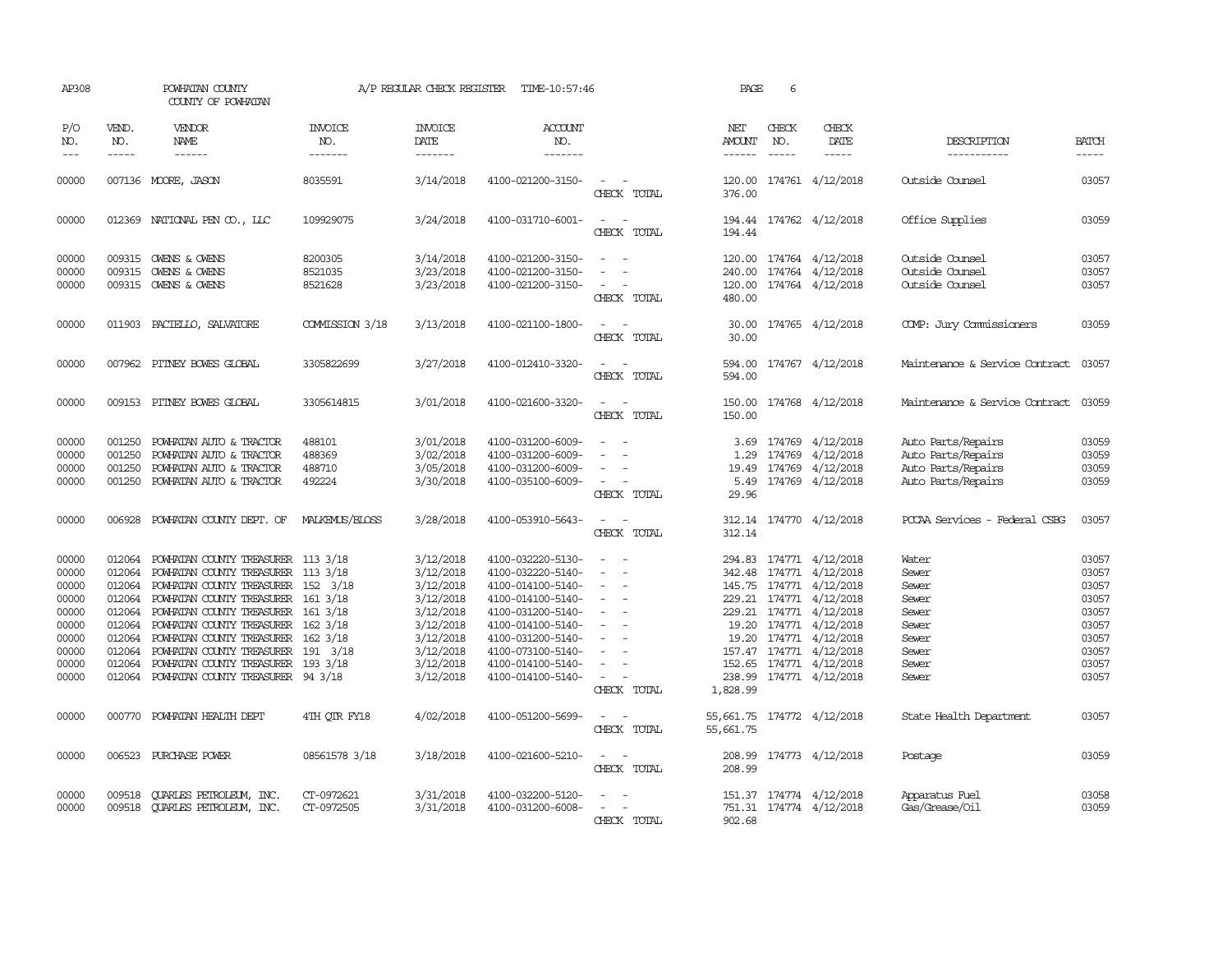| AP308                                                                                           |                                                | POWHATAN COUNTY<br>COUNTY OF POWHATAN                                                                                                                                                                                                                                                                                                                                                                                                                     |                                      | A/P REGULAR CHECK REGISTER                                                                                                                  | TIME-10:57:46                                                                                                                                                                                                                       |                                                                                                                                                                    | PAGE                                                | 6                             |                                                                                                                                                                                                                                                                          |                                                                                                                   |                                                                                                 |
|-------------------------------------------------------------------------------------------------|------------------------------------------------|-----------------------------------------------------------------------------------------------------------------------------------------------------------------------------------------------------------------------------------------------------------------------------------------------------------------------------------------------------------------------------------------------------------------------------------------------------------|--------------------------------------|---------------------------------------------------------------------------------------------------------------------------------------------|-------------------------------------------------------------------------------------------------------------------------------------------------------------------------------------------------------------------------------------|--------------------------------------------------------------------------------------------------------------------------------------------------------------------|-----------------------------------------------------|-------------------------------|--------------------------------------------------------------------------------------------------------------------------------------------------------------------------------------------------------------------------------------------------------------------------|-------------------------------------------------------------------------------------------------------------------|-------------------------------------------------------------------------------------------------|
| P/O<br>NO.<br>$---$                                                                             | VEND.<br>NO.<br>$\frac{1}{2}$                  | <b>VENDOR</b><br>NAME                                                                                                                                                                                                                                                                                                                                                                                                                                     | <b>INVOICE</b><br>NO.<br>-------     | <b>INVOICE</b><br>DATE<br>$- - - - - - -$                                                                                                   | <b>ACCOUNT</b><br>NO.<br>-------                                                                                                                                                                                                    |                                                                                                                                                                    | NET<br>AMOUNT<br>------                             | CHECK<br>NO.<br>$\frac{1}{2}$ | CHECK<br>DATE                                                                                                                                                                                                                                                            | DESCRIPTION<br>-----------                                                                                        | <b>BATCH</b><br>$- - - - -$                                                                     |
| 00000                                                                                           |                                                | 007136 MOORE, JASON                                                                                                                                                                                                                                                                                                                                                                                                                                       | 8035591                              | 3/14/2018                                                                                                                                   | 4100-021200-3150-                                                                                                                                                                                                                   | CHECK TOTAL                                                                                                                                                        | 376.00                                              |                               | 120.00 174761 4/12/2018                                                                                                                                                                                                                                                  | Outside Counsel                                                                                                   | 03057                                                                                           |
| 00000                                                                                           |                                                | 012369 NATIONAL PEN CO., LLC                                                                                                                                                                                                                                                                                                                                                                                                                              | 109929075                            | 3/24/2018                                                                                                                                   | 4100-031710-6001-                                                                                                                                                                                                                   | CHECK TOTAL                                                                                                                                                        | 194.44                                              |                               | 194.44 174762 4/12/2018                                                                                                                                                                                                                                                  | Office Supplies                                                                                                   | 03059                                                                                           |
| 00000<br>00000<br>00000                                                                         |                                                | 009315 OWENS & OWENS<br>009315 OWENS & OWENS<br>009315 OWENS & OWENS                                                                                                                                                                                                                                                                                                                                                                                      | 8200305<br>8521035<br>8521628        | 3/14/2018<br>3/23/2018<br>3/23/2018                                                                                                         | 4100-021200-3150-<br>4100-021200-3150-<br>4100-021200-3150-                                                                                                                                                                         | $\sim$<br>CHECK TOTAL                                                                                                                                              | 240.00<br>480.00                                    |                               | 120.00 174764 4/12/2018<br>174764 4/12/2018<br>120.00 174764 4/12/2018                                                                                                                                                                                                   | Outside Counsel<br>Outside Counsel<br>Outside Counsel                                                             | 03057<br>03057<br>03057                                                                         |
| 00000                                                                                           |                                                | 011903 PACIELLO, SALVATORE                                                                                                                                                                                                                                                                                                                                                                                                                                | COMMISSION 3/18                      | 3/13/2018                                                                                                                                   | 4100-021100-1800-                                                                                                                                                                                                                   | CHECK TOTAL                                                                                                                                                        | 30.00<br>30.00                                      |                               | 174765 4/12/2018                                                                                                                                                                                                                                                         | COMP: Jury Commissioners                                                                                          | 03059                                                                                           |
| 00000                                                                                           |                                                | 007962 PITNEY BOWES GLOBAL                                                                                                                                                                                                                                                                                                                                                                                                                                | 3305822699                           | 3/27/2018                                                                                                                                   | 4100-012410-3320-                                                                                                                                                                                                                   | $\sim$<br>CHECK TOTAL                                                                                                                                              | 594.00<br>594.00                                    |                               | 174767 4/12/2018                                                                                                                                                                                                                                                         | Maintenance & Service Contract                                                                                    | 03057                                                                                           |
| 00000                                                                                           |                                                | 009153 PITNEY BOWES GLOBAL                                                                                                                                                                                                                                                                                                                                                                                                                                | 3305614815                           | 3/01/2018                                                                                                                                   | 4100-021600-3320-                                                                                                                                                                                                                   | $\sim$<br>$\overline{\phantom{a}}$<br>CHECK TOTAL                                                                                                                  | 150.00<br>150.00                                    |                               | 174768 4/12/2018                                                                                                                                                                                                                                                         | Maintenance & Service Contract                                                                                    | 03059                                                                                           |
| 00000<br>00000<br>00000<br>00000                                                                | 001250<br>001250<br>001250                     | POWHATAN AUTO & TRACTOR<br>POWHATAN AUTO & TRACTOR<br>POWHATAN AUTO & TRACTOR<br>001250 POWHATAN AUTO & TRACTOR                                                                                                                                                                                                                                                                                                                                           | 488101<br>488369<br>488710<br>492224 | 3/01/2018<br>3/02/2018<br>3/05/2018<br>3/30/2018                                                                                            | 4100-031200-6009-<br>4100-031200-6009-<br>4100-031200-6009-<br>4100-035100-6009-                                                                                                                                                    | $\sim$<br>CHECK TOTAL                                                                                                                                              | 3.69<br>1.29<br>19.49<br>29.96                      |                               | 174769 4/12/2018<br>174769 4/12/2018<br>174769 4/12/2018<br>5.49 174769 4/12/2018                                                                                                                                                                                        | Auto Parts/Repairs<br>Auto Parts/Repairs<br>Auto Parts/Repairs<br>Auto Parts/Repairs                              | 03059<br>03059<br>03059<br>03059                                                                |
| 00000                                                                                           | 006928                                         | POWHATAN COUNTY DEPT. OF                                                                                                                                                                                                                                                                                                                                                                                                                                  | MALKEMUS/BLOSS                       | 3/28/2018                                                                                                                                   | 4100-053910-5643-                                                                                                                                                                                                                   | CHECK TOTAL                                                                                                                                                        | 312.14                                              |                               | 312.14 174770 4/12/2018                                                                                                                                                                                                                                                  | PCCAA Services - Federal CSBG                                                                                     | 03057                                                                                           |
| 00000<br>00000<br>00000<br>00000<br>00000<br>00000<br>00000<br>00000<br>00000<br>00000<br>00000 | 012064<br>012064<br>012064<br>012064<br>000770 | POWHATAN COUNTY TREASURER 113 3/18<br>POWHATAN COUNTY TREASURER 113 3/18<br>012064 POWHATAN COUNTY TREASURER 152 3/18<br>012064 POWHATAN COUNTY TREASURER 161 3/18<br>012064 POWHATAN COUNTY TREASURER 161 3/18<br>012064 POWHATAN COUNTY TREASURER 162 3/18<br>012064 POWHATAN COUNTY TREASURER 162 3/18<br>POWHATAN COUNTY TREASURER 191 3/18<br>POWHATAN COUNTY TREASURER 193 3/18<br>012064 POWHATAN COUNTY TREASURER 94 3/18<br>POWHATAN HEALTH DEPT | 4TH OTR FY18                         | 3/12/2018<br>3/12/2018<br>3/12/2018<br>3/12/2018<br>3/12/2018<br>3/12/2018<br>3/12/2018<br>3/12/2018<br>3/12/2018<br>3/12/2018<br>4/02/2018 | 4100-032220-5130-<br>4100-032220-5140-<br>4100-014100-5140-<br>4100-014100-5140-<br>4100-031200-5140-<br>4100-014100-5140-<br>4100-031200-5140-<br>4100-073100-5140-<br>4100-014100-5140-<br>4100-014100-5140-<br>4100-051200-5699- | $\sim$<br>$\sim$<br>$\sim$<br>$\overline{\phantom{a}}$<br>$\sim$<br>$\sim$<br>$\sim$<br>$\overline{\phantom{a}}$<br>$\sim$<br>$\sim$<br>CHECK TOTAL<br>CHECK TOTAL | 1,828.99<br>55,661.75 174772 4/12/2018<br>55,661.75 |                               | 294.83 174771 4/12/2018<br>342.48 174771 4/12/2018<br>145.75 174771 4/12/2018<br>229.21 174771 4/12/2018<br>229.21 174771 4/12/2018<br>19.20 174771 4/12/2018<br>19.20 174771 4/12/2018<br>157.47 174771 4/12/2018<br>152.65 174771 4/12/2018<br>238.99 174771 4/12/2018 | Water<br>Sewer<br>Sewer<br>Sewer<br>Sewer<br>Sewer<br>Sewer<br>Sewer<br>Sewer<br>Sewer<br>State Health Department | 03057<br>03057<br>03057<br>03057<br>03057<br>03057<br>03057<br>03057<br>03057<br>03057<br>03057 |
| 00000                                                                                           | 006523                                         | PURCHASE POWER                                                                                                                                                                                                                                                                                                                                                                                                                                            | 08561578 3/18                        | 3/18/2018                                                                                                                                   | 4100-021600-5210-                                                                                                                                                                                                                   | CHECK TOTAL                                                                                                                                                        | 208.99<br>208.99                                    |                               | 174773 4/12/2018                                                                                                                                                                                                                                                         | Postage                                                                                                           | 03059                                                                                           |
| 00000<br>00000                                                                                  | 009518                                         | <b>OURLES PETROLEUM, INC.</b><br>009518 CUARLES PETROLEUM, INC.                                                                                                                                                                                                                                                                                                                                                                                           | CT-0972621<br>CT-0972505             | 3/31/2018<br>3/31/2018                                                                                                                      | 4100-032200-5120-<br>4100-031200-6008-                                                                                                                                                                                              | CHECK<br>TOTAL                                                                                                                                                     | 902.68                                              |                               | 151.37 174774 4/12/2018<br>751.31 174774 4/12/2018                                                                                                                                                                                                                       | Apparatus Fuel<br>Gas/Grease/Oil                                                                                  | 03058<br>03059                                                                                  |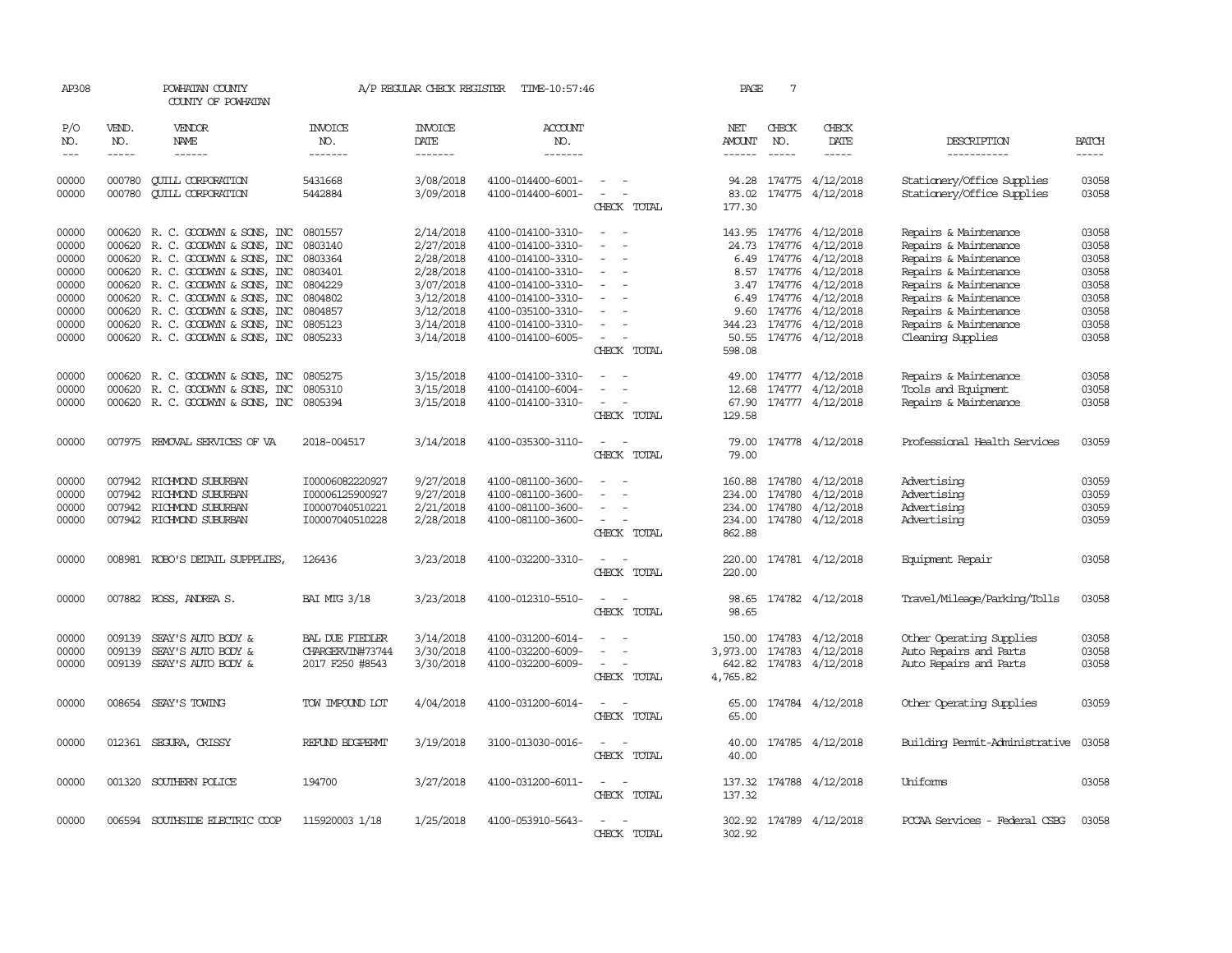| AP308          |                  | POWHATAN COUNTY<br>COUNTY OF POWHATAN                |                       | A/P REGULAR CHECK REGISTER | TIME-10:57:46                          |                          | PAGE           | 7            |                                      |                                                          |                |
|----------------|------------------|------------------------------------------------------|-----------------------|----------------------------|----------------------------------------|--------------------------|----------------|--------------|--------------------------------------|----------------------------------------------------------|----------------|
| P/O<br>NO.     | VEND.<br>NO.     | <b>VENDOR</b><br>NAME                                | <b>INVOICE</b><br>NO. | <b>INVOICE</b><br>DATE     | <b>ACCOUNT</b><br>NO.                  |                          | NET<br>AMOUNT  | CHECK<br>NO. | CHECK<br>DATE                        | DESCRIPTION                                              | <b>BATCH</b>   |
| $---$          | $- - - - -$      | ------                                               | -------               | -------                    | -------                                |                          | ------         | $- - - - -$  | -----                                | -----------                                              | $- - - - -$    |
| 00000<br>00000 | 000780<br>000780 | <b>CUILL CORPORATION</b><br><b>QUILL CORPORATION</b> | 5431668<br>5442884    | 3/08/2018<br>3/09/2018     | 4100-014400-6001-<br>4100-014400-6001- |                          | 94.28<br>83.02 |              | 174775 4/12/2018<br>174775 4/12/2018 | Stationery/Office Supplies<br>Stationery/Office Supplies | 03058<br>03058 |
|                |                  |                                                      |                       |                            |                                        | CHECK TOTAL              | 177.30         |              |                                      |                                                          |                |
| 00000          |                  | 000620 R. C. GOODWYN & SONS, INC                     | 0801557               | 2/14/2018                  | 4100-014100-3310-                      | $\sim$                   | 143.95         |              | 174776 4/12/2018                     | Repairs & Maintenance                                    | 03058          |
| 00000          | 000620           | R. C. GOODWYN & SONS, INC                            | 0803140               | 2/27/2018                  | 4100-014100-3310-                      |                          | 24.73          |              | 174776 4/12/2018                     | Repairs & Maintenance                                    | 03058          |
| 00000          | 000620           | R. C. GOODWYN & SONS, INC                            | 0803364               | 2/28/2018                  | 4100-014100-3310-                      |                          | 6.49           |              | 174776 4/12/2018                     | Repairs & Maintenance                                    | 03058          |
| 00000          | 000620           | R. C. GOODWYN & SONS, INC                            | 0803401               | 2/28/2018                  | 4100-014100-3310-                      | $\equiv$                 |                |              | 8.57 174776 4/12/2018                | Repairs & Maintenance                                    | 03058          |
| 00000          | 000620           | R. C. GOODWYN & SONS, INC                            | 0804229               | 3/07/2018                  | 4100-014100-3310-                      |                          | 3.47           |              | 174776 4/12/2018                     | Repairs & Maintenance                                    | 03058          |
| 00000          | 000620           | R. C. GOODWYN & SONS, INC                            | 0804802               | 3/12/2018                  | 4100-014100-3310-                      |                          | 6.49           |              | 174776 4/12/2018                     | Repairs & Maintenance                                    | 03058          |
| 00000          | 000620           | R. C. GOODWYN & SONS, INC                            | 0804857               | 3/12/2018                  | 4100-035100-3310-                      |                          | 9.60           |              | 174776 4/12/2018                     | Repairs & Maintenance                                    | 03058          |
| 00000          | 000620           | R. C. GOODWYN & SONS, INC                            | 0805123               | 3/14/2018                  | 4100-014100-3310-                      |                          | 344.23         |              | 174776 4/12/2018                     | Repairs & Maintenance                                    | 03058          |
| 00000          |                  | 000620 R. C. GOODWYN & SONS, INC                     | 0805233               | 3/14/2018                  | 4100-014100-6005-                      |                          | 50.55          |              | 174776 4/12/2018                     | Cleaning Supplies                                        | 03058          |
|                |                  |                                                      |                       |                            |                                        | CHECK TOTAL              | 598.08         |              |                                      |                                                          |                |
| 00000          | 000620           | R. C. GOODWYN & SONS, INC                            | 0805275               | 3/15/2018                  | 4100-014100-3310-                      |                          | 49.00          |              | 174777 4/12/2018                     | Repairs & Maintenance                                    | 03058          |
| 00000          | 000620           | R. C. GOODWYN & SONS, INC                            | 0805310               | 3/15/2018                  | 4100-014100-6004-                      |                          | 12.68          |              | 174777 4/12/2018                     | Tools and Equipment                                      | 03058          |
| 00000          |                  | 000620 R. C. GOODWYN & SONS, INC                     | 0805394               | 3/15/2018                  | 4100-014100-3310-                      |                          | 67.90          |              | 174777 4/12/2018                     | Repairs & Maintenance                                    | 03058          |
|                |                  |                                                      |                       |                            |                                        | CHECK TOTAL              | 129.58         |              |                                      |                                                          |                |
| 00000          |                  | 007975 REMOVAL SERVICES OF VA                        | 2018-004517           | 3/14/2018                  | 4100-035300-3110-                      | $\sim$<br>$\sim$         | 79.00          |              | 174778 4/12/2018                     | Professional Health Services                             | 03059          |
|                |                  |                                                      |                       |                            |                                        | CHECK TOTAL              | 79.00          |              |                                      |                                                          |                |
| 00000          | 007942           | RICHMOND SUBURBAN                                    | I00006082220927       | 9/27/2018                  | 4100-081100-3600-                      |                          | 160.88         |              | 174780 4/12/2018                     | Advertising                                              | 03059          |
| 00000          | 007942           | RICHMOND SUBURBAN                                    | I00006125900927       | 9/27/2018                  | 4100-081100-3600-                      |                          | 234.00         | 174780       | 4/12/2018                            | Advertising                                              | 03059          |
| 00000          | 007942           | RICHMOND SUBURBAN                                    | I00007040510221       | 2/21/2018                  | 4100-081100-3600-                      | $\sim$                   | 234.00         |              | 174780 4/12/2018                     | Advertising                                              | 03059          |
| 00000          |                  | 007942 RICHMOND SUBURBAN                             | I00007040510228       | 2/28/2018                  | 4100-081100-3600-                      | $\overline{\phantom{a}}$ | 234.00         |              | 174780 4/12/2018                     | Advertising                                              | 03059          |
|                |                  |                                                      |                       |                            |                                        | CHECK TOTAL              | 862.88         |              |                                      |                                                          |                |
| 00000          |                  | 008981 ROBO'S DETAIL SUPPPLIES,                      | 126436                | 3/23/2018                  | 4100-032200-3310-                      |                          | 220.00         |              | 174781 4/12/2018                     | Equipment Repair                                         | 03058          |
|                |                  |                                                      |                       |                            |                                        | CHECK TOTAL              | 220.00         |              |                                      |                                                          |                |
| 00000          |                  | 007882 ROSS, ANDREA S.                               | <b>BAI MIG 3/18</b>   | 3/23/2018                  | 4100-012310-5510-                      | $\sim$                   | 98.65          |              | 174782 4/12/2018                     | Travel/Mileaqe/Parking/Tolls                             | 03058          |
|                |                  |                                                      |                       |                            |                                        | CHECK TOTAL              | 98.65          |              |                                      |                                                          |                |
| 00000          | 009139           | SEAY'S AUTO BODY &                                   | BAL DUE FIEDLER       | 3/14/2018                  | 4100-031200-6014-                      |                          | 150.00         | 174783       | 4/12/2018                            | Other Operating Supplies                                 | 03058          |
| 00000          | 009139           | SEAY'S AUTO BODY &                                   | CHARGERVIN#73744      | 3/30/2018                  | 4100-032200-6009-                      |                          | 3,973.00       | 174783       | 4/12/2018                            | Auto Repairs and Parts                                   | 03058          |
| 00000          | 009139           | SEAY'S AUTO BODY &                                   | 2017 F250 #8543       | 3/30/2018                  | 4100-032200-6009-                      | $\overline{\phantom{a}}$ | 642.82         |              | 174783 4/12/2018                     | Auto Repairs and Parts                                   | 03058          |
|                |                  |                                                      |                       |                            |                                        | CHECK TOTAL              | 4,765.82       |              |                                      |                                                          |                |
| 00000          |                  | 008654 SEAY'S TOWING                                 | TOW IMPOUND LOT       | 4/04/2018                  | 4100-031200-6014-                      | $\sim$                   | 65.00          |              | 174784 4/12/2018                     | Other Operating Supplies                                 | 03059          |
|                |                  |                                                      |                       |                            |                                        | CHECK TOTAL              | 65.00          |              |                                      |                                                          |                |
| 00000          |                  | 012361 SEGURA, CRISSY                                | REFUND BDGPERMT       | 3/19/2018                  | 3100-013030-0016-                      | $\equiv$                 | 40.00          |              | 174785 4/12/2018                     | Building Permit-Administrative                           | 03058          |
|                |                  |                                                      |                       |                            |                                        | CHECK TOTAL              | 40.00          |              |                                      |                                                          |                |
| 00000          |                  | 001320 SOUTHERN POLICE                               | 194700                | 3/27/2018                  | 4100-031200-6011-                      | $\overline{\phantom{a}}$ |                |              | 137.32 174788 4/12/2018              | Uniforms                                                 | 03058          |
|                |                  |                                                      |                       |                            |                                        | CHECK TOTAL              | 137.32         |              |                                      |                                                          |                |
| 00000          | 006594           | SOUTHSIDE ELECTRIC COOP                              | 115920003 1/18        | 1/25/2018                  | 4100-053910-5643-                      |                          | 302.92         |              | 174789 4/12/2018                     | PCCAA Services - Federal CSBG                            | 03058          |
|                |                  |                                                      |                       |                            |                                        | CHECK TOTAL              | 302.92         |              |                                      |                                                          |                |
|                |                  |                                                      |                       |                            |                                        |                          |                |              |                                      |                                                          |                |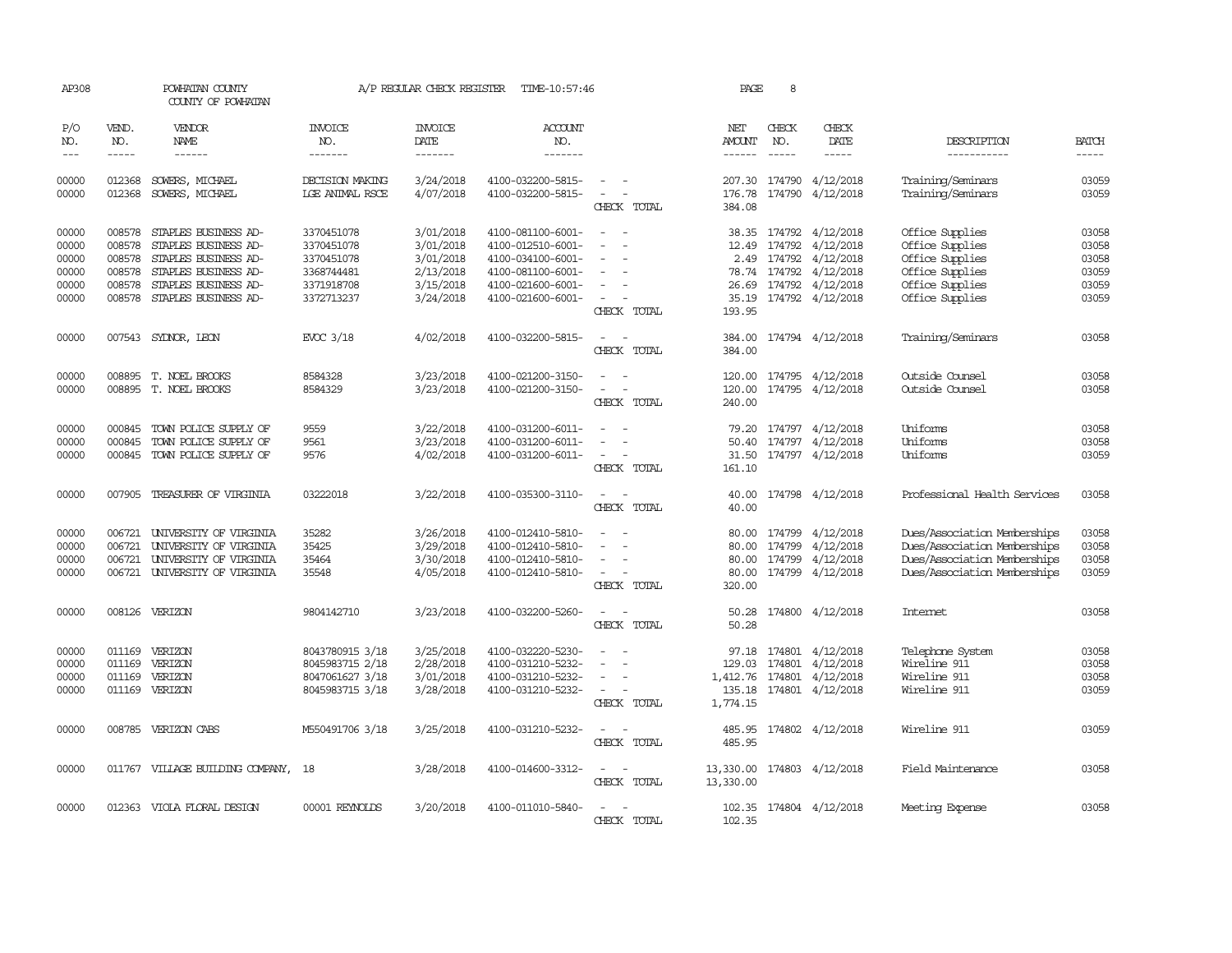| AP308                                              |                                                                                                                                                                                                                                                                                                                                                                                                                                                                                                     | POWHATAN COUNTY<br>COUNTY OF POWHATAN                                                                                                        |                                                                                  | A/P REGULAR CHECK REGISTER                                                 | TIME-10:57:46                                                                                                              |                                                                               | PAGE                                      | 8                                |                                                                                                       |                                                                                                                              |                                                    |
|----------------------------------------------------|-----------------------------------------------------------------------------------------------------------------------------------------------------------------------------------------------------------------------------------------------------------------------------------------------------------------------------------------------------------------------------------------------------------------------------------------------------------------------------------------------------|----------------------------------------------------------------------------------------------------------------------------------------------|----------------------------------------------------------------------------------|----------------------------------------------------------------------------|----------------------------------------------------------------------------------------------------------------------------|-------------------------------------------------------------------------------|-------------------------------------------|----------------------------------|-------------------------------------------------------------------------------------------------------|------------------------------------------------------------------------------------------------------------------------------|----------------------------------------------------|
| P/O<br>NO.<br>$\frac{1}{2}$                        | VEND.<br>NO.<br>$\begin{tabular}{ccccc} \multicolumn{2}{c}{} & \multicolumn{2}{c}{} & \multicolumn{2}{c}{} & \multicolumn{2}{c}{} & \multicolumn{2}{c}{} & \multicolumn{2}{c}{} & \multicolumn{2}{c}{} & \multicolumn{2}{c}{} & \multicolumn{2}{c}{} & \multicolumn{2}{c}{} & \multicolumn{2}{c}{} & \multicolumn{2}{c}{} & \multicolumn{2}{c}{} & \multicolumn{2}{c}{} & \multicolumn{2}{c}{} & \multicolumn{2}{c}{} & \multicolumn{2}{c}{} & \multicolumn{2}{c}{} & \multicolumn{2}{c}{} & \mult$ | <b>VENDOR</b><br><b>NAME</b>                                                                                                                 | <b>INVOICE</b><br>NO.<br>-------                                                 | <b>INVOICE</b><br><b>DATE</b><br>-------                                   | <b>ACCOUNT</b><br>NO.<br>-------                                                                                           |                                                                               | NET<br>AMOUNT<br>$- - - - - -$            | CHECK<br>NO.<br>$- - - - -$      | CHECK<br><b>DATE</b><br>-----                                                                         | DESCRIPTION<br>-----------                                                                                                   | <b>BATCH</b><br>$- - - - -$                        |
| 00000<br>00000                                     | 012368<br>012368                                                                                                                                                                                                                                                                                                                                                                                                                                                                                    | SOWERS, MICHAEL<br>SOWERS, MICHAEL                                                                                                           | DECISION MAKING<br><b>LGE ANIMAL RSCE</b>                                        | 3/24/2018<br>4/07/2018                                                     | 4100-032200-5815-<br>4100-032200-5815-                                                                                     | $\overline{\phantom{a}}$<br>CHECK TOTAL                                       | 207.30<br>176.78<br>384.08                | 174790                           | 4/12/2018<br>174790 4/12/2018                                                                         | Training/Seminars<br>Training/Seminars                                                                                       | 03059<br>03059                                     |
| 00000<br>00000<br>00000<br>00000<br>00000<br>00000 | 008578<br>008578<br>008578<br>008578<br>008578<br>008578                                                                                                                                                                                                                                                                                                                                                                                                                                            | STAPLES BUSINESS AD-<br>STAPLES BUSINESS AD-<br>STAPLES BUSINESS AD-<br>STAPLES BUSINESS AD-<br>STAPLES BUSINESS AD-<br>STAPLES BUSINESS AD- | 3370451078<br>3370451078<br>3370451078<br>3368744481<br>3371918708<br>3372713237 | 3/01/2018<br>3/01/2018<br>3/01/2018<br>2/13/2018<br>3/15/2018<br>3/24/2018 | 4100-081100-6001-<br>4100-012510-6001-<br>4100-034100-6001-<br>4100-081100-6001-<br>4100-021600-6001-<br>4100-021600-6001- | $\equiv$<br>$\overline{\phantom{a}}$<br>CHECK TOTAL                           | 12.49<br>2.49<br>26.69<br>35.19<br>193.95 | 174792<br>174792<br>78.74 174792 | 38.35 174792 4/12/2018<br>4/12/2018<br>4/12/2018<br>4/12/2018<br>174792 4/12/2018<br>174792 4/12/2018 | Office Supplies<br>Office Supplies<br>Office Supplies<br>Office Supplies<br>Office Supplies<br>Office Supplies               | 03058<br>03058<br>03058<br>03059<br>03059<br>03059 |
| 00000                                              |                                                                                                                                                                                                                                                                                                                                                                                                                                                                                                     | 007543 SYDNOR, LEON                                                                                                                          | EVCC 3/18                                                                        | 4/02/2018                                                                  | 4100-032200-5815-                                                                                                          | $\overline{\phantom{a}}$<br>$\overline{\phantom{a}}$<br>CHECK TOTAL           | 384.00<br>384.00                          |                                  | 174794 4/12/2018                                                                                      | Training/Seminars                                                                                                            | 03058                                              |
| 00000<br>00000                                     |                                                                                                                                                                                                                                                                                                                                                                                                                                                                                                     | 008895 T. NOEL BROOKS<br>008895 T. NOEL BROOKS                                                                                               | 8584328<br>8584329                                                               | 3/23/2018<br>3/23/2018                                                     | 4100-021200-3150-<br>4100-021200-3150-                                                                                     | $\sim$<br>$\overline{\phantom{a}}$<br>$\overline{\phantom{a}}$<br>CHECK TOTAL | 120.00<br>240.00                          |                                  | 120.00 174795 4/12/2018<br>174795 4/12/2018                                                           | Outside Counsel<br>Outside Counsel                                                                                           | 03058<br>03058                                     |
| 00000<br>00000<br>00000                            | 000845<br>000845                                                                                                                                                                                                                                                                                                                                                                                                                                                                                    | TOWN POLICE SUPPLY OF<br>TOWN POLICE SUPPLY OF<br>000845 TOWN POLICE SUPPLY OF                                                               | 9559<br>9561<br>9576                                                             | 3/22/2018<br>3/23/2018<br>4/02/2018                                        | 4100-031200-6011-<br>4100-031200-6011-<br>4100-031200-6011-                                                                | $\overline{\phantom{a}}$<br>CHECK TOTAL                                       | 79.20<br>50.40<br>31.50<br>161.10         | 174797                           | 4/12/2018<br>174797 4/12/2018<br>174797 4/12/2018                                                     | Uniforms<br>Uniforms<br>Uniforms                                                                                             | 03058<br>03058<br>03059                            |
| 00000                                              |                                                                                                                                                                                                                                                                                                                                                                                                                                                                                                     | 007905 TREASURER OF VIRGINIA                                                                                                                 | 03222018                                                                         | 3/22/2018                                                                  | 4100-035300-3110-                                                                                                          | $\sim$<br>$\overline{\phantom{a}}$<br>CHECK TOTAL                             | 40.00<br>40.00                            |                                  | 174798 4/12/2018                                                                                      | Professional Health Services                                                                                                 | 03058                                              |
| 00000<br>00000<br>00000<br>00000                   | 006721<br>006721<br>006721                                                                                                                                                                                                                                                                                                                                                                                                                                                                          | UNIVERSITY OF VIRGINIA<br>UNIVERSITY OF VIRGINIA<br>UNIVERSITY OF VIRGINIA<br>006721 UNIVERSITY OF VIRGINIA                                  | 35282<br>35425<br>35464<br>35548                                                 | 3/26/2018<br>3/29/2018<br>3/30/2018<br>4/05/2018                           | 4100-012410-5810-<br>4100-012410-5810-<br>4100-012410-5810-<br>4100-012410-5810-                                           | $\sim$<br>CHECK TOTAL                                                         | 80.00<br>80.00<br>80.00<br>320.00         | 80.00 174799<br>174799<br>174799 | 4/12/2018<br>4/12/2018<br>4/12/2018<br>174799 4/12/2018                                               | Dues/Association Memberships<br>Dues/Association Memberships<br>Dues/Association Memberships<br>Dues/Association Memberships | 03058<br>03058<br>03058<br>03059                   |
| 00000                                              |                                                                                                                                                                                                                                                                                                                                                                                                                                                                                                     | 008126 VERIZON                                                                                                                               | 9804142710                                                                       | 3/23/2018                                                                  | 4100-032200-5260-                                                                                                          | $\sim$<br>CHECK TOTAL                                                         | 50.28<br>50.28                            |                                  | 174800 4/12/2018                                                                                      | <b>Internet</b>                                                                                                              | 03058                                              |
| 00000<br>00000<br>00000<br>00000                   | 011169<br>011169<br>011169                                                                                                                                                                                                                                                                                                                                                                                                                                                                          | VERIZON<br>VERIZON<br>VERIZON<br>011169 VERIZON                                                                                              | 8043780915 3/18<br>8045983715 2/18<br>8047061627 3/18<br>8045983715 3/18         | 3/25/2018<br>2/28/2018<br>3/01/2018<br>3/28/2018                           | 4100-032220-5230-<br>4100-031210-5232-<br>4100-031210-5232-<br>4100-031210-5232-                                           | $\sim$<br>CHECK TOTAL                                                         | 97.18<br>129.03<br>1,412.76<br>1,774.15   | 174801<br>174801                 | 174801 4/12/2018<br>4/12/2018<br>4/12/2018<br>135.18 174801 4/12/2018                                 | Telephone System<br>Wireline 911<br>Wireline 911<br>Wireline 911                                                             | 03058<br>03058<br>03058<br>03059                   |
| 00000                                              |                                                                                                                                                                                                                                                                                                                                                                                                                                                                                                     | 008785 VERIZON CABS                                                                                                                          | M550491706 3/18                                                                  | 3/25/2018                                                                  | 4100-031210-5232-                                                                                                          | $\sim$<br>CHECK TOTAL                                                         | 485.95<br>485.95                          |                                  | 174802 4/12/2018                                                                                      | Wireline 911                                                                                                                 | 03059                                              |
| 00000                                              |                                                                                                                                                                                                                                                                                                                                                                                                                                                                                                     | 011767 VILLAGE BUILDING COMPANY, 18                                                                                                          |                                                                                  | 3/28/2018                                                                  | 4100-014600-3312-                                                                                                          | CHECK TOTAL                                                                   | 13,330.00<br>13,330.00                    |                                  | 174803 4/12/2018                                                                                      | Field Maintenance                                                                                                            | 03058                                              |
| 00000                                              |                                                                                                                                                                                                                                                                                                                                                                                                                                                                                                     | 012363 VIOLA FLORAL DESIGN                                                                                                                   | 00001 REYNOLDS                                                                   | 3/20/2018                                                                  | 4100-011010-5840-                                                                                                          | CHECK TOTAL                                                                   | 102.35<br>102.35                          |                                  | 174804 4/12/2018                                                                                      | Meeting Expense                                                                                                              | 03058                                              |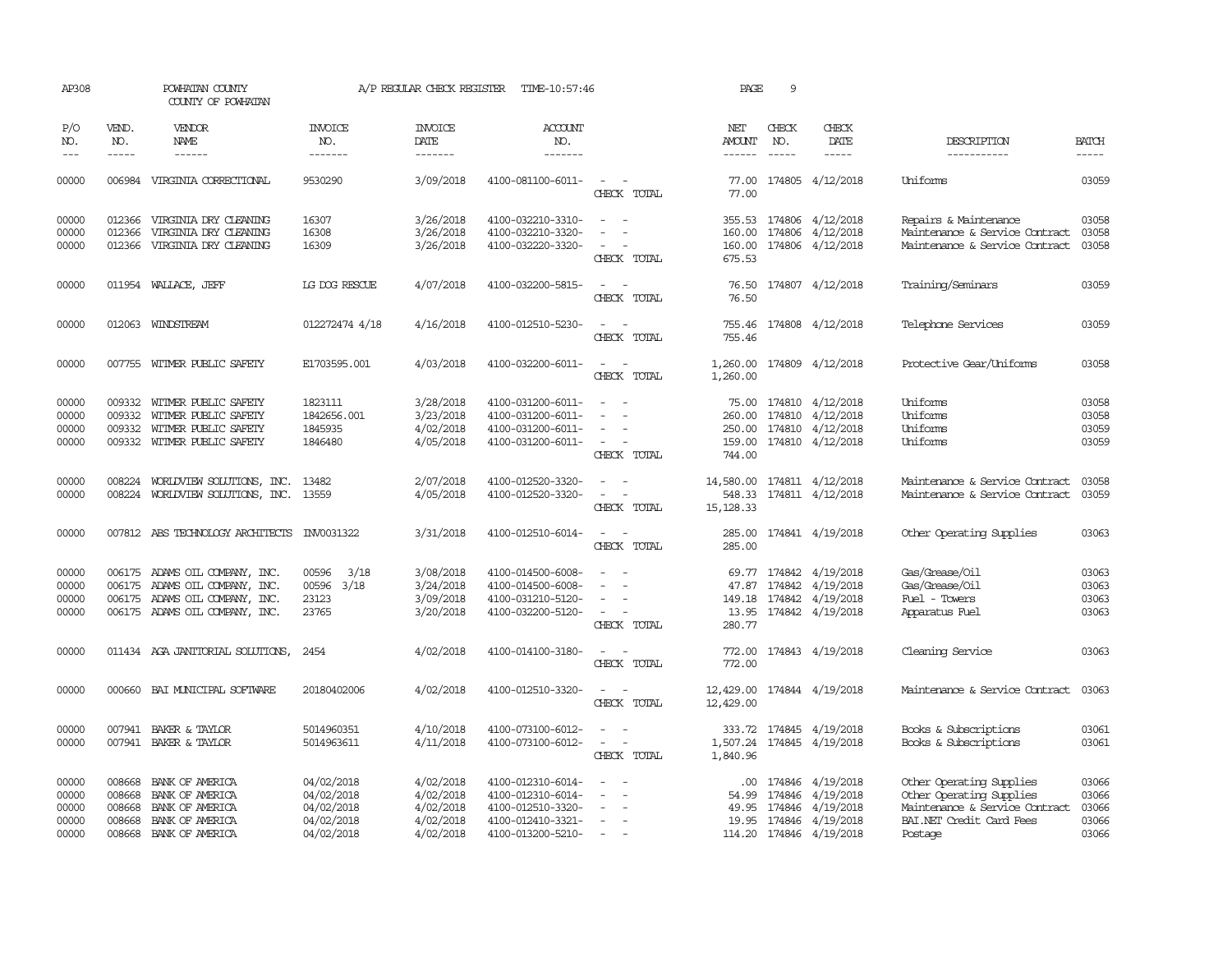| AP308                                     | POWHATAN COUNTY<br>COUNTY OF POWHATAN |                                                                                                                               |                                                                    | A/P REGULAR CHECK REGISTER                                    | TIME-10:57:46                                                                                         |                                                               | PAGE                                    | 9                |                                                                                           |                                                                                                                               |                                           |
|-------------------------------------------|---------------------------------------|-------------------------------------------------------------------------------------------------------------------------------|--------------------------------------------------------------------|---------------------------------------------------------------|-------------------------------------------------------------------------------------------------------|---------------------------------------------------------------|-----------------------------------------|------------------|-------------------------------------------------------------------------------------------|-------------------------------------------------------------------------------------------------------------------------------|-------------------------------------------|
| P/O<br>NO.<br>$---$                       | VEND.<br>NO.<br>$- - - - -$           | VENDOR<br>NAME<br>$- - - - - -$                                                                                               | <b>INVOICE</b><br>NO.<br>-------                                   | <b>INVOICE</b><br>DATE<br>-------                             | ACCOUNT<br>NO.<br>-------                                                                             |                                                               | NET<br>AMOUNT<br>------                 | CHECK<br>NO.     | CHECK<br>DATE<br>$- - - - -$                                                              | DESCRIPTION<br>-----------                                                                                                    | <b>BATCH</b><br>-----                     |
| 00000                                     |                                       | 006984 VIRGINIA CORRECTIONAL                                                                                                  | 9530290                                                            | 3/09/2018                                                     | 4100-081100-6011-                                                                                     | $\sim$<br>CHECK TOTAL                                         | 77.00<br>77.00                          |                  | 174805 4/12/2018                                                                          | Uniforms                                                                                                                      | 03059                                     |
| 00000<br>00000<br>00000                   | 012366<br>012366                      | 012366 VIRGINIA DRY CLEANING<br>VIRGINIA DRY CLEANING<br>VIRGINIA DRY CLEANING                                                | 16307<br>16308<br>16309                                            | 3/26/2018<br>3/26/2018<br>3/26/2018                           | 4100-032210-3310-<br>4100-032210-3320-<br>4100-032220-3320-                                           | $\equiv$<br>$\sim$<br>CHECK TOTAL                             | 160.00<br>160.00<br>675.53              |                  | 355.53 174806 4/12/2018<br>174806 4/12/2018<br>174806 4/12/2018                           | Repairs & Maintenance<br>Maintenance & Service Contract<br>Maintenance & Service Contract                                     | 03058<br>03058<br>03058                   |
| 00000                                     |                                       | 011954 WALLACE, JEFF                                                                                                          | LG DOG RESCUE                                                      | 4/07/2018                                                     | 4100-032200-5815-                                                                                     | CHECK TOTAL                                                   | 76.50<br>76.50                          |                  | 174807 4/12/2018                                                                          | Training/Seminars                                                                                                             | 03059                                     |
| 00000                                     |                                       | 012063 WINDSTREAM                                                                                                             | 012272474 4/18                                                     | 4/16/2018                                                     | 4100-012510-5230-                                                                                     | CHECK TOTAL                                                   | 755.46<br>755.46                        |                  | 174808 4/12/2018                                                                          | Telephone Services                                                                                                            | 03059                                     |
| 00000                                     |                                       | 007755 WITMER PUBLIC SAFETY                                                                                                   | E1703595.001                                                       | 4/03/2018                                                     | 4100-032200-6011-                                                                                     | $\overline{\phantom{a}}$<br>CHECK TOTAL                       | 1,260.00<br>1,260.00                    |                  | 174809 4/12/2018                                                                          | Protective Gear/Uniforms                                                                                                      | 03058                                     |
| 00000<br>00000<br>00000<br>00000          | 009332                                | 009332 WITMER PUBLIC SAFETY<br>WITMER PUBLIC SAFETY<br>009332 WITMER PUBLIC SAFETY<br>009332 WITMER PUBLIC SAFETY             | 1823111<br>1842656.001<br>1845935<br>1846480                       | 3/28/2018<br>3/23/2018<br>4/02/2018<br>4/05/2018              | 4100-031200-6011-<br>4100-031200-6011-<br>4100-031200-6011-<br>4100-031200-6011-                      | $\overline{\phantom{a}}$<br>$\sim$<br>CHECK TOTAL             | 260.00<br>159.00<br>744.00              | 174810           | 75.00 174810 4/12/2018<br>4/12/2018<br>250.00 174810 4/12/2018<br>174810 4/12/2018        | Uniforms<br>Uniforms<br>Uniforms<br>Uniforms                                                                                  | 03058<br>03058<br>03059<br>03059          |
| 00000<br>00000                            |                                       | 008224 WORLDVIEW SOLUTIONS, INC.<br>008224 WORLDVIEW SOLUTIONS, INC. 13559                                                    | 13482                                                              | 2/07/2018<br>4/05/2018                                        | 4100-012520-3320-<br>4100-012520-3320-                                                                | $\sim$<br>$\overline{\phantom{a}}$<br>$\equiv$<br>CHECK TOTAL | 14,580.00<br>548.33<br>15, 128.33       |                  | 174811 4/12/2018<br>174811 4/12/2018                                                      | Maintenance & Service Contract<br>Maintenance & Service Contract                                                              | 03058<br>03059                            |
| 00000                                     |                                       | 007812 ABS TECHNOLOGY ARCHITECTS INV0031322                                                                                   |                                                                    | 3/31/2018                                                     | 4100-012510-6014-                                                                                     | $\sim$<br>CHECK TOTAL                                         | 285.00                                  |                  | 285.00 174841 4/19/2018                                                                   | Other Operating Supplies                                                                                                      | 03063                                     |
| 00000<br>00000<br>00000<br>00000          | 006175                                | ADAMS OIL COMPANY, INC.<br>006175 ADAMS OIL COMPANY, INC.<br>006175 ADAMS OIL COMPANY, INC.<br>006175 ADAMS OIL COMPANY, INC. | 3/18<br>00596<br>3/18<br>00596<br>23123<br>23765                   | 3/08/2018<br>3/24/2018<br>3/09/2018<br>3/20/2018              | 4100-014500-6008-<br>4100-014500-6008-<br>4100-031210-5120-<br>4100-032200-5120-                      | $\equiv$<br>CHECK TOTAL                                       | 69.77<br>47.87<br>149.18<br>280.77      |                  | 174842 4/19/2018<br>174842 4/19/2018<br>174842 4/19/2018<br>13.95 174842 4/19/2018        | Gas/Grease/Oil<br>Gas/Grease/Oil<br>Fuel - Towers<br>Apparatus Fuel                                                           | 03063<br>03063<br>03063<br>03063          |
| 00000                                     |                                       | 011434 AGA JANITORIAL SOLUTIONS,                                                                                              | 2454                                                               | 4/02/2018                                                     | 4100-014100-3180-                                                                                     | CHECK TOTAL                                                   | 772.00<br>772.00                        |                  | 174843 4/19/2018                                                                          | Cleaning Service                                                                                                              | 03063                                     |
| 00000                                     | 000660                                | BAI MUNICIPAL SOFTWARE                                                                                                        | 20180402006                                                        | 4/02/2018                                                     | 4100-012510-3320-                                                                                     | CHECK TOTAL                                                   | 12,429.00<br>12,429.00                  |                  | 174844 4/19/2018                                                                          | Maintenance & Service Contract                                                                                                | 03063                                     |
| 00000<br>00000                            |                                       | 007941 BAKER & TAYLOR<br>007941 BAKER & TAYLOR                                                                                | 5014960351<br>5014963611                                           | 4/10/2018<br>4/11/2018                                        | 4100-073100-6012-<br>4100-073100-6012-                                                                | $\sim$<br>$\sim$<br>CHECK TOTAL                               | 333.72<br>1,840.96                      |                  | 174845 4/19/2018<br>1,507.24 174845 4/19/2018                                             | Books & Subscriptions<br>Books & Subscriptions                                                                                | 03061<br>03061                            |
| 00000<br>00000<br>00000<br>00000<br>00000 | 008668<br>008668<br>008668            | BANK OF AMERICA<br>BANK OF AMERICA<br>BANK OF AMERICA<br>008668 BANK OF AMERICA<br>008668 BANK OF AMERICA                     | 04/02/2018<br>04/02/2018<br>04/02/2018<br>04/02/2018<br>04/02/2018 | 4/02/2018<br>4/02/2018<br>4/02/2018<br>4/02/2018<br>4/02/2018 | 4100-012310-6014-<br>4100-012310-6014-<br>4100-012510-3320-<br>4100-012410-3321-<br>4100-013200-5210- | $\sim$<br>$\overline{\phantom{a}}$                            | $.00 \times$<br>54.99<br>49.95<br>19.95 | 174846<br>174846 | 174846 4/19/2018<br>4/19/2018<br>4/19/2018<br>174846 4/19/2018<br>114.20 174846 4/19/2018 | Other Operating Supplies<br>Other Operating Supplies<br>Maintenance & Service Contract<br>BAI.NET Credit Card Fees<br>Postage | 03066<br>03066<br>03066<br>03066<br>03066 |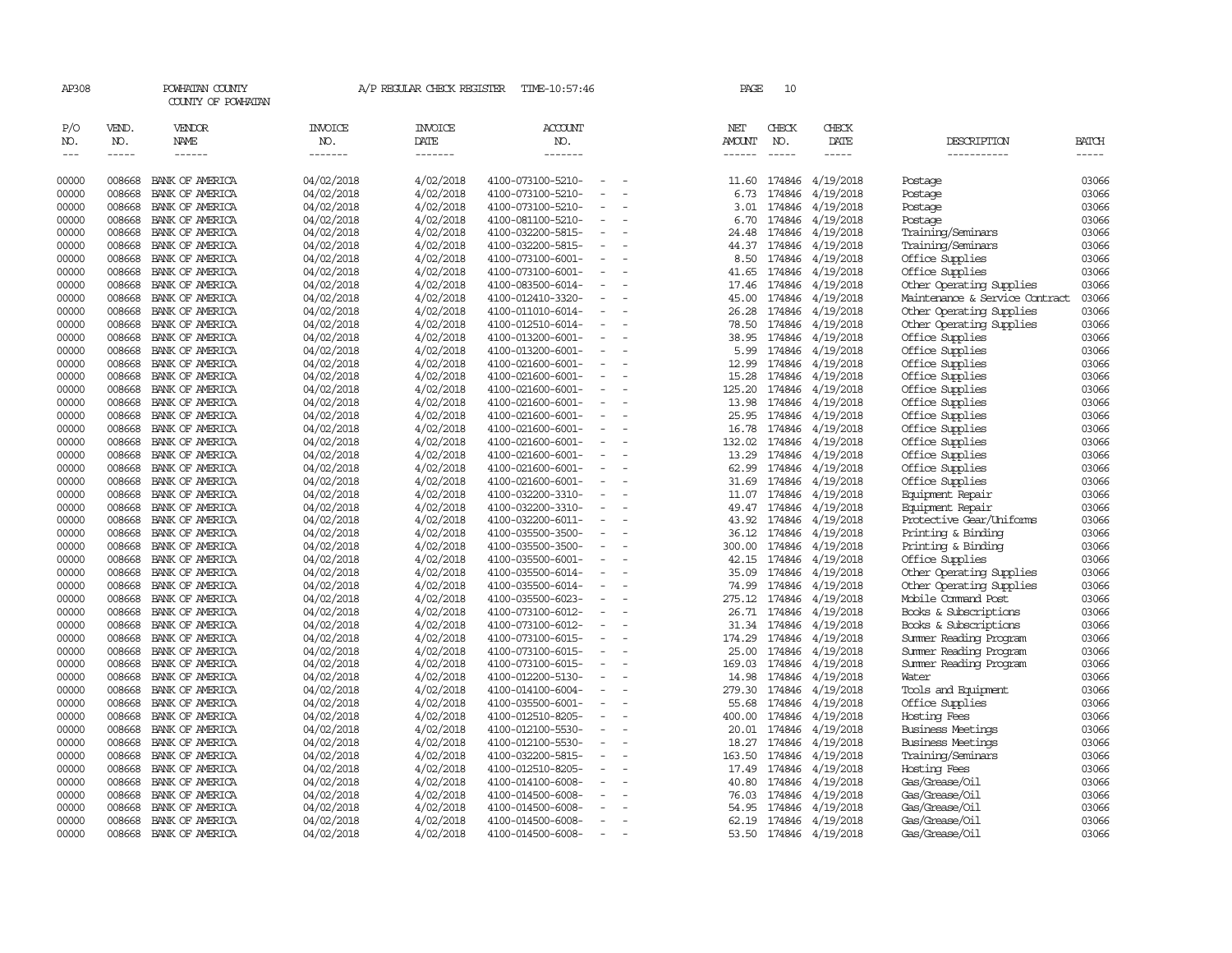| AP308                       |                             | POWHATAN COUNTY<br>COUNTY OF POWHATAN  |                                  | A/P REGULAR CHECK REGISTER               | TIME-10:57:46                    |                          |          | PAGE                           | 10                          |                        |                                |                       |
|-----------------------------|-----------------------------|----------------------------------------|----------------------------------|------------------------------------------|----------------------------------|--------------------------|----------|--------------------------------|-----------------------------|------------------------|--------------------------------|-----------------------|
| P/O<br>NO.<br>$\frac{1}{2}$ | VEND.<br>NO.<br>$- - - - -$ | VENDOR<br><b>NAME</b><br>$- - - - - -$ | <b>INVOICE</b><br>NO.<br>------- | <b>INVOICE</b><br><b>DATE</b><br>------- | <b>ACCOUNT</b><br>NO.<br>------- |                          |          | NET<br>AMOUNT<br>$- - - - - -$ | CHECK<br>NO.<br>$- - - - -$ | CHECK<br>DATE<br>----- | DESCRIPTION<br>-----------     | <b>BATCH</b><br>----- |
| 00000                       | 008668                      | BANK OF AMERICA                        | 04/02/2018                       | 4/02/2018                                | 4100-073100-5210-                |                          |          | 11.60                          | 174846                      | 4/19/2018              | Postage                        | 03066                 |
| 00000                       | 008668                      | BANK OF AMERICA                        | 04/02/2018                       | 4/02/2018                                | 4100-073100-5210-                |                          |          | 6.73                           | 174846                      | 4/19/2018              | Postage                        | 03066                 |
| 00000                       | 008668                      | BANK OF AMERICA                        | 04/02/2018                       | 4/02/2018                                | 4100-073100-5210-                |                          |          | 3.01                           | 174846                      | 4/19/2018              | Postage                        | 03066                 |
| 00000                       | 008668                      | BANK OF AMERICA                        | 04/02/2018                       | 4/02/2018                                | 4100-081100-5210-                |                          |          | 6.70                           | 174846                      | 4/19/2018              | Postage                        | 03066                 |
| 00000                       | 008668                      | BANK OF AMERICA                        | 04/02/2018                       | 4/02/2018                                | 4100-032200-5815-                |                          |          | 24.48                          | 174846                      | 4/19/2018              | Training/Seminars              | 03066                 |
| 00000                       | 008668                      | BANK OF AMERICA                        | 04/02/2018                       | 4/02/2018                                | 4100-032200-5815-                |                          |          |                                | 44.37 174846                | 4/19/2018              | Training/Seminars              | 03066                 |
| 00000                       | 008668                      | BANK OF AMERICA                        | 04/02/2018                       | 4/02/2018                                | 4100-073100-6001-                | $\overline{\phantom{a}}$ | $\sim$   |                                | 8.50 174846                 | 4/19/2018              | Office Supplies                | 03066                 |
| 00000                       | 008668                      | BANK OF AMERICA                        | 04/02/2018                       | 4/02/2018                                | 4100-073100-6001-                |                          |          | 41.65                          | 174846                      | 4/19/2018              | Office Supplies                | 03066                 |
| 00000                       | 008668                      | BANK OF AMERICA                        | 04/02/2018                       | 4/02/2018                                | 4100-083500-6014-                |                          |          | 17.46                          | 174846                      | 4/19/2018              | Other Operating Supplies       | 03066                 |
| 00000                       | 008668                      | BANK OF AMERICA                        | 04/02/2018                       | 4/02/2018                                | 4100-012410-3320-                |                          |          | 45.00                          | 174846                      | 4/19/2018              | Maintenance & Service Contract | 03066                 |
| 00000                       | 008668                      | BANK OF AMERICA                        | 04/02/2018                       | 4/02/2018                                | 4100-011010-6014-                |                          |          | 26.28                          | 174846                      | 4/19/2018              | Other Operating Supplies       | 03066                 |
| 00000                       | 008668                      | BANK OF AMERICA                        | 04/02/2018                       | 4/02/2018                                | 4100-012510-6014-                |                          |          | 78.50                          | 174846                      | 4/19/2018              | Other Operating Supplies       | 03066                 |
| 00000                       | 008668                      | BANK OF AMERICA                        | 04/02/2018                       | 4/02/2018                                | 4100-013200-6001-                |                          |          | 38.95                          | 174846                      | 4/19/2018              | Office Supplies                | 03066                 |
| 00000                       | 008668                      | BANK OF AMERICA                        | 04/02/2018                       | 4/02/2018                                | 4100-013200-6001-                | $\overline{\phantom{a}}$ |          |                                | 5.99 174846                 | 4/19/2018              | Office Supplies                | 03066                 |
| 00000                       | 008668                      | BANK OF AMERICA                        | 04/02/2018                       | 4/02/2018                                | 4100-021600-6001-                |                          |          | 12.99                          | 174846                      | 4/19/2018              | Office Supplies                | 03066                 |
| 00000                       | 008668                      | BANK OF AMERICA                        | 04/02/2018                       | 4/02/2018                                | 4100-021600-6001-                |                          |          | 15.28                          | 174846                      | 4/19/2018              | Office Supplies                | 03066                 |
| 00000                       | 008668                      | BANK OF AMERICA                        | 04/02/2018                       | 4/02/2018                                | 4100-021600-6001-                |                          |          | 125.20                         | 174846                      | 4/19/2018              | Office Supplies                | 03066                 |
| 00000                       | 008668                      | BANK OF AMERICA                        | 04/02/2018                       | 4/02/2018                                | 4100-021600-6001-                |                          |          | 13.98                          | 174846                      | 4/19/2018              | Office Supplies                | 03066                 |
| 00000                       | 008668                      | BANK OF AMERICA                        | 04/02/2018                       | 4/02/2018                                | 4100-021600-6001-                |                          |          | 25.95                          | 174846                      | 4/19/2018              | Office Supplies                | 03066                 |
| 00000                       | 008668                      | BANK OF AMERICA                        | 04/02/2018                       | 4/02/2018                                | 4100-021600-6001-                |                          |          | 16.78                          | 174846                      | 4/19/2018              | Office Supplies                | 03066                 |
| 00000                       | 008668                      | BANK OF AMERICA                        | 04/02/2018                       | 4/02/2018                                | 4100-021600-6001-                | $\equiv$                 |          | 132.02                         | 174846                      | 4/19/2018              | Office Supplies                | 03066                 |
| 00000                       | 008668                      | BANK OF AMERICA                        | 04/02/2018                       | 4/02/2018                                | 4100-021600-6001-                |                          |          | 13.29                          | 174846                      | 4/19/2018              | Office Supplies                | 03066                 |
| 00000                       | 008668                      | BANK OF AMERICA                        | 04/02/2018                       | 4/02/2018                                | 4100-021600-6001-                |                          |          | 62.99                          | 174846                      | 4/19/2018              | Office Supplies                | 03066                 |
| 00000                       | 008668                      | BANK OF AMERICA                        | 04/02/2018                       | 4/02/2018                                | 4100-021600-6001-                | $\overline{\phantom{a}}$ |          | 31.69                          | 174846                      | 4/19/2018              | Office Supplies                | 03066                 |
| 00000                       | 008668                      | BANK OF AMERICA                        | 04/02/2018                       | 4/02/2018                                | 4100-032200-3310-                |                          |          | 11.07                          | 174846                      | 4/19/2018              | Equipment Repair               | 03066                 |
| 00000                       | 008668                      | BANK OF AMERICA                        | 04/02/2018                       | 4/02/2018                                | 4100-032200-3310-                | $\sim$                   |          |                                | 49.47 174846                | 4/19/2018              | Equipment Repair               | 03066                 |
| 00000                       | 008668                      | BANK OF AMERICA                        | 04/02/2018                       | 4/02/2018                                | 4100-032200-6011-                |                          |          | 43.92                          | 174846                      | 4/19/2018              | Protective Gear/Uniforms       | 03066                 |
| 00000                       | 008668                      | BANK OF AMERICA                        | 04/02/2018                       | 4/02/2018                                | 4100-035500-3500-                | $\overline{\phantom{a}}$ |          | 36.12                          | 174846                      | 4/19/2018              | Printing & Binding             | 03066                 |
| 00000                       | 008668                      | BANK OF AMERICA                        | 04/02/2018                       | 4/02/2018                                | 4100-035500-3500-                |                          |          | 300.00                         | 174846                      | 4/19/2018              | Printing & Binding             | 03066                 |
| 00000                       | 008668                      | BANK OF AMERICA                        | 04/02/2018                       | 4/02/2018                                | 4100-035500-6001-                |                          |          | 42.15                          | 174846                      | 4/19/2018              | Office Supplies                | 03066                 |
| 00000                       | 008668                      | BANK OF AMERICA                        | 04/02/2018                       | 4/02/2018                                | 4100-035500-6014-                | $\overline{\phantom{a}}$ |          | 35.09                          | 174846                      | 4/19/2018              | Other Operating Supplies       | 03066                 |
| 00000                       | 008668                      | BANK OF AMERICA                        | 04/02/2018                       | 4/02/2018                                | 4100-035500-6014-                |                          |          | 74.99                          | 174846                      | 4/19/2018              | Other Operating Supplies       | 03066                 |
| 00000                       | 008668                      | BANK OF AMERICA                        | 04/02/2018                       | 4/02/2018                                | 4100-035500-6023-                |                          |          |                                | 275.12 174846               | 4/19/2018              | Mobile Command Post            | 03066                 |
| 00000                       | 008668                      | BANK OF AMERICA                        | 04/02/2018                       | 4/02/2018                                | 4100-073100-6012-                |                          |          | 26.71                          | 174846                      | 4/19/2018              | Books & Subscriptions          | 03066                 |
| 00000                       | 008668                      | BANK OF AMERICA                        | 04/02/2018                       | 4/02/2018                                | 4100-073100-6012-                | $\equiv$                 |          |                                | 31.34 174846                | 4/19/2018              | Books & Subscriptions          | 03066                 |
| 00000                       | 008668                      | BANK OF AMERICA                        | 04/02/2018                       | 4/02/2018                                | 4100-073100-6015-                |                          |          | 174.29                         | 174846                      | 4/19/2018              | Summer Reading Program         | 03066                 |
| 00000                       | 008668                      | BANK OF AMERICA                        | 04/02/2018                       | 4/02/2018                                | 4100-073100-6015-                |                          |          | 25.00                          | 174846                      | 4/19/2018              | Summer Reading Program         | 03066                 |
| 00000                       | 008668                      | BANK OF AMERICA                        | 04/02/2018                       | 4/02/2018                                | 4100-073100-6015-                | $\overline{\phantom{a}}$ | $\equiv$ | 169.03                         | 174846                      | 4/19/2018              | Summer Reading Program         | 03066                 |
| 00000                       | 008668                      | BANK OF AMERICA                        | 04/02/2018                       | 4/02/2018                                | 4100-012200-5130-                |                          |          | 14.98                          | 174846                      | 4/19/2018              | Water                          | 03066                 |
| 00000                       | 008668                      | BANK OF AMERICA                        | 04/02/2018                       | 4/02/2018                                | 4100-014100-6004-                |                          |          | 279.30                         | 174846                      | 4/19/2018              | Tools and Equipment            | 03066                 |
| 00000                       | 008668                      | BANK OF AMERICA                        | 04/02/2018                       | 4/02/2018                                | 4100-035500-6001-                |                          |          | 55.68                          | 174846                      | 4/19/2018              | Office Supplies                | 03066                 |
| 00000                       | 008668                      | BANK OF AMERICA                        | 04/02/2018                       | 4/02/2018                                | 4100-012510-8205-                | $\overline{\phantom{a}}$ |          | 400.00                         | 174846                      | 4/19/2018              | Hosting Fees                   | 03066                 |
| 00000                       | 008668                      | BANK OF AMERICA                        | 04/02/2018                       | 4/02/2018                                | 4100-012100-5530-                |                          |          | 20.01                          | 174846                      | 4/19/2018              | Business Meetings              | 03066                 |
| 00000                       | 008668                      | BANK OF AMERICA                        | 04/02/2018                       | 4/02/2018                                | 4100-012100-5530-                |                          |          | 18.27                          | 174846                      | 4/19/2018              | Business Meetings              | 03066                 |
| 00000                       | 008668                      | BANK OF AMERICA                        | 04/02/2018                       | 4/02/2018                                | 4100-032200-5815-                | $\overline{\phantom{a}}$ |          | 163.50                         | 174846                      | 4/19/2018              | Training/Seminars              | 03066                 |
| 00000                       | 008668                      | BANK OF AMERICA                        | 04/02/2018                       | 4/02/2018                                | 4100-012510-8205-                |                          |          | 17.49                          | 174846                      | 4/19/2018              | Hosting Fees                   | 03066                 |
| 00000                       | 008668                      | BANK OF AMERICA                        | 04/02/2018                       | 4/02/2018                                | 4100-014100-6008-                |                          |          | 40.80                          | 174846                      | 4/19/2018              | Gas/Grease/Oil                 | 03066                 |
| 00000                       | 008668                      | BANK OF AMERICA                        | 04/02/2018                       | 4/02/2018                                | 4100-014500-6008-                |                          |          | 76.03                          | 174846                      | 4/19/2018              | Gas/Grease/Oil                 | 03066                 |
| 00000                       | 008668                      | BANK OF AMERICA                        | 04/02/2018                       | 4/02/2018                                | 4100-014500-6008-                |                          |          | 54.95                          | 174846                      | 4/19/2018              | Gas/Grease/Oil                 | 03066                 |
| 00000                       | 008668                      | BANK OF AMERICA                        | 04/02/2018                       | 4/02/2018                                | 4100-014500-6008-                |                          |          | 62.19                          | 174846                      | 4/19/2018              | Gas/Grease/Oil                 | 03066                 |
| 00000                       | 008668                      | BANK OF AMERICA                        | 04/02/2018                       | 4/02/2018                                | 4100-014500-6008-                |                          |          |                                |                             | 53.50 174846 4/19/2018 | Gas/Grease/Oil                 | 03066                 |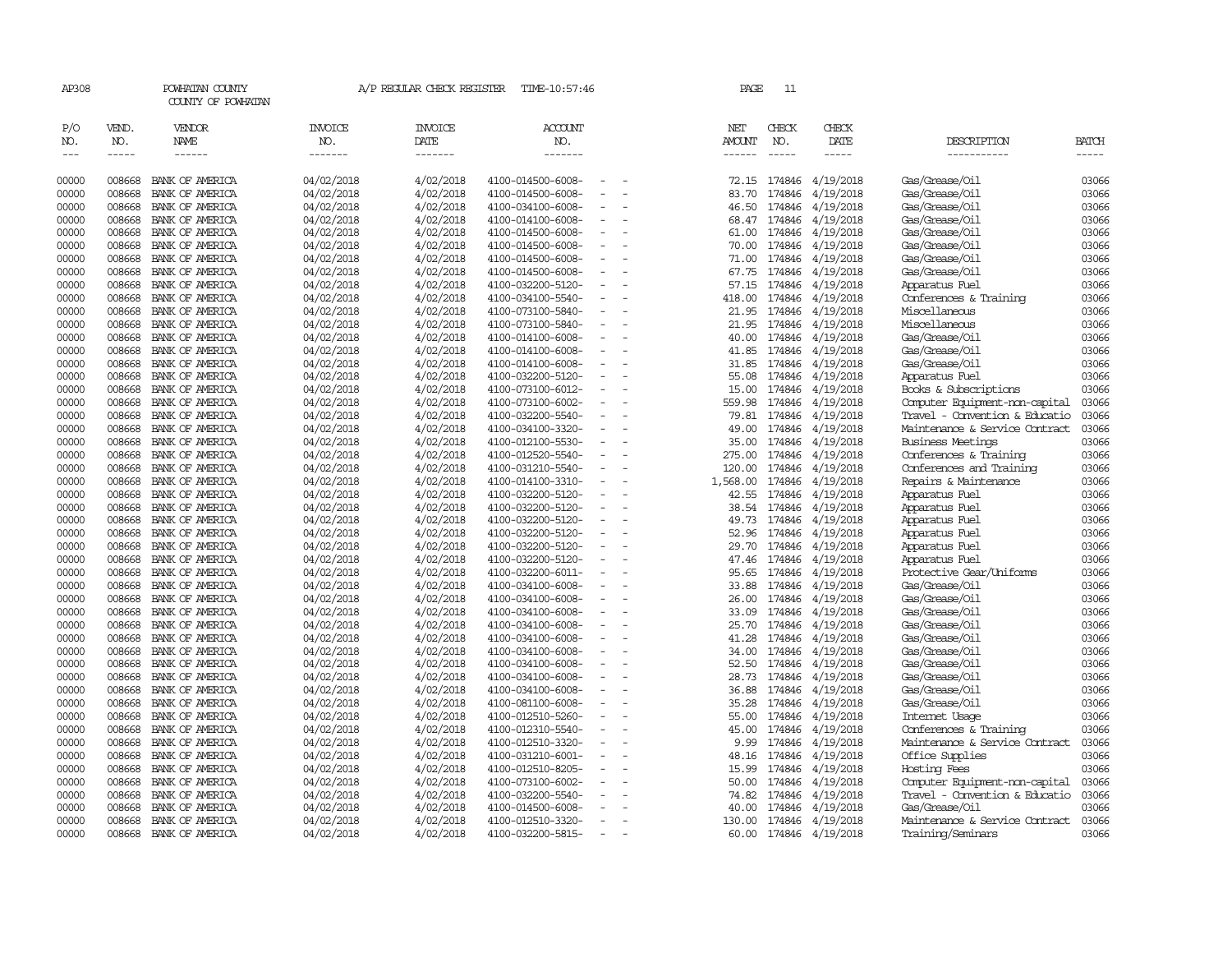| AP308               |                             | POWHATAN COUNTY<br>COUNTY OF POWHATAN |                                  | A/P REGULAR CHECK REGISTER        | TIME-10:57:46                          |                          | PAGE                                  | 11                            |                              |                                                    |                             |
|---------------------|-----------------------------|---------------------------------------|----------------------------------|-----------------------------------|----------------------------------------|--------------------------|---------------------------------------|-------------------------------|------------------------------|----------------------------------------------------|-----------------------------|
| P/O<br>NO.<br>$---$ | VEND.<br>NO.<br>$- - - - -$ | VENDOR<br>NAME<br>$- - - - - -$       | <b>INVOICE</b><br>NO.<br>------- | <b>INVOICE</b><br>DATE<br>------- | <b>ACCOUNT</b><br>NO.<br>-------       |                          | NET<br><b>AMOUNT</b><br>$- - - - - -$ | CHECK<br>NO.<br>$\frac{1}{2}$ | CHECK<br>DATE<br>$- - - - -$ | DESCRIPTION<br>-----------                         | <b>BATCH</b><br>$- - - - -$ |
| 00000               | 008668                      | BANK OF AMERICA                       | 04/02/2018                       | 4/02/2018                         | 4100-014500-6008-                      |                          | 72.15                                 | 174846                        | 4/19/2018                    | Gas/Grease/Oil                                     | 03066                       |
| 00000               | 008668                      | BANK OF AMERICA                       | 04/02/2018                       | 4/02/2018                         | 4100-014500-6008-                      |                          | 83.70                                 | 174846                        | 4/19/2018                    | Gas/Grease/Oil                                     | 03066                       |
| 00000               | 008668                      | BANK OF AMERICA                       | 04/02/2018                       | 4/02/2018                         | 4100-034100-6008-                      | $\overline{\phantom{a}}$ | 46.50                                 | 174846                        | 4/19/2018                    | Gas/Grease/Oil                                     | 03066                       |
| 00000               | 008668                      | BANK OF AMERICA                       | 04/02/2018                       | 4/02/2018                         | 4100-014100-6008-                      |                          | 68.47                                 | 174846                        | 4/19/2018                    | Gas/Grease/Oil                                     | 03066                       |
| 00000               | 008668                      | BANK OF AMERICA                       | 04/02/2018                       | 4/02/2018                         | 4100-014500-6008-                      |                          | 61.00                                 | 174846                        | 4/19/2018                    | Gas/Grease/Oil                                     | 03066                       |
| 00000               | 008668                      | BANK OF AMERICA                       | 04/02/2018                       | 4/02/2018                         | 4100-014500-6008-                      |                          | 70.00                                 | 174846                        | 4/19/2018                    | Gas/Grease/Oil                                     | 03066                       |
| 00000               | 008668                      | BANK OF AMERICA                       | 04/02/2018                       | 4/02/2018                         | 4100-014500-6008-                      |                          | 71.00                                 | 174846                        | 4/19/2018                    | Gas/Grease/Oil                                     | 03066                       |
| 00000               | 008668                      | BANK OF AMERICA                       | 04/02/2018                       | 4/02/2018                         | 4100-014500-6008-                      |                          | 67.75                                 | 174846                        | 4/19/2018                    | Gas/Grease/Oil                                     | 03066                       |
| 00000               | 008668                      | BANK OF AMERICA                       | 04/02/2018                       | 4/02/2018                         | 4100-032200-5120-                      |                          | 57.15                                 | 174846                        | 4/19/2018                    | Apparatus Fuel                                     | 03066                       |
| 00000               | 008668                      | BANK OF AMERICA                       | 04/02/2018                       | 4/02/2018                         | 4100-034100-5540-                      | $\equiv$                 | 418.00                                | 174846                        | 4/19/2018                    | Conferences & Training                             | 03066                       |
| 00000               | 008668                      | BANK OF AMERICA                       | 04/02/2018                       | 4/02/2018                         | 4100-073100-5840-                      |                          | 21.95                                 |                               | 174846 4/19/2018             | Miscellaneous                                      | 03066                       |
| 00000               | 008668                      | BANK OF AMERICA                       | 04/02/2018                       | 4/02/2018                         | 4100-073100-5840-                      |                          | 21.95                                 | 174846                        | 4/19/2018                    | Miscellaneous                                      | 03066                       |
| 00000               | 008668                      | BANK OF AMERICA                       | 04/02/2018                       | 4/02/2018                         | 4100-014100-6008-                      | $\sim$                   | 40.00                                 | 174846                        | 4/19/2018                    | Gas/Grease/Oil                                     | 03066                       |
| 00000               | 008668                      | BANK OF AMERICA                       | 04/02/2018                       | 4/02/2018                         | 4100-014100-6008-                      | $\overline{\phantom{a}}$ | 41.85                                 | 174846                        | 4/19/2018                    | Gas/Grease/Oil                                     | 03066                       |
| 00000               | 008668                      | BANK OF AMERICA                       | 04/02/2018                       | 4/02/2018                         | 4100-014100-6008-                      |                          | 31.85                                 | 174846                        | 4/19/2018                    | Gas/Grease/Oil                                     | 03066                       |
| 00000               | 008668                      | BANK OF AMERICA                       | 04/02/2018                       | 4/02/2018                         | 4100-032200-5120-                      |                          | 55.08                                 | 174846                        | 4/19/2018                    | Apparatus Fuel                                     | 03066                       |
| 00000               | 008668                      | BANK OF AMERICA                       | 04/02/2018                       | 4/02/2018                         | 4100-073100-6012-                      | $\equiv$                 | 15.00                                 | 174846                        | 4/19/2018                    | Books & Subscriptions                              | 03066                       |
| 00000               | 008668                      | BANK OF AMERICA                       | 04/02/2018                       | 4/02/2018                         | 4100-073100-6002-                      |                          | 559.98                                | 174846                        | 4/19/2018                    | Computer Equipment-non-capital                     | 03066                       |
| 00000               | 008668                      | BANK OF AMERICA                       | 04/02/2018                       | 4/02/2018                         | 4100-032200-5540-                      |                          | 79.81                                 | 174846                        | 4/19/2018                    | Travel - Convention & Educatio                     | 03066                       |
| 00000               | 008668                      | BANK OF AMERICA                       | 04/02/2018                       | 4/02/2018                         | 4100-034100-3320-                      | $\sim$                   | 49.00                                 | 174846                        | 4/19/2018                    | Maintenance & Service Contract                     | 03066<br>03066              |
| 00000<br>00000      | 008668<br>008668            | BANK OF AMERICA<br>BANK OF AMERICA    | 04/02/2018                       | 4/02/2018<br>4/02/2018            | 4100-012100-5530-                      |                          | 35.00<br>275.00                       | 174846<br>174846              | 4/19/2018<br>4/19/2018       | <b>Business Meetings</b><br>Conferences & Training | 03066                       |
| 00000               | 008668                      | BANK OF AMERICA                       | 04/02/2018<br>04/02/2018         | 4/02/2018                         | 4100-012520-5540-<br>4100-031210-5540- |                          | 120.00                                | 174846                        | 4/19/2018                    | Conferences and Training                           | 03066                       |
| 00000               | 008668                      | BANK OF AMERICA                       | 04/02/2018                       | 4/02/2018                         | 4100-014100-3310-                      | $\sim$                   | 1,568.00                              | 174846                        | 4/19/2018                    | Repairs & Maintenance                              | 03066                       |
| 00000               | 008668                      | BANK OF AMERICA                       | 04/02/2018                       | 4/02/2018                         | 4100-032200-5120-                      |                          | 42.55                                 | 174846                        | 4/19/2018                    | Apparatus Fuel                                     | 03066                       |
| 00000               | 008668                      | BANK OF AMERICA                       | 04/02/2018                       | 4/02/2018                         | 4100-032200-5120-                      |                          | 38.54                                 | 174846                        | 4/19/2018                    | Apparatus Fuel                                     | 03066                       |
| 00000               | 008668                      | BANK OF AMERICA                       | 04/02/2018                       | 4/02/2018                         | 4100-032200-5120-                      | $\equiv$                 | 49.73                                 |                               | 174846 4/19/2018             | Apparatus Fuel                                     | 03066                       |
| 00000               | 008668                      | BANK OF AMERICA                       | 04/02/2018                       | 4/02/2018                         | 4100-032200-5120-                      |                          | 52.96                                 | 174846                        | 4/19/2018                    | Apparatus Fuel                                     | 03066                       |
| 00000               | 008668                      | BANK OF AMERICA                       | 04/02/2018                       | 4/02/2018                         | 4100-032200-5120-                      |                          | 29.70                                 | 174846                        | 4/19/2018                    | Apparatus Fuel                                     | 03066                       |
| 00000               | 008668                      | BANK OF AMERICA                       | 04/02/2018                       | 4/02/2018                         | 4100-032200-5120-                      |                          | 47.46                                 | 174846                        | 4/19/2018                    | Apparatus Fuel                                     | 03066                       |
| 00000               | 008668                      | BANK OF AMERICA                       | 04/02/2018                       | 4/02/2018                         | 4100-032200-6011-                      | $\equiv$                 | 95.65                                 | 174846                        | 4/19/2018                    | Protective Gear/Uniforms                           | 03066                       |
| 00000               | 008668                      | BANK OF AMERICA                       | 04/02/2018                       | 4/02/2018                         | 4100-034100-6008-                      |                          | 33.88                                 | 174846                        | 4/19/2018                    | Gas/Grease/Oil                                     | 03066                       |
| 00000               | 008668                      | BANK OF AMERICA                       | 04/02/2018                       | 4/02/2018                         | 4100-034100-6008-                      |                          | 26.00                                 | 174846                        | 4/19/2018                    | Gas/Grease/Oil                                     | 03066                       |
| 00000               | 008668                      | BANK OF AMERICA                       | 04/02/2018                       | 4/02/2018                         | 4100-034100-6008-                      |                          | 33.09                                 | 174846                        | 4/19/2018                    | Gas/Grease/Oil                                     | 03066                       |
| 00000               | 008668                      | BANK OF AMERICA                       | 04/02/2018                       | 4/02/2018                         | 4100-034100-6008-                      |                          | 25.70                                 | 174846                        | 4/19/2018                    | Gas/Grease/Oil                                     | 03066                       |
| 00000               | 008668                      | BANK OF AMERICA                       | 04/02/2018                       | 4/02/2018                         | 4100-034100-6008-                      |                          | 41.28                                 | 174846                        | 4/19/2018                    | Gas/Grease/Oil                                     | 03066                       |
| 00000               | 008668                      | BANK OF AMERICA                       | 04/02/2018                       | 4/02/2018                         | 4100-034100-6008-                      |                          | 34.00                                 | 174846                        | 4/19/2018                    | Gas/Grease/Oil                                     | 03066                       |
| 00000               | 008668                      | BANK OF AMERICA                       | 04/02/2018                       | 4/02/2018                         | 4100-034100-6008-                      | $\equiv$                 | 52.50                                 | 174846                        | 4/19/2018                    | Gas/Grease/Oil                                     | 03066                       |
| 00000               | 008668                      | BANK OF AMERICA                       | 04/02/2018                       | 4/02/2018                         | 4100-034100-6008-                      |                          | 28.73                                 | 174846                        | 4/19/2018                    | Gas/Grease/Oil                                     | 03066                       |
| 00000               | 008668                      | BANK OF AMERICA                       | 04/02/2018                       | 4/02/2018                         | 4100-034100-6008-                      |                          | 36.88                                 | 174846                        | 4/19/2018                    | Gas/Grease/Oil                                     | 03066                       |
| 00000               | 008668                      | BANK OF AMERICA                       | 04/02/2018                       | 4/02/2018                         | 4100-081100-6008-                      |                          | 35.28                                 | 174846                        | 4/19/2018                    | Gas/Grease/Oil                                     | 03066                       |
| 00000               | 008668                      | BANK OF AMERICA                       | 04/02/2018                       | 4/02/2018                         | 4100-012510-5260-                      |                          | 55.00                                 | 174846                        | 4/19/2018                    | Internet Usage                                     | 03066                       |
| 00000               | 008668                      | BANK OF AMERICA                       | 04/02/2018                       | 4/02/2018                         | 4100-012310-5540-                      |                          | 45.00                                 | 174846                        | 4/19/2018                    | Conferences & Training                             | 03066                       |
| 00000               | 008668                      | BANK OF AMERICA                       | 04/02/2018                       | 4/02/2018                         | 4100-012510-3320-                      |                          | 9.99                                  | 174846                        | 4/19/2018                    | Maintenance & Service Contract                     | 03066                       |
| 00000               | 008668                      | BANK OF AMERICA                       | 04/02/2018                       | 4/02/2018                         | 4100-031210-6001-                      | $\equiv$                 | 48.16                                 | 174846                        | 4/19/2018                    | Office Supplies                                    | 03066                       |
| 00000               | 008668                      | BANK OF AMERICA                       | 04/02/2018                       | 4/02/2018                         | 4100-012510-8205-                      |                          | 15.99                                 | 174846                        | 4/19/2018                    | Hosting Fees                                       | 03066                       |
| 00000               | 008668                      | BANK OF AMERICA                       | 04/02/2018                       | 4/02/2018                         | 4100-073100-6002-                      |                          | 50.00                                 | 174846                        | 4/19/2018                    | Computer Equipment-non-capital                     | 03066                       |
| 00000               | 008668                      | BANK OF AMERICA                       | 04/02/2018                       | 4/02/2018                         | 4100-032200-5540-                      |                          | 74.82                                 | 174846                        | 4/19/2018                    | Travel - Convention & Educatio                     | 03066                       |
| 00000               | 008668                      | BANK OF AMERICA                       | 04/02/2018                       | 4/02/2018                         | 4100-014500-6008-                      |                          | 40.00                                 | 174846                        | 4/19/2018                    | Gas/Grease/Oil                                     | 03066                       |
| 00000               | 008668                      | BANK OF AMERICA                       | 04/02/2018                       | 4/02/2018                         | 4100-012510-3320-                      | $\equiv$                 | 130.00                                |                               | 174846 4/19/2018             | Maintenance & Service Contract                     | 03066                       |
| 00000               | 008668                      | BANK OF AMERICA                       | 04/02/2018                       | 4/02/2018                         | 4100-032200-5815-                      | $\sim$                   | 60.00                                 |                               | 174846 4/19/2018             | Training/Seminars                                  | 03066                       |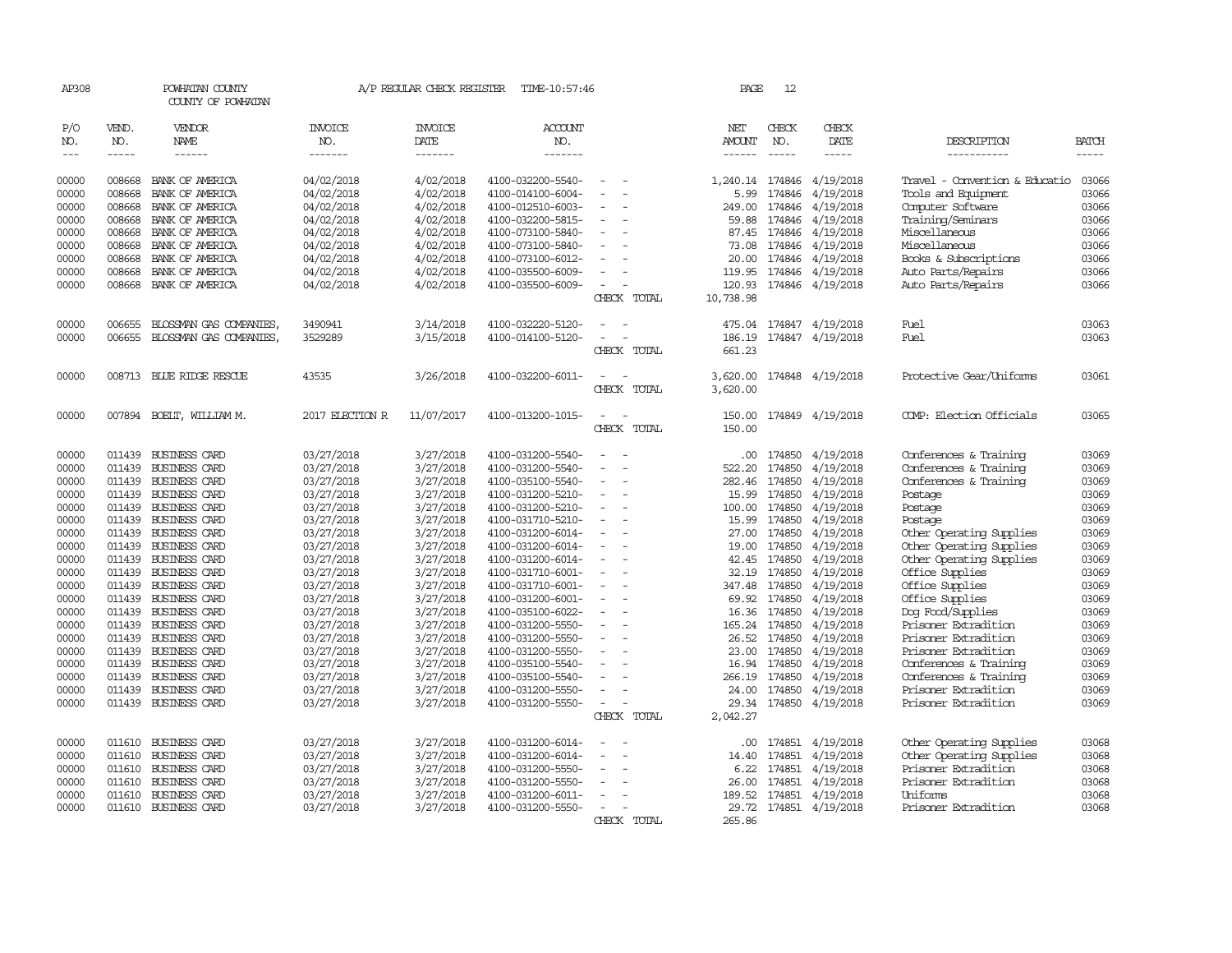| AP308          |              | POWHATAN COUNTY<br>COUNTY OF POWHATAN        |                          | A/P REGULAR CHECK REGISTER    | TIME-10:57:46                          |                          | PAGE             | 12               |                         |                                                      |                |
|----------------|--------------|----------------------------------------------|--------------------------|-------------------------------|----------------------------------------|--------------------------|------------------|------------------|-------------------------|------------------------------------------------------|----------------|
| P/O<br>NO.     | VEND.<br>NO. | <b>VENDOR</b><br><b>NAME</b>                 | <b>INVOICE</b><br>NO.    | <b>INVOICE</b><br><b>DATE</b> | <b>ACCOUNT</b><br>NO.                  |                          | NET<br>AMOUNT    | CHECK<br>NO.     | CHECK<br><b>DATE</b>    | DESCRIPTION                                          | <b>BATCH</b>   |
| $\frac{1}{2}$  | $- - - - -$  | ------                                       | -------                  | -------                       | -------                                |                          | ------           | $- - - - -$      | -----                   | -----------                                          | $- - - - -$    |
| 00000          | 008668       | BANK OF AMERICA                              | 04/02/2018               | 4/02/2018                     | 4100-032200-5540-                      | $\overline{\phantom{a}}$ | 1,240.14 174846  |                  | 4/19/2018               | Travel - Convention & Educatio                       | 03066          |
| 00000          | 008668       | BANK OF AMERICA                              | 04/02/2018               | 4/02/2018                     | 4100-014100-6004-                      |                          | 5.99             | 174846           | 4/19/2018               | Tools and Equipment                                  | 03066          |
| 00000          | 008668       | BANK OF AMERICA                              | 04/02/2018               | 4/02/2018                     | 4100-012510-6003-                      |                          | 249.00           | 174846           | 4/19/2018               | Computer Software                                    | 03066          |
| 00000          | 008668       | BANK OF AMERICA                              | 04/02/2018               | 4/02/2018                     | 4100-032200-5815-                      | $\sim$                   | 59.88            | 174846           | 4/19/2018               | Training/Seminars                                    | 03066          |
| 00000          | 008668       | BANK OF AMERICA                              | 04/02/2018               | 4/02/2018                     | 4100-073100-5840-                      |                          | 87.45            | 174846           | 4/19/2018               | Miscellaneous                                        | 03066          |
| 00000          | 008668       | BANK OF AMERICA                              | 04/02/2018               | 4/02/2018                     | 4100-073100-5840-                      |                          | 73.08            | 174846           | 4/19/2018               | Miscellaneous                                        | 03066          |
| 00000          | 008668       | BANK OF AMERICA                              | 04/02/2018               | 4/02/2018                     | 4100-073100-6012-                      |                          | 20.00            | 174846           | 4/19/2018               | Books & Subscriptions                                | 03066          |
| 00000          | 008668       | BANK OF AMERICA                              | 04/02/2018               | 4/02/2018                     | 4100-035500-6009-                      |                          | 119.95           |                  | 174846 4/19/2018        | Auto Parts/Repairs                                   | 03066          |
| 00000          |              | 008668 BANK OF AMERICA                       | 04/02/2018               | 4/02/2018                     | 4100-035500-6009-                      |                          | 120.93           |                  | 174846 4/19/2018        | Auto Parts/Repairs                                   | 03066          |
|                |              |                                              |                          |                               |                                        | CHECK TOTAL              | 10,738.98        |                  |                         |                                                      |                |
| 00000          | 006655       | BLOSSMAN GAS COMPANIES,                      | 3490941                  | 3/14/2018                     | 4100-032220-5120-                      |                          |                  |                  | 475.04 174847 4/19/2018 | Fuel                                                 | 03063          |
| 00000          | 006655       | BLOSSMAN GAS COMPANIES,                      | 3529289                  | 3/15/2018                     | 4100-014100-5120-                      |                          | 186.19           |                  | 174847 4/19/2018        | Fuel                                                 | 03063          |
|                |              |                                              |                          |                               |                                        | CHECK TOTAL              | 661.23           |                  |                         |                                                      |                |
| 00000          |              | 008713 BLUE RIDGE RESCUE                     | 43535                    | 3/26/2018                     | 4100-032200-6011-                      | $\sim$                   | 3,620.00         |                  | 174848 4/19/2018        | Protective Gear/Uniforms                             | 03061          |
|                |              |                                              |                          |                               |                                        | CHECK TOTAL              | 3,620.00         |                  |                         |                                                      |                |
|                |              |                                              |                          |                               |                                        |                          |                  |                  |                         |                                                      |                |
| 00000          |              | 007894 BOELT, WILLIAM M.                     | 2017 ELECTION R          | 11/07/2017                    | 4100-013200-1015-                      | $\sim$<br>CHECK TOTAL    | 150.00<br>150.00 |                  | 174849 4/19/2018        | COMP: Election Officials                             | 03065          |
|                |              |                                              |                          |                               |                                        |                          |                  |                  |                         |                                                      |                |
| 00000          | 011439       | <b>BUSINESS CARD</b>                         | 03/27/2018               | 3/27/2018                     | 4100-031200-5540-                      |                          | .00.             |                  | 174850 4/19/2018        | Conferences & Training                               | 03069          |
| 00000          | 011439       | BUSINESS CARD                                | 03/27/2018               | 3/27/2018                     | 4100-031200-5540-                      |                          | 522.20           | 174850           | 4/19/2018               | Conferences & Training                               | 03069          |
| 00000          | 011439       | BUSINESS CARD                                | 03/27/2018               | 3/27/2018                     | 4100-035100-5540-                      |                          | 282.46           | 174850           | 4/19/2018               | Conferences & Training                               | 03069          |
| 00000          | 011439       | <b>BUSINESS CARD</b>                         | 03/27/2018               | 3/27/2018                     | 4100-031200-5210-                      |                          | 15.99            | 174850           | 4/19/2018               | Postage                                              | 03069          |
| 00000          | 011439       | <b>BUSINESS CARD</b>                         | 03/27/2018               | 3/27/2018                     | 4100-031200-5210-                      |                          | 100.00           | 174850           | 4/19/2018               | Postage                                              | 03069          |
| 00000          |              | 011439 BUSINESS CARD                         | 03/27/2018               | 3/27/2018                     | 4100-031710-5210-                      | $\sim$                   | 15.99            | 174850           | 4/19/2018               | Postage                                              | 03069          |
| 00000          | 011439       | BUSINESS CARD                                | 03/27/2018               | 3/27/2018                     | 4100-031200-6014-                      |                          | 27.00            | 174850           | 4/19/2018               | Other Operating Supplies                             | 03069          |
| 00000<br>00000 | 011439       | <b>BUSINESS CARD</b><br>011439 BUSINESS CARD | 03/27/2018<br>03/27/2018 | 3/27/2018<br>3/27/2018        | 4100-031200-6014-<br>4100-031200-6014- | $\equiv$                 | 19.00<br>42.45   | 174850<br>174850 | 4/19/2018<br>4/19/2018  | Other Operating Supplies<br>Other Operating Supplies | 03069<br>03069 |
| 00000          | 011439       | <b>BUSINESS CARD</b>                         | 03/27/2018               | 3/27/2018                     | 4100-031710-6001-                      |                          | 32.19            | 174850           | 4/19/2018               | Office Supplies                                      | 03069          |
| 00000          |              | 011439 BUSINESS CARD                         | 03/27/2018               | 3/27/2018                     | 4100-031710-6001-                      |                          | 347.48           | 174850           | 4/19/2018               | Office Supplies                                      | 03069          |
| 00000          | 011439       | <b>BUSINESS CARD</b>                         | 03/27/2018               | 3/27/2018                     | 4100-031200-6001-                      | $\equiv$                 | 69.92            | 174850           | 4/19/2018               | Office Supplies                                      | 03069          |
| 00000          |              | 011439 BUSINESS CARD                         | 03/27/2018               | 3/27/2018                     | 4100-035100-6022-                      |                          | 16.36            | 174850           | 4/19/2018               | Dog Food/Supplies                                    | 03069          |
| 00000          |              | 011439 BUSINESS CARD                         | 03/27/2018               | 3/27/2018                     | 4100-031200-5550-                      |                          | 165.24           | 174850           | 4/19/2018               | Prisoner Extradition                                 | 03069          |
| 00000          | 011439       | BUSINESS CARD                                | 03/27/2018               | 3/27/2018                     | 4100-031200-5550-                      |                          | 26.52            | 174850           | 4/19/2018               | Prisoner Extradition                                 | 03069          |
| 00000          |              | 011439 BUSINESS CARD                         | 03/27/2018               | 3/27/2018                     | 4100-031200-5550-                      |                          | 23.00            | 174850           | 4/19/2018               | Prisoner Extradition                                 | 03069          |
| 00000          |              | 011439 BUSINESS CARD                         | 03/27/2018               | 3/27/2018                     | 4100-035100-5540-                      |                          | 16.94            | 174850           | 4/19/2018               | Conferences & Training                               | 03069          |
| 00000          | 011439       | <b>BUSINESS CARD</b>                         | 03/27/2018               | 3/27/2018                     | 4100-035100-5540-                      |                          | 266.19           | 174850           | 4/19/2018               | Conferences & Training                               | 03069          |
| 00000          | 011439       | BUSINESS CARD                                | 03/27/2018               | 3/27/2018                     | 4100-031200-5550-                      |                          | 24.00            | 174850           | 4/19/2018               | Prisoner Extradition                                 | 03069          |
| 00000          | 011439       | <b>BUSINESS CARD</b>                         | 03/27/2018               | 3/27/2018                     | 4100-031200-5550-                      |                          | 29.34            | 174850           | 4/19/2018               | Prisoner Extradition                                 | 03069          |
|                |              |                                              |                          |                               |                                        | CHECK TOTAL              | 2,042.27         |                  |                         |                                                      |                |
| 00000          | 011610       | <b>BUSINESS CARD</b>                         | 03/27/2018               | 3/27/2018                     | 4100-031200-6014-                      |                          | $.00 \,$         | 174851           | 4/19/2018               | Other Operating Supplies                             | 03068          |
| 00000          | 011610       | <b>BUSINESS CARD</b>                         | 03/27/2018               | 3/27/2018                     | 4100-031200-6014-                      |                          | 14.40            | 174851           | 4/19/2018               | Other Operating Supplies                             | 03068          |
| 00000          | 011610       | <b>BUSINESS CARD</b>                         | 03/27/2018               | 3/27/2018                     | 4100-031200-5550-                      |                          | 6.22             | 174851           | 4/19/2018               | Prisoner Extradition                                 | 03068          |
| 00000          | 011610       | BUSINESS CARD                                | 03/27/2018               | 3/27/2018                     | 4100-031200-5550-                      |                          | 26.00            | 174851           | 4/19/2018               | Prisoner Extradition                                 | 03068          |
| 00000          | 011610       | <b>BUSINESS CARD</b>                         | 03/27/2018               | 3/27/2018                     | 4100-031200-6011-                      |                          | 189.52           | 174851           | 4/19/2018               | Uniforms                                             | 03068          |
| 00000          |              | 011610 BUSINESS CARD                         | 03/27/2018               | 3/27/2018                     | 4100-031200-5550-                      |                          | 29.72            |                  | 174851 4/19/2018        | Prisoner Extradition                                 | 03068          |
|                |              |                                              |                          |                               |                                        | CHECK TOTAL              | 265.86           |                  |                         |                                                      |                |
|                |              |                                              |                          |                               |                                        |                          |                  |                  |                         |                                                      |                |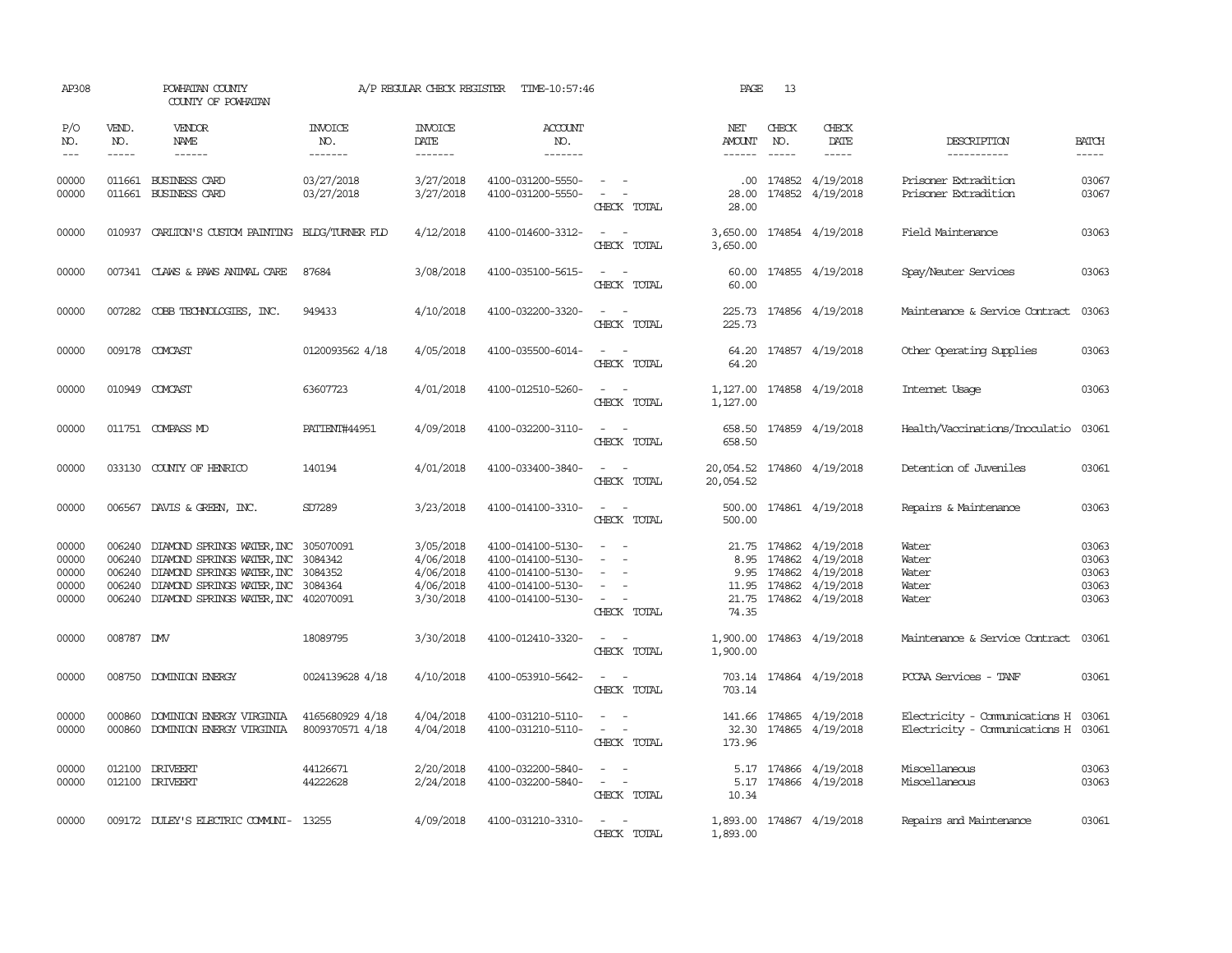| AP308                                     |                                                | POWHATAN COUNTY<br>COUNTY OF POWHATAN                                                                                                                                                  |                                    | A/P REGULAR CHECK REGISTER                                    | TIME-10:57:46                                                                                         |                                                                                                                             | PAGE                                    | 13                          |                                                                                                                         |                                                                            |                                           |
|-------------------------------------------|------------------------------------------------|----------------------------------------------------------------------------------------------------------------------------------------------------------------------------------------|------------------------------------|---------------------------------------------------------------|-------------------------------------------------------------------------------------------------------|-----------------------------------------------------------------------------------------------------------------------------|-----------------------------------------|-----------------------------|-------------------------------------------------------------------------------------------------------------------------|----------------------------------------------------------------------------|-------------------------------------------|
| P/O<br>NO.<br>$\qquad \qquad - -$         | VEND.<br>NO.<br>$- - - - -$                    | VENDOR<br>NAME<br>$- - - - - -$                                                                                                                                                        | <b>INVOICE</b><br>NO.<br>-------   | <b>INVOICE</b><br>DATE<br>-------                             | <b>ACCOUNT</b><br>NO.<br>-------                                                                      |                                                                                                                             | NET<br>AMOUNT                           | CHECK<br>NO.<br>$- - - - -$ | CHECK<br>DATE                                                                                                           | DESCRIPTION<br>-----------                                                 | <b>BATCH</b><br>-----                     |
| 00000<br>00000                            |                                                | 011661 BUSINESS CARD<br>011661 BUSINESS CARD                                                                                                                                           | 03/27/2018<br>03/27/2018           | 3/27/2018<br>3/27/2018                                        | 4100-031200-5550-<br>4100-031200-5550-                                                                | $\sim$ 10 $\sim$ $\sim$<br>$\omega_{\rm{max}}$ and $\omega_{\rm{max}}$<br>CHECK TOTAL                                       | 28.00<br>28.00                          |                             | $.00$ 174852 4/19/2018<br>174852 4/19/2018                                                                              | Prisoner Extradition<br>Prisoner Extradition                               | 03067<br>03067                            |
| 00000                                     |                                                | 010937 CARLITON'S CUSTOM PAINTING BLDG/TURNER FLD                                                                                                                                      |                                    | 4/12/2018                                                     | 4100-014600-3312-                                                                                     | $\sim$ $ \sim$<br>CHECK TOTAL                                                                                               | 3,650.00<br>3,650.00                    |                             | 174854 4/19/2018                                                                                                        | Field Maintenance                                                          | 03063                                     |
| 00000                                     |                                                | 007341 CLAWS & PAWS ANIMAL CARE                                                                                                                                                        | 87684                              | 3/08/2018                                                     | 4100-035100-5615-                                                                                     | $\overline{\phantom{a}}$<br>CHECK TOTAL                                                                                     | 60.00<br>60.00                          |                             | 174855 4/19/2018                                                                                                        | Spay/Neuter Services                                                       | 03063                                     |
| 00000                                     |                                                | 007282 COBB TECHNOLOGIES, INC.                                                                                                                                                         | 949433                             | 4/10/2018                                                     | 4100-032200-3320-                                                                                     | $\sim$ $\sim$<br>CHECK TOTAL                                                                                                | 225.73                                  |                             | 225.73 174856 4/19/2018                                                                                                 | Maintenance & Service Contract                                             | 03063                                     |
| 00000                                     |                                                | 009178 COMCAST                                                                                                                                                                         | 0120093562 4/18                    | 4/05/2018                                                     | 4100-035500-6014-                                                                                     | $\sim$ $ \sim$<br>CHECK TOTAL                                                                                               | 64.20<br>64.20                          |                             | 174857 4/19/2018                                                                                                        | Other Operating Supplies                                                   | 03063                                     |
| 00000                                     |                                                | 010949 COMCAST                                                                                                                                                                         | 63607723                           | 4/01/2018                                                     | 4100-012510-5260-                                                                                     | $\sim$ $ \sim$<br>CHECK TOTAL                                                                                               | 1,127.00                                |                             | 1,127.00 174858 4/19/2018                                                                                               | Internet Usage                                                             | 03063                                     |
| 00000                                     |                                                | 011751 COMPASS MD                                                                                                                                                                      | PATIENT#44951                      | 4/09/2018                                                     | 4100-032200-3110-                                                                                     | $ -$<br>CHECK TOTAL                                                                                                         | 658.50                                  |                             | 658.50 174859 4/19/2018                                                                                                 | Health/Vaccinations/Inoculatio                                             | 03061                                     |
| 00000                                     |                                                | 033130 COUNTY OF HENRICO                                                                                                                                                               | 140194                             | 4/01/2018                                                     | 4100-033400-3840-                                                                                     | CHECK TOTAL                                                                                                                 | 20,054.52 174860 4/19/2018<br>20,054.52 |                             |                                                                                                                         | Detention of Juveniles                                                     | 03061                                     |
| 00000                                     |                                                | 006567 DAVIS & GREEN, INC.                                                                                                                                                             | SD7289                             | 3/23/2018                                                     | 4100-014100-3310-                                                                                     | $\omega_{\rm{max}}$ and $\omega_{\rm{max}}$<br>CHECK TOTAL                                                                  | 500.00<br>500.00                        |                             | 174861 4/19/2018                                                                                                        | Repairs & Maintenance                                                      | 03063                                     |
| 00000<br>00000<br>00000<br>00000<br>00000 | 006240<br>006240<br>006240<br>006240<br>006240 | DIAMOND SPRINGS WATER, INC 305070091<br>DIAMOND SPRINGS WATER, INC<br>DIAMOND SPRINGS WATER, INC 3084352<br>DIAMOND SPRINGS WATER, INC 3084364<br>DIAMOND SPRINGS WATER, INC 402070091 | 3084342                            | 3/05/2018<br>4/06/2018<br>4/06/2018<br>4/06/2018<br>3/30/2018 | 4100-014100-5130-<br>4100-014100-5130-<br>4100-014100-5130-<br>4100-014100-5130-<br>4100-014100-5130- | $\sim$ $ -$<br>$\equiv$<br>$\equiv$<br>$\sim$<br>CHECK TOTAL                                                                | 8.95<br>74.35                           |                             | 21.75 174862 4/19/2018<br>174862 4/19/2018<br>9.95 174862 4/19/2018<br>11.95 174862 4/19/2018<br>21.75 174862 4/19/2018 | Water<br>Water<br>Water<br>Water<br>Water                                  | 03063<br>03063<br>03063<br>03063<br>03063 |
| 00000                                     | 008787 DW                                      |                                                                                                                                                                                        | 18089795                           | 3/30/2018                                                     | 4100-012410-3320-                                                                                     | $\sim$ $ \sim$<br>CHECK TOTAL                                                                                               | 1,900.00                                |                             | 1,900.00 174863 4/19/2018                                                                                               | Maintenance & Service Contract                                             | 03061                                     |
| 00000                                     |                                                | 008750 DOMINION ENERGY                                                                                                                                                                 | 0024139628 4/18                    | 4/10/2018                                                     | 4100-053910-5642-                                                                                     | $\frac{1}{2} \left( \frac{1}{2} \right) \left( \frac{1}{2} \right) = \frac{1}{2} \left( \frac{1}{2} \right)$<br>CHECK TOTAL | 703.14                                  |                             | 703.14 174864 4/19/2018                                                                                                 | PCCAA Services - TANF                                                      | 03061                                     |
| 00000<br>00000                            | 000860                                         | DOMINION ENERGY VIRGINIA<br>000860 DOMINION ENERGY VIRGINIA                                                                                                                            | 4165680929 4/18<br>8009370571 4/18 | 4/04/2018<br>4/04/2018                                        | 4100-031210-5110-<br>4100-031210-5110-                                                                | $\sim$ $\sim$<br>$\omega_{\rm{max}}$ and $\omega_{\rm{max}}$<br>CHECK TOTAL                                                 | 173.96                                  |                             | 141.66 174865 4/19/2018<br>32.30 174865 4/19/2018                                                                       | Electricity - Comunications H 03061<br>Electricity - Comunications H 03061 |                                           |
| 00000<br>00000                            |                                                | 012100 DRIVEERT<br>012100 DRIVEERT                                                                                                                                                     | 44126671<br>44222628               | 2/20/2018<br>2/24/2018                                        | 4100-032200-5840-<br>4100-032200-5840-                                                                | $\sim$<br>$\sim$<br>$\overline{\phantom{a}}$<br>$\overline{\phantom{a}}$<br>CHECK TOTAL                                     | 10.34                                   |                             | 5.17 174866 4/19/2018<br>5.17 174866 4/19/2018                                                                          | Miscellaneous<br>Miscellaneous                                             | 03063<br>03063                            |
| 00000                                     |                                                | 009172 DULEY'S ELECTRIC COMUNI- 13255                                                                                                                                                  |                                    | 4/09/2018                                                     | 4100-031210-3310-                                                                                     | $\sim$ $ \sim$<br>CHECK TOTAL                                                                                               | 1,893.00                                |                             | 1,893.00 174867 4/19/2018                                                                                               | Repairs and Maintenance                                                    | 03061                                     |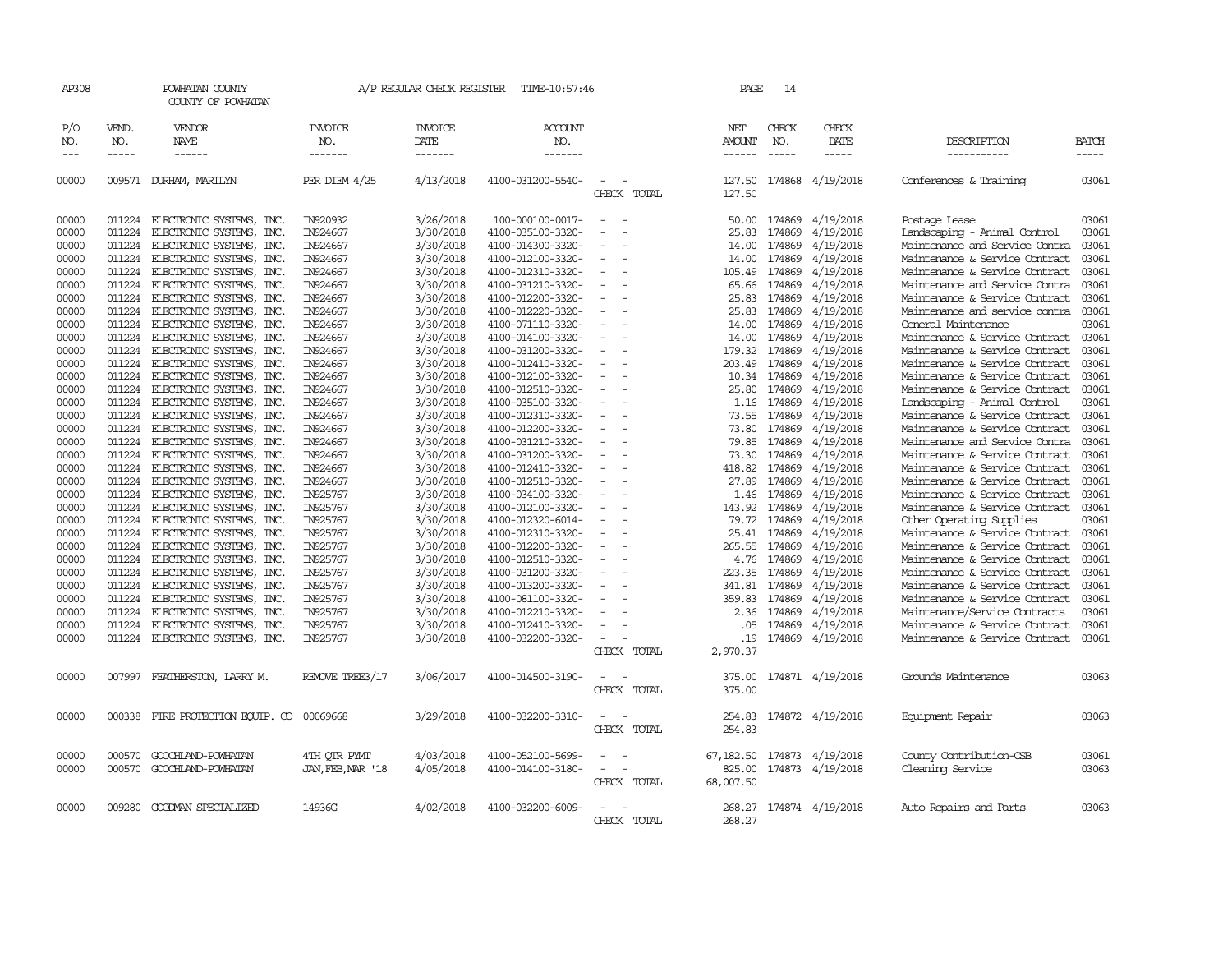| AP308                                                                                                                                                                                                                                                                                                                                                                                                      |                             | POWHATAN COUNTY<br>COUNTY OF POWHATAN  |                                  | A/P REGULAR CHECK REGISTER        | TIME-10:57:46                    |                    | PAGE                                  | 14                          |                        |                                |                       |
|------------------------------------------------------------------------------------------------------------------------------------------------------------------------------------------------------------------------------------------------------------------------------------------------------------------------------------------------------------------------------------------------------------|-----------------------------|----------------------------------------|----------------------------------|-----------------------------------|----------------------------------|--------------------|---------------------------------------|-----------------------------|------------------------|--------------------------------|-----------------------|
| P/O<br>NO.<br>$\frac{1}{2} \frac{1}{2} \frac{1}{2} \frac{1}{2} \frac{1}{2} \frac{1}{2} \frac{1}{2} \frac{1}{2} \frac{1}{2} \frac{1}{2} \frac{1}{2} \frac{1}{2} \frac{1}{2} \frac{1}{2} \frac{1}{2} \frac{1}{2} \frac{1}{2} \frac{1}{2} \frac{1}{2} \frac{1}{2} \frac{1}{2} \frac{1}{2} \frac{1}{2} \frac{1}{2} \frac{1}{2} \frac{1}{2} \frac{1}{2} \frac{1}{2} \frac{1}{2} \frac{1}{2} \frac{1}{2} \frac{$ | VEND.<br>NO.<br>$- - - - -$ | VENDOR<br><b>NAME</b><br>$- - - - - -$ | <b>INVOICE</b><br>NO.<br>------- | <b>INVOICE</b><br>DATE<br>------- | <b>ACCOUNT</b><br>NO.<br>------- |                    | NET<br><b>AMOUNT</b><br>$- - - - - -$ | CHECK<br>NO.<br>$- - - - -$ | CHECK<br>DATE<br>----- | DESCRIPTION<br>-----------     | <b>BATCH</b><br>----- |
| 00000                                                                                                                                                                                                                                                                                                                                                                                                      | 009571                      | DURHAM, MARILYN                        | PER DIEM 4/25                    | 4/13/2018                         | 4100-031200-5540-                | CHECK TOTAL        | 127.50<br>127.50                      | 174868                      | 4/19/2018              | Conferences & Training         | 03061                 |
| 00000                                                                                                                                                                                                                                                                                                                                                                                                      | 011224                      | ELECTRONIC SYSTEMS,<br>INC.            | IN920932                         | 3/26/2018                         | 100-000100-0017-                 |                    | 50.00                                 | 174869                      | 4/19/2018              | Postage Lease                  | 03061                 |
| 00000                                                                                                                                                                                                                                                                                                                                                                                                      | 011224                      | ELECTRONIC SYSTEMS,<br>INC.            | IN924667                         | 3/30/2018                         | 4100-035100-3320-                |                    | 25.83                                 | 174869                      | 4/19/2018              | Landscaping - Animal Control   | 03061                 |
| 00000                                                                                                                                                                                                                                                                                                                                                                                                      | 011224                      | ELECTRONIC SYSTEMS, INC.               | IN924667                         | 3/30/2018                         | 4100-014300-3320-                |                    | 14.00                                 | 174869                      | 4/19/2018              | Maintenance and Service Contra | 03061                 |
| 00000                                                                                                                                                                                                                                                                                                                                                                                                      | 011224                      | ELECTRONIC SYSTEMS, INC.               | IN924667                         | 3/30/2018                         | 4100-012100-3320-                |                    | 14.00                                 | 174869                      | 4/19/2018              | Maintenance & Service Contract | 03061                 |
| 00000                                                                                                                                                                                                                                                                                                                                                                                                      | 011224                      | ELECTRONIC SYSTEMS,<br>INC.            | IN924667                         | 3/30/2018                         | 4100-012310-3320-                |                    | 105.49                                | 174869                      | 4/19/2018              | Maintenance & Service Contract | 03061                 |
| 00000                                                                                                                                                                                                                                                                                                                                                                                                      | 011224                      | ELECTRONIC SYSTEMS,<br>INC.            | IN924667                         | 3/30/2018                         | 4100-031210-3320-                |                    | 65.66                                 | 174869                      | 4/19/2018              | Maintenance and Service Contra | 03061                 |
| 00000                                                                                                                                                                                                                                                                                                                                                                                                      | 011224                      | ELECTRONIC SYSTEMS,<br>INC.            | IN924667                         | 3/30/2018                         | 4100-012200-3320-                |                    | 25.83                                 | 174869                      | 4/19/2018              | Maintenance & Service Contract | 03061                 |
| 00000                                                                                                                                                                                                                                                                                                                                                                                                      | 011224                      | ELECTRONIC SYSTEMS,<br>INC.            | IN924667                         | 3/30/2018                         | 4100-012220-3320-                |                    | 25.83                                 | 174869                      | 4/19/2018              | Maintenance and service contra | 03061                 |
| 00000                                                                                                                                                                                                                                                                                                                                                                                                      | 011224                      | ELECTRONIC SYSTEMS, INC.               | IN924667                         | 3/30/2018                         | 4100-071110-3320-                |                    | 14.00                                 | 174869                      | 4/19/2018              | General Maintenance            | 03061                 |
| 00000                                                                                                                                                                                                                                                                                                                                                                                                      | 011224                      | ELECTRONIC SYSTEMS, INC.               | IN924667                         | 3/30/2018                         | 4100-014100-3320-                |                    | 14.00                                 | 174869                      | 4/19/2018              | Maintenance & Service Contract | 03061                 |
| 00000                                                                                                                                                                                                                                                                                                                                                                                                      | 011224                      | ELECTRONIC SYSTEMS,<br>INC.            | IN924667                         | 3/30/2018                         | 4100-031200-3320-                |                    | 179.32                                | 174869                      | 4/19/2018              | Maintenance & Service Contract | 03061                 |
| 00000                                                                                                                                                                                                                                                                                                                                                                                                      | 011224                      | ELECTRONIC SYSTEMS, INC.               | IN924667                         | 3/30/2018                         | 4100-012410-3320-                |                    | 203.49                                | 174869                      | 4/19/2018              | Maintenance & Service Contract | 03061                 |
| 00000                                                                                                                                                                                                                                                                                                                                                                                                      | 011224                      | ELECTRONIC SYSTEMS,<br>INC.            | IN924667                         | 3/30/2018                         | 4100-012100-3320-                |                    | 10.34                                 | 174869                      | 4/19/2018              | Maintenance & Service Contract | 03061                 |
| 00000                                                                                                                                                                                                                                                                                                                                                                                                      | 011224                      | ELECTRONIC SYSTEMS,<br>INC.            | IN924667                         | 3/30/2018                         | 4100-012510-3320-                |                    | 25.80                                 | 174869                      | 4/19/2018              | Maintenance & Service Contract | 03061                 |
| 00000                                                                                                                                                                                                                                                                                                                                                                                                      | 011224                      | ELECTRONIC SYSTEMS,<br>INC.            | IN924667                         | 3/30/2018                         | 4100-035100-3320-                |                    | 1.16                                  | 174869                      | 4/19/2018              | Landscaping - Animal Control   | 03061                 |
| 00000                                                                                                                                                                                                                                                                                                                                                                                                      | 011224                      | ELECTRONIC SYSTEMS, INC.               | IN924667                         | 3/30/2018                         | 4100-012310-3320-                | $\equiv$           | 73.55                                 | 174869                      | 4/19/2018              | Maintenance & Service Contract | 03061                 |
| 00000                                                                                                                                                                                                                                                                                                                                                                                                      | 011224                      | ELECTRONIC SYSTEMS,<br>INC.            | IN924667                         | 3/30/2018                         | 4100-012200-3320-                |                    | 73.80                                 | 174869                      | 4/19/2018              | Maintenance & Service Contract | 03061                 |
| 00000                                                                                                                                                                                                                                                                                                                                                                                                      | 011224                      | ELECTRONIC SYSTEMS,<br>INC.            | IN924667                         | 3/30/2018                         | 4100-031210-3320-                |                    | 79.85                                 | 174869                      | 4/19/2018              | Maintenance and Service Contra | 03061                 |
| 00000                                                                                                                                                                                                                                                                                                                                                                                                      | 011224                      | ELECTRONIC SYSTEMS, INC.               | IN924667                         | 3/30/2018                         | 4100-031200-3320-                | $\equiv$<br>$\sim$ | 73.30                                 | 174869                      | 4/19/2018              | Maintenance & Service Contract | 03061                 |
| 00000                                                                                                                                                                                                                                                                                                                                                                                                      | 011224                      | ELECTRONIC SYSTEMS,<br>INC.            | IN924667                         | 3/30/2018                         | 4100-012410-3320-                |                    | 418.82                                | 174869                      | 4/19/2018              | Maintenance & Service Contract | 03061                 |
| 00000                                                                                                                                                                                                                                                                                                                                                                                                      | 011224                      | ELECTRONIC SYSTEMS,<br>INC.            | IN924667                         | 3/30/2018                         | 4100-012510-3320-                |                    | 27.89                                 | 174869                      | 4/19/2018              | Maintenance & Service Contract | 03061                 |
| 00000                                                                                                                                                                                                                                                                                                                                                                                                      | 011224                      | ELECTRONIC SYSTEMS, INC.               | IN925767                         | 3/30/2018                         | 4100-034100-3320-                |                    | 1.46                                  | 174869                      | 4/19/2018              | Maintenance & Service Contract | 03061                 |
| 00000                                                                                                                                                                                                                                                                                                                                                                                                      | 011224                      | ELECTRONIC SYSTEMS, INC.               | IN925767                         | 3/30/2018                         | 4100-012100-3320-                |                    | 143.92                                | 174869                      | 4/19/2018              | Maintenance & Service Contract | 03061                 |
| 00000                                                                                                                                                                                                                                                                                                                                                                                                      | 011224                      | INC.<br>ELECTRONIC SYSTEMS,            | IN925767                         | 3/30/2018                         | 4100-012320-6014-                |                    | 79.72                                 | 174869                      | 4/19/2018              | Other Operating Supplies       | 03061                 |
| 00000                                                                                                                                                                                                                                                                                                                                                                                                      | 011224                      | ELECTRONIC SYSTEMS, INC.               | IN925767                         | 3/30/2018                         | 4100-012310-3320-                |                    | 25.41                                 | 174869                      | 4/19/2018              | Maintenance & Service Contract | 03061                 |
| 00000                                                                                                                                                                                                                                                                                                                                                                                                      | 011224                      | ELECTRONIC SYSTEMS,<br>INC.            | IN925767                         | 3/30/2018                         | 4100-012200-3320-                |                    | 265.55                                | 174869                      | 4/19/2018              | Maintenance & Service Contract | 03061                 |
| 00000                                                                                                                                                                                                                                                                                                                                                                                                      | 011224                      | ELECTRONIC SYSTEMS,<br>INC.            | IN925767                         | 3/30/2018                         | 4100-012510-3320-                |                    | 4.76                                  | 174869                      | 4/19/2018              | Maintenance & Service Contract | 03061                 |
| 00000                                                                                                                                                                                                                                                                                                                                                                                                      | 011224                      | ELECTRONIC SYSTEMS,<br>INC.            | IN925767                         | 3/30/2018                         | 4100-031200-3320-                |                    | 223.35                                | 174869                      | 4/19/2018              | Maintenance & Service Contract | 03061                 |
| 00000                                                                                                                                                                                                                                                                                                                                                                                                      | 011224                      | ELECTRONIC SYSTEMS, INC.               | IN925767                         | 3/30/2018                         | 4100-013200-3320-                |                    | 341.81                                | 174869                      | 4/19/2018              | Maintenance & Service Contract | 03061                 |
| 00000                                                                                                                                                                                                                                                                                                                                                                                                      | 011224                      | ELECTRONIC SYSTEMS,<br>INC.            | IN925767                         | 3/30/2018                         | 4100-081100-3320-                |                    | 359.83                                | 174869                      | 4/19/2018              | Maintenance & Service Contract | 03061                 |
| 00000                                                                                                                                                                                                                                                                                                                                                                                                      | 011224                      | ELECTRONIC SYSTEMS,<br>INC.            | IN925767                         | 3/30/2018                         | 4100-012210-3320-                |                    | 2.36                                  | 174869                      | 4/19/2018              | Maintenance/Service Contracts  | 03061                 |
| 00000                                                                                                                                                                                                                                                                                                                                                                                                      | 011224                      | ELECTRONIC SYSTEMS, INC.               | IN925767                         | 3/30/2018                         | 4100-012410-3320-                |                    | .05                                   | 174869                      | 4/19/2018              | Maintenance & Service Contract | 03061                 |
| 00000                                                                                                                                                                                                                                                                                                                                                                                                      | 011224                      | ELECTRONIC SYSTEMS, INC.               | IN925767                         | 3/30/2018                         | 4100-032200-3320-                |                    | .19                                   | 174869                      | 4/19/2018              | Maintenance & Service Contract | 03061                 |
|                                                                                                                                                                                                                                                                                                                                                                                                            |                             |                                        |                                  |                                   |                                  | CHECK TOTAL        | 2,970.37                              |                             |                        |                                |                       |
| 00000                                                                                                                                                                                                                                                                                                                                                                                                      | 007997                      | FEATHERSTON, LARRY M.                  | REMOVE TREE3/17                  | 3/06/2017                         | 4100-014500-3190-                | CHECK TOTAL        | 375.00<br>375.00                      |                             | 174871 4/19/2018       | Grounds Maintenance            | 03063                 |
| 00000                                                                                                                                                                                                                                                                                                                                                                                                      | 000338                      | FIRE PROTECTION EQUIP. CO              | 00069668                         | 3/29/2018                         | 4100-032200-3310-                | CHECK TOTAL        | 254.83<br>254.83                      |                             | 174872 4/19/2018       | Equipment Repair               | 03063                 |
| 00000                                                                                                                                                                                                                                                                                                                                                                                                      | 000570                      | GOOCHLAND-POWHATAN                     | 4TH OTR PYMT                     | 4/03/2018                         | 4100-052100-5699-                |                    | 67,182.50                             | 174873                      | 4/19/2018              | County Contribution-CSB        | 03061                 |
| 00000                                                                                                                                                                                                                                                                                                                                                                                                      | 000570                      | GOOCHLAND-POWHATAN                     | JAN, FEB, MAR '18                | 4/05/2018                         | 4100-014100-3180-                |                    | 825.00                                |                             | 174873 4/19/2018       | Cleaning Service               | 03063                 |
|                                                                                                                                                                                                                                                                                                                                                                                                            |                             |                                        |                                  |                                   |                                  | CHECK TOTAL        | 68,007.50                             |                             |                        |                                |                       |
| 00000                                                                                                                                                                                                                                                                                                                                                                                                      |                             | 009280 GOODMAN SPECIALIZED             | 14936G                           | 4/02/2018                         | 4100-032200-6009-                | CHECK TOTAL        | 268.27<br>268.27                      |                             | 174874 4/19/2018       | Auto Repairs and Parts         | 03063                 |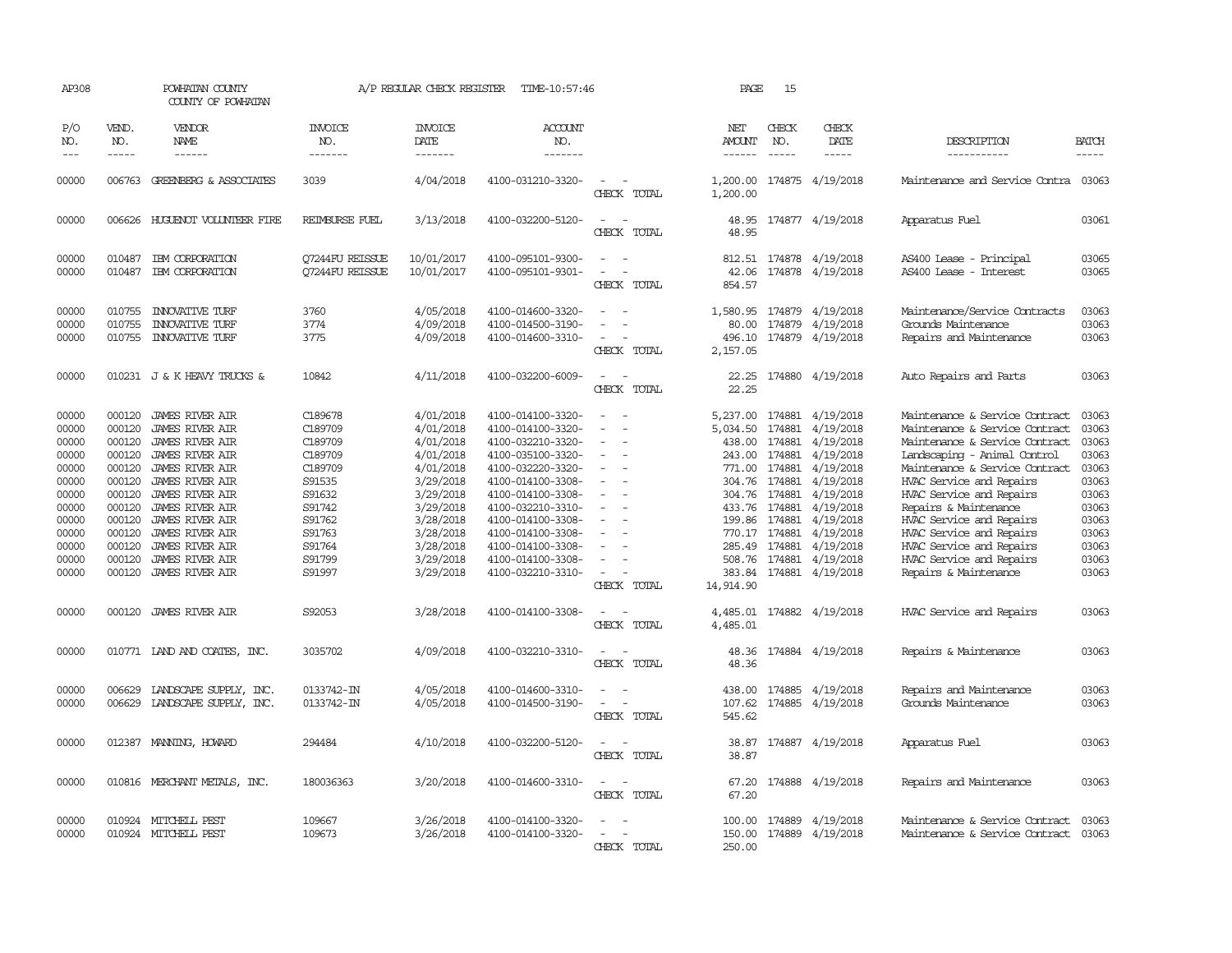| AP308                                                                                                                      |                                                                                                                                | POWHATAN COUNTY<br>COUNTY OF POWHATAN                                                                                                                                                                                                                                                                                                                      |                                                                                                                                               | A/P REGULAR CHECK REGISTER                                                                                                                                                         | TIME-10:57:46                                                                                                                                                                                                                                                                                      |                                                                                                                                                                                   | PAGE                                                                                                                                                  | 15                                                                                                      |                                                                                                                                                                                                         |                                                                                                                                                                                                                                                                                                                                                                                                                            |                                                                                                                            |
|----------------------------------------------------------------------------------------------------------------------------|--------------------------------------------------------------------------------------------------------------------------------|------------------------------------------------------------------------------------------------------------------------------------------------------------------------------------------------------------------------------------------------------------------------------------------------------------------------------------------------------------|-----------------------------------------------------------------------------------------------------------------------------------------------|------------------------------------------------------------------------------------------------------------------------------------------------------------------------------------|----------------------------------------------------------------------------------------------------------------------------------------------------------------------------------------------------------------------------------------------------------------------------------------------------|-----------------------------------------------------------------------------------------------------------------------------------------------------------------------------------|-------------------------------------------------------------------------------------------------------------------------------------------------------|---------------------------------------------------------------------------------------------------------|---------------------------------------------------------------------------------------------------------------------------------------------------------------------------------------------------------|----------------------------------------------------------------------------------------------------------------------------------------------------------------------------------------------------------------------------------------------------------------------------------------------------------------------------------------------------------------------------------------------------------------------------|----------------------------------------------------------------------------------------------------------------------------|
| P/O<br>NO.                                                                                                                 | VEND.<br>NO.                                                                                                                   | <b>VENDOR</b><br><b>NAME</b>                                                                                                                                                                                                                                                                                                                               | <b>INVOICE</b><br>NO.                                                                                                                         | <b>INVOICE</b><br>DATE                                                                                                                                                             | <b>ACCOUNT</b><br>NO.                                                                                                                                                                                                                                                                              |                                                                                                                                                                                   | NET<br>AMOUNT                                                                                                                                         | CHECK<br>NO.                                                                                            | CHECK<br>DATE                                                                                                                                                                                           | DESCRIPTION                                                                                                                                                                                                                                                                                                                                                                                                                | <b>BATCH</b>                                                                                                               |
| $\frac{1}{2}$                                                                                                              | $- - - - -$                                                                                                                    | ------                                                                                                                                                                                                                                                                                                                                                     | -------                                                                                                                                       | -------                                                                                                                                                                            | -------                                                                                                                                                                                                                                                                                            |                                                                                                                                                                                   | ------                                                                                                                                                | $- - - - -$                                                                                             | -----                                                                                                                                                                                                   | -----------                                                                                                                                                                                                                                                                                                                                                                                                                | -----                                                                                                                      |
| 00000                                                                                                                      |                                                                                                                                | 006763 GREENBERG & ASSOCIATES                                                                                                                                                                                                                                                                                                                              | 3039                                                                                                                                          | 4/04/2018                                                                                                                                                                          | 4100-031210-3320-                                                                                                                                                                                                                                                                                  | $\equiv$<br>CHECK TOTAL                                                                                                                                                           | 1,200.00                                                                                                                                              |                                                                                                         | 1,200.00 174875 4/19/2018                                                                                                                                                                               | Maintenance and Service Contra 03063                                                                                                                                                                                                                                                                                                                                                                                       |                                                                                                                            |
| 00000                                                                                                                      |                                                                                                                                | 006626 HUGUENOT VOLUNTEER FIRE                                                                                                                                                                                                                                                                                                                             | REIMBURSE FUEL                                                                                                                                | 3/13/2018                                                                                                                                                                          | 4100-032200-5120-                                                                                                                                                                                                                                                                                  | $\sim$<br>$\overline{\phantom{a}}$<br>CHECK TOTAL                                                                                                                                 | 48.95<br>48.95                                                                                                                                        |                                                                                                         | 174877 4/19/2018                                                                                                                                                                                        | Apparatus Fuel                                                                                                                                                                                                                                                                                                                                                                                                             | 03061                                                                                                                      |
| 00000<br>00000                                                                                                             | 010487<br>010487                                                                                                               | IBM CORPORATION<br>IBM CORPORATION                                                                                                                                                                                                                                                                                                                         | <b>O7244FU REISSUE</b><br><b>O7244FU REISSUE</b>                                                                                              | 10/01/2017<br>10/01/2017                                                                                                                                                           | 4100-095101-9300-<br>4100-095101-9301-                                                                                                                                                                                                                                                             | $\equiv$<br>CHECK TOTAL                                                                                                                                                           | 812.51<br>42.06<br>854.57                                                                                                                             |                                                                                                         | 174878 4/19/2018<br>174878 4/19/2018                                                                                                                                                                    | AS400 Lease - Principal<br>AS400 Lease - Interest                                                                                                                                                                                                                                                                                                                                                                          | 03065<br>03065                                                                                                             |
| 00000<br>00000<br>00000                                                                                                    | 010755<br>010755<br>010755                                                                                                     | <b>INVOVATIVE TURF</b><br><b>INVOVATIVE TURF</b><br><b>INNOVATIVE TURF</b>                                                                                                                                                                                                                                                                                 | 3760<br>3774<br>3775                                                                                                                          | 4/05/2018<br>4/09/2018<br>4/09/2018                                                                                                                                                | 4100-014600-3320-<br>4100-014500-3190-<br>4100-014600-3310-                                                                                                                                                                                                                                        | $\equiv$<br>$\equiv$<br>CHECK TOTAL                                                                                                                                               | 1,580.95<br>80.00<br>496.10<br>2,157.05                                                                                                               | 174879<br>174879                                                                                        | 4/19/2018<br>4/19/2018<br>174879 4/19/2018                                                                                                                                                              | Maintenance/Service Contracts<br>Grounds Maintenance<br>Repairs and Maintenance                                                                                                                                                                                                                                                                                                                                            | 03063<br>03063<br>03063                                                                                                    |
| 00000                                                                                                                      |                                                                                                                                | 010231 J & K HEAVY TRUCKS &                                                                                                                                                                                                                                                                                                                                | 10842                                                                                                                                         | 4/11/2018                                                                                                                                                                          | 4100-032200-6009-                                                                                                                                                                                                                                                                                  | $\equiv$<br>CHECK TOTAL                                                                                                                                                           | 22.25<br>22.25                                                                                                                                        |                                                                                                         | 174880 4/19/2018                                                                                                                                                                                        | Auto Repairs and Parts                                                                                                                                                                                                                                                                                                                                                                                                     | 03063                                                                                                                      |
| 00000<br>00000<br>00000<br>00000<br>00000<br>00000<br>00000<br>00000<br>00000<br>00000<br>00000<br>00000<br>00000<br>00000 | 000120<br>000120<br>000120<br>000120<br>000120<br>000120<br>000120<br>000120<br>000120<br>000120<br>000120<br>000120<br>000120 | <b>JAMES RIVER AIR</b><br><b>JAMES RIVER AIR</b><br><b>JAMES RIVER AIR</b><br><b>JAMES RIVER AIR</b><br><b>JAMES RIVER AIR</b><br><b>JAMES RIVER AIR</b><br><b>JAMES RIVER AIR</b><br><b>JAMES RIVER AIR</b><br><b>JAMES RIVER AIR</b><br><b>JAMES RIVER AIR</b><br>JAMES RIVER AIR<br><b>JAMES RIVER AIR</b><br>000120 JAMES RIVER AIR<br>JAMES RIVER AIR | C189678<br>C189709<br>C189709<br>C189709<br>C189709<br>S91535<br>S91632<br>S91742<br>S91762<br>S91763<br>S91764<br>S91799<br>S91997<br>S92053 | 4/01/2018<br>4/01/2018<br>4/01/2018<br>4/01/2018<br>4/01/2018<br>3/29/2018<br>3/29/2018<br>3/29/2018<br>3/28/2018<br>3/28/2018<br>3/28/2018<br>3/29/2018<br>3/29/2018<br>3/28/2018 | 4100-014100-3320-<br>4100-014100-3320-<br>4100-032210-3320-<br>4100-035100-3320-<br>4100-032220-3320-<br>4100-014100-3308-<br>4100-014100-3308-<br>4100-032210-3310-<br>4100-014100-3308-<br>4100-014100-3308-<br>4100-014100-3308-<br>4100-014100-3308-<br>4100-032210-3310-<br>4100-014100-3308- | $\equiv$<br>$\equiv$<br>$\equiv$<br>$\equiv$<br>$\overline{\phantom{a}}$<br>$\overline{\phantom{a}}$<br>$\overline{\phantom{a}}$<br>$\equiv$<br>$\sim$<br>CHECK TOTAL<br>$\equiv$ | 5,237.00<br>5,034.50<br>438.00<br>243.00<br>771.00<br>304.76<br>304.76<br>433.76<br>199.86 174881<br>770.17 174881<br>285.49<br>14,914.90<br>4,485.01 | 174881<br>174881<br>174881<br>174881<br>174881<br>174881<br>174881<br>174881<br>174881<br>508.76 174881 | 4/19/2018<br>4/19/2018<br>4/19/2018<br>4/19/2018<br>4/19/2018<br>4/19/2018<br>4/19/2018<br>4/19/2018<br>4/19/2018<br>4/19/2018<br>4/19/2018<br>4/19/2018<br>383.84 174881 4/19/2018<br>174882 4/19/2018 | Maintenance & Service Contract<br>Maintenance & Service Contract<br>Maintenance & Service Contract<br>Landscaping - Animal Control<br>Maintenance & Service Contract<br>HVAC Service and Repairs<br>HVAC Service and Repairs<br>Repairs & Maintenance<br>HVAC Service and Repairs<br>HVAC Service and Repairs<br>HVAC Service and Repairs<br>HVAC Service and Repairs<br>Repairs & Maintenance<br>HVAC Service and Repairs | 03063<br>03063<br>03063<br>03063<br>03063<br>03063<br>03063<br>03063<br>03063<br>03063<br>03063<br>03063<br>03063<br>03063 |
| 00000                                                                                                                      |                                                                                                                                | 010771 LAND AND COATES, INC.                                                                                                                                                                                                                                                                                                                               | 3035702                                                                                                                                       | 4/09/2018                                                                                                                                                                          | 4100-032210-3310-                                                                                                                                                                                                                                                                                  | CHECK TOTAL<br>$\sim$                                                                                                                                                             | 4,485.01<br>48.36                                                                                                                                     |                                                                                                         | 174884 4/19/2018                                                                                                                                                                                        | Repairs & Maintenance                                                                                                                                                                                                                                                                                                                                                                                                      | 03063                                                                                                                      |
| 00000<br>00000                                                                                                             | 006629<br>006629                                                                                                               | LANDSCAPE SUPPLY, INC.<br>LANDSCAPE SUPPLY, INC.                                                                                                                                                                                                                                                                                                           | 0133742-IN<br>0133742-IN                                                                                                                      | 4/05/2018<br>4/05/2018                                                                                                                                                             | 4100-014600-3310-<br>4100-014500-3190-                                                                                                                                                                                                                                                             | CHECK TOTAL<br>CHECK TOTAL                                                                                                                                                        | 48.36<br>438.00<br>107.62<br>545.62                                                                                                                   | 174885                                                                                                  | 4/19/2018<br>174885 4/19/2018                                                                                                                                                                           | Repairs and Maintenance<br>Grounds Maintenance                                                                                                                                                                                                                                                                                                                                                                             | 03063<br>03063                                                                                                             |
| 00000                                                                                                                      | 012387                                                                                                                         | MANNING, HOWARD                                                                                                                                                                                                                                                                                                                                            | 294484                                                                                                                                        | 4/10/2018                                                                                                                                                                          | 4100-032200-5120-                                                                                                                                                                                                                                                                                  | CHECK TOTAL                                                                                                                                                                       | 38.87<br>38.87                                                                                                                                        |                                                                                                         | 174887 4/19/2018                                                                                                                                                                                        | Apparatus Fuel                                                                                                                                                                                                                                                                                                                                                                                                             | 03063                                                                                                                      |
| 00000                                                                                                                      |                                                                                                                                | 010816 MERCHANT METALS, INC.                                                                                                                                                                                                                                                                                                                               | 180036363                                                                                                                                     | 3/20/2018                                                                                                                                                                          | 4100-014600-3310-                                                                                                                                                                                                                                                                                  | $\equiv$<br>CHECK TOTAL                                                                                                                                                           | 67.20<br>67.20                                                                                                                                        |                                                                                                         | 174888 4/19/2018                                                                                                                                                                                        | Repairs and Maintenance                                                                                                                                                                                                                                                                                                                                                                                                    | 03063                                                                                                                      |
| 00000<br>00000                                                                                                             |                                                                                                                                | 010924 MITCHELL PEST<br>010924 MITCHELL PEST                                                                                                                                                                                                                                                                                                               | 109667<br>109673                                                                                                                              | 3/26/2018<br>3/26/2018                                                                                                                                                             | 4100-014100-3320-<br>4100-014100-3320-                                                                                                                                                                                                                                                             | $\equiv$<br>CHECK TOTAL                                                                                                                                                           | 100.00<br>150.00<br>250.00                                                                                                                            | 174889                                                                                                  | 4/19/2018<br>174889 4/19/2018                                                                                                                                                                           | Maintenance & Service Contract<br>Maintenance & Service Contract                                                                                                                                                                                                                                                                                                                                                           | 03063<br>03063                                                                                                             |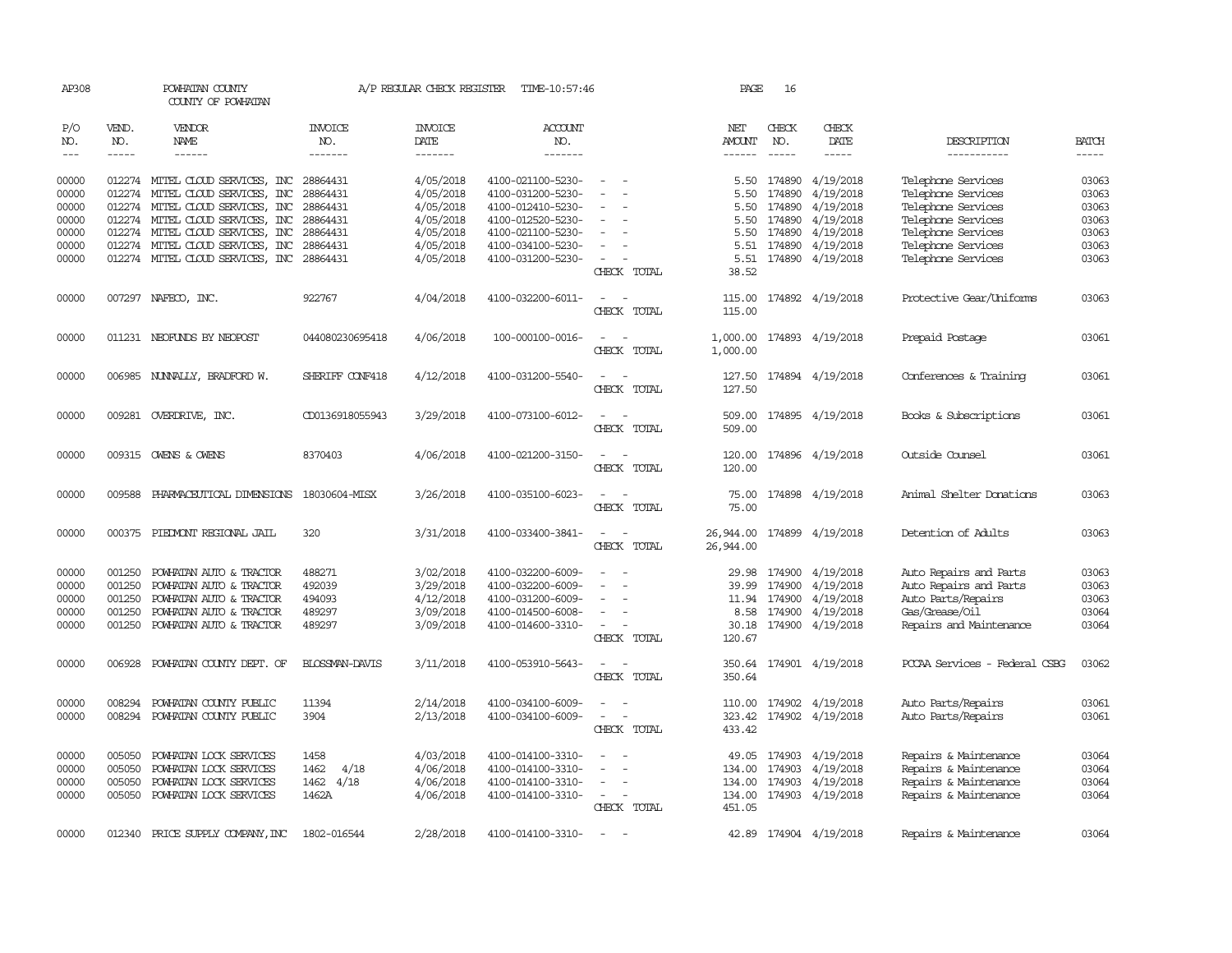| AP308      |              | POWHATAN COUNTY<br>COUNTY OF POWHATAN |                 | A/P REGULAR CHECK REGISTER | TIME-10:57:46         |                                                      | PAGE          | 16           |                        |                               |              |
|------------|--------------|---------------------------------------|-----------------|----------------------------|-----------------------|------------------------------------------------------|---------------|--------------|------------------------|-------------------------------|--------------|
| P/O<br>NO. | VEND.<br>NO. | VENDOR<br>NAME                        | INVOICE<br>NO.  | <b>INVOICE</b><br>DATE     | <b>ACCOUNT</b><br>NO. |                                                      | NET<br>AMOUNT | CHECK<br>NO. | CHECK<br>DATE          | DESCRIPTION                   | <b>BATCH</b> |
| $---$      | $- - - - -$  | ------                                | -------         | -------                    | -------               |                                                      | $- - - - - -$ | $- - - - -$  | -----                  | -----------                   | $- - - - -$  |
| 00000      |              | 012274 MITEL CLOUD SERVICES, INC      | 28864431        | 4/05/2018                  | 4100-021100-5230-     |                                                      | 5.50          | 174890       | 4/19/2018              | Telephone Services            | 03063        |
| 00000      | 012274       | MITEL CLOUD SERVICES, INC             | 28864431        | 4/05/2018                  | 4100-031200-5230-     |                                                      | 5.50          | 174890       | 4/19/2018              | Telephone Services            | 03063        |
| 00000      | 012274       | MITEL CLOUD SERVICES, INC             | 28864431        | 4/05/2018                  | 4100-012410-5230-     |                                                      | 5.50          | 174890       | 4/19/2018              | Telephone Services            | 03063        |
| 00000      | 012274       | MITEL CLOUD SERVICES, INC             | 28864431        | 4/05/2018                  | 4100-012520-5230-     |                                                      | 5.50          | 174890       | 4/19/2018              | Telephone Services            | 03063        |
| 00000      | 012274       |                                       |                 |                            | 4100-021100-5230-     |                                                      | 5.50          | 174890       |                        |                               | 03063        |
|            |              | MITEL CLOUD SERVICES, INC             | 28864431        | 4/05/2018                  |                       |                                                      |               |              | 4/19/2018              | Telephone Services            |              |
| 00000      | 012274       | MITEL CLOUD SERVICES, INC             | 28864431        | 4/05/2018                  | 4100-034100-5230-     |                                                      | 5.51          | 174890       | 4/19/2018              | Telephone Services            | 03063        |
| 00000      |              | 012274 MITEL CLOUD SERVICES, INC      | 28864431        | 4/05/2018                  | 4100-031200-5230-     | CHECK TOTAL                                          | 5.51<br>38.52 |              | 174890 4/19/2018       | Telephone Services            | 03063        |
| 00000      |              | 007297 NAFECO, INC.                   | 922767          | 4/04/2018                  | 4100-032200-6011-     | $\sim$<br>$\overline{\phantom{a}}$                   | 115.00        |              | 174892 4/19/2018       | Protective Gear/Uniforms      | 03063        |
|            |              |                                       |                 |                            |                       | CHECK TOTAL                                          | 115.00        |              |                        |                               |              |
| 00000      |              | 011231 NEOFUNDS BY NEOPOST            | 044080230695418 | 4/06/2018                  | 100-000100-0016-      | $\sim$                                               | 1,000.00      |              | 174893 4/19/2018       | Prepaid Postage               | 03061        |
|            |              |                                       |                 |                            |                       | CHECK TOTAL                                          | 1,000.00      |              |                        |                               |              |
| 00000      |              | 006985 NUNNALLY, BRADFORD W.          | SHERIFF CONF418 | 4/12/2018                  | 4100-031200-5540-     |                                                      | 127.50        |              | 174894 4/19/2018       | Conferences & Training        | 03061        |
|            |              |                                       |                 |                            |                       | CHECK TOTAL                                          | 127.50        |              |                        |                               |              |
| 00000      |              | 009281 OVERDRIVE, INC.                | CD0136918055943 | 3/29/2018                  | 4100-073100-6012-     | $\sim$                                               | 509.00        |              | 174895 4/19/2018       | Books & Subscriptions         | 03061        |
|            |              |                                       |                 |                            |                       | CHECK TOTAL                                          | 509.00        |              |                        |                               |              |
| 00000      |              | 009315 OWENS & OWENS                  | 8370403         | 4/06/2018                  | 4100-021200-3150-     | $\overline{a}$<br>CHECK TOTAL                        | 120.00        | 174896       | 4/19/2018              | Outside Counsel               | 03061        |
|            |              |                                       |                 |                            |                       |                                                      | 120.00        |              |                        |                               |              |
| 00000      | 009588       | PHARMACEUTICAL DIMENSIONS             | 18030604-MISX   | 3/26/2018                  | 4100-035100-6023-     |                                                      | 75.00         |              | 174898 4/19/2018       | Animal Shelter Donations      | 03063        |
|            |              |                                       |                 |                            |                       | CHECK TOTAL                                          | 75.00         |              |                        |                               |              |
| 00000      |              | 000375 PIEDMONT REGIONAL JAIL         | 320             | 3/31/2018                  | 4100-033400-3841-     |                                                      | 26,944.00     |              | 174899 4/19/2018       | Detention of Adults           | 03063        |
|            |              |                                       |                 |                            |                       | CHECK TOTAL                                          | 26,944.00     |              |                        |                               |              |
| 00000      | 001250       | POWHATAN AUTO & TRACTOR               | 488271          | 3/02/2018                  | 4100-032200-6009-     |                                                      | 29.98         | 174900       | 4/19/2018              | Auto Repairs and Parts        | 03063        |
| 00000      | 001250       | POWHATAN AUTO & TRACTOR               | 492039          | 3/29/2018                  | 4100-032200-6009-     | $\overline{a}$<br>$\overline{\phantom{a}}$           | 39.99         | 174900       | 4/19/2018              | Auto Repairs and Parts        | 03063        |
| 00000      | 001250       | POWHATAN AUTO & TRACTOR               | 494093          | 4/12/2018                  | 4100-031200-6009-     |                                                      | 11.94         | 174900       | 4/19/2018              | Auto Parts/Repairs            | 03063        |
| 00000      | 001250       | POWHATAN AUTO & TRACTOR               | 489297          | 3/09/2018                  | 4100-014500-6008-     |                                                      |               | 8.58 174900  | 4/19/2018              | Gas/Grease/Oil                | 03064        |
| 00000      | 001250       | POWHATAN AUTO & TRACTOR               | 489297          | 3/09/2018                  | 4100-014600-3310-     | $\sim$                                               |               |              | 30.18 174900 4/19/2018 | Repairs and Maintenance       | 03064        |
|            |              |                                       |                 |                            |                       | CHECK TOTAL                                          | 120.67        |              |                        |                               |              |
| 00000      | 006928       | POWHATAN COUNTY DEPT. OF              | BLOSSMAN-DAVIS  | 3/11/2018                  | 4100-053910-5643-     | $\overline{\phantom{a}}$<br>$\overline{\phantom{a}}$ | 350.64        |              | 174901 4/19/2018       | PCCAA Services - Federal CSBG | 03062        |
|            |              |                                       |                 |                            |                       | CHECK TOTAL                                          | 350.64        |              |                        |                               |              |
| 00000      | 008294       | POWHATAN COUNTY PUBLIC                | 11394           | 2/14/2018                  | 4100-034100-6009-     |                                                      | 110.00        |              | 174902 4/19/2018       | Auto Parts/Repairs            | 03061        |
| 00000      | 008294       | POWHATAN COUNTY PUBLIC                | 3904            | 2/13/2018                  | 4100-034100-6009-     | $\overline{\phantom{a}}$<br>$\sim$                   | 323.42        |              | 174902 4/19/2018       | Auto Parts/Repairs            | 03061        |
|            |              |                                       |                 |                            |                       | CHECK TOTAL                                          | 433.42        |              |                        |                               |              |
| 00000      | 005050       | POWHATAN LOCK SERVICES                | 1458            | 4/03/2018                  | 4100-014100-3310-     |                                                      | 49.05         | 174903       | 4/19/2018              | Repairs & Maintenance         | 03064        |
| 00000      | 005050       | POWHATAN LOCK SERVICES                | 4/18<br>1462    | 4/06/2018                  | 4100-014100-3310-     |                                                      | 134.00        | 174903       | 4/19/2018              | Repairs & Maintenance         | 03064        |
| 00000      | 005050       | POWHATAN LOCK SERVICES                | 1462 4/18       | 4/06/2018                  | 4100-014100-3310-     |                                                      | 134.00        | 174903       | 4/19/2018              | Repairs & Maintenance         | 03064        |
| 00000      | 005050       | POWHATAN LOCK SERVICES                | 1462A           | 4/06/2018                  | 4100-014100-3310-     |                                                      | 134.00        |              | 174903 4/19/2018       | Repairs & Maintenance         | 03064        |
|            |              |                                       |                 |                            |                       | CHECK TOTAL                                          | 451.05        |              |                        |                               |              |
| 00000      | 012340       | PRICE SUPPLY COMPANY, INC             | 1802-016544     | 2/28/2018                  | 4100-014100-3310-     | $\sim$                                               |               |              | 42.89 174904 4/19/2018 | Repairs & Maintenance         | 03064        |
|            |              |                                       |                 |                            |                       |                                                      |               |              |                        |                               |              |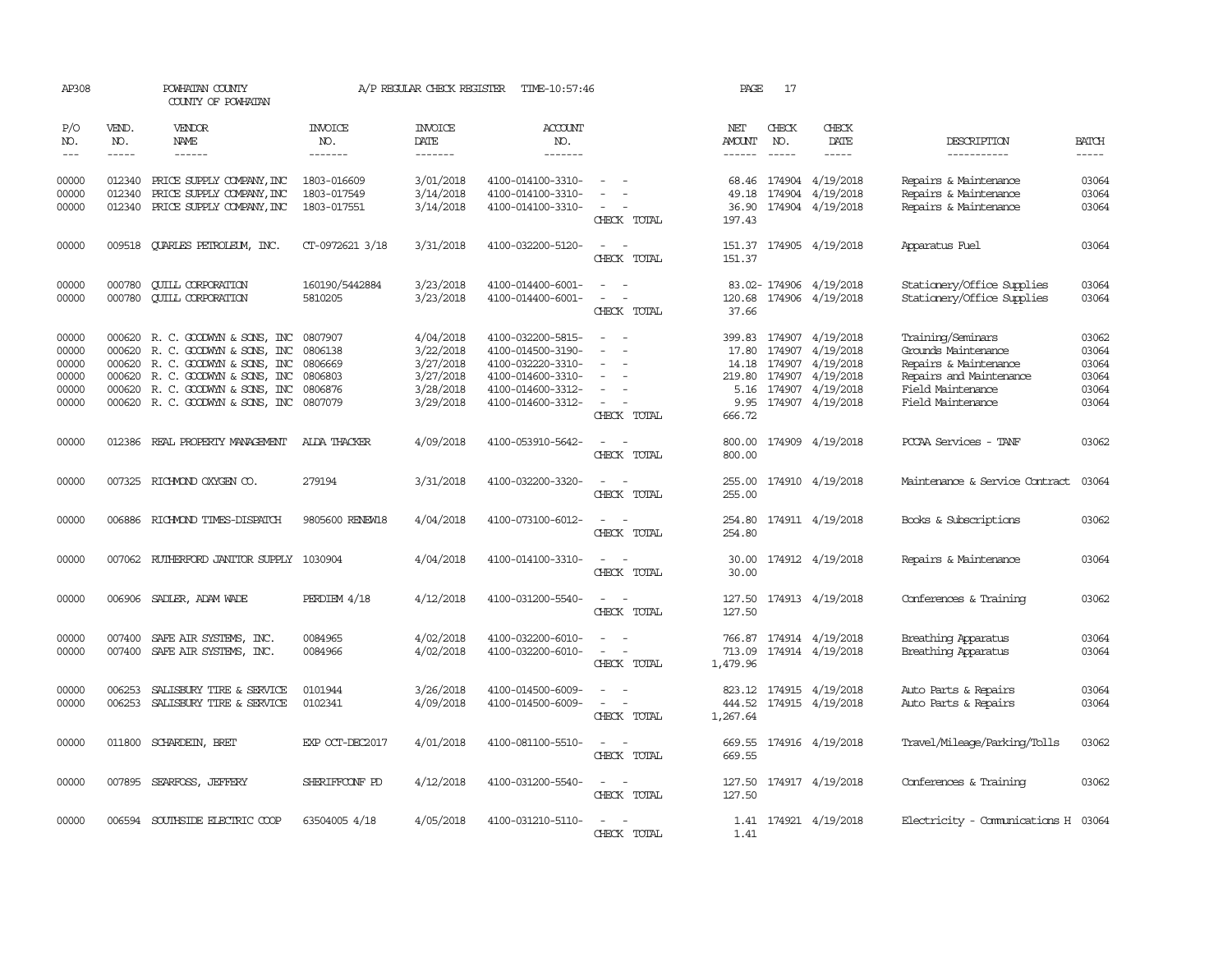| AP308                                              |                                      | POWHATAN COUNTY<br>COUNTY OF POWHATAN                                                                                                                                                    |                                                                | A/P REGULAR CHECK REGISTER                                                 | TIME-10:57:46                                                                                                              |                                                   | PAGE                                                         | 17           |                                                                                                               |                                                                                                                                        |                                                    |
|----------------------------------------------------|--------------------------------------|------------------------------------------------------------------------------------------------------------------------------------------------------------------------------------------|----------------------------------------------------------------|----------------------------------------------------------------------------|----------------------------------------------------------------------------------------------------------------------------|---------------------------------------------------|--------------------------------------------------------------|--------------|---------------------------------------------------------------------------------------------------------------|----------------------------------------------------------------------------------------------------------------------------------------|----------------------------------------------------|
| P/O<br>NO.                                         | VEND.<br>NO.                         | <b>VENDOR</b><br>NAME                                                                                                                                                                    | <b>INVOICE</b><br>NO.                                          | <b>INVOICE</b><br><b>DATE</b>                                              | <b>ACCOUNT</b><br>NO.                                                                                                      |                                                   | NET<br><b>AMOUNT</b>                                         | CHECK<br>NO. | CHECK<br>DATE                                                                                                 | DESCRIPTION                                                                                                                            | <b>BATCH</b>                                       |
| $---$                                              | $- - - - -$                          | $- - - - - -$                                                                                                                                                                            | -------                                                        | -------                                                                    | -------                                                                                                                    |                                                   | $- - - - - -$                                                | $- - - - -$  | -----                                                                                                         | -----------                                                                                                                            |                                                    |
| 00000<br>00000<br>00000                            | 012340<br>012340<br>012340           | PRICE SUPPLY COMPANY, INC<br>PRICE SUPPLY COMPANY, INC<br>PRICE SUPPLY COMPANY, INC                                                                                                      | 1803-016609<br>1803-017549<br>1803-017551                      | 3/01/2018<br>3/14/2018<br>3/14/2018                                        | 4100-014100-3310-<br>4100-014100-3310-<br>4100-014100-3310-                                                                | CHECK TOTAL                                       | 49.18<br>36.90<br>197.43                                     |              | 68.46 174904 4/19/2018<br>174904 4/19/2018<br>174904 4/19/2018                                                | Repairs & Maintenance<br>Repairs & Maintenance<br>Repairs & Maintenance                                                                | 03064<br>03064<br>03064                            |
| 00000                                              | 009518                               | <b>QUARLES PETROLEUM, INC.</b>                                                                                                                                                           | CT-0972621 3/18                                                | 3/31/2018                                                                  | 4100-032200-5120-                                                                                                          | CHECK TOTAL                                       | 151.37                                                       |              | 151.37 174905 4/19/2018                                                                                       | Apparatus Fuel                                                                                                                         | 03064                                              |
| 00000<br>00000                                     | 000780<br>000780                     | <b>CUILL CORPORATION</b><br><b>QUILL CORPORATION</b>                                                                                                                                     | 160190/5442884<br>5810205                                      | 3/23/2018<br>3/23/2018                                                     | 4100-014400-6001-<br>4100-014400-6001-                                                                                     | $\sim$ 100 $\mu$<br>$\sim$<br>CHECK TOTAL         | 37.66                                                        |              | 83.02-174906 4/19/2018<br>120.68 174906 4/19/2018                                                             | Stationery/Office Supplies<br>Stationery/Office Supplies                                                                               | 03064<br>03064                                     |
| 00000<br>00000<br>00000<br>00000<br>00000<br>00000 | 000620<br>000620<br>000620<br>000620 | 000620 R. C. GOODWYN & SONS, INC<br>R. C. GOODWYN & SONS, INC<br>R. C. GOODWYN & SONS, INC<br>R. C. GOODWIN & SONS, INC<br>R. C. GOODWYN & SONS, INC<br>000620 R. C. GOODWYN & SONS, INC | 0807907<br>0806138<br>0806669<br>0806803<br>0806876<br>0807079 | 4/04/2018<br>3/22/2018<br>3/27/2018<br>3/27/2018<br>3/28/2018<br>3/29/2018 | 4100-032200-5815-<br>4100-014500-3190-<br>4100-032220-3310-<br>4100-014600-3310-<br>4100-014600-3312-<br>4100-014600-3312- | $\equiv$<br>CHECK TOTAL                           | 399.83<br>17.80<br>14.18<br>219.80<br>5.16<br>9.95<br>666.72 | 174907       | 174907 4/19/2018<br>174907 4/19/2018<br>174907 4/19/2018<br>4/19/2018<br>174907 4/19/2018<br>174907 4/19/2018 | Training/Seminars<br>Grounds Maintenance<br>Repairs & Maintenance<br>Repairs and Maintenance<br>Field Maintenance<br>Field Maintenance | 03062<br>03064<br>03064<br>03064<br>03064<br>03064 |
| 00000                                              |                                      | 012386 REAL PROPERTY MANAGEMENT                                                                                                                                                          | AIDA THACKER                                                   | 4/09/2018                                                                  | 4100-053910-5642-                                                                                                          | CHECK TOTAL                                       | 800.00<br>800.00                                             |              | 174909 4/19/2018                                                                                              | PCCAA Services - TANF                                                                                                                  | 03062                                              |
| 00000                                              |                                      | 007325 RICHMOND OXYGEN CO.                                                                                                                                                               | 279194                                                         | 3/31/2018                                                                  | 4100-032200-3320-                                                                                                          | $\sim$ $\sim$<br>CHECK TOTAL                      | 255.00<br>255.00                                             |              | 174910 4/19/2018                                                                                              | Maintenance & Service Contract                                                                                                         | 03064                                              |
| 00000                                              |                                      | 006886 RICHMOND TIMES-DISPATCH                                                                                                                                                           | 9805600 RENEW18                                                | 4/04/2018                                                                  | 4100-073100-6012-                                                                                                          | $\sim$<br>$\sim$<br>CHECK TOTAL                   | 254.80<br>254.80                                             |              | 174911 4/19/2018                                                                                              | Books & Subscriptions                                                                                                                  | 03062                                              |
| 00000                                              |                                      | 007062 RUIHERFORD JANITOR SUPPLY 1030904                                                                                                                                                 |                                                                | 4/04/2018                                                                  | 4100-014100-3310-                                                                                                          | $\sim$<br>CHECK TOTAL                             | 30.00                                                        |              | 30.00 174912 4/19/2018                                                                                        | Repairs & Maintenance                                                                                                                  | 03064                                              |
| 00000                                              |                                      | 006906 SADLER, ADAM WADE                                                                                                                                                                 | PERDIEM 4/18                                                   | 4/12/2018                                                                  | 4100-031200-5540-                                                                                                          | CHECK TOTAL                                       | 127.50<br>127.50                                             |              | 174913 4/19/2018                                                                                              | Conferences & Training                                                                                                                 | 03062                                              |
| 00000<br>00000                                     | 007400<br>007400                     | SAFE AIR SYSTEMS, INC.<br>SAFE AIR SYSTEMS, INC.                                                                                                                                         | 0084965<br>0084966                                             | 4/02/2018<br>4/02/2018                                                     | 4100-032200-6010-<br>4100-032200-6010-                                                                                     | CHECK TOTAL                                       | 766.87<br>713.09<br>1,479.96                                 |              | 174914 4/19/2018<br>174914 4/19/2018                                                                          | Breathing Apparatus<br>Breathing Apparatus                                                                                             | 03064<br>03064                                     |
| 00000<br>00000                                     | 006253<br>006253                     | SALISBURY TIRE & SERVICE<br>SALISBURY TIRE & SERVICE                                                                                                                                     | 0101944<br>0102341                                             | 3/26/2018<br>4/09/2018                                                     | 4100-014500-6009-<br>4100-014500-6009-                                                                                     | $\sim$ $ \sim$<br>CHECK TOTAL                     | 823.12<br>444.52<br>1,267.64                                 |              | 174915 4/19/2018<br>174915 4/19/2018                                                                          | Auto Parts & Repairs<br>Auto Parts & Repairs                                                                                           | 03064<br>03064                                     |
| 00000                                              |                                      | 011800 SCHARDEIN, BRET                                                                                                                                                                   | EXP OCT-DEC2017                                                | 4/01/2018                                                                  | 4100-081100-5510-                                                                                                          | $\sim$ $\sim$<br>CHECK TOTAL                      | 669.55                                                       |              | 669.55 174916 4/19/2018                                                                                       | Travel/Mileage/Parking/Tolls                                                                                                           | 03062                                              |
| 00000                                              |                                      | 007895 SEARFOSS, JEFFERY                                                                                                                                                                 | SHERIFFCONF PD                                                 | 4/12/2018                                                                  | 4100-031200-5540-                                                                                                          | CHECK TOTAL                                       | 127.50<br>127.50                                             |              | 174917 4/19/2018                                                                                              | Conferences & Training                                                                                                                 | 03062                                              |
| 00000                                              |                                      | 006594 SOUTHSIDE ELECTRIC COOP                                                                                                                                                           | 63504005 4/18                                                  | 4/05/2018                                                                  | 4100-031210-5110-                                                                                                          | $\sim$<br>$\overline{\phantom{a}}$<br>CHECK TOTAL | 1.41<br>1.41                                                 |              | 174921 4/19/2018                                                                                              | Electricity - Comunications H 03064                                                                                                    |                                                    |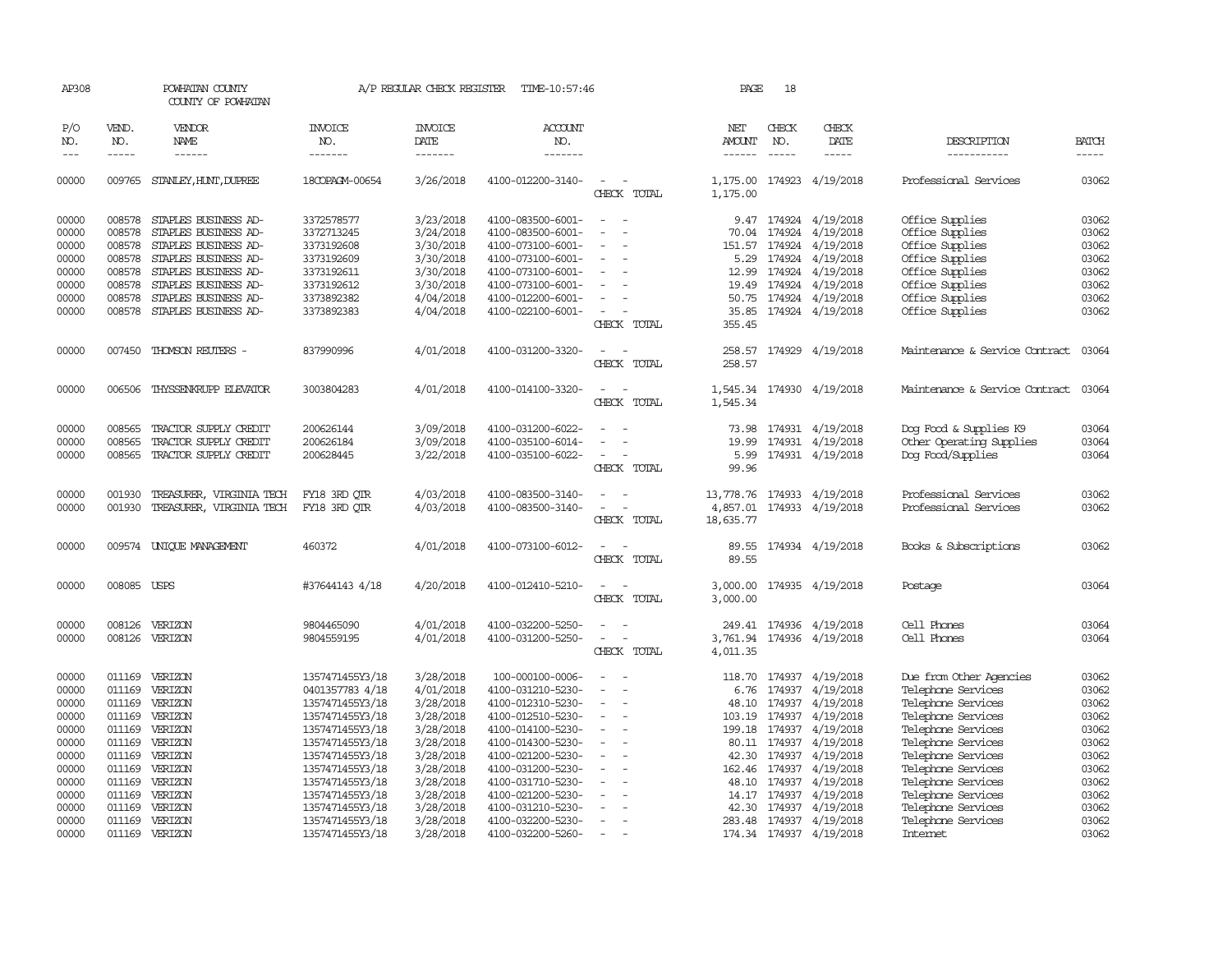| AP308               |                             | POWHATAN COUNTY<br>COUNTY OF POWHATAN  |                                  | A/P REGULAR CHECK REGISTER        | TIME-10:57:46                    |                                                     | PAGE                 | 18                            |                         |                                |                             |
|---------------------|-----------------------------|----------------------------------------|----------------------------------|-----------------------------------|----------------------------------|-----------------------------------------------------|----------------------|-------------------------------|-------------------------|--------------------------------|-----------------------------|
| P/O<br>NO.<br>$---$ | VEND.<br>NO.<br>$- - - - -$ | <b>VENDOR</b><br>NAME<br>$- - - - - -$ | <b>INVOICE</b><br>NO.<br>------- | <b>INVOICE</b><br>DATE<br>------- | <b>ACCOUNT</b><br>NO.<br>------- |                                                     | NET<br>AMOUNT        | CHECK<br>NO.<br>$\frac{1}{2}$ | CHECK<br>DATE<br>-----  | DESCRIPTION<br>-----------     | <b>BATCH</b><br>$- - - - -$ |
| 00000               |                             | 009765 STANLEY, HUNT, DUPREE           | 18COPAGM-00654                   | 3/26/2018                         | 4100-012200-3140-                | $\equiv$<br>$\sim$<br>CHECK TOTAL                   | 1,175.00<br>1,175.00 |                               | 174923 4/19/2018        | Professional Services          | 03062                       |
| 00000               | 008578                      | STAPLES BUSINESS AD-                   | 3372578577                       | 3/23/2018                         | 4100-083500-6001-                | $\overline{\phantom{a}}$<br>$\sim$                  |                      |                               | 9.47 174924 4/19/2018   | Office Supplies                | 03062                       |
| 00000               | 008578                      | STAPLES BUSINESS AD-                   | 3372713245                       | 3/24/2018                         | 4100-083500-6001-                |                                                     | 70.04                | 174924                        | 4/19/2018               | Office Supplies                | 03062                       |
| 00000               | 008578                      | STAPLES BUSINESS AD-                   | 3373192608                       | 3/30/2018                         | 4100-073100-6001-                |                                                     |                      |                               | 151.57 174924 4/19/2018 | Office Supplies                | 03062                       |
| 00000               |                             | 008578 STAPLES BUSINESS AD-            | 3373192609                       | 3/30/2018                         | 4100-073100-6001-                | $\sim$                                              | 5.29                 | 174924                        | 4/19/2018               | Office Supplies                | 03062                       |
| 00000               | 008578                      | STAPLES BUSINESS AD-                   | 3373192611                       | 3/30/2018                         | 4100-073100-6001-                |                                                     | 12.99                |                               | 174924 4/19/2018        | Office Supplies                | 03062                       |
|                     |                             |                                        |                                  |                                   |                                  |                                                     |                      |                               |                         |                                | 03062                       |
| 00000               | 008578                      | STAPLES BUSINESS AD-                   | 3373192612                       | 3/30/2018                         | 4100-073100-6001-                |                                                     |                      | 19.49 174924                  | 4/19/2018               | Office Supplies                |                             |
| 00000               | 008578                      | STAPLES BUSINESS AD-                   | 3373892382                       | 4/04/2018                         | 4100-012200-6001-                | $\equiv$                                            | 50.75                |                               | 174924 4/19/2018        | Office Supplies                | 03062                       |
| 00000               | 008578                      | STAPLES BUSINESS AD-                   | 3373892383                       | 4/04/2018                         | 4100-022100-6001-                | $\overline{\phantom{a}}$<br>CHECK TOTAL             | 35.85<br>355.45      |                               | 174924 4/19/2018        | Office Supplies                | 03062                       |
| 00000               |                             | 007450 THOMSON REUTERS -               | 837990996                        | 4/01/2018                         | 4100-031200-3320-                | $\equiv$<br>CHECK TOTAL                             | 258.57               |                               | 258.57 174929 4/19/2018 | Maintenance & Service Contract | 03064                       |
| 00000               | 006506                      | THYSSENKRUPP ELEVATOR                  | 3003804283                       | 4/01/2018                         | 4100-014100-3320-                | CHECK TOTAL                                         | 1,545.34<br>1,545.34 |                               | 174930 4/19/2018        | Maintenance & Service Contract | 03064                       |
|                     |                             |                                        |                                  |                                   |                                  |                                                     |                      |                               |                         |                                |                             |
| 00000               | 008565                      | TRACTOR SUPPLY CREDIT                  | 200626144                        | 3/09/2018                         | 4100-031200-6022-                |                                                     | 73.98                |                               | 174931 4/19/2018        | Dog Food & Supplies K9         | 03064                       |
| 00000               | 008565                      | TRACTOR SUPPLY CREDIT                  | 200626184                        | 3/09/2018                         | 4100-035100-6014-                | $\equiv$                                            | 19.99                |                               | 174931 4/19/2018        | Other Operating Supplies       | 03064                       |
| 00000               | 008565                      | TRACTOR SUPPLY CREDIT                  | 200628445                        | 3/22/2018                         | 4100-035100-6022-                |                                                     | 5.99                 |                               | 174931 4/19/2018        | Dog Food/Supplies              | 03064                       |
|                     |                             |                                        |                                  |                                   |                                  | CHECK TOTAL                                         | 99.96                |                               |                         |                                |                             |
| 00000               | 001930                      | TREASURER, VIRGINIA TECH               | FY18 3RD QTR                     | 4/03/2018                         | 4100-083500-3140-                |                                                     | 13,778.76            |                               | 174933 4/19/2018        | Professional Services          | 03062                       |
| 00000               | 001930                      | TREASURER, VIRGINIA TECH               | FY18 3RD QTR                     | 4/03/2018                         | 4100-083500-3140-                |                                                     | 4,857.01             |                               | 174933 4/19/2018        | Professional Services          | 03062                       |
|                     |                             |                                        |                                  |                                   |                                  | CHECK TOTAL                                         | 18,635.77            |                               |                         |                                |                             |
| 00000               |                             | 009574 UNIQUE MANAGEMENT               | 460372                           | 4/01/2018                         | 4100-073100-6012-                | CHECK TOTAL                                         | 89.55<br>89.55       |                               | 174934 4/19/2018        | Books & Subscriptions          | 03062                       |
| 00000               | 008085 USPS                 |                                        | #37644143 4/18                   | 4/20/2018                         | 4100-012410-5210-                |                                                     | 3,000.00             |                               | 174935 4/19/2018        | Postage                        | 03064                       |
|                     |                             |                                        |                                  |                                   |                                  | CHECK TOTAL                                         | 3,000.00             |                               |                         |                                |                             |
| 00000               |                             | 008126 VERIZON                         | 9804465090                       | 4/01/2018                         | 4100-032200-5250-                |                                                     | 249.41               |                               | 174936 4/19/2018        | Cell Phones                    | 03064                       |
| 00000               |                             | 008126 VERIZON                         | 9804559195                       | 4/01/2018                         | 4100-031200-5250-                | $\equiv$<br>$\overline{\phantom{a}}$<br>CHECK TOTAL | 3,761.94<br>4,011.35 |                               | 174936 4/19/2018        | Cell Phones                    | 03064                       |
|                     |                             |                                        |                                  |                                   |                                  |                                                     |                      |                               |                         |                                |                             |
| 00000               | 011169                      | VERIZON                                | 1357471455Y3/18                  | 3/28/2018                         | 100-000100-0006-                 |                                                     | 118.70               | 174937                        | 4/19/2018               | Due from Other Agencies        | 03062                       |
| 00000               | 011169                      | VERIZON                                | 0401357783 4/18                  | 4/01/2018                         | 4100-031210-5230-                |                                                     | 6.76                 | 174937                        | 4/19/2018               | Telephone Services             | 03062                       |
| 00000               |                             | 011169 VERIZON                         | 1357471455Y3/18                  | 3/28/2018                         | 4100-012310-5230-                | $\overline{\phantom{a}}$                            | 48.10                |                               | 174937 4/19/2018        | Telephone Services             | 03062                       |
| 00000               |                             | 011169 VERIZON                         | 1357471455Y3/18                  | 3/28/2018                         | 4100-012510-5230-                |                                                     | 103.19               | 174937                        | 4/19/2018               | Telephone Services             | 03062                       |
| 00000               |                             | 011169 VERIZON                         | 1357471455Y3/18                  | 3/28/2018                         | 4100-014100-5230-                |                                                     |                      | 199.18 174937                 | 4/19/2018               | Telephone Services             | 03062                       |
| 00000               | 011169                      | VERIZON                                | 1357471455Y3/18                  | 3/28/2018                         | 4100-014300-5230-                |                                                     | 80.11                | 174937                        | 4/19/2018               | Telephone Services             | 03062                       |
| 00000               |                             | 011169 VERIZON                         | 1357471455Y3/18                  | 3/28/2018                         | 4100-021200-5230-                | $\overline{\phantom{a}}$                            | 42.30                | 174937                        | 4/19/2018               | Telephone Services             | 03062                       |
| 00000               | 011169                      | VERIZON                                | 1357471455Y3/18                  | 3/28/2018                         | 4100-031200-5230-                |                                                     | 162.46               | 174937                        | 4/19/2018               | Telephone Services             | 03062                       |
| 00000               | 011169                      | VERIZON                                | 1357471455Y3/18                  | 3/28/2018                         | 4100-031710-5230-                |                                                     | 48.10                |                               | 174937 4/19/2018        | Telephone Services             | 03062                       |
| 00000               |                             | 011169 VERIZON                         | 1357471455Y3/18                  | 3/28/2018                         | 4100-021200-5230-                |                                                     |                      |                               | 14.17 174937 4/19/2018  | Telephone Services             | 03062                       |
| 00000               |                             | 011169 VERIZON                         | 1357471455Y3/18                  | 3/28/2018                         | 4100-031210-5230-                |                                                     | 42.30                | 174937                        | 4/19/2018               | Telephone Services             | 03062                       |
| 00000               |                             | 011169 VERIZON                         | 1357471455Y3/18                  | 3/28/2018                         | 4100-032200-5230-                | $\sim$                                              |                      |                               | 283.48 174937 4/19/2018 | Telephone Services             | 03062                       |
| 00000               | 011169                      | VERIZON                                | 1357471455Y3/18                  | 3/28/2018                         | 4100-032200-5260-                | $\overline{a}$                                      |                      |                               | 174.34 174937 4/19/2018 | <b>Internet</b>                | 03062                       |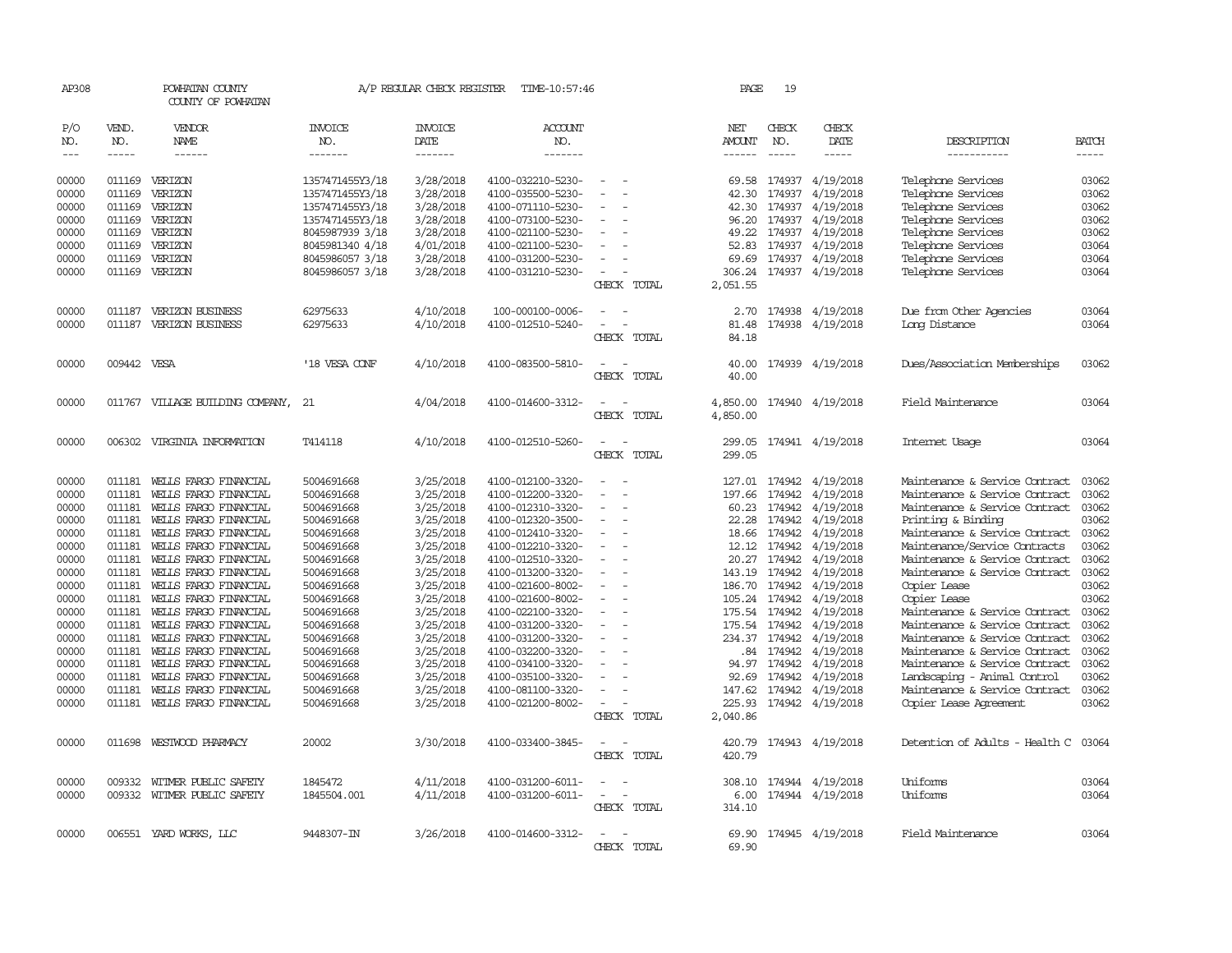| AP308         |             | POWHATAN COUNTY<br>COUNTY OF POWHATAN |                                    | A/P REGULAR CHECK REGISTER | TIME-10:57:46     |                        | PAGE     | 19            |                  |                                |              |
|---------------|-------------|---------------------------------------|------------------------------------|----------------------------|-------------------|------------------------|----------|---------------|------------------|--------------------------------|--------------|
| P/O           | VEND.       | <b>VENDOR</b>                         | <b>INVOICE</b>                     | <b>INVOICE</b>             | <b>ACCOUNT</b>    |                        | NET      | CHECK         | CHECK            |                                |              |
| NO.           | NO.         | <b>NAME</b>                           | NO.                                | DATE                       | NO.               |                        | AMOUNT   | NO.           | DATE             | DESCRIPTION                    | <b>BATCH</b> |
| $\frac{1}{2}$ | $- - - - -$ | ------                                | -------                            | -------                    | -------           |                        |          | $\frac{1}{2}$ | -----            | -----------                    | $- - - - -$  |
| 00000         |             | 011169 VERIZON                        | 1357471455Y3/18                    | 3/28/2018                  | 4100-032210-5230- | $\sim$                 | 69.58    |               | 174937 4/19/2018 | Telephone Services             | 03062        |
| 00000         | 011169      | VERIZON                               | 1357471455Y3/18                    | 3/28/2018                  | 4100-035500-5230- |                        | 42.30    | 174937        | 4/19/2018        | Telephone Services             | 03062        |
| 00000         | 011169      | VERIZON                               |                                    | 3/28/2018                  | 4100-071110-5230- |                        | 42.30    |               | 174937 4/19/2018 | Telephone Services             | 03062        |
| 00000         | 011169      | VERIZON                               | 1357471455Y3/18<br>1357471455Y3/18 | 3/28/2018                  | 4100-073100-5230- |                        | 96.20    |               | 174937 4/19/2018 | Telephone Services             | 03062        |
|               | 011169      |                                       |                                    |                            |                   |                        |          |               |                  |                                | 03062        |
| 00000         |             | VERIZON                               | 8045987939 3/18                    | 3/28/2018                  | 4100-021100-5230- |                        | 49.22    |               | 174937 4/19/2018 | Telephone Services             |              |
| 00000         | 011169      | VERIZON                               | 8045981340 4/18                    | 4/01/2018                  | 4100-021100-5230- |                        | 52.83    | 174937        | 4/19/2018        | Telephone Services             | 03064        |
| 00000         | 011169      | VERIZON                               | 8045986057 3/18                    | 3/28/2018                  | 4100-031200-5230- |                        | 69.69    |               | 174937 4/19/2018 | Telephone Services             | 03064        |
| 00000         |             | 011169 VERIZON                        | 8045986057 3/18                    | 3/28/2018                  | 4100-031210-5230- | $\sim$                 | 306.24   |               | 174937 4/19/2018 | Telephone Services             | 03064        |
|               |             |                                       |                                    |                            |                   | CHECK TOTAL            | 2,051.55 |               |                  |                                |              |
| 00000         | 011187      | VERIZON BUSINESS                      | 62975633                           | 4/10/2018                  | 100-000100-0006-  |                        | 2.70     |               | 174938 4/19/2018 | Due from Other Agencies        | 03064        |
| 00000         | 011187      | <b>VERIZON BUSINESS</b>               | 62975633                           | 4/10/2018                  | 4100-012510-5240- | $\equiv$               | 81.48    |               | 174938 4/19/2018 | Long Distance                  | 03064        |
|               |             |                                       |                                    |                            |                   | CHECK TOTAL            | 84.18    |               |                  |                                |              |
| 00000         | 009442 VESA |                                       | '18 VESA CONF                      | 4/10/2018                  | 4100-083500-5810- |                        | 40.00    |               | 174939 4/19/2018 | Dues/Association Memberships   | 03062        |
|               |             |                                       |                                    |                            |                   | CHECK TOTAL            | 40.00    |               |                  |                                |              |
|               |             |                                       |                                    |                            |                   |                        |          |               |                  |                                |              |
| 00000         |             | 011767 VILLAGE BUILDING COMPANY,      | 21                                 | 4/04/2018                  | 4100-014600-3312- |                        | 4,850.00 |               | 174940 4/19/2018 | Field Maintenance              | 03064        |
|               |             |                                       |                                    |                            |                   | CHECK TOTAL            | 4,850.00 |               |                  |                                |              |
| 00000         |             | 006302 VIRGINIA INFORMATION           | T414118                            | 4/10/2018                  | 4100-012510-5260- |                        | 299.05   |               | 174941 4/19/2018 | Internet Usage                 | 03064        |
|               |             |                                       |                                    |                            |                   | CHECK TOTAL            | 299.05   |               |                  |                                |              |
| 00000         | 011181      | WELLS FARGO FINANCIAL                 | 5004691668                         | 3/25/2018                  | 4100-012100-3320- |                        | 127.01   | 174942        | 4/19/2018        | Maintenance & Service Contract | 03062        |
| 00000         | 011181      | WEILS FARGO FINANCIAL                 | 5004691668                         | 3/25/2018                  | 4100-012200-3320- |                        | 197.66   | 174942        | 4/19/2018        | Maintenance & Service Contract | 03062        |
| 00000         | 011181      | WELLS FARGO FINANCIAL                 | 5004691668                         | 3/25/2018                  | 4100-012310-3320- |                        | 60.23    | 174942        | 4/19/2018        | Maintenance & Service Contract | 03062        |
| 00000         | 011181      | WELLS FARGO FINANCIAL                 | 5004691668                         | 3/25/2018                  | 4100-012320-3500- |                        | 22.28    | 174942        | 4/19/2018        | Printing & Binding             | 03062        |
| 00000         | 011181      | WELLS FARGO FINANCIAL                 | 5004691668                         | 3/25/2018                  | 4100-012410-3320- |                        | 18.66    | 174942        | 4/19/2018        | Maintenance & Service Contract | 03062        |
| 00000         | 011181      | WELLS FARGO FINANCIAL                 | 5004691668                         | 3/25/2018                  | 4100-012210-3320- |                        | 12.12    | 174942        | 4/19/2018        | Maintenance/Service Contracts  | 03062        |
| 00000         | 011181      | WELLS FARGO FINANCIAL                 | 5004691668                         | 3/25/2018                  | 4100-012510-3320- | $\equiv$               | 20.27    | 174942        | 4/19/2018        | Maintenance & Service Contract | 03062        |
| 00000         | 011181      | WELLS FARGO FINANCIAL                 | 5004691668                         | 3/25/2018                  | 4100-013200-3320- |                        | 143.19   | 174942        | 4/19/2018        | Maintenance & Service Contract | 03062        |
| 00000         | 011181      | WEILS FARGO FINANCIAL                 | 5004691668                         | 3/25/2018                  | 4100-021600-8002- |                        | 186.70   | 174942        | 4/19/2018        | Copier Lease                   | 03062        |
| 00000         | 011181      | WELLS FARGO FINANCIAL                 | 5004691668                         | 3/25/2018                  | 4100-021600-8002- |                        | 105.24   | 174942        | 4/19/2018        | Copier Lease                   | 03062        |
| 00000         | 011181      | WELLS FARGO FINANCIAL                 | 5004691668                         | 3/25/2018                  | 4100-022100-3320- | $\sim$                 |          | 175.54 174942 | 4/19/2018        | Maintenance & Service Contract | 03062        |
| 00000         | 011181      | WELLS FARGO FINANCIAL                 | 5004691668                         | 3/25/2018                  | 4100-031200-3320- |                        | 175.54   | 174942        | 4/19/2018        | Maintenance & Service Contract | 03062        |
| 00000         | 011181      | WELLS FARGO FINANCIAL                 | 5004691668                         | 3/25/2018                  | 4100-031200-3320- |                        |          | 234.37 174942 | 4/19/2018        | Maintenance & Service Contract | 03062        |
| 00000         | 011181      | WELLS FARGO FINANCIAL                 | 5004691668                         | 3/25/2018                  | 4100-032200-3320- | $\equiv$               |          | .84 174942    | 4/19/2018        | Maintenance & Service Contract | 03062        |
| 00000         | 011181      | WELLS FARGO FINANCIAL                 | 5004691668                         | 3/25/2018                  | 4100-034100-3320- |                        | 94.97    | 174942        | 4/19/2018        | Maintenance & Service Contract | 03062        |
| 00000         | 011181      | WELLS FARGO FINANCIAL                 | 5004691668                         | 3/25/2018                  | 4100-035100-3320- |                        | 92.69    | 174942        | 4/19/2018        | Landscaping - Animal Control   | 03062        |
| 00000         | 011181      | WELLS FARGO FINANCIAL                 | 5004691668                         | 3/25/2018                  | 4100-081100-3320- |                        | 147.62   | 174942        | 4/19/2018        | Maintenance & Service Contract | 03062        |
| 00000         | 011181      | WELLS FARGO FINANCIAL                 | 5004691668                         | 3/25/2018                  | 4100-021200-8002- | $\sim$                 | 225.93   |               | 174942 4/19/2018 | Copier Lease Agreement         | 03062        |
|               |             |                                       |                                    |                            |                   | CHECK TOTAL            | 2,040.86 |               |                  |                                |              |
|               |             |                                       |                                    |                            |                   |                        |          |               |                  |                                |              |
| 00000         | 011698      | WESTWOOD PHARMACY                     | 20002                              | 3/30/2018                  | 4100-033400-3845- |                        | 420.79   |               | 174943 4/19/2018 | Detention of Adults - Health C | 03064        |
|               |             |                                       |                                    |                            |                   | CHECK TOTAL            | 420.79   |               |                  |                                |              |
| 00000         | 009332      | WITMER PUBLIC SAFETY                  | 1845472                            | 4/11/2018                  | 4100-031200-6011- |                        | 308.10   |               | 174944 4/19/2018 | Uniforms                       | 03064        |
| 00000         |             | 009332 WITMER PUBLIC SAFETY           | 1845504.001                        | 4/11/2018                  | 4100-031200-6011- | $\equiv$               | 6.00     |               | 174944 4/19/2018 | Uniforms                       | 03064        |
|               |             |                                       |                                    |                            |                   | CHECK TOTAL            | 314.10   |               |                  |                                |              |
| 00000         |             | 006551 YARD WORKS, LLC                | 9448307-IN                         | 3/26/2018                  | 4100-014600-3312- |                        | 69.90    |               | 174945 4/19/2018 | Field Maintenance              | 03064        |
|               |             |                                       |                                    |                            |                   | <b>CHECK</b><br>TOTAL. | 69.90    |               |                  |                                |              |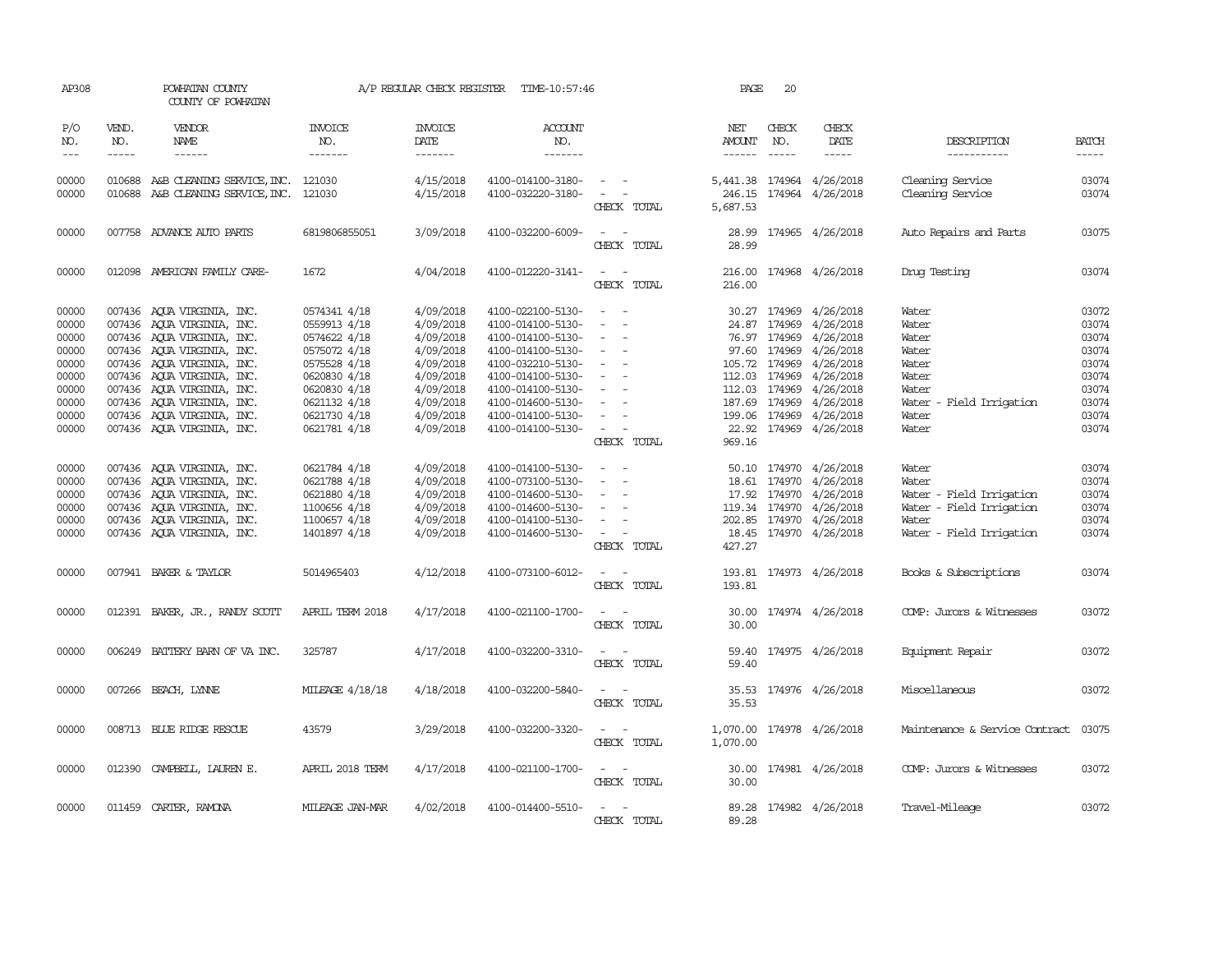| AP308                                                                                  |                             | POWHATAN COUNTY<br>COUNTY OF POWHATAN                                                                                                                                                                                                                                                                    |                                                                                                                                                              | A/P REGULAR CHECK REGISTER                                                                                                     | TIME-10:57:46                                                                                                                                                                                                  |                                                                                                                                          | PAGE                      | 20                            |                                                                                                                                                                                                                                                          |                                                                                                             |                                                                                        |
|----------------------------------------------------------------------------------------|-----------------------------|----------------------------------------------------------------------------------------------------------------------------------------------------------------------------------------------------------------------------------------------------------------------------------------------------------|--------------------------------------------------------------------------------------------------------------------------------------------------------------|--------------------------------------------------------------------------------------------------------------------------------|----------------------------------------------------------------------------------------------------------------------------------------------------------------------------------------------------------------|------------------------------------------------------------------------------------------------------------------------------------------|---------------------------|-------------------------------|----------------------------------------------------------------------------------------------------------------------------------------------------------------------------------------------------------------------------------------------------------|-------------------------------------------------------------------------------------------------------------|----------------------------------------------------------------------------------------|
| P/O<br>NO.<br>$---$                                                                    | VEND.<br>NO.<br>$- - - - -$ | VENDOR<br>NAME<br>$- - - - - -$                                                                                                                                                                                                                                                                          | INVOICE<br>NO.<br>-------                                                                                                                                    | <b>INVOICE</b><br>DATE<br>-------                                                                                              | <b>ACCOUNT</b><br>NO.<br>$- - - - - - -$                                                                                                                                                                       |                                                                                                                                          | NET<br>AMOUNT<br>------   | CHECK<br>NO.<br>$\frac{1}{2}$ | CHECK<br>DATE<br>-----                                                                                                                                                                                                                                   | DESCRIPTION<br>-----------                                                                                  | <b>BATCH</b><br>-----                                                                  |
| 00000<br>00000                                                                         |                             | 010688 A&B CLEANING SERVICE, INC.<br>010688 A&B CLEANING SERVICE, INC. 121030                                                                                                                                                                                                                            | 121030                                                                                                                                                       | 4/15/2018<br>4/15/2018                                                                                                         | 4100-014100-3180-<br>4100-032220-3180-                                                                                                                                                                         | $\sim$ $\sim$<br>$\sim$ $ \sim$<br>CHECK TOTAL                                                                                           | 5,687.53                  |                               | 5,441.38 174964 4/26/2018<br>246.15 174964 4/26/2018                                                                                                                                                                                                     | Cleaning Service<br>Cleaning Service                                                                        | 03074<br>03074                                                                         |
| 00000                                                                                  |                             | 007758 ADVANCE AUTO PARTS                                                                                                                                                                                                                                                                                | 6819806855051                                                                                                                                                | 3/09/2018                                                                                                                      | 4100-032200-6009-                                                                                                                                                                                              | CHECK TOTAL                                                                                                                              | 28.99                     |                               | 28.99 174965 4/26/2018                                                                                                                                                                                                                                   | Auto Repairs and Parts                                                                                      | 03075                                                                                  |
| 00000                                                                                  |                             | 012098 AMERICAN FAMILY CARE-                                                                                                                                                                                                                                                                             | 1672                                                                                                                                                         | 4/04/2018                                                                                                                      | 4100-012220-3141-                                                                                                                                                                                              | $ -$<br>CHECK TOTAL                                                                                                                      | 216.00                    |                               | 216.00 174968 4/26/2018                                                                                                                                                                                                                                  | Drug Testing                                                                                                | 03074                                                                                  |
| 00000<br>00000<br>00000<br>00000<br>00000<br>00000<br>00000<br>00000<br>00000<br>00000 |                             | 007436 AQUA VIRGINIA, INC.<br>007436 AQUA VIRGINIA, INC.<br>007436 AOUA VIRGINIA, INC.<br>007436 AOUA VIRGINIA, INC.<br>007436 AQUA VIRGINIA, INC.<br>007436 AOUA VIRGINIA, INC.<br>007436 AQUA VIRGINIA, INC.<br>007436 AQUA VIRGINIA, INC.<br>007436 AQUA VIRGINIA, INC.<br>007436 AQUA VIRGINIA, INC. | 0574341 4/18<br>0559913 4/18<br>0574622 4/18<br>0575072 4/18<br>0575528 4/18<br>0620830 4/18<br>0620830 4/18<br>0621132 4/18<br>0621730 4/18<br>0621781 4/18 | 4/09/2018<br>4/09/2018<br>4/09/2018<br>4/09/2018<br>4/09/2018<br>4/09/2018<br>4/09/2018<br>4/09/2018<br>4/09/2018<br>4/09/2018 | 4100-022100-5130-<br>4100-014100-5130-<br>4100-014100-5130-<br>4100-014100-5130-<br>4100-032210-5130-<br>4100-014100-5130-<br>4100-014100-5130-<br>4100-014600-5130-<br>4100-014100-5130-<br>4100-014100-5130- | $\overline{\phantom{a}}$<br>$\sim$<br>$\overline{\phantom{a}}$<br>$\sim$<br>$\sim$ 100 $\mu$<br>CHECK TOTAL                              | 97.60<br>187.69<br>969.16 |                               | 30.27 174969 4/26/2018<br>24.87 174969 4/26/2018<br>76.97 174969 4/26/2018<br>174969 4/26/2018<br>105.72 174969 4/26/2018<br>112.03 174969 4/26/2018<br>112.03 174969 4/26/2018<br>174969 4/26/2018<br>199.06 174969 4/26/2018<br>22.92 174969 4/26/2018 | Water<br>Water<br>Water<br>Water<br>Water<br>Water<br>Water<br>Water - Field Irrigation<br>Water<br>Water   | 03072<br>03074<br>03074<br>03074<br>03074<br>03074<br>03074<br>03074<br>03074<br>03074 |
| 00000<br>00000<br>00000<br>00000<br>00000<br>00000                                     |                             | 007436 AQUA VIRGINIA, INC.<br>007436 AQUA VIRGINIA, INC.<br>007436 AQUA VIRGINIA, INC.<br>007436 AQUA VIRGINIA, INC.<br>007436 AQUA VIRGINIA, INC.<br>007436 AQUA VIRGINIA, INC.                                                                                                                         | 0621784 4/18<br>0621788 4/18<br>0621880 4/18<br>1100656 4/18<br>1100657 4/18<br>1401897 4/18                                                                 | 4/09/2018<br>4/09/2018<br>4/09/2018<br>4/09/2018<br>4/09/2018<br>4/09/2018                                                     | 4100-014100-5130-<br>4100-073100-5130-<br>4100-014600-5130-<br>4100-014600-5130-<br>4100-014100-5130-<br>4100-014600-5130-                                                                                     | $\overline{\phantom{a}}$<br>$\overline{\phantom{a}}$<br>$\sim$ 10 $\pm$<br>CHECK TOTAL                                                   | 427.27                    |                               | 50.10 174970 4/26/2018<br>18.61 174970 4/26/2018<br>17.92 174970 4/26/2018<br>119.34 174970 4/26/2018<br>202.85 174970 4/26/2018<br>18.45 174970 4/26/2018                                                                                               | Water<br>Water<br>Water - Field Irrigation<br>Water - Field Irrigation<br>Water<br>Water - Field Irrigation | 03074<br>03074<br>03074<br>03074<br>03074<br>03074                                     |
| 00000                                                                                  |                             | 007941 BAKER & TAYLOR                                                                                                                                                                                                                                                                                    | 5014965403                                                                                                                                                   | 4/12/2018                                                                                                                      | 4100-073100-6012-                                                                                                                                                                                              | CHECK TOTAL                                                                                                                              | 193.81                    |                               | 193.81 174973 4/26/2018                                                                                                                                                                                                                                  | Books & Subscriptions                                                                                       | 03074                                                                                  |
| 00000                                                                                  |                             | 012391 BAKER, JR., RANDY SCOTT                                                                                                                                                                                                                                                                           | APRIL TERM 2018                                                                                                                                              | 4/17/2018                                                                                                                      | 4100-021100-1700-                                                                                                                                                                                              | $\frac{1}{2} \left( \frac{1}{2} \right) \left( \frac{1}{2} \right) = \frac{1}{2} \left( \frac{1}{2} \right)$<br>CHECK TOTAL              | 30.00<br>30.00            |                               | 174974 4/26/2018                                                                                                                                                                                                                                         | COMP: Jurors & Witnesses                                                                                    | 03072                                                                                  |
| 00000                                                                                  |                             | 006249 BATTERY BARN OF VA INC.                                                                                                                                                                                                                                                                           | 325787                                                                                                                                                       | 4/17/2018                                                                                                                      | 4100-032200-3310-                                                                                                                                                                                              | $\frac{1}{2} \left( \frac{1}{2} \right) \left( \frac{1}{2} \right) = \frac{1}{2} \left( \frac{1}{2} \right)$<br>CHECK TOTAL              | 59.40                     |                               | 59.40 174975 4/26/2018                                                                                                                                                                                                                                   | Equipment Repair                                                                                            | 03072                                                                                  |
| 00000                                                                                  |                             | 007266 BEACH, LYNNE                                                                                                                                                                                                                                                                                      | MILEAGE 4/18/18                                                                                                                                              | 4/18/2018                                                                                                                      | 4100-032200-5840-                                                                                                                                                                                              | CHECK TOTAL                                                                                                                              | 35.53                     |                               | 35.53 174976 4/26/2018                                                                                                                                                                                                                                   | Miscellaneous                                                                                               | 03072                                                                                  |
| 00000                                                                                  |                             | 008713 BLUE RIDGE RESCUE                                                                                                                                                                                                                                                                                 | 43579                                                                                                                                                        | 3/29/2018                                                                                                                      | 4100-032200-3320-                                                                                                                                                                                              | $\frac{1}{2} \left( \frac{1}{2} \right) \left( \frac{1}{2} \right) \left( \frac{1}{2} \right) \left( \frac{1}{2} \right)$<br>CHECK TOTAL | 1,070.00                  |                               | 1,070.00 174978 4/26/2018                                                                                                                                                                                                                                | Maintenance & Service Contract                                                                              | 03075                                                                                  |
| 00000                                                                                  |                             | 012390 CAMPBELL, LAUREN E.                                                                                                                                                                                                                                                                               | APRIL 2018 TERM                                                                                                                                              | 4/17/2018                                                                                                                      | 4100-021100-1700-                                                                                                                                                                                              | CHECK TOTAL                                                                                                                              | 30.00                     |                               | 30.00 174981 4/26/2018                                                                                                                                                                                                                                   | COMP: Jurors & Witnesses                                                                                    | 03072                                                                                  |
| 00000                                                                                  |                             | 011459 CARTER, RAMONA                                                                                                                                                                                                                                                                                    | MILEAGE JAN-MAR                                                                                                                                              | 4/02/2018                                                                                                                      | 4100-014400-5510-                                                                                                                                                                                              | CHECK TOTAL                                                                                                                              | 89.28                     |                               | 89.28 174982 4/26/2018                                                                                                                                                                                                                                   | Travel-Mileage                                                                                              | 03072                                                                                  |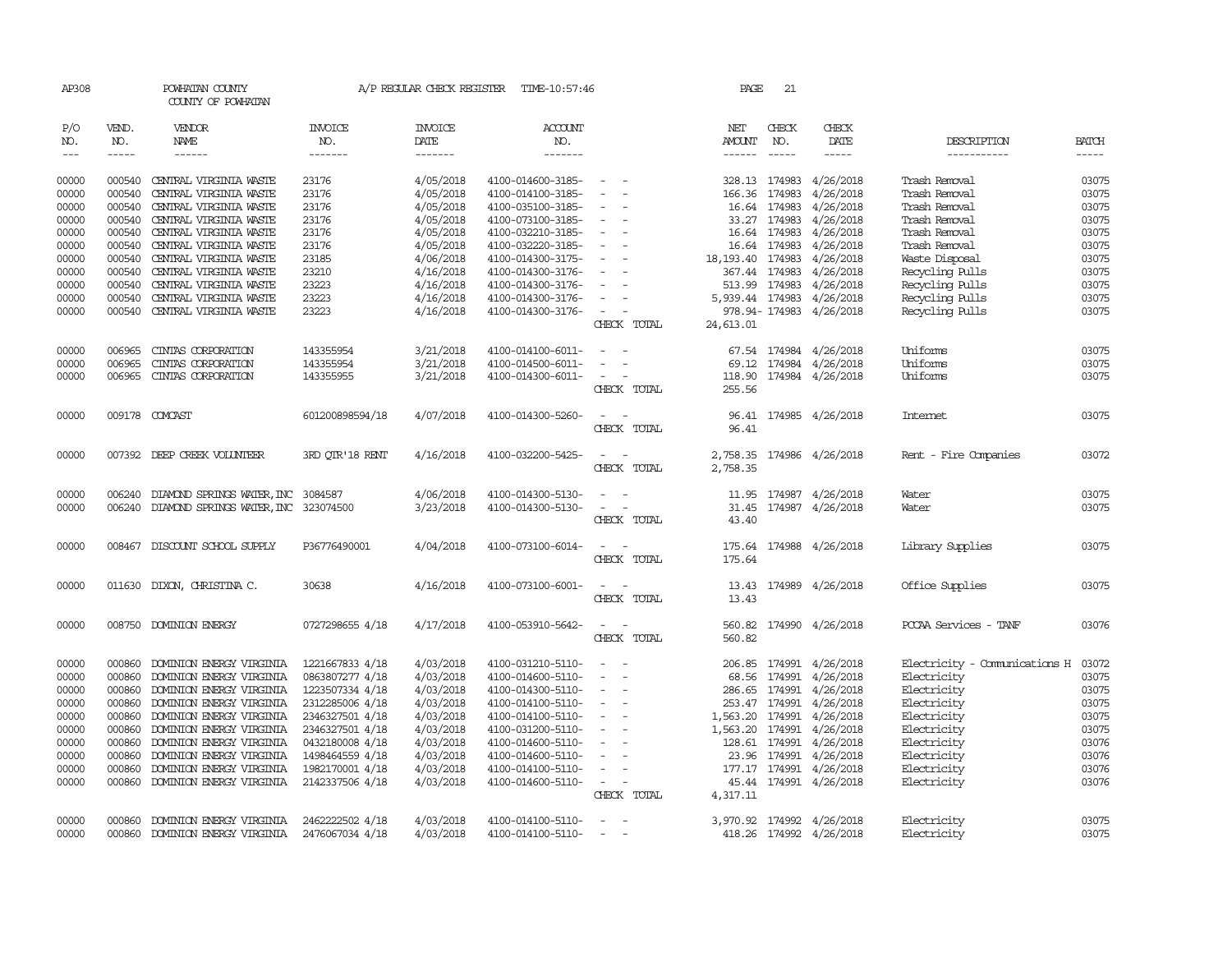| AP308                                                                                                    |                                                                                                                      | POWHATAN COUNTY<br>COUNTY OF POWHATAN                                                                                                                                                                                                                                                                            |                                                                                                                                                                                            | A/P REGULAR CHECK REGISTER                                                                                                                               | TIME-10:57:46                                                                                                                                                                                                                                            |                                                                                                                                                                                                                                           | PAGE                                                                                                                            | 21                                                                     |                                                                                                                                                                        |                                                                                                                                                                                                              |                                                                                                          |
|----------------------------------------------------------------------------------------------------------|----------------------------------------------------------------------------------------------------------------------|------------------------------------------------------------------------------------------------------------------------------------------------------------------------------------------------------------------------------------------------------------------------------------------------------------------|--------------------------------------------------------------------------------------------------------------------------------------------------------------------------------------------|----------------------------------------------------------------------------------------------------------------------------------------------------------|----------------------------------------------------------------------------------------------------------------------------------------------------------------------------------------------------------------------------------------------------------|-------------------------------------------------------------------------------------------------------------------------------------------------------------------------------------------------------------------------------------------|---------------------------------------------------------------------------------------------------------------------------------|------------------------------------------------------------------------|------------------------------------------------------------------------------------------------------------------------------------------------------------------------|--------------------------------------------------------------------------------------------------------------------------------------------------------------------------------------------------------------|----------------------------------------------------------------------------------------------------------|
| P/O<br>NO.<br>$---$                                                                                      | VEND.<br>NO.<br>$- - - - -$                                                                                          | <b>VENDOR</b><br>NAME<br>$- - - - - -$                                                                                                                                                                                                                                                                           | <b>INVOICE</b><br>NO.<br>$- - - - - - -$                                                                                                                                                   | <b>INVOICE</b><br>DATE<br>-------                                                                                                                        | <b>ACCOUNT</b><br>NO.<br>$- - - - - - -$                                                                                                                                                                                                                 |                                                                                                                                                                                                                                           | NET<br>AMOUNT<br>------                                                                                                         | CHECK<br>NO.<br>$\frac{1}{2}$                                          | CHECK<br>DATE<br>-----                                                                                                                                                 | DESCRIPTION<br>-----------                                                                                                                                                                                   | <b>BATCH</b><br>-----                                                                                    |
| 00000<br>00000<br>00000<br>00000<br>00000<br>00000<br>00000<br>00000<br>00000<br>00000<br>00000<br>00000 | 000540<br>000540<br>000540<br>000540<br>000540<br>000540<br>000540<br>000540<br>000540<br>000540<br>000540<br>006965 | CENTRAL VIRGINIA WASTE<br>CENTRAL VIRGINIA WASTE<br>CENTRAL VIRGINIA WASTE<br>CENTRAL VIRGINIA WASTE<br>CENTRAL VIRGINIA WASTE<br>CENTRAL VIRGINIA WASTE<br>CENTRAL VIRGINIA WASTE<br>CENTRAL VIRGINIA WASTE<br>CENTRAL VIRGINIA WASTE<br>CENTRAL VIRGINIA WASTE<br>CENTRAL VIRGINIA WASTE<br>CINIAS CORPORATION | 23176<br>23176<br>23176<br>23176<br>23176<br>23176<br>23185<br>23210<br>23223<br>23223<br>23223<br>143355954                                                                               | 4/05/2018<br>4/05/2018<br>4/05/2018<br>4/05/2018<br>4/05/2018<br>4/05/2018<br>4/06/2018<br>4/16/2018<br>4/16/2018<br>4/16/2018<br>4/16/2018<br>3/21/2018 | 4100-014600-3185-<br>4100-014100-3185-<br>4100-035100-3185-<br>4100-073100-3185-<br>4100-032210-3185-<br>4100-032220-3185-<br>4100-014300-3175-<br>4100-014300-3176-<br>4100-014300-3176-<br>4100-014300-3176-<br>4100-014300-3176-<br>4100-014100-6011- | $\sim$<br>$\overline{\phantom{a}}$<br>$\overline{\phantom{a}}$<br>$\equiv$<br>$\sim$<br>$\overline{\phantom{a}}$<br>$\sim$<br>$\sim$<br>$\sim$<br>$\sim$<br>$\sim$<br>$\overline{\phantom{a}}$<br>CHECK TOTAL<br>$\overline{\phantom{a}}$ | 328.13 174983<br>166.36 174983<br>18, 193. 40 174983<br>367.44 174983<br>513.99 174983<br>5,939.44 174983<br>24,613.01<br>67.54 | 16.64 174983<br>33.27 174983<br>16.64 174983<br>16.64 174983<br>174984 | 4/26/2018<br>4/26/2018<br>4/26/2018<br>4/26/2018<br>4/26/2018<br>4/26/2018<br>4/26/2018<br>4/26/2018<br>4/26/2018<br>4/26/2018<br>978.94-174983 4/26/2018<br>4/26/2018 | Trash Removal<br>Trash Removal<br>Trash Removal<br>Trash Removal<br>Trash Removal<br>Trash Removal<br>Waste Disposal<br>Recycling Pulls<br>Recycling Pulls<br>Recycling Pulls<br>Recycling Pulls<br>Uniforms | 03075<br>03075<br>03075<br>03075<br>03075<br>03075<br>03075<br>03075<br>03075<br>03075<br>03075<br>03075 |
| 00000<br>00000                                                                                           | 006965<br>006965                                                                                                     | CINIAS CORPORATION<br>CINTAS CORPORATION                                                                                                                                                                                                                                                                         | 143355954<br>143355955                                                                                                                                                                     | 3/21/2018<br>3/21/2018                                                                                                                                   | 4100-014500-6011-<br>4100-014300-6011-                                                                                                                                                                                                                   | $\overline{\phantom{a}}$<br>$\sim$<br>$\sim$<br>CHECK TOTAL                                                                                                                                                                               | 69.12<br>255.56                                                                                                                 | 174984                                                                 | 4/26/2018<br>118.90 174984 4/26/2018                                                                                                                                   | Uniforms<br>Uniforms                                                                                                                                                                                         | 03075<br>03075                                                                                           |
| 00000                                                                                                    |                                                                                                                      | 009178 COMCAST                                                                                                                                                                                                                                                                                                   | 601200898594/18                                                                                                                                                                            | 4/07/2018                                                                                                                                                | 4100-014300-5260-                                                                                                                                                                                                                                        | CHECK TOTAL                                                                                                                                                                                                                               | 96.41                                                                                                                           |                                                                        | 96.41 174985 4/26/2018                                                                                                                                                 | Internet.                                                                                                                                                                                                    | 03075                                                                                                    |
| 00000                                                                                                    |                                                                                                                      | 007392 DEEP CREEK VOLUNTEER                                                                                                                                                                                                                                                                                      | 3RD OTR'18 RENT                                                                                                                                                                            | 4/16/2018                                                                                                                                                | 4100-032200-5425-                                                                                                                                                                                                                                        | $\overline{\phantom{a}}$<br>CHECK TOTAL                                                                                                                                                                                                   | 2,758.35<br>2,758.35                                                                                                            |                                                                        | 174986 4/26/2018                                                                                                                                                       | Rent - Fire Companies                                                                                                                                                                                        | 03072                                                                                                    |
| 00000<br>00000                                                                                           | 006240<br>006240                                                                                                     | DIAMOND SPRINGS WATER, INC<br>DIAMOND SPRINGS WATER, INC                                                                                                                                                                                                                                                         | 3084587<br>323074500                                                                                                                                                                       | 4/06/2018<br>3/23/2018                                                                                                                                   | 4100-014300-5130-<br>4100-014300-5130-                                                                                                                                                                                                                   | $\sim$<br>$\sim$<br>$\overline{\phantom{0}}$<br>CHECK TOTAL                                                                                                                                                                               | 31.45<br>43.40                                                                                                                  |                                                                        | 11.95 174987 4/26/2018<br>174987 4/26/2018                                                                                                                             | Water<br>Water                                                                                                                                                                                               | 03075<br>03075                                                                                           |
| 00000                                                                                                    |                                                                                                                      | 008467 DISCOUNT SCHOOL SUPPLY                                                                                                                                                                                                                                                                                    | P36776490001                                                                                                                                                                               | 4/04/2018                                                                                                                                                | 4100-073100-6014-                                                                                                                                                                                                                                        | $\overline{\phantom{a}}$<br>$\overline{\phantom{a}}$<br>CHECK TOTAL                                                                                                                                                                       | 175.64                                                                                                                          |                                                                        | 175.64 174988 4/26/2018                                                                                                                                                | Library Supplies                                                                                                                                                                                             | 03075                                                                                                    |
| 00000                                                                                                    |                                                                                                                      | 011630 DIXON, CHRISTINA C.                                                                                                                                                                                                                                                                                       | 30638                                                                                                                                                                                      | 4/16/2018                                                                                                                                                | 4100-073100-6001-                                                                                                                                                                                                                                        | $\sim$<br>$\overline{\phantom{a}}$<br>CHECK TOTAL                                                                                                                                                                                         | 13.43                                                                                                                           |                                                                        | 13.43 174989 4/26/2018                                                                                                                                                 | Office Supplies                                                                                                                                                                                              | 03075                                                                                                    |
| 00000                                                                                                    |                                                                                                                      | 008750 DOMINION ENERGY                                                                                                                                                                                                                                                                                           | 0727298655 4/18                                                                                                                                                                            | 4/17/2018                                                                                                                                                | 4100-053910-5642-                                                                                                                                                                                                                                        | $\sim$<br>$\sim$<br>CHECK TOTAL                                                                                                                                                                                                           | 560.82                                                                                                                          |                                                                        | 560.82 174990 4/26/2018                                                                                                                                                | PCCAA Services - TANF                                                                                                                                                                                        | 03076                                                                                                    |
| 00000<br>00000<br>00000<br>00000<br>00000<br>00000<br>00000<br>00000<br>00000<br>00000                   | 000860<br>000860<br>000860<br>000860<br>000860<br>000860<br>000860<br>000860<br>000860                               | DOMINION ENERGY VIRGINIA<br>DOMINION ENERGY VIRGINIA<br>DOMINION ENERGY VIRGINIA<br>DOMINION ENERGY VIRGINIA<br>DOMINION ENERGY VIRGINIA<br>DOMINION ENERGY VIRGINIA<br>DOMINION ENERGY VIRGINIA<br>DOMINION ENERGY VIRGINIA<br>DOMINION ENERGY VIRGINIA<br>000860 DOMINION ENERGY VIRGINIA                      | 1221667833 4/18<br>0863807277 4/18<br>1223507334 4/18<br>2312285006 4/18<br>2346327501 4/18<br>2346327501 4/18<br>0432180008 4/18<br>1498464559 4/18<br>1982170001 4/18<br>2142337506 4/18 | 4/03/2018<br>4/03/2018<br>4/03/2018<br>4/03/2018<br>4/03/2018<br>4/03/2018<br>4/03/2018<br>4/03/2018<br>4/03/2018<br>4/03/2018                           | 4100-031210-5110-<br>4100-014600-5110-<br>4100-014300-5110-<br>4100-014100-5110-<br>4100-014100-5110-<br>4100-031200-5110-<br>4100-014600-5110-<br>4100-014600-5110-<br>4100-014100-5110-<br>4100-014600-5110-                                           | $\sim$<br>$\sim$<br>$\overline{\phantom{a}}$<br>$\sim$<br>$\sim$<br>$\sim$<br>$\overline{\phantom{a}}$<br>$\overline{\phantom{a}}$<br>$\overline{\phantom{a}}$<br>$\sim$<br>$\sim$<br>$\overline{\phantom{a}}$<br>CHECK TOTAL             | 1,563.20 174991<br>1,563.20 174991<br>128.61 174991<br>177.17 174991<br>4,317.11                                                | 68.56 174991<br>286.65 174991<br>253.47 174991<br>23.96 174991         | 206.85 174991 4/26/2018<br>4/26/2018<br>4/26/2018<br>4/26/2018<br>4/26/2018<br>4/26/2018<br>4/26/2018<br>4/26/2018<br>4/26/2018<br>45.44 174991 4/26/2018              | Electricity - Comunications H<br>Electricity<br>Electricity<br>Electricity<br>Electricity<br>Electricity<br>Electricity<br>Electricity<br>Electricity<br>Electricity                                         | 03072<br>03075<br>03075<br>03075<br>03075<br>03075<br>03076<br>03076<br>03076<br>03076                   |
| 00000<br>00000                                                                                           | 000860                                                                                                               | DOMINION ENERGY VIRGINIA<br>000860 DOMINION ENERGY VIRGINIA                                                                                                                                                                                                                                                      | 2462222502 4/18<br>2476067034 4/18                                                                                                                                                         | 4/03/2018<br>4/03/2018                                                                                                                                   | 4100-014100-5110-<br>4100-014100-5110-                                                                                                                                                                                                                   | $\sim$<br>$\sim$                                                                                                                                                                                                                          |                                                                                                                                 |                                                                        | 3,970.92 174992 4/26/2018<br>418.26 174992 4/26/2018                                                                                                                   | Electricity<br>Electricity                                                                                                                                                                                   | 03075<br>03075                                                                                           |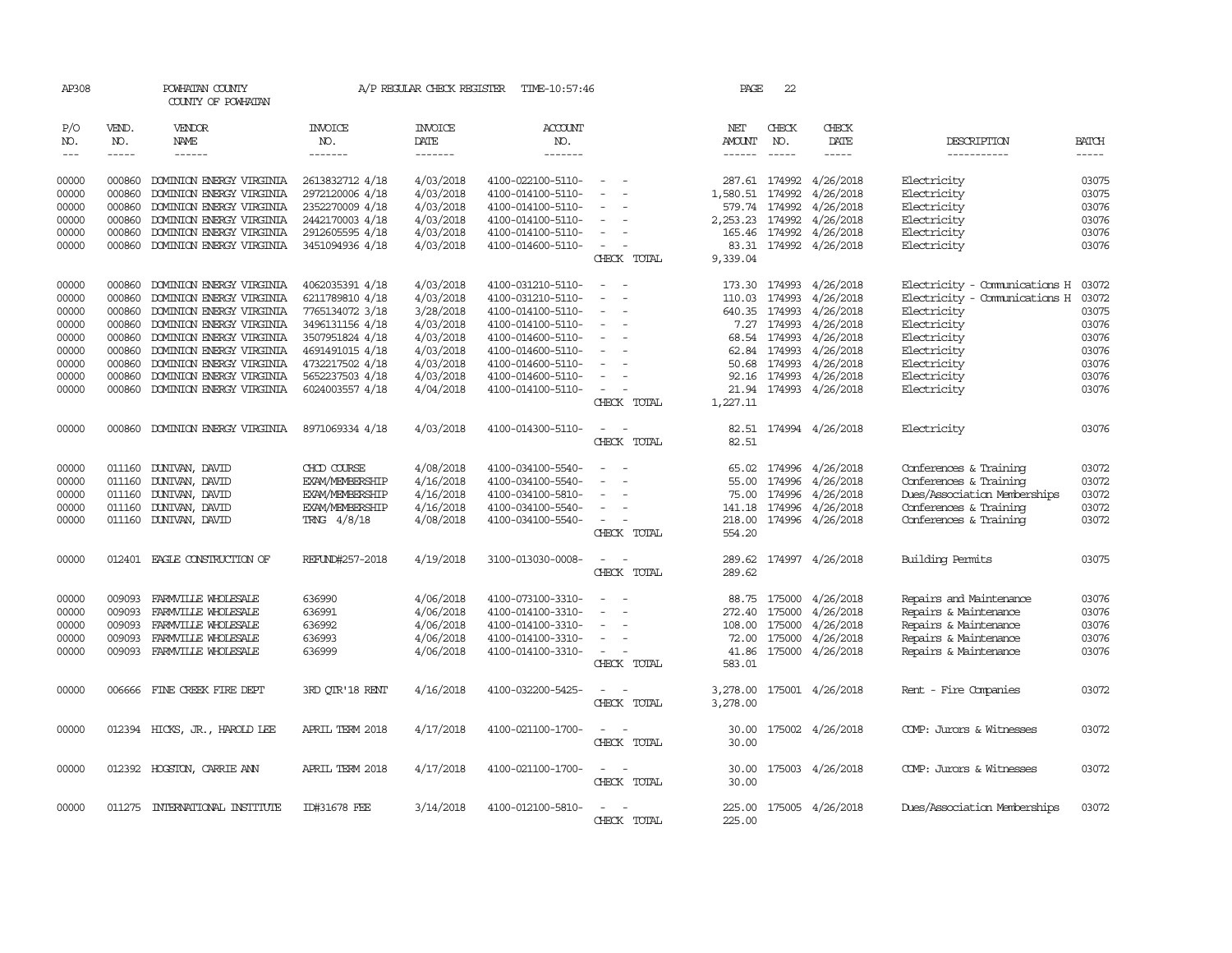| AP308               |                       | POWHATAN COUNTY<br>COUNTY OF POWHATAN |                                  | A/P REGULAR CHECK REGISTER        | TIME-10:57:46                    |                          |             | PAGE          | 22                                     |                         |                               |                             |
|---------------------|-----------------------|---------------------------------------|----------------------------------|-----------------------------------|----------------------------------|--------------------------|-------------|---------------|----------------------------------------|-------------------------|-------------------------------|-----------------------------|
| P/O<br>NO.<br>$---$ | VEND.<br>NO.<br>----- | VENDOR<br><b>NAME</b><br>------       | <b>INVOICE</b><br>NO.<br>------- | <b>INVOICE</b><br>DATE<br>------- | <b>ACCOUNT</b><br>NO.<br>------- |                          |             | NET<br>AMOUNT | CHECK<br>NO.<br>$\cdots \cdots \cdots$ | CHECK<br>DATE<br>-----  | DESCRIPTION<br>-----------    | <b>BATCH</b><br>$- - - - -$ |
| 00000               | 000860                | DOMINION ENERGY VIRGINIA              | 2613832712 4/18                  | 4/03/2018                         | 4100-022100-5110-                |                          |             |               | 287.61 174992                          | 4/26/2018               | Electricity                   | 03075                       |
| 00000               | 000860                | DOMINION ENERGY VIRGINIA              | 2972120006 4/18                  | 4/03/2018                         | 4100-014100-5110-                |                          |             | 1,580.51      | 174992                                 | 4/26/2018               | Electricity                   | 03075                       |
| 00000               | 000860                | DOMINION ENERGY VIRGINIA              | 2352270009 4/18                  | 4/03/2018                         | 4100-014100-5110-                | $\sim$                   |             |               | 579.74 174992                          | 4/26/2018               | Electricity                   | 03076                       |
| 00000               | 000860                | DOMINION ENERGY VIRGINIA              | 2442170003 4/18                  | 4/03/2018                         | 4100-014100-5110-                |                          |             | 2,253.23      | 174992                                 | 4/26/2018               | Electricity                   | 03076                       |
| 00000               | 000860                | DOMINION ENERGY VIRGINIA              | 2912605595 4/18                  | 4/03/2018                         | 4100-014100-5110-                |                          |             | 165.46        | 174992                                 | 4/26/2018               | Electricity                   | 03076                       |
| 00000               |                       | 000860 DOMINION ENERGY VIRGINIA       | 3451094936 4/18                  | 4/03/2018                         | 4100-014600-5110-                | $\overline{\phantom{a}}$ |             |               |                                        | 83.31 174992 4/26/2018  | Electricity                   | 03076                       |
|                     |                       |                                       |                                  |                                   |                                  |                          | CHECK TOTAL | 9,339.04      |                                        |                         |                               |                             |
| 00000               | 000860                | DOMINION ENERGY VIRGINIA              | 4062035391 4/18                  | 4/03/2018                         | 4100-031210-5110-                |                          |             | 173.30        | 174993                                 | 4/26/2018               | Electricity - Comunications H | 03072                       |
| 00000               | 000860                | DOMINION ENERGY VIRGINIA              | 6211789810 4/18                  | 4/03/2018                         | 4100-031210-5110-                | $\equiv$                 |             | 110.03        | 174993                                 | 4/26/2018               | Electricity - Comunications H | 03072                       |
| 00000               | 000860                | DOMINION ENERGY VIRGINIA              | 7765134072 3/18                  | 3/28/2018                         | 4100-014100-5110-                |                          |             |               | 640.35 174993                          | 4/26/2018               | Electricity                   | 03075                       |
| 00000               | 000860                | DOMINION ENERGY VIRGINIA              | 3496131156 4/18                  | 4/03/2018                         | 4100-014100-5110-                | $\equiv$                 |             |               | 7.27 174993                            | 4/26/2018               | Electricity                   | 03076                       |
| 00000               | 000860                | DOMINION ENERGY VIRGINIA              | 3507951824 4/18                  | 4/03/2018                         | 4100-014600-5110-                | $\equiv$                 |             |               | 68.54 174993                           | 4/26/2018               | Electricity                   | 03076                       |
| 00000               | 000860                | DOMINION ENERGY VIRGINIA              | 4691491015 4/18                  | 4/03/2018                         | 4100-014600-5110-                |                          |             | 62.84         | 174993                                 | 4/26/2018               | Electricity                   | 03076                       |
| 00000               | 000860                | DOMINION ENERGY VIRGINIA              | 4732217502 4/18                  | 4/03/2018                         | 4100-014600-5110-                |                          |             |               | 50.68 174993                           | 4/26/2018               | Electricity                   | 03076                       |
| 00000               | 000860                | DOMINION ENERGY VIRGINIA              | 5652237503 4/18                  | 4/03/2018                         | 4100-014600-5110-                | $\equiv$                 |             |               | 92.16 174993                           | 4/26/2018               | Electricity                   | 03076                       |
| 00000               | 000860                | DOMINION ENERGY VIRGINIA              | 6024003557 4/18                  | 4/04/2018                         | 4100-014100-5110-                | $\overline{\phantom{a}}$ |             | 21.94         |                                        | 174993 4/26/2018        | Electricity                   | 03076                       |
|                     |                       |                                       |                                  |                                   |                                  |                          | CHECK TOTAL | 1,227.11      |                                        |                         |                               |                             |
| 00000               | 000860                | DOMINION ENERGY VIRGINIA              | 8971069334 4/18                  | 4/03/2018                         | 4100-014300-5110-                |                          |             | 82.51         |                                        | 174994 4/26/2018        | Electricity                   | 03076                       |
|                     |                       |                                       |                                  |                                   |                                  |                          | CHECK TOTAL | 82.51         |                                        |                         |                               |                             |
| 00000               |                       | 011160 DUNIVAN, DAVID                 | CHCD COURSE                      | 4/08/2018                         | 4100-034100-5540-                |                          |             | 65.02         | 174996                                 | 4/26/2018               | Conferences & Training        | 03072                       |
| 00000               | 011160                | DUNIVAN, DAVID                        | <b>EXAM/MEMBERSHIP</b>           | 4/16/2018                         | 4100-034100-5540-                |                          |             | 55.00         | 174996                                 | 4/26/2018               | Conferences & Training        | 03072                       |
| 00000               | 011160                | DUNIVAN, DAVID                        | <b>EXAM/MEMBERSHIP</b>           | 4/16/2018                         | 4100-034100-5810-                |                          |             | 75.00         | 174996                                 | 4/26/2018               | Dues/Association Memberships  | 03072                       |
| 00000               | 011160                | DUNIVAN, DAVID                        | <b>EXAM/MEMBERSHIP</b>           | 4/16/2018                         | 4100-034100-5540-                |                          |             | 141.18        | 174996                                 | 4/26/2018               | Conferences & Training        | 03072                       |
| 00000               | 011160                | DUNIVAN, DAVID                        | TRNG 4/8/18                      | 4/08/2018                         | 4100-034100-5540-                |                          |             | 218.00        | 174996                                 | 4/26/2018               | Conferences & Training        | 03072                       |
|                     |                       |                                       |                                  |                                   |                                  |                          | CHECK TOTAL | 554.20        |                                        |                         |                               |                             |
| 00000               |                       | 012401 EAGLE CONSTRUCTION OF          | REFUND#257-2018                  | 4/19/2018                         | 3100-013030-0008-                |                          |             | 289.62        |                                        | 174997 4/26/2018        | Building Permits              | 03075                       |
|                     |                       |                                       |                                  |                                   |                                  |                          | CHECK TOTAL | 289.62        |                                        |                         |                               |                             |
| 00000               | 009093                | FARMVILLE WHOLESALE                   | 636990                           | 4/06/2018                         | 4100-073100-3310-                |                          |             | 88.75         | 175000                                 | 4/26/2018               | Repairs and Maintenance       | 03076                       |
| 00000               | 009093                | FARMVILLE WHOLESALE                   | 636991                           | 4/06/2018                         | 4100-014100-3310-                |                          |             | 272.40        | 175000                                 | 4/26/2018               | Repairs & Maintenance         | 03076                       |
| 00000               | 009093                | FARMVILLE WHOLESALE                   | 636992                           | 4/06/2018                         | 4100-014100-3310-                |                          |             | 108.00        | 175000                                 | 4/26/2018               | Repairs & Maintenance         | 03076                       |
| 00000               | 009093                | FARMVILLE WHOLESALE                   | 636993                           | 4/06/2018                         | 4100-014100-3310-                | $\equiv$                 |             | 72.00         | 175000                                 | 4/26/2018               | Repairs & Maintenance         | 03076                       |
| 00000               | 009093                | FARMVILLE WHOLESALE                   | 636999                           | 4/06/2018                         | 4100-014100-3310-                |                          |             | 41.86         | 175000                                 | 4/26/2018               | Repairs & Maintenance         | 03076                       |
|                     |                       |                                       |                                  |                                   |                                  |                          | CHECK TOTAL | 583.01        |                                        |                         |                               |                             |
| 00000               |                       | 006666 FINE CREEK FIRE DEPT           | 3RD OTR'18 RENT                  | 4/16/2018                         | 4100-032200-5425-                |                          |             | 3,278.00      |                                        | 175001 4/26/2018        | Rent - Fire Companies         | 03072                       |
|                     |                       |                                       |                                  |                                   |                                  |                          | CHECK TOTAL | 3,278.00      |                                        |                         |                               |                             |
| 00000               |                       | 012394 HICKS, JR., HAROLD LEE         | APRIL TERM 2018                  | 4/17/2018                         | 4100-021100-1700-                |                          |             | 30.00         |                                        | 175002 4/26/2018        | COMP: Jurors & Witnesses      | 03072                       |
|                     |                       |                                       |                                  |                                   |                                  |                          | CHECK TOTAL | 30.00         |                                        |                         |                               |                             |
| 00000               |                       | 012392 HOGSTON, CARRIE ANN            | APRIL TERM 2018                  | 4/17/2018                         | 4100-021100-1700-                | $\overline{\phantom{a}}$ | . —         | 30.00         |                                        | 175003 4/26/2018        | COMP: Jurors & Witnesses      | 03072                       |
|                     |                       |                                       |                                  |                                   |                                  |                          | CHECK TOTAL | 30.00         |                                        |                         |                               |                             |
| 00000               |                       | 011275 INTERNATIONAL INSTITUTE        | ID#31678 FEE                     | 3/14/2018                         | 4100-012100-5810-                |                          |             |               |                                        | 225.00 175005 4/26/2018 | Dues/Association Memberships  | 03072                       |
|                     |                       |                                       |                                  |                                   |                                  |                          | CHECK TOTAL | 225.00        |                                        |                         |                               |                             |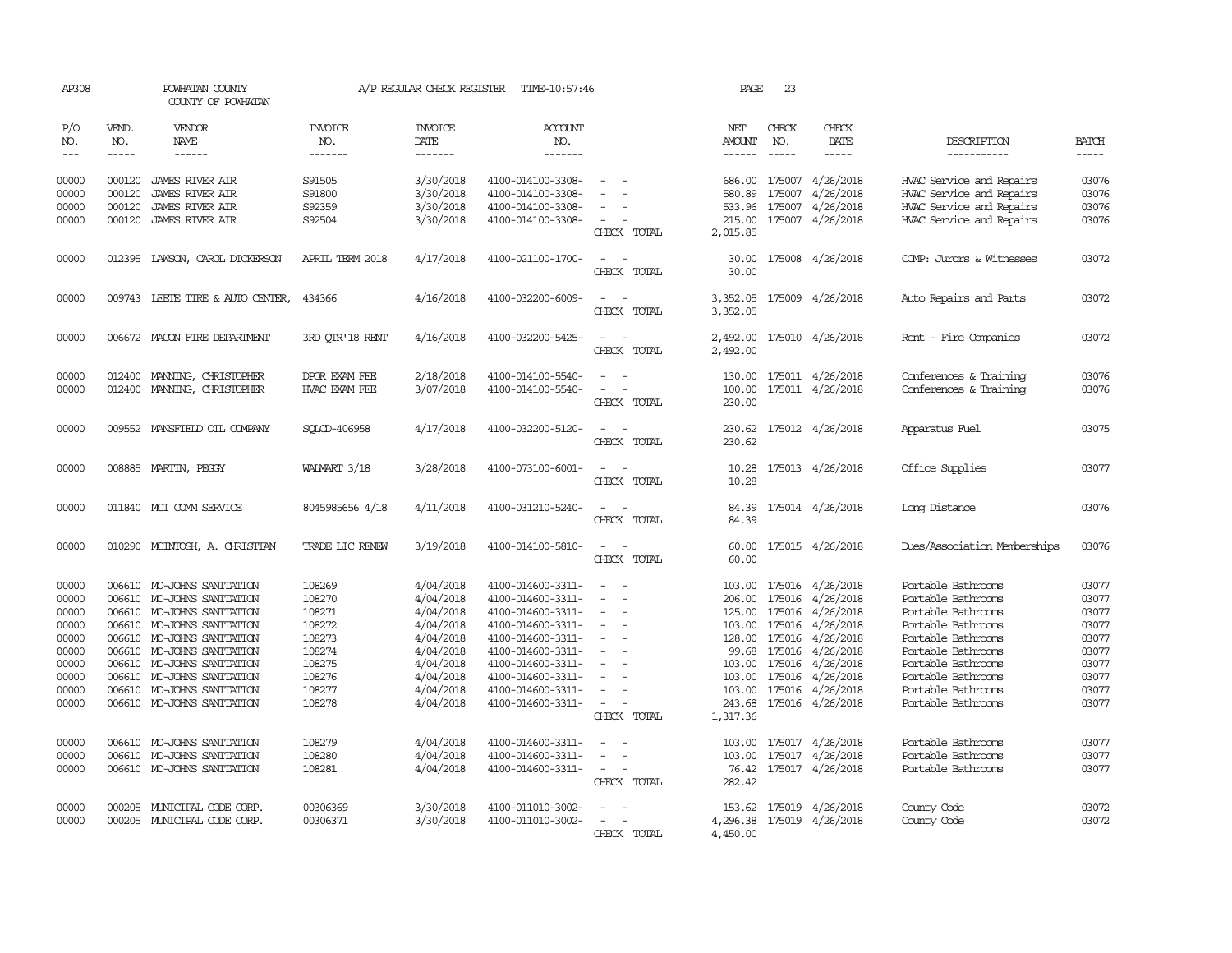| AP308          |                  | POWHATAN COUNTY<br>COUNTY OF POWHATAN                    |                                | A/P REGULAR CHECK REGISTER | TIME-10:57:46                          |                                         | PAGE                 | 23               |                                      |                                                      |                |
|----------------|------------------|----------------------------------------------------------|--------------------------------|----------------------------|----------------------------------------|-----------------------------------------|----------------------|------------------|--------------------------------------|------------------------------------------------------|----------------|
| P/O<br>NO.     | VEND.<br>NO.     | VENDOR<br>NAME                                           | <b>INVOICE</b><br>NO.          | <b>INVOICE</b><br>DATE     | <b>ACCOUNT</b><br>NO.                  |                                         | NET<br>AMOUNT        | CHECK<br>NO.     | CHECK<br>DATE                        | DESCRIPTION                                          | <b>BATCH</b>   |
| $\frac{1}{2}$  | $- - - - -$      | $- - - - - -$                                            | -------                        | -------                    | -------                                |                                         | $- - - - - -$        | $- - - - -$      | $- - - - -$                          | -----------                                          | -----          |
| 00000<br>00000 | 000120<br>000120 | <b>JAMES RIVER AIR</b><br><b>JAMES RIVER AIR</b>         | S91505<br>S91800               | 3/30/2018<br>3/30/2018     | 4100-014100-3308-<br>4100-014100-3308- |                                         | 686.00<br>580.89     | 175007<br>175007 | 4/26/2018<br>4/26/2018               | HVAC Service and Repairs<br>HVAC Service and Repairs | 03076<br>03076 |
| 00000          | 000120           | <b>JAMES RIVER AIR</b>                                   | S92359                         | 3/30/2018                  | 4100-014100-3308-                      |                                         | 533.96               | 175007           | 4/26/2018                            | HVAC Service and Repairs                             | 03076          |
| 00000          | 000120           | <b>JAMES RIVER AIR</b>                                   | S92504                         | 3/30/2018                  | 4100-014100-3308-                      | $\equiv$<br>CHECK TOTAL                 | 215.00<br>2,015.85   |                  | 175007 4/26/2018                     | HVAC Service and Repairs                             | 03076          |
| 00000          |                  | 012395 LAWSON, CAROL DICKERSON                           | APRIL TERM 2018                | 4/17/2018                  | 4100-021100-1700-                      | $\sim$<br>CHECK TOTAL                   | 30.00<br>30.00       |                  | 175008 4/26/2018                     | COMP: Jurors & Witnesses                             | 03072          |
| 00000          |                  | 009743 LEETE TIRE & AUTO CENTER,                         | 434366                         | 4/16/2018                  | 4100-032200-6009-                      | $\equiv$<br>$\sim$<br>CHECK TOTAL       | 3,352.05<br>3,352.05 |                  | 175009 4/26/2018                     | Auto Repairs and Parts                               | 03072          |
| 00000          |                  | 006672 MACON FIRE DEPARTMENT                             | 3RD QTR'18 RENT                | 4/16/2018                  | 4100-032200-5425-                      | $\overline{\phantom{a}}$<br>CHECK TOTAL | 2,492.00<br>2,492.00 |                  | 175010 4/26/2018                     | Rent - Fire Companies                                | 03072          |
| 00000<br>00000 | 012400<br>012400 | MANING, CHRISTOPHER<br>MANING, CHRISTOPHER               | DPOR EXAM FEE<br>HVAC EXAM FEE | 2/18/2018<br>3/07/2018     | 4100-014100-5540-<br>4100-014100-5540- |                                         | 130.00<br>100.00     |                  | 175011 4/26/2018<br>175011 4/26/2018 | Conferences & Training<br>Conferences & Training     | 03076<br>03076 |
|                |                  |                                                          |                                |                            |                                        | CHECK TOTAL                             | 230.00               |                  |                                      |                                                      |                |
| 00000          |                  | 009552 MANSFIELD OIL COMPANY                             | SOLCD-406958                   | 4/17/2018                  | 4100-032200-5120-                      | CHECK TOTAL                             | 230.62               |                  | 230.62 175012 4/26/2018              | Apparatus Fuel                                       | 03075          |
| 00000          |                  | 008885 MARTIN, PEGGY                                     | WALMART 3/18                   | 3/28/2018                  | 4100-073100-6001-                      | CHECK TOTAL                             | 10.28<br>10.28       |                  | 175013 4/26/2018                     | Office Supplies                                      | 03077          |
| 00000          |                  | 011840 MCI COMM SERVICE                                  | 8045985656 4/18                | 4/11/2018                  | 4100-031210-5240-                      | CHECK TOTAL                             | 84.39<br>84.39       |                  | 175014 4/26/2018                     | Long Distance                                        | 03076          |
| 00000          |                  | 010290 MCINTOSH, A. CHRISTIAN                            | TRADE LIC RENEW                | 3/19/2018                  | 4100-014100-5810-                      | $\equiv$<br>CHECK TOTAL                 | 60.00<br>60.00       |                  | 175015 4/26/2018                     | Dues/Association Memberships                         | 03076          |
| 00000          |                  | 006610 MO-JOHNS SANITATION                               | 108269                         | 4/04/2018                  | 4100-014600-3311-                      | $\sim$<br>$\sim$                        | 103.00               |                  | 175016 4/26/2018                     | Portable Bathrooms                                   | 03077          |
| 00000          | 006610           | MO-JOHNS SANITATION                                      | 108270                         | 4/04/2018                  | 4100-014600-3311-                      |                                         | 206.00               | 175016           | 4/26/2018                            | Portable Bathrooms                                   | 03077          |
| 00000          |                  | 006610 MO-JOHNS SANITATION                               | 108271                         | 4/04/2018                  | 4100-014600-3311-                      |                                         | 125.00               | 175016           | 4/26/2018                            | Portable Bathrooms                                   | 03077          |
| 00000          |                  | 006610 MO-JOHNS SANITATION                               | 108272                         | 4/04/2018                  | 4100-014600-3311-                      | $\overline{\phantom{a}}$                | 103.00               | 175016           | 4/26/2018                            | Portable Bathrooms                                   | 03077          |
| 00000          |                  | 006610 MO-JOHNS SANITATION                               | 108273                         | 4/04/2018                  | 4100-014600-3311-                      |                                         | 128.00               | 175016           | 4/26/2018                            | Portable Bathrooms                                   | 03077          |
| 00000          |                  | 006610 MO-JOHNS SANITATION                               | 108274                         | 4/04/2018                  | 4100-014600-3311-                      |                                         |                      | 99.68 175016     | 4/26/2018                            | Portable Bathrooms                                   | 03077          |
| 00000          |                  | 006610 MO-JOHNS SANITATION                               | 108275                         | 4/04/2018                  | 4100-014600-3311-                      |                                         | 103.00               | 175016           | 4/26/2018                            | Portable Bathrooms                                   | 03077          |
| 00000<br>00000 |                  | 006610 MO-JOHNS SANITATION                               | 108276<br>108277               | 4/04/2018                  | 4100-014600-3311-                      | $\overline{\phantom{a}}$<br>$\equiv$    | 103.00               | 175016<br>175016 | 4/26/2018<br>4/26/2018               | Portable Bathrooms<br>Portable Bathrooms             | 03077<br>03077 |
| 00000          |                  | 006610 MO-JOHNS SANITATION<br>006610 MO-JOHNS SANITATION | 108278                         | 4/04/2018<br>4/04/2018     | 4100-014600-3311-<br>4100-014600-3311- | $\overline{\phantom{a}}$                | 103.00               |                  | 175016 4/26/2018                     | Portable Bathrooms                                   | 03077          |
|                |                  |                                                          |                                |                            |                                        | CHECK TOTAL                             | 243.68<br>1,317.36   |                  |                                      |                                                      |                |
| 00000          |                  | 006610 MO-JOHNS SANITATION                               | 108279                         | 4/04/2018                  | 4100-014600-3311-                      |                                         | 103.00               |                  | 175017 4/26/2018                     | Portable Bathrooms                                   | 03077          |
| 00000          |                  | 006610 MO-JOHNS SANITATION                               | 108280                         | 4/04/2018                  | 4100-014600-3311-                      | $\sim$                                  | 103.00               |                  | 175017 4/26/2018                     | Portable Bathrooms                                   | 03077          |
| 00000          |                  | 006610 MO-JOHNS SANITATION                               | 108281                         | 4/04/2018                  | 4100-014600-3311-                      | $\overline{\phantom{a}}$<br>CHECK TOTAL | 76.42<br>282.42      |                  | 175017 4/26/2018                     | Portable Bathrooms                                   | 03077          |
| 00000          |                  | 000205 MUNICIPAL CODE CORP.                              | 00306369                       | 3/30/2018                  | 4100-011010-3002-                      |                                         |                      |                  | 153.62 175019 4/26/2018              | County Code                                          | 03072          |
| 00000          |                  | 000205 MUNICIPAL CODE CORP.                              | 00306371                       | 3/30/2018                  | 4100-011010-3002-                      | $\equiv$<br>$\overline{\phantom{a}}$    | 4,296.38             |                  | 175019 4/26/2018                     | County Code                                          | 03072          |
|                |                  |                                                          |                                |                            |                                        | CHECK TOTAL                             | 4,450.00             |                  |                                      |                                                      |                |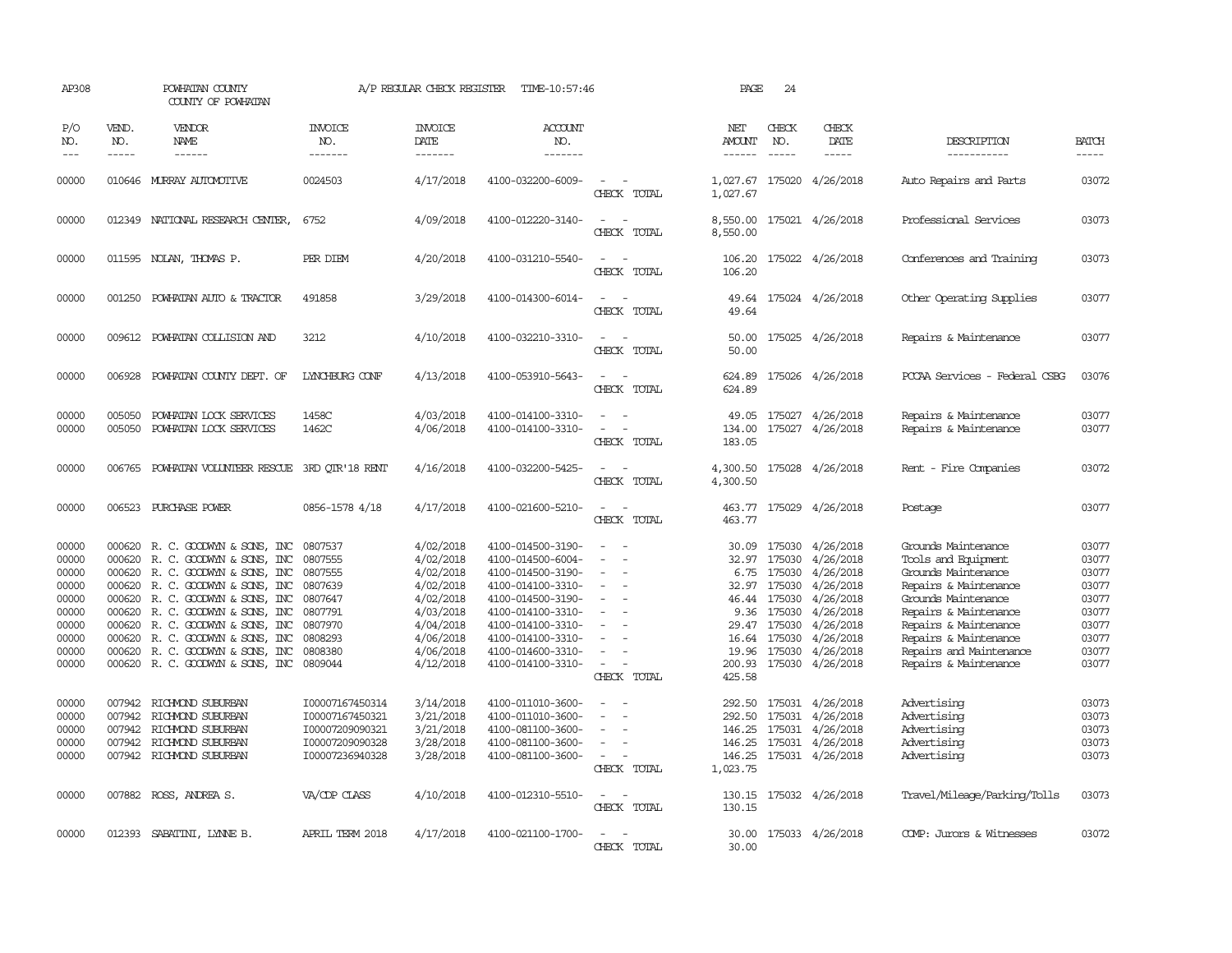| AP308                                                                                           |                                                          | POWHATAN COUNTY<br>COUNTY OF POWHATAN                                                                                                                                                                                                                                                                                                                  |                                                                                                                               | A/P REGULAR CHECK REGISTER                                                                                                                  | TIME-10:57:46                                                                                                                                                                                                                       |                                                                                                                 | PAGE                            | 24                                                                                                                                |                                                                                                                                                                  |                                                                                                                                                                                                                                                                 |                                                                                                 |
|-------------------------------------------------------------------------------------------------|----------------------------------------------------------|--------------------------------------------------------------------------------------------------------------------------------------------------------------------------------------------------------------------------------------------------------------------------------------------------------------------------------------------------------|-------------------------------------------------------------------------------------------------------------------------------|---------------------------------------------------------------------------------------------------------------------------------------------|-------------------------------------------------------------------------------------------------------------------------------------------------------------------------------------------------------------------------------------|-----------------------------------------------------------------------------------------------------------------|---------------------------------|-----------------------------------------------------------------------------------------------------------------------------------|------------------------------------------------------------------------------------------------------------------------------------------------------------------|-----------------------------------------------------------------------------------------------------------------------------------------------------------------------------------------------------------------------------------------------------------------|-------------------------------------------------------------------------------------------------|
| P/O<br>NO.<br>$---$                                                                             | VEND.<br>NO.<br>$- - - - -$                              | VENDOR<br>NAME<br>$- - - - - -$                                                                                                                                                                                                                                                                                                                        | <b>INVOICE</b><br>NO.<br>-------                                                                                              | <b>INVOICE</b><br>DATE<br>--------                                                                                                          | <b>ACCOUNT</b><br>NO.<br>-------                                                                                                                                                                                                    |                                                                                                                 | NET<br>AMOUNT<br>$- - - - - -$  | CHECK<br>NO.<br>$\frac{1}{2}$                                                                                                     | CHECK<br>DATE<br>$- - - - -$                                                                                                                                     | DESCRIPTION<br>-----------                                                                                                                                                                                                                                      | <b>BATCH</b><br>-----                                                                           |
| 00000                                                                                           |                                                          | 010646 MURRAY AUTOMOTTVE                                                                                                                                                                                                                                                                                                                               | 0024503                                                                                                                       | 4/17/2018                                                                                                                                   | 4100-032200-6009-                                                                                                                                                                                                                   | $\sim$<br>CHECK TOTAL                                                                                           | 1,027.67                        |                                                                                                                                   | 1,027.67 175020 4/26/2018                                                                                                                                        | Auto Repairs and Parts                                                                                                                                                                                                                                          | 03072                                                                                           |
| 00000                                                                                           |                                                          | 012349 NATIONAL RESEARCH CENTER,                                                                                                                                                                                                                                                                                                                       | 6752                                                                                                                          | 4/09/2018                                                                                                                                   | 4100-012220-3140-                                                                                                                                                                                                                   | CHECK TOTAL                                                                                                     | 8,550.00                        |                                                                                                                                   | 8,550.00 175021 4/26/2018                                                                                                                                        | Professional Services                                                                                                                                                                                                                                           | 03073                                                                                           |
| 00000                                                                                           |                                                          | 011595 NOLAN, THOMAS P.                                                                                                                                                                                                                                                                                                                                | PER DIEM                                                                                                                      | 4/20/2018                                                                                                                                   | 4100-031210-5540-                                                                                                                                                                                                                   | CHECK TOTAL                                                                                                     | 106.20<br>106.20                |                                                                                                                                   | 175022 4/26/2018                                                                                                                                                 | Conferences and Training                                                                                                                                                                                                                                        | 03073                                                                                           |
| 00000                                                                                           |                                                          | 001250 POWHATAN AUTO & TRACTOR                                                                                                                                                                                                                                                                                                                         | 491858                                                                                                                        | 3/29/2018                                                                                                                                   | 4100-014300-6014-                                                                                                                                                                                                                   | $\sim$ $\sim$<br>CHECK TOTAL                                                                                    | 49.64                           |                                                                                                                                   | 49.64 175024 4/26/2018                                                                                                                                           | Other Operating Supplies                                                                                                                                                                                                                                        | 03077                                                                                           |
| 00000                                                                                           |                                                          | 009612 POWHATAN COLLISION AND                                                                                                                                                                                                                                                                                                                          | 3212                                                                                                                          | 4/10/2018                                                                                                                                   | 4100-032210-3310-                                                                                                                                                                                                                   | CHECK TOTAL                                                                                                     | 50.00<br>50.00                  |                                                                                                                                   | 175025 4/26/2018                                                                                                                                                 | Repairs & Maintenance                                                                                                                                                                                                                                           | 03077                                                                                           |
| 00000                                                                                           | 006928                                                   | POWHATAN COUNTY DEPT. OF                                                                                                                                                                                                                                                                                                                               | LYNCHBURG CONF                                                                                                                | 4/13/2018                                                                                                                                   | 4100-053910-5643-                                                                                                                                                                                                                   | CHECK TOTAL                                                                                                     | 624.89<br>624.89                |                                                                                                                                   | 175026 4/26/2018                                                                                                                                                 | PCCAA Services - Federal CSBG                                                                                                                                                                                                                                   | 03076                                                                                           |
| 00000<br>00000                                                                                  | 005050<br>005050                                         | POWHATAN LOCK SERVICES<br>POWHATAN LOCK SERVICES                                                                                                                                                                                                                                                                                                       | 1458C<br>1462C                                                                                                                | 4/03/2018<br>4/06/2018                                                                                                                      | 4100-014100-3310-<br>4100-014100-3310-                                                                                                                                                                                              | $\sim$<br>CHECK TOTAL                                                                                           | 49.05<br>134.00<br>183.05       | 175027                                                                                                                            | 175027 4/26/2018<br>4/26/2018                                                                                                                                    | Repairs & Maintenance<br>Repairs & Maintenance                                                                                                                                                                                                                  | 03077<br>03077                                                                                  |
| 00000                                                                                           | 006765                                                   | POWHATAN VOLUNTEER RESCUE                                                                                                                                                                                                                                                                                                                              | 3RD OTR'18 RENT                                                                                                               | 4/16/2018                                                                                                                                   | 4100-032200-5425-                                                                                                                                                                                                                   | $\overline{\phantom{a}}$<br>CHECK TOTAL                                                                         | 4,300.50<br>4,300.50            |                                                                                                                                   | 175028 4/26/2018                                                                                                                                                 | Rent - Fire Companies                                                                                                                                                                                                                                           | 03072                                                                                           |
| 00000                                                                                           |                                                          | 006523 PURCHASE POWER                                                                                                                                                                                                                                                                                                                                  | 0856-1578 4/18                                                                                                                | 4/17/2018                                                                                                                                   | 4100-021600-5210-                                                                                                                                                                                                                   | CHECK TOTAL                                                                                                     | 463.77                          |                                                                                                                                   | 463.77 175029 4/26/2018                                                                                                                                          | Postage                                                                                                                                                                                                                                                         | 03077                                                                                           |
| 00000<br>00000<br>00000<br>00000<br>00000<br>00000<br>00000<br>00000<br>00000<br>00000<br>00000 | 000620<br>000620<br>000620<br>000620<br>000620<br>007942 | 000620 R. C. GOODWYN & SONS, INC<br>000620 R. C. GOODWYN & SONS, INC<br>R. C. GOODWYN & SONS, INC<br>R. C. GOODWYN & SONS, INC<br>R. C. GOODWYN & SONS, INC<br>R. C. GOODWYN & SONS, INC<br>000620 R. C. GOODWYN & SONS, INC<br>R. C. GOODWIN & SONS, INC<br>000620 R. C. GOODWYN & SONS, INC<br>000620 R. C. GOODWYN & SONS, INC<br>RICHMOND SUBURBAN | 0807537<br>0807555<br>0807555<br>0807639<br>0807647<br>0807791<br>0807970<br>0808293<br>0808380<br>0809044<br>I00007167450314 | 4/02/2018<br>4/02/2018<br>4/02/2018<br>4/02/2018<br>4/02/2018<br>4/03/2018<br>4/04/2018<br>4/06/2018<br>4/06/2018<br>4/12/2018<br>3/14/2018 | 4100-014500-3190-<br>4100-014500-6004-<br>4100-014500-3190-<br>4100-014100-3310-<br>4100-014500-3190-<br>4100-014100-3310-<br>4100-014100-3310-<br>4100-014100-3310-<br>4100-014600-3310-<br>4100-014100-3310-<br>4100-011010-3600- | $\equiv$<br>$\overline{\phantom{a}}$<br>$\overline{\phantom{a}}$<br>$\equiv$<br>$\sim$<br>CHECK TOTAL<br>$\sim$ | 30.09<br>6.75<br>9.36<br>425.58 | 32.97 175030<br>175030<br>32.97 175030<br>46.44 175030<br>175030<br>29.47 175030<br>16.64 175030<br>19.96 175030<br>200.93 175030 | 175030 4/26/2018<br>4/26/2018<br>4/26/2018<br>4/26/2018<br>4/26/2018<br>4/26/2018<br>4/26/2018<br>4/26/2018<br>4/26/2018<br>4/26/2018<br>292.50 175031 4/26/2018 | Grounds Maintenance<br>Tools and Equipment<br>Grounds Maintenance<br>Repairs & Maintenance<br>Grounds Maintenance<br>Repairs & Maintenance<br>Repairs & Maintenance<br>Repairs & Maintenance<br>Repairs and Maintenance<br>Repairs & Maintenance<br>Advertising | 03077<br>03077<br>03077<br>03077<br>03077<br>03077<br>03077<br>03077<br>03077<br>03077<br>03073 |
| 00000<br>00000<br>00000<br>00000                                                                | 007942<br>007942<br>007942                               | RICHMOND SUBURBAN<br>RICHMOND SUBURBAN<br>RICHMOND SUBURBAN<br>007942 RICHMOND SUBURBAN                                                                                                                                                                                                                                                                | I00007167450321<br>I00007209090321<br>I00007209090328<br>I00007236940328                                                      | 3/21/2018<br>3/21/2018<br>3/28/2018<br>3/28/2018                                                                                            | 4100-011010-3600-<br>4100-081100-3600-<br>4100-081100-3600-<br>4100-081100-3600-                                                                                                                                                    | $\equiv$<br>$\equiv$<br>$\overline{\phantom{a}}$<br>CHECK TOTAL                                                 | 292.50<br>146.25<br>1,023.75    | 175031                                                                                                                            | 4/26/2018<br>146.25 175031 4/26/2018<br>146.25 175031 4/26/2018<br>175031 4/26/2018                                                                              | Advertising<br>Advertising<br>Advertising<br>Advertising                                                                                                                                                                                                        | 03073<br>03073<br>03073<br>03073                                                                |
| 00000                                                                                           |                                                          | 007882 ROSS, ANDREA S.                                                                                                                                                                                                                                                                                                                                 | VA/CDP CLASS                                                                                                                  | 4/10/2018                                                                                                                                   | 4100-012310-5510-                                                                                                                                                                                                                   | CHECK TOTAL                                                                                                     | 130.15                          |                                                                                                                                   | 130.15 175032 4/26/2018                                                                                                                                          | Travel/Mileage/Parking/Tolls                                                                                                                                                                                                                                    | 03073                                                                                           |
| 00000                                                                                           |                                                          | 012393 SABATINI, LYNNE B.                                                                                                                                                                                                                                                                                                                              | APRIL TERM 2018                                                                                                               | 4/17/2018                                                                                                                                   | 4100-021100-1700-                                                                                                                                                                                                                   | $\sim$<br><b>CHECK</b><br>TOTAL.                                                                                | 30.00                           |                                                                                                                                   | 30.00 175033 4/26/2018                                                                                                                                           | COMP: Jurors & Witnesses                                                                                                                                                                                                                                        | 03072                                                                                           |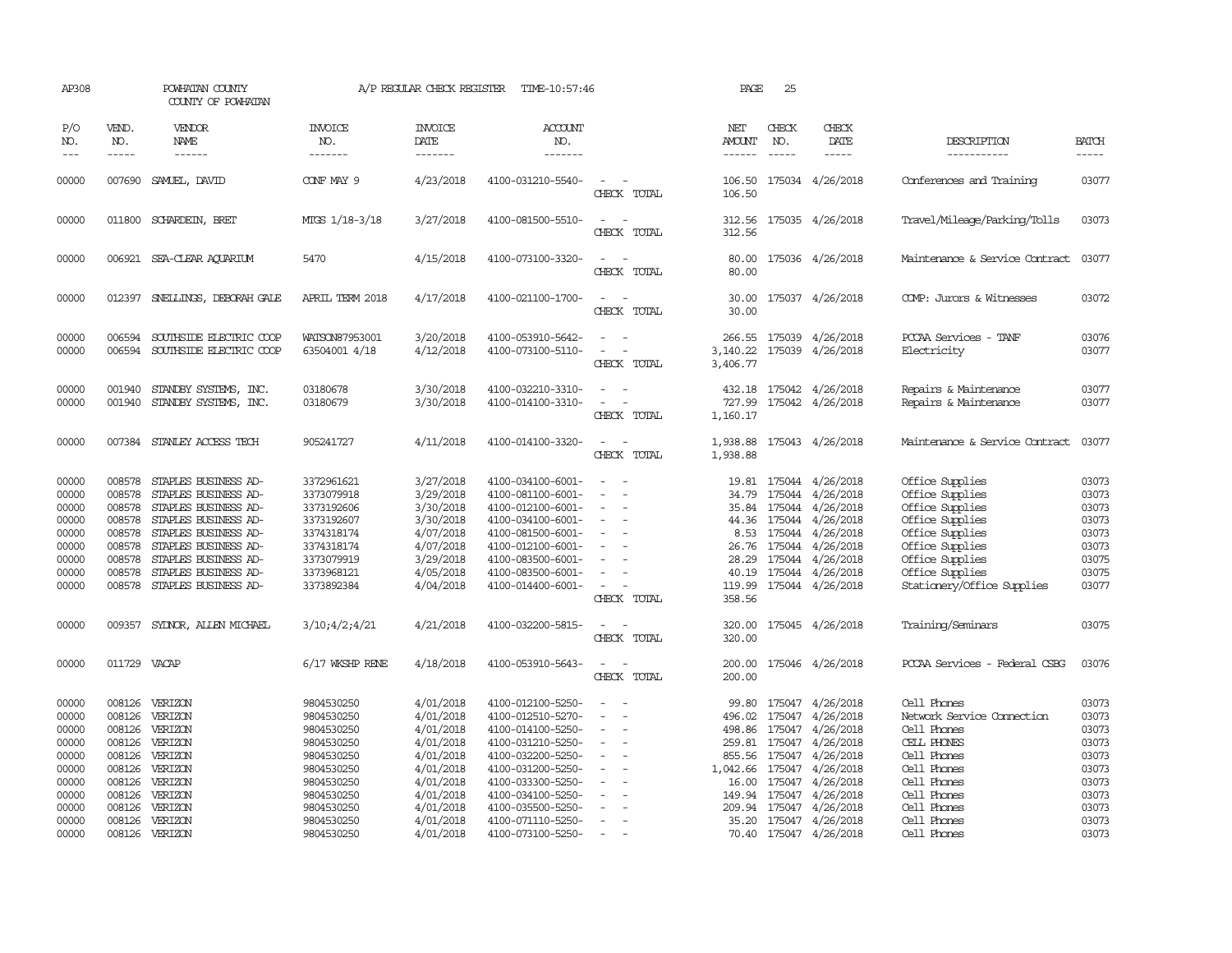| AP308                                                                                  |                                                                              | POWHATAN COUNTY<br>COUNTY OF POWHATAN                                                                                                                                                                                       |                                                                                                                                          | A/P REGULAR CHECK REGISTER                                                                                                     | TIME-10:57:46                                                                                                                                                                                                  |                                                                                                                                                                                  | PAGE                                                | 25                          |                                                                                                                                                                                                                                                     |                                                                                                                                                                                    |                                                                                        |
|----------------------------------------------------------------------------------------|------------------------------------------------------------------------------|-----------------------------------------------------------------------------------------------------------------------------------------------------------------------------------------------------------------------------|------------------------------------------------------------------------------------------------------------------------------------------|--------------------------------------------------------------------------------------------------------------------------------|----------------------------------------------------------------------------------------------------------------------------------------------------------------------------------------------------------------|----------------------------------------------------------------------------------------------------------------------------------------------------------------------------------|-----------------------------------------------------|-----------------------------|-----------------------------------------------------------------------------------------------------------------------------------------------------------------------------------------------------------------------------------------------------|------------------------------------------------------------------------------------------------------------------------------------------------------------------------------------|----------------------------------------------------------------------------------------|
| P/O<br>NO.                                                                             | VEND.<br>NO.<br>-----                                                        | VENDOR<br>NAME                                                                                                                                                                                                              | <b>INVOICE</b><br>NO.<br>-------                                                                                                         | <b>INVOICE</b><br>DATE<br>-------                                                                                              | <b>ACCOUNT</b><br>NO.<br>-------                                                                                                                                                                               |                                                                                                                                                                                  | NET<br><b>AMOUNT</b>                                | CHECK<br>NO.<br>$- - - - -$ | CHECK<br>DATE<br>$- - - - -$                                                                                                                                                                                                                        | DESCRIPTION<br>-----------                                                                                                                                                         | <b>BATCH</b><br>-----                                                                  |
| 00000                                                                                  |                                                                              | 007690 SAMUEL, DAVID                                                                                                                                                                                                        | CONF MAY 9                                                                                                                               | 4/23/2018                                                                                                                      | 4100-031210-5540-                                                                                                                                                                                              | $\sim$<br>CHECK TOTAL                                                                                                                                                            | 106.50<br>106.50                                    |                             | 175034 4/26/2018                                                                                                                                                                                                                                    | Conferences and Training                                                                                                                                                           | 03077                                                                                  |
| 00000                                                                                  |                                                                              | 011800 SCHARDEIN, BRET                                                                                                                                                                                                      | MTGS 1/18-3/18                                                                                                                           | 3/27/2018                                                                                                                      | 4100-081500-5510-                                                                                                                                                                                              | $\sim$<br>CHECK TOTAL                                                                                                                                                            | 312.56                                              |                             | 312.56 175035 4/26/2018                                                                                                                                                                                                                             | Travel/Mileage/Parking/Tolls                                                                                                                                                       | 03073                                                                                  |
| 00000                                                                                  |                                                                              | 006921 SEA-CLEAR AQUARIUM                                                                                                                                                                                                   | 5470                                                                                                                                     | 4/15/2018                                                                                                                      | 4100-073100-3320-                                                                                                                                                                                              | $\sim$<br>CHECK TOTAL                                                                                                                                                            | 80.00                                               |                             | 80.00 175036 4/26/2018                                                                                                                                                                                                                              | Maintenance & Service Contract                                                                                                                                                     | 03077                                                                                  |
| 00000                                                                                  |                                                                              | 012397 SNELLINGS, DEBORAH GALE                                                                                                                                                                                              | APRIL TERM 2018                                                                                                                          | 4/17/2018                                                                                                                      | 4100-021100-1700-                                                                                                                                                                                              | $\sim$<br>CHECK TOTAL                                                                                                                                                            | 30.00                                               |                             | 30.00 175037 4/26/2018                                                                                                                                                                                                                              | COMP: Jurors & Witnesses                                                                                                                                                           | 03072                                                                                  |
| 00000<br>00000                                                                         | 006594<br>006594                                                             | SOUTHSIDE ELECTRIC COOP<br>SOUTHSIDE ELECTRIC COOP                                                                                                                                                                          | WATSON87953001<br>63504001 4/18                                                                                                          | 3/20/2018<br>4/12/2018                                                                                                         | 4100-053910-5642-<br>4100-073100-5110-                                                                                                                                                                         | $\sim$<br>$\overline{\phantom{a}}$<br>CHECK TOTAL                                                                                                                                | 3,140.22<br>3,406.77                                |                             | 266.55 175039 4/26/2018<br>175039 4/26/2018                                                                                                                                                                                                         | PCCAA Services - TANF<br>Electricity                                                                                                                                               | 03076<br>03077                                                                         |
| 00000<br>00000                                                                         | 001940<br>001940                                                             | STANDBY SYSTEMS, INC.<br>STANDBY SYSTEMS, INC.                                                                                                                                                                              | 03180678<br>03180679                                                                                                                     | 3/30/2018<br>3/30/2018                                                                                                         | 4100-032210-3310-<br>4100-014100-3310-                                                                                                                                                                         | $\sim$<br>CHECK TOTAL                                                                                                                                                            | 727.99<br>1,160.17                                  |                             | 432.18 175042 4/26/2018<br>175042 4/26/2018                                                                                                                                                                                                         | Repairs & Maintenance<br>Repairs & Maintenance                                                                                                                                     | 03077<br>03077                                                                         |
| 00000                                                                                  |                                                                              | 007384 STANLEY ACCESS TECH                                                                                                                                                                                                  | 905241727                                                                                                                                | 4/11/2018                                                                                                                      | 4100-014100-3320-                                                                                                                                                                                              | $\sim$<br>CHECK TOTAL                                                                                                                                                            | 1,938.88                                            |                             | 1,938.88 175043 4/26/2018                                                                                                                                                                                                                           | Maintenance & Service Contract                                                                                                                                                     | 03077                                                                                  |
| 00000<br>00000<br>00000<br>00000<br>00000<br>00000<br>00000<br>00000<br>00000          | 008578<br>008578<br>008578<br>008578<br>008578<br>008578<br>008578<br>008578 | 008578 STAPLES BUSINESS AD-<br>STAPLES BUSINESS AD-<br>STAPLES BUSINESS AD-<br>STAPLES BUSINESS AD-<br>STAPLES BUSINESS AD-<br>STAPLES BUSINESS AD-<br>STAPLES BUSINESS AD-<br>STAPLES BUSINESS AD-<br>STAPLES BUSINESS AD- | 3372961621<br>3373079918<br>3373192606<br>3373192607<br>3374318174<br>3374318174<br>3373079919<br>3373968121<br>3373892384               | 3/27/2018<br>3/29/2018<br>3/30/2018<br>3/30/2018<br>4/07/2018<br>4/07/2018<br>3/29/2018<br>4/05/2018<br>4/04/2018              | 4100-034100-6001-<br>4100-081100-6001-<br>4100-012100-6001-<br>4100-034100-6001-<br>4100-081500-6001-<br>4100-012100-6001-<br>4100-083500-6001-<br>4100-083500-6001-<br>4100-014400-6001-                      | $\sim$<br>$\overline{\phantom{a}}$<br>$\overline{\phantom{a}}$<br>$\overline{\phantom{a}}$<br>$\sim$<br>$\overline{\phantom{a}}$<br>$\overline{\phantom{a}}$<br>CHECK TOTAL      | 34.79<br>8.53<br>26.76<br>28.29<br>119.99<br>358.56 |                             | 19.81 175044 4/26/2018<br>175044 4/26/2018<br>35.84 175044 4/26/2018<br>44.36 175044 4/26/2018<br>175044 4/26/2018<br>175044 4/26/2018<br>175044 4/26/2018<br>40.19 175044 4/26/2018<br>175044 4/26/2018                                            | Office Supplies<br>Office Supplies<br>Office Supplies<br>Office Supplies<br>Office Supplies<br>Office Supplies<br>Office Supplies<br>Office Supplies<br>Stationery/Office Supplies | 03073<br>03073<br>03073<br>03073<br>03073<br>03073<br>03075<br>03075<br>03077          |
| 00000                                                                                  | 009357                                                                       | SYDNOR, ALLEN MICHAEL                                                                                                                                                                                                       | 3/10;4/2;4/21                                                                                                                            | 4/21/2018                                                                                                                      | 4100-032200-5815-                                                                                                                                                                                              | $\sim$<br>CHECK TOTAL                                                                                                                                                            | 320.00<br>320.00                                    |                             | 175045 4/26/2018                                                                                                                                                                                                                                    | Training/Seminars                                                                                                                                                                  | 03075                                                                                  |
| 00000                                                                                  | 011729 VACAP                                                                 |                                                                                                                                                                                                                             | 6/17 WKSHP RENE                                                                                                                          | 4/18/2018                                                                                                                      | 4100-053910-5643-                                                                                                                                                                                              | $\overline{\phantom{a}}$<br>CHECK TOTAL                                                                                                                                          | 200.00<br>200.00                                    |                             | 175046 4/26/2018                                                                                                                                                                                                                                    | PCCAA Services - Federal CSBG                                                                                                                                                      | 03076                                                                                  |
| 00000<br>00000<br>00000<br>00000<br>00000<br>00000<br>00000<br>00000<br>00000<br>00000 | 008126<br>008126<br>008126                                                   | 008126 VERIZON<br>VERIZON<br>008126 VERIZON<br>008126 VERIZON<br>008126 VERIZON<br>VERIZON<br>VERIZON<br>008126 VERIZON<br>008126 VERIZON<br>008126 VERIZON                                                                 | 9804530250<br>9804530250<br>9804530250<br>9804530250<br>9804530250<br>9804530250<br>9804530250<br>9804530250<br>9804530250<br>9804530250 | 4/01/2018<br>4/01/2018<br>4/01/2018<br>4/01/2018<br>4/01/2018<br>4/01/2018<br>4/01/2018<br>4/01/2018<br>4/01/2018<br>4/01/2018 | 4100-012100-5250-<br>4100-012510-5270-<br>4100-014100-5250-<br>4100-031210-5250-<br>4100-032200-5250-<br>4100-031200-5250-<br>4100-033300-5250-<br>4100-034100-5250-<br>4100-035500-5250-<br>4100-071110-5250- | $\equiv$<br>$\overline{\phantom{a}}$<br>$\overline{a}$<br>$\overline{\phantom{a}}$<br>$\overline{\phantom{a}}$<br>$\overline{\phantom{a}}$<br>$\sim$<br>$\overline{\phantom{a}}$ | 496.02<br>1,042.66<br>16.00                         |                             | 99.80 175047 4/26/2018<br>175047 4/26/2018<br>498.86 175047 4/26/2018<br>259.81 175047 4/26/2018<br>855.56 175047 4/26/2018<br>175047 4/26/2018<br>175047 4/26/2018<br>149.94 175047 4/26/2018<br>209.94 175047 4/26/2018<br>35.20 175047 4/26/2018 | Cell Phones<br>Network Service Connection<br>Cell Phones<br>CELL PHONES<br>Cell Phones<br>Cell Phones<br>Cell Phones<br>Cell Phones<br>Cell Phones<br>Cell Phones                  | 03073<br>03073<br>03073<br>03073<br>03073<br>03073<br>03073<br>03073<br>03073<br>03073 |
| 00000                                                                                  |                                                                              | 008126 VERIZON                                                                                                                                                                                                              | 9804530250                                                                                                                               | 4/01/2018                                                                                                                      | 4100-073100-5250-                                                                                                                                                                                              | $\sim$                                                                                                                                                                           |                                                     |                             | 70.40 175047 4/26/2018                                                                                                                                                                                                                              | Cell Phones                                                                                                                                                                        | 03073                                                                                  |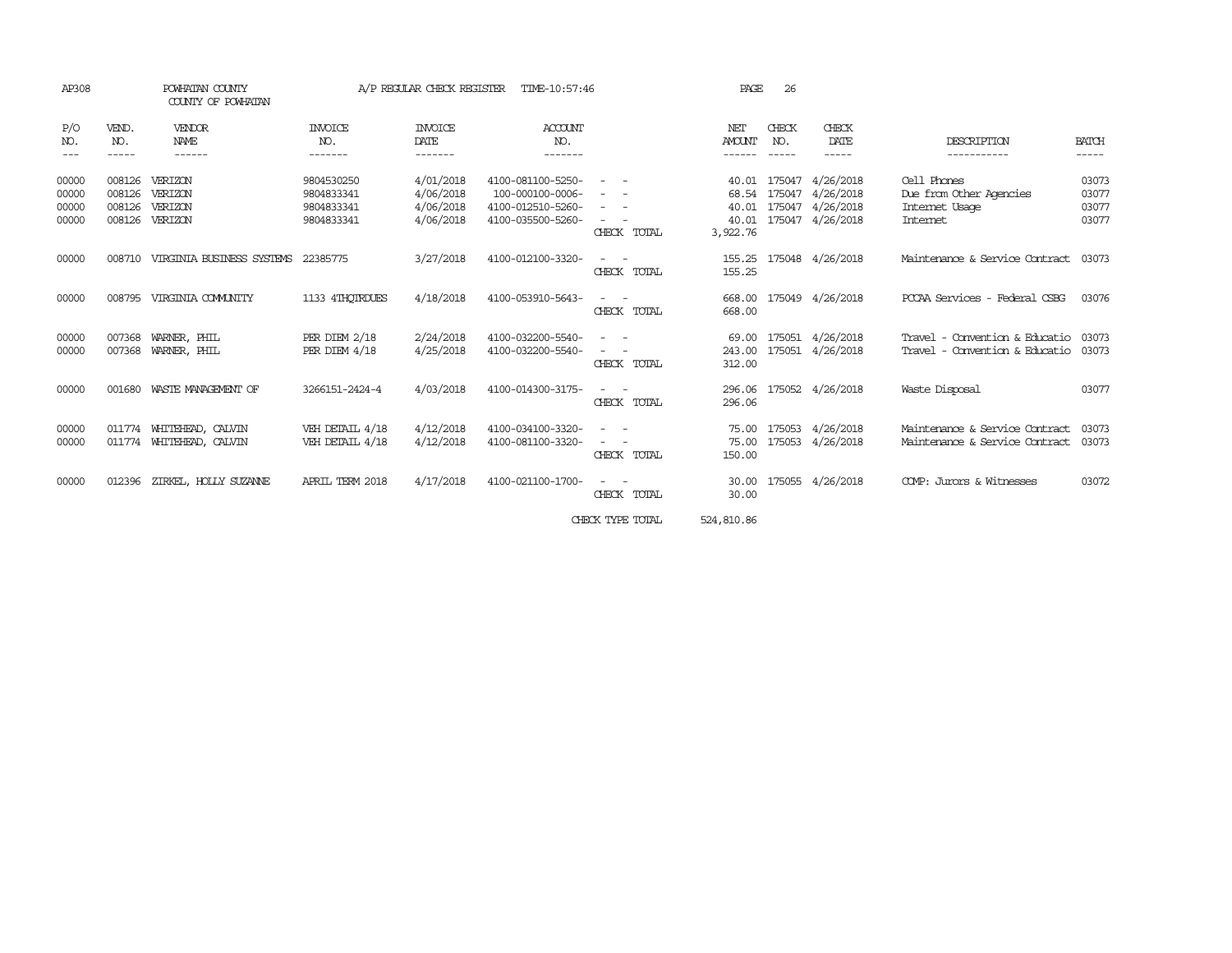| AP308                            |                                      | POWHATAN COUNTY<br>COUNTY OF POWHATAN                |                                                      | A/P REGULAR CHECK REGISTER                       | TIME-10:57:46                                                                   |                                                                                                                                     | PAGE                                         | 26                            |                                                                |                                                                             |                                  |
|----------------------------------|--------------------------------------|------------------------------------------------------|------------------------------------------------------|--------------------------------------------------|---------------------------------------------------------------------------------|-------------------------------------------------------------------------------------------------------------------------------------|----------------------------------------------|-------------------------------|----------------------------------------------------------------|-----------------------------------------------------------------------------|----------------------------------|
| P/O<br>NO.                       | VEND.<br>NO.<br>-----                | <b>VENDOR</b><br>NAME<br>------                      | INVOICE<br>NO.<br>-------                            | INVOICE<br>DATE<br>-------                       | ACCOUNT<br>NO.<br>-------                                                       |                                                                                                                                     | NET<br><b>AMOUNT</b><br>------               | CHECK<br>NO.<br>$\frac{1}{2}$ | CHECK<br>DATE<br>-----                                         | DESCRIPTION<br>-----------                                                  | <b>BATCH</b><br>-----            |
| 00000<br>00000<br>00000<br>00000 | 008126<br>008126<br>008126<br>008126 | VERIZON<br>VERIZON<br><b>VERTZON</b><br>VERIZON      | 9804530250<br>9804833341<br>9804833341<br>9804833341 | 4/01/2018<br>4/06/2018<br>4/06/2018<br>4/06/2018 | 4100-081100-5250-<br>100-000100-0006-<br>4100-012510-5260-<br>4100-035500-5260- | $\overline{\phantom{0}}$<br>$\sim$ $-$<br>$\overline{\phantom{a}}$<br>CHECK TOTAL                                                   | 40.01<br>68.54<br>40.01<br>40.01<br>3,922.76 | 175047<br>175047              | 4/26/2018<br>4/26/2018<br>175047 4/26/2018<br>175047 4/26/2018 | Cell Phones<br>Due from Other Agencies<br>Internet Usage<br><b>Internet</b> | 03073<br>03077<br>03077<br>03077 |
| 00000                            | 008710                               | VIRGINIA BUSINESS SYSTEMS                            | 22385775                                             | 3/27/2018                                        | 4100-012100-3320-                                                               | $\frac{1}{2} \left( \frac{1}{2} \right) \left( \frac{1}{2} \right) = \frac{1}{2} \left( \frac{1}{2} \right)$<br>CHECK TOTAL         | 155.25<br>155.25                             |                               | 175048 4/26/2018                                               | Maintenance & Service Contract                                              | 03073                            |
| 00000                            | 008795                               | VIRGINIA COMUNITY                                    | 1133 4THOTRDUES                                      | 4/18/2018                                        | 4100-053910-5643-                                                               | CHECK TOTAL                                                                                                                         | 668.00<br>668.00                             |                               | 175049 4/26/2018                                               | PCCAA Services - Federal CSBG                                               | 03076                            |
| 00000<br>00000                   | 007368<br>007368                     | WARNER, PHIL<br>WARNER, PHIL                         | PER DIEM 2/18<br>PER DIEM 4/18                       | 2/24/2018<br>4/25/2018                           | 4100-032200-5540-<br>4100-032200-5540-                                          | CHECK TOTAL                                                                                                                         | 69.00<br>243.00<br>312.00                    |                               | 175051 4/26/2018<br>175051 4/26/2018                           | Travel - Convention & Educatio<br>Travel - Convention & Educatio            | 03073<br>03073                   |
| 00000                            | 001680                               | WASTE MANAGEMENT OF                                  | 3266151-2424-4                                       | 4/03/2018                                        | 4100-014300-3175-                                                               | CHECK TOTAL                                                                                                                         | 296.06<br>296.06                             |                               | 175052 4/26/2018                                               | Waste Disposal                                                              | 03077                            |
| 00000<br>00000                   |                                      | 011774 WHITEHEAD, CALVIN<br>011774 WHITEHEAD, CALVIN | VEH DETAIL 4/18<br>VEH DETAIL 4/18                   | 4/12/2018<br>4/12/2018                           | 4100-034100-3320-<br>4100-081100-3320-                                          | $ -$<br>$\frac{1}{2} \left( \frac{1}{2} \right) \left( \frac{1}{2} \right) = \frac{1}{2} \left( \frac{1}{2} \right)$<br>CHECK TOTAL | 75.00<br>75.00<br>150.00                     | 175053<br>175053              | 4/26/2018<br>4/26/2018                                         | Maintenance & Service Contract<br>Maintenance & Service Contract            | 03073<br>03073                   |
| 00000                            | 012396                               | ZIRKEL, HOLLY SUZANNE                                | APRIL TERM 2018                                      | 4/17/2018                                        | 4100-021100-1700-                                                               | CHECK<br>TOTAL                                                                                                                      | 30.00<br>30.00                               |                               | 175055 4/26/2018                                               | COMP: Jurors & Witnesses                                                    | 03072                            |
|                                  |                                      |                                                      |                                                      |                                                  |                                                                                 |                                                                                                                                     |                                              |                               |                                                                |                                                                             |                                  |

CHECK TYPE TOTAL 524,810.86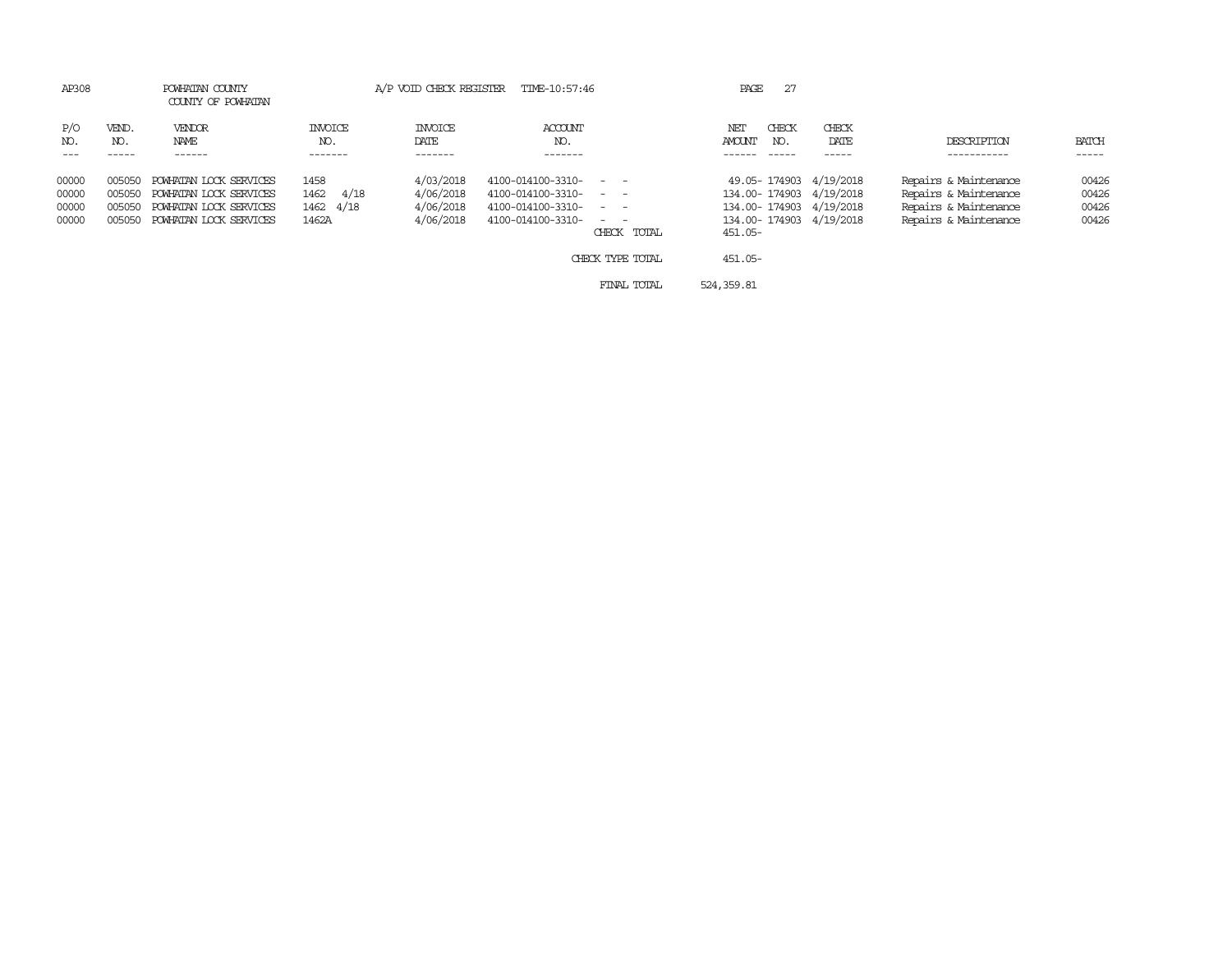| AP308                                                                    | POWHATAN COUNTY<br>COUNTY OF POWHATAN                                                                |                                            |                                                  | A/P VOID CHECK REGISTER TIME-10:57:46                                                                                                           | 27<br>PAGE                                                                                                         |                                                                                                  |                                  |
|--------------------------------------------------------------------------|------------------------------------------------------------------------------------------------------|--------------------------------------------|--------------------------------------------------|-------------------------------------------------------------------------------------------------------------------------------------------------|--------------------------------------------------------------------------------------------------------------------|--------------------------------------------------------------------------------------------------|----------------------------------|
| P/O<br>VEND.<br>NO.<br>NO.                                               | <b>VENDOR</b><br>NAME<br>------                                                                      | INVOICE<br>NO.<br>-------                  | <b>INVOICE</b><br>DATE<br>-------                | ACCOUNT<br>NO.<br>-------                                                                                                                       | CHECK<br>CHECK<br>NET<br>AMOUNT<br>DATE<br>NO.<br>-----                                                            | DESCRIPTION<br>----------                                                                        | BATCH<br>-----                   |
| 00000<br>005050<br>00000<br>005050<br>00000<br>005050<br>00000<br>005050 | POWHATAN LOCK SERVICES<br>POWHATAN LOCK SERVICES<br>POWHATAN LOCK SERVICES<br>POWHATAN LOCK SERVICES | 1458<br>4/18<br>1462<br>1462 4/18<br>1462A | 4/03/2018<br>4/06/2018<br>4/06/2018<br>4/06/2018 | 4100-014100-3310- - -<br>4100-014100-3310- - -<br>4100-014100-3310-<br>$\sim$ $\sim$<br>4100-014100-3310-<br>$\sim$ $ \sim$ $ -$<br>CHECK TOTAL | 49.05-174903 4/19/2018<br>134.00-174903 4/19/2018<br>134.00-174903 4/19/2018<br>134.00-174903 4/19/2018<br>451.05- | Repairs & Maintenance<br>Repairs & Maintenance<br>Repairs & Maintenance<br>Repairs & Maintenance | 00426<br>00426<br>00426<br>00426 |
|                                                                          |                                                                                                      |                                            |                                                  | CHECK TYPE TOTAL                                                                                                                                | 451.05-                                                                                                            |                                                                                                  |                                  |
|                                                                          |                                                                                                      |                                            |                                                  | FINAL TOTAL                                                                                                                                     | 524, 359.81                                                                                                        |                                                                                                  |                                  |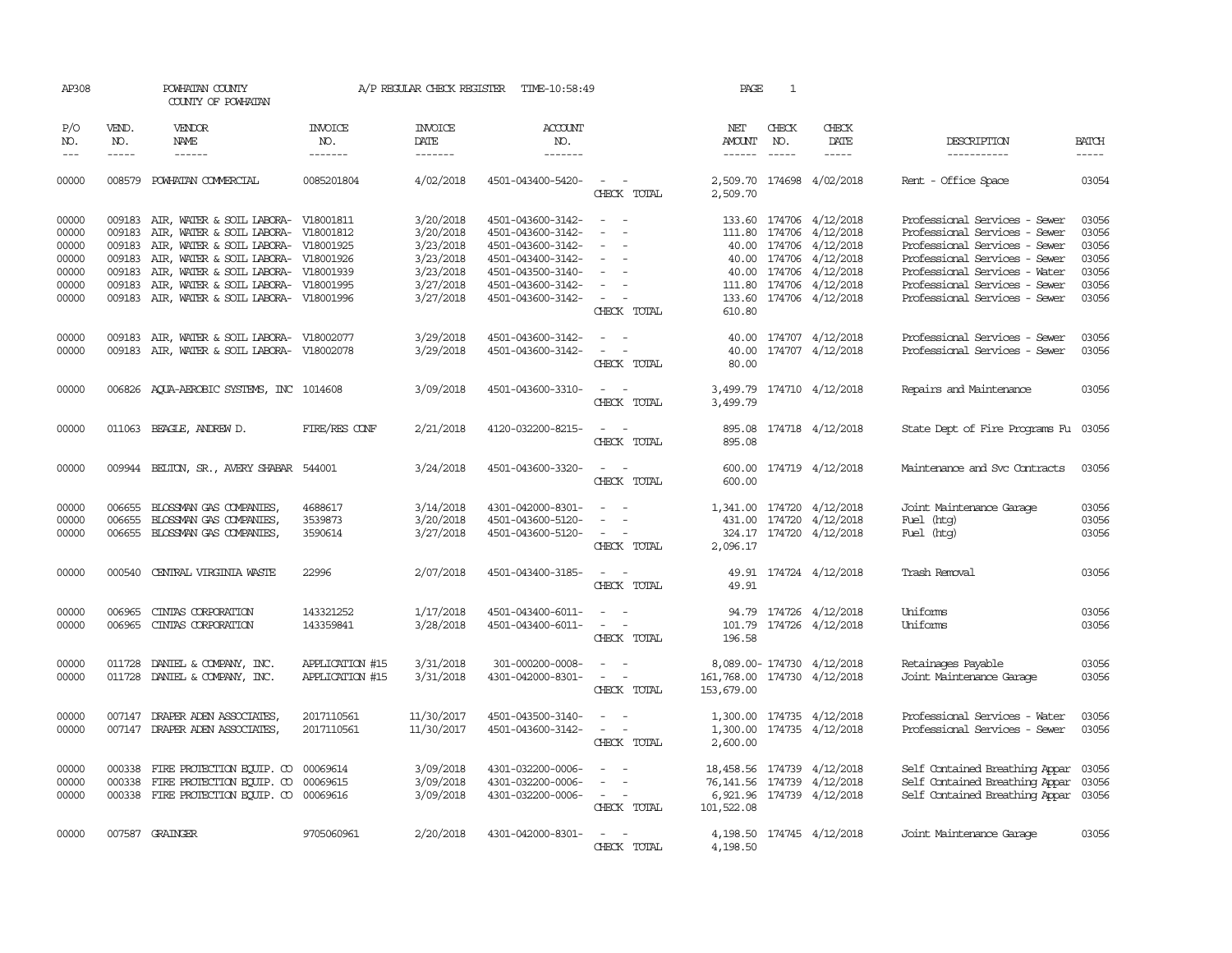| AP308                                                       |                                                                    | POWHATAN COUNTY<br>COUNTY OF POWHATAN                                                                                                                                                                                                                               |                                    | A/P REGULAR CHECK REGISTER                                                              | TIME-10:58:49                                                                                                                                   |                                                                                                                                          | PAGE                                                                    | 1                             |                                                                                                                                                                                        |                                                                                                                                                                                                                                     |                                                             |
|-------------------------------------------------------------|--------------------------------------------------------------------|---------------------------------------------------------------------------------------------------------------------------------------------------------------------------------------------------------------------------------------------------------------------|------------------------------------|-----------------------------------------------------------------------------------------|-------------------------------------------------------------------------------------------------------------------------------------------------|------------------------------------------------------------------------------------------------------------------------------------------|-------------------------------------------------------------------------|-------------------------------|----------------------------------------------------------------------------------------------------------------------------------------------------------------------------------------|-------------------------------------------------------------------------------------------------------------------------------------------------------------------------------------------------------------------------------------|-------------------------------------------------------------|
| P/O<br>NO.<br>$\frac{1}{2}$                                 | VEND.<br>NO.<br>$\frac{1}{2}$                                      | <b>VENDOR</b><br><b>NAME</b><br>$- - - - - -$                                                                                                                                                                                                                       | <b>INVOICE</b><br>NO.<br>-------   | <b>INVOICE</b><br>DATE<br>-------                                                       | <b>ACCOUNT</b><br>NO.<br>-------                                                                                                                |                                                                                                                                          | NET<br>AMOUNT<br>$- - - - - -$                                          | CHECK<br>NO.<br>$\frac{1}{2}$ | CHECK<br>DATE                                                                                                                                                                          | DESCRIPTION<br>-----------                                                                                                                                                                                                          | <b>BATCH</b><br>-----                                       |
| 00000                                                       |                                                                    | 008579 POWHATAN COMMERCIAL                                                                                                                                                                                                                                          | 0085201804                         | 4/02/2018                                                                               | 4501-043400-5420-                                                                                                                               | $\sim$ $ -$<br>CHECK TOTAL                                                                                                               | 2,509.70                                                                |                               | 2,509.70 174698 4/02/2018                                                                                                                                                              | Rent - Office Space                                                                                                                                                                                                                 | 03054                                                       |
| 00000<br>00000<br>00000<br>00000<br>00000<br>00000<br>00000 | 009183<br>009183<br>009183<br>009183<br>009183<br>009183<br>009183 | AIR, WATER & SOIL LABORA-<br>AIR, WATER & SOIL LABORA- V18001812<br>AIR, WATER & SOIL LABORA- V18001925<br>AIR, WATER & SOIL LABORA- V18001926<br>AIR, WATER & SOIL LABORA- V18001939<br>AIR, WATER & SOIL LABORA- V18001995<br>AIR, WATER & SOIL LABORA- V18001996 | V18001811                          | 3/20/2018<br>3/20/2018<br>3/23/2018<br>3/23/2018<br>3/23/2018<br>3/27/2018<br>3/27/2018 | 4501-043600-3142-<br>4501-043600-3142-<br>4501-043600-3142-<br>4501-043400-3142-<br>4501-043500-3140-<br>4501-043600-3142-<br>4501-043600-3142- | $\overline{\phantom{a}}$<br>$\equiv$<br>$\equiv$<br>$\overline{\phantom{a}}$<br>$\sim$<br>$\sim$<br>CHECK TOTAL                          | 610.80                                                                  |                               | 133.60 174706 4/12/2018<br>111.80 174706 4/12/2018<br>40.00 174706 4/12/2018<br>40.00 174706 4/12/2018<br>40.00 174706 4/12/2018<br>111.80 174706 4/12/2018<br>133.60 174706 4/12/2018 | Professional Services - Sewer<br>Professional Services - Sewer<br>Professional Services - Sewer<br>Professional Services - Sewer<br>Professional Services - Water<br>Professional Services - Sewer<br>Professional Services - Sewer | 03056<br>03056<br>03056<br>03056<br>03056<br>03056<br>03056 |
| 00000<br>00000                                              | 009183                                                             | AIR, WATER & SOIL LABORA- V18002077<br>009183 AIR, WATER & SOIL LABORA- V18002078                                                                                                                                                                                   |                                    | 3/29/2018<br>3/29/2018                                                                  | 4501-043600-3142-<br>4501-043600-3142-                                                                                                          | $\sim$ $-$<br>$\sim$ $-$<br>CHECK TOTAL                                                                                                  | 40.00<br>40.00<br>80.00                                                 |                               | 174707 4/12/2018<br>174707 4/12/2018                                                                                                                                                   | Professional Services - Sewer<br>Professional Services - Sewer                                                                                                                                                                      | 03056<br>03056                                              |
| 00000                                                       |                                                                    | 006826 AQUA-AEROBIC SYSTEMS, INC 1014608                                                                                                                                                                                                                            |                                    | 3/09/2018                                                                               | 4501-043600-3310-                                                                                                                               | $\sim$ $\sim$<br>CHECK TOTAL                                                                                                             | 3,499.79                                                                |                               | 3,499.79 174710 4/12/2018                                                                                                                                                              | Repairs and Maintenance                                                                                                                                                                                                             | 03056                                                       |
| 00000                                                       |                                                                    | 011063 BEAGLE, ANDREW D.                                                                                                                                                                                                                                            | FIRE/RES CONF                      | 2/21/2018                                                                               | 4120-032200-8215-                                                                                                                               | $\sim$ $\sim$<br>CHECK TOTAL                                                                                                             | 895.08                                                                  |                               | 895.08 174718 4/12/2018                                                                                                                                                                | State Dept of Fire Programs Fu 03056                                                                                                                                                                                                |                                                             |
| 00000                                                       |                                                                    | 009944 BELTON, SR., AVERY SHABAR 544001                                                                                                                                                                                                                             |                                    | 3/24/2018                                                                               | 4501-043600-3320-                                                                                                                               | $\sim$ $ -$<br>CHECK TOTAL                                                                                                               | 600.00                                                                  |                               | 600.00 174719 4/12/2018                                                                                                                                                                | Maintenance and Svc Contracts                                                                                                                                                                                                       | 03056                                                       |
| 00000<br>00000<br>00000                                     | 006655<br>006655                                                   | BLOSSMAN GAS COMPANIES,<br>BLOSSMAN GAS COMPANIES,<br>006655 BLOSSMAN GAS COMPANIES,                                                                                                                                                                                | 4688617<br>3539873<br>3590614      | 3/14/2018<br>3/20/2018<br>3/27/2018                                                     | 4301-042000-8301-<br>4501-043600-5120-<br>4501-043600-5120-                                                                                     | $\overline{\phantom{a}}$<br>$\overline{\phantom{a}}$<br>$\omega_{\rm{max}}$ and $\omega_{\rm{max}}$<br>CHECK TOTAL                       | 2,096.17                                                                |                               | 1,341.00 174720 4/12/2018<br>431.00 174720 4/12/2018<br>324.17 174720 4/12/2018                                                                                                        | Joint Maintenance Garage<br>Fuel (htg)<br>Fuel (htg)                                                                                                                                                                                | 03056<br>03056<br>03056                                     |
| 00000                                                       |                                                                    | 000540 CENTRAL VIRGINIA WASTE                                                                                                                                                                                                                                       | 22996                              | 2/07/2018                                                                               | 4501-043400-3185-                                                                                                                               | $\sim$ $\sim$<br>CHECK TOTAL                                                                                                             | 49.91                                                                   |                               | 49.91 174724 4/12/2018                                                                                                                                                                 | Trash Removal                                                                                                                                                                                                                       | 03056                                                       |
| 00000<br>00000                                              | 006965<br>006965                                                   | CINIAS CORPORATION<br>CINIAS CORPORATION                                                                                                                                                                                                                            | 143321252<br>143359841             | 1/17/2018<br>3/28/2018                                                                  | 4501-043400-6011-<br>4501-043400-6011-                                                                                                          | $\frac{1}{2} \left( \frac{1}{2} \right) \left( \frac{1}{2} \right) \left( \frac{1}{2} \right) \left( \frac{1}{2} \right)$<br>CHECK TOTAL | 196.58                                                                  |                               | 94.79 174726 4/12/2018<br>101.79 174726 4/12/2018                                                                                                                                      | Uniforms<br>Uniforms                                                                                                                                                                                                                | 03056<br>03056                                              |
| 00000<br>00000                                              | 011728                                                             | DANIEL & COMPANY, INC.<br>011728 DANIEL & COMPANY, INC.                                                                                                                                                                                                             | APPLICATION #15<br>APPLICATION #15 | 3/31/2018<br>3/31/2018                                                                  | 301-000200-0008-<br>4301-042000-8301-                                                                                                           | $\omega_{\rm{max}}$ and $\omega_{\rm{max}}$<br>CHECK TOTAL                                                                               | 161,768.00 174730 4/12/2018<br>153,679.00                               |                               | 8,089.00-174730 4/12/2018                                                                                                                                                              | Retainages Payable<br>Joint Maintenance Garage                                                                                                                                                                                      | 03056<br>03056                                              |
| 00000<br>00000                                              |                                                                    | 007147 DRAPER ADEN ASSOCIATES,<br>007147 DRAPER ADEN ASSOCIATES,                                                                                                                                                                                                    | 2017110561<br>2017110561           | 11/30/2017<br>11/30/2017                                                                | 4501-043500-3140-<br>4501-043600-3142-                                                                                                          | $\sim$<br>$\frac{1}{2} \left( \frac{1}{2} \right) \left( \frac{1}{2} \right) = \frac{1}{2} \left( \frac{1}{2} \right)$<br>CHECK TOTAL    | 2,600.00                                                                |                               | 1,300.00 174735 4/12/2018<br>1,300.00 174735 4/12/2018                                                                                                                                 | Professional Services - Water<br>Professional Services - Sewer                                                                                                                                                                      | 03056<br>03056                                              |
| 00000<br>00000<br>00000                                     | 000338<br>000338                                                   | FIRE PROTECTION EQUIP. CO<br>FIRE PROTECTION EQUIP. CO<br>000338 FIRE PROTECTION EQUIP. CO 00069616                                                                                                                                                                 | 00069614<br>00069615               | 3/09/2018<br>3/09/2018<br>3/09/2018                                                     | 4301-032200-0006-<br>4301-032200-0006-<br>4301-032200-0006-                                                                                     | $\sim$ $-$<br>$\sim$ $-$<br>$\overline{\phantom{a}}$<br>CHECK TOTAL                                                                      | 18,458.56 174739 4/12/2018<br>76, 141.56 174739 4/12/2018<br>101,522.08 |                               | 6,921.96 174739 4/12/2018                                                                                                                                                              | Self Contained Breathing Appar<br>Self Contained Breathing Appar<br>Self Contained Breathing Appar 03056                                                                                                                            | 03056<br>03056                                              |
| 00000                                                       |                                                                    | 007587 GRAINGER                                                                                                                                                                                                                                                     | 9705060961                         | 2/20/2018                                                                               | 4301-042000-8301-                                                                                                                               | $\sim$ 100 $\sim$<br>CHECK TOTAL                                                                                                         | 4,198.50                                                                |                               | 4, 198.50 174745 4/12/2018                                                                                                                                                             | Joint Maintenance Garage                                                                                                                                                                                                            | 03056                                                       |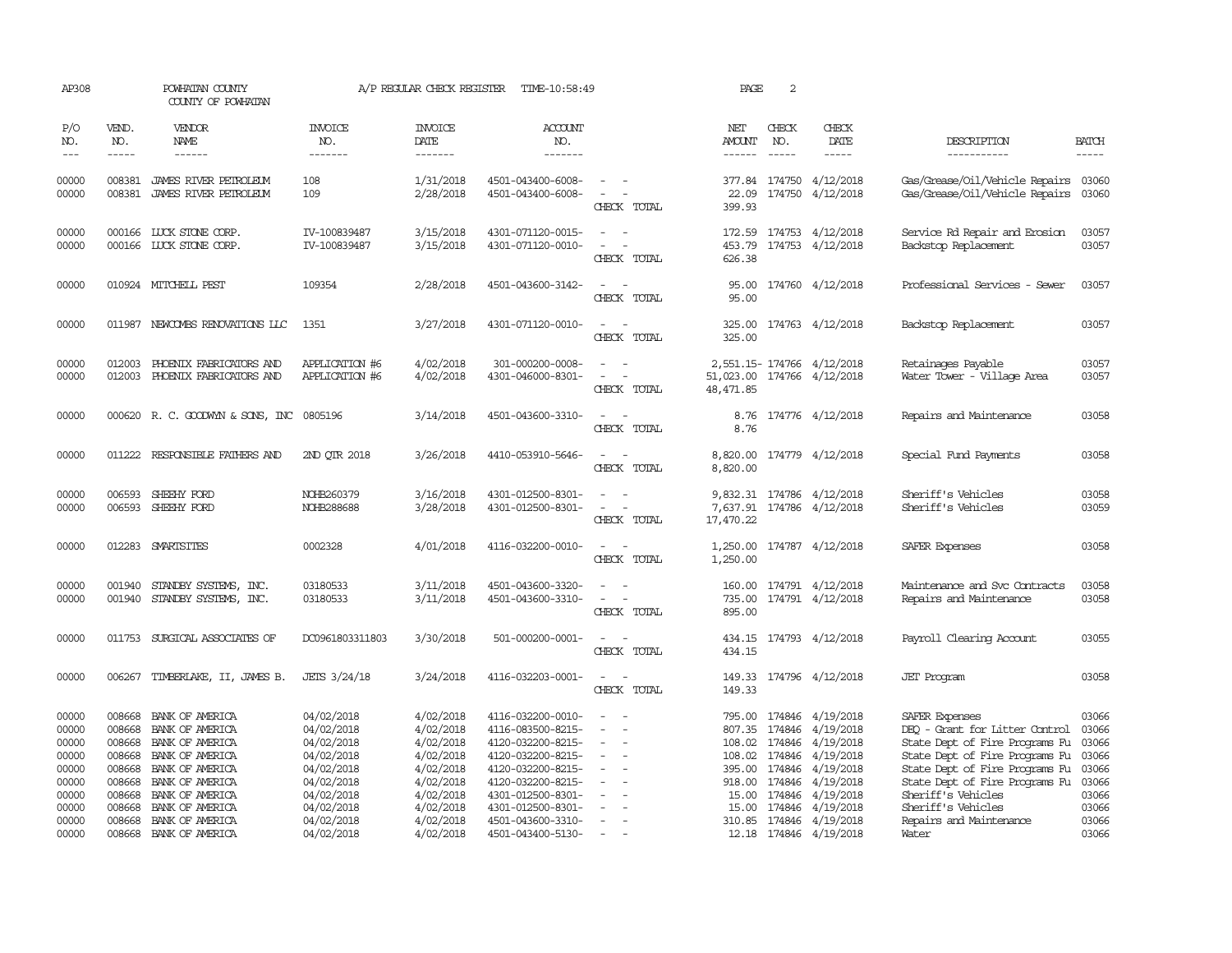| AP308                            |                                      | POWHATAN COUNTY<br>COUNTY OF POWHATAN                                    |                                                      | A/P REGULAR CHECK REGISTER                       | TIME-10:58:49                                                                    |                                                                                 | PAGE                    | 2                              |                                                                       |                                                                                                                          |                                  |
|----------------------------------|--------------------------------------|--------------------------------------------------------------------------|------------------------------------------------------|--------------------------------------------------|----------------------------------------------------------------------------------|---------------------------------------------------------------------------------|-------------------------|--------------------------------|-----------------------------------------------------------------------|--------------------------------------------------------------------------------------------------------------------------|----------------------------------|
| P/O<br>NO.<br>$- - -$            | VEND.<br>NO.<br>$- - - - -$          | <b>VENDOR</b><br>NAME<br>$- - - - - -$                                   | <b>INVOICE</b><br>NO.<br>-------                     | <b>INVOICE</b><br>DATE<br>-------                | ACCOUNT<br>NO.<br>$- - - - - - -$                                                |                                                                                 | NET<br>AMOUNT<br>------ | CHECK<br>NO.<br>$- - - - -$    | CHECK<br>DATE<br>$\frac{1}{2}$                                        | DESCRIPTION<br>-----------                                                                                               | <b>BATCH</b><br>$- - - - -$      |
| 00000<br>00000                   | 008381                               | JAMES RIVER PETROLEUM<br>008381 JAMES RIVER PETROLEUM                    | 108<br>109                                           | 1/31/2018<br>2/28/2018                           | 4501-043400-6008-<br>4501-043400-6008-                                           | $\overline{\phantom{a}}$<br>$\overline{\phantom{a}}$<br>CHECK TOTAL             | 22.09<br>399.93         |                                | 377.84 174750 4/12/2018<br>174750 4/12/2018                           | Gas/Grease/Oil/Vehicle Repairs 03060<br>Gas/Grease/Oil/Vehicle Repairs 03060                                             |                                  |
| 00000<br>00000                   |                                      | 000166 LUCK STONE CORP.<br>000166 LUCK STONE CORP.                       | IV-100839487<br>IV-100839487                         | 3/15/2018<br>3/15/2018                           | 4301-071120-0015-<br>4301-071120-0010-                                           | CHECK TOTAL                                                                     | 172.59<br>626.38        |                                | 174753 4/12/2018<br>453.79 174753 4/12/2018                           | Service Rd Repair and Enosion<br>Backstop Replacement                                                                    | 03057<br>03057                   |
| 00000                            |                                      | 010924 MITCHELL PEST                                                     | 109354                                               | 2/28/2018                                        | 4501-043600-3142-                                                                | CHECK TOTAL                                                                     | 95.00<br>95.00          |                                | 174760 4/12/2018                                                      | Professional Services - Sewer                                                                                            | 03057                            |
| 00000                            |                                      | 011987 NEWCOMBS RENOVATIONS LLC                                          | 1351                                                 | 3/27/2018                                        | 4301-071120-0010-                                                                | $\sim$<br>$\sim$<br>CHECK TOTAL                                                 | 325.00<br>325.00        |                                | 174763 4/12/2018                                                      | Backstop Replacement                                                                                                     | 03057                            |
| 00000<br>00000                   | 012003                               | PHOENIX FABRICATORS AND<br>012003 PHOENIX FABRICATORS AND                | <b>APPLICATION #6</b><br>APPLICATION #6              | 4/02/2018<br>4/02/2018                           | 301-000200-0008-<br>4301-046000-8301-                                            | $\omega_{\rm{max}}$ and $\omega_{\rm{max}}$<br>$\sim$ 100 $\sim$<br>CHECK TOTAL | 48,471.85               |                                | 2,551.15-174766 4/12/2018<br>51,023.00 174766 4/12/2018               | Retainages Payable<br>Water Tower - Village Area                                                                         | 03057<br>03057                   |
| 00000                            |                                      | 000620 R. C. GOODWYN & SONS, INC 0805196                                 |                                                      | 3/14/2018                                        | 4501-043600-3310-                                                                | $\overline{\phantom{a}}$<br>CHECK TOTAL                                         | 8.76<br>8.76            |                                | 174776 4/12/2018                                                      | Repairs and Maintenance                                                                                                  | 03058                            |
| 00000                            | 011222                               | RESPONSIBLE FAIHERS AND                                                  | 2ND QTR 2018                                         | 3/26/2018                                        | 4410-053910-5646-                                                                | $\sim$<br>$\sim$<br>CHECK TOTAL                                                 | 8,820.00<br>8,820.00    |                                | 174779 4/12/2018                                                      | Special Fund Payments                                                                                                    | 03058                            |
| 00000<br>00000                   | 006593<br>006593                     | SHEEHY FORD<br>SHEEHY FORD                                               | NOHB260379<br>NOHB288688                             | 3/16/2018<br>3/28/2018                           | 4301-012500-8301-<br>4301-012500-8301-                                           | CHECK TOTAL                                                                     | 17,470.22               |                                | 9,832.31 174786 4/12/2018<br>7,637.91 174786 4/12/2018                | Sheriff's Vehicles<br>Sheriff's Vehicles                                                                                 | 03058<br>03059                   |
| 00000                            |                                      | 012283 SMARTSITES                                                        | 0002328                                              | 4/01/2018                                        | 4116-032200-0010-                                                                | $\overline{\phantom{a}}$<br>CHECK TOTAL                                         | 1,250.00<br>1,250.00    |                                | 174787 4/12/2018                                                      | SAFER Expenses                                                                                                           | 03058                            |
| 00000<br>00000                   | 001940                               | STANDBY SYSTEMS, INC.<br>001940 STANDBY SYSTEMS, INC.                    | 03180533<br>03180533                                 | 3/11/2018<br>3/11/2018                           | 4501-043600-3320-<br>4501-043600-3310-                                           | $\overline{\phantom{a}}$<br>$\sim$<br>$\sim$ 100 $\sim$<br>CHECK TOTAL          | 895.00                  |                                | 160.00 174791 4/12/2018<br>735.00 174791 4/12/2018                    | Maintenance and Svc Contracts<br>Repairs and Maintenance                                                                 | 03058<br>03058                   |
| 00000                            | 011753                               | SURGICAL ASSOCIATES OF                                                   | DC0961803311803                                      | 3/30/2018                                        | 501-000200-0001-                                                                 | $\overline{\phantom{a}}$<br>$\sim$<br>CHECK TOTAL                               | 434.15<br>434.15        |                                | 174793 4/12/2018                                                      | Payroll Clearing Account                                                                                                 | 03055                            |
| 00000                            |                                      | 006267 TIMBERLAKE, II, JAMES B.                                          | JETS 3/24/18                                         | 3/24/2018                                        | 4116-032203-0001-                                                                | $\sim$<br>CHECK TOTAL                                                           | 149.33<br>149.33        |                                | 174796 4/12/2018                                                      | <b>JET</b> Program                                                                                                       | 03058                            |
| 00000<br>00000<br>00000<br>00000 | 008668<br>008668<br>008668<br>008668 | BANK OF AMERICA<br>BANK OF AMERICA<br>BANK OF AMERICA<br>BANK OF AMERICA | 04/02/2018<br>04/02/2018<br>04/02/2018               | 4/02/2018<br>4/02/2018<br>4/02/2018<br>4/02/2018 | 4116-032200-0010-<br>4116-083500-8215-<br>4120-032200-8215-                      | $\sim$<br>$\overline{\phantom{a}}$<br>$\overline{\phantom{a}}$                  |                         | 108.02 174846                  | 795.00 174846 4/19/2018<br>807.35 174846 4/19/2018<br>4/19/2018       | SAFER Expenses<br>DEO - Grant for Litter Control<br>State Dept of Fire Programs Fu                                       | 03066<br>03066<br>03066<br>03066 |
| 00000<br>00000<br>00000          | 008668<br>008668<br>008668           | BANK OF AMERICA<br>BANK OF AMERICA<br>BANK OF AMERICA                    | 04/02/2018<br>04/02/2018<br>04/02/2018<br>04/02/2018 | 4/02/2018<br>4/02/2018<br>4/02/2018              | 4120-032200-8215-<br>4120-032200-8215-<br>4120-032200-8215-<br>4301-012500-8301- |                                                                                 | 15.00                   | 395.00 174846<br>918.00 174846 | 108.02 174846 4/19/2018<br>4/19/2018<br>4/19/2018<br>174846 4/19/2018 | State Dept of Fire Programs Fu<br>State Dept of Fire Programs Fu<br>State Dept of Fire Programs Fu<br>Sheriff's Vehicles | 03066<br>03066<br>03066          |
| 00000<br>00000<br>00000          | 008668<br>008668                     | BANK OF AMERICA<br>BANK OF AMERICA<br>008668 BANK OF AMERICA             | 04/02/2018<br>04/02/2018<br>04/02/2018               | 4/02/2018<br>4/02/2018<br>4/02/2018              | 4301-012500-8301-<br>4501-043600-3310-<br>4501-043400-5130-                      | $\sim$                                                                          | 15.00                   |                                | 174846 4/19/2018<br>310.85 174846 4/19/2018<br>12.18 174846 4/19/2018 | Sheriff's Vehicles<br>Repairs and Maintenance<br>Water                                                                   | 03066<br>03066<br>03066          |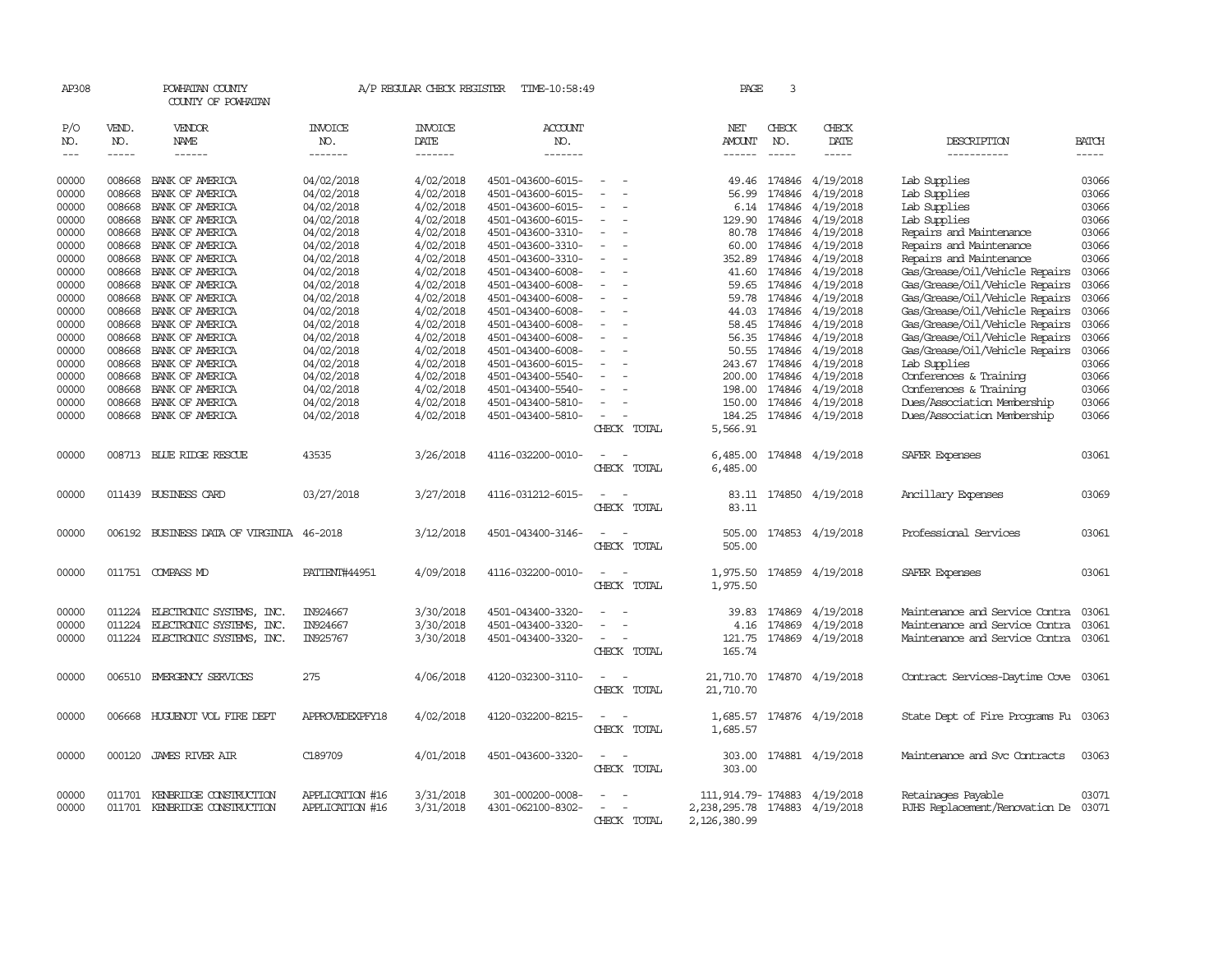| AP308               |                             | POWHATAN COUNTY<br>COUNTY OF POWHATAN    |                                  | A/P REGULAR CHECK REGISTER        | TIME-10:58:49                    |                          | PAGE                    | 3            |                           |                                      |              |
|---------------------|-----------------------------|------------------------------------------|----------------------------------|-----------------------------------|----------------------------------|--------------------------|-------------------------|--------------|---------------------------|--------------------------------------|--------------|
| P/O<br>NO.<br>$---$ | VEND.<br>NO.<br>$- - - - -$ | VENDOR<br>NAME<br>$- - - - - -$          | <b>INVOICE</b><br>NO.<br>------- | <b>INVOICE</b><br>DATE<br>------- | <b>ACCOUNT</b><br>NO.<br>------- |                          | NET<br>AMOUNT<br>------ | CHECK<br>NO. | CHECK<br>DATE<br>-----    | DESCRIPTION<br>-----------           | <b>BATCH</b> |
| 00000               | 008668                      | BANK OF AMERICA                          | 04/02/2018                       | 4/02/2018                         | 4501-043600-6015-                |                          | 49.46                   | 174846       | 4/19/2018                 | Lab Supplies                         | 03066        |
| 00000               | 008668                      | BANK OF AMERICA                          | 04/02/2018                       | 4/02/2018                         | 4501-043600-6015-                |                          | 56.99                   | 174846       | 4/19/2018                 | Lab Supplies                         | 03066        |
| 00000               | 008668                      | BANK OF AMERICA                          | 04/02/2018                       | 4/02/2018                         | 4501-043600-6015-                |                          | 6.14                    | 174846       | 4/19/2018                 | Lab Supplies                         | 03066        |
| 00000               | 008668                      | BANK OF AMERICA                          | 04/02/2018                       | 4/02/2018                         | 4501-043600-6015-                |                          | 129.90                  | 174846       | 4/19/2018                 | Lab Supplies                         | 03066        |
| 00000               | 008668                      | BANK OF AMERICA                          | 04/02/2018                       | 4/02/2018                         | 4501-043600-3310-                |                          | 80.78                   | 174846       | 4/19/2018                 | Repairs and Maintenance              | 03066        |
| 00000               | 008668                      | BANK OF AMERICA                          | 04/02/2018                       | 4/02/2018                         | 4501-043600-3310-                | $\equiv$                 | 60.00                   | 174846       | 4/19/2018                 | Repairs and Maintenance              | 03066        |
| 00000               | 008668                      | BANK OF AMERICA                          | 04/02/2018                       | 4/02/2018                         | 4501-043600-3310-                |                          | 352.89                  | 174846       | 4/19/2018                 | Repairs and Maintenance              | 03066        |
| 00000               | 008668                      | BANK OF AMERICA                          | 04/02/2018                       | 4/02/2018                         | 4501-043400-6008-                |                          | 41.60                   | 174846       | 4/19/2018                 | Gas/Grease/Oil/Vehicle Repairs       | 03066        |
| 00000               | 008668                      | BANK OF AMERICA                          | 04/02/2018                       | 4/02/2018                         | 4501-043400-6008-                | $\equiv$                 | 59.65                   | 174846       | 4/19/2018                 | Gas/Grease/Oil/Vehicle Repairs       | 03066        |
| 00000               | 008668                      | BANK OF AMERICA                          | 04/02/2018                       | 4/02/2018                         | 4501-043400-6008-                |                          | 59.78                   | 174846       | 4/19/2018                 | Gas/Grease/Oil/Vehicle Repairs       | 03066        |
| 00000               | 008668                      | BANK OF AMERICA                          | 04/02/2018                       | 4/02/2018                         | 4501-043400-6008-                |                          | 44.03                   | 174846       | 4/19/2018                 | Gas/Grease/Oil/Vehicle Repairs       | 03066        |
| 00000               | 008668                      | BANK OF AMERICA                          | 04/02/2018                       | 4/02/2018                         | 4501-043400-6008-                |                          | 58.45                   | 174846       | 4/19/2018                 | Gas/Grease/Oil/Vehicle Repairs       | 03066        |
| 00000               | 008668                      | BANK OF AMERICA                          | 04/02/2018                       | 4/02/2018                         | 4501-043400-6008-                |                          | 56.35                   | 174846       | 4/19/2018                 | Gas/Grease/Oil/Vehicle Repairs       | 03066        |
| 00000               | 008668                      | BANK OF AMERICA                          | 04/02/2018                       | 4/02/2018                         | 4501-043400-6008-                |                          | 50.55                   | 174846       | 4/19/2018                 | Gas/Grease/Oil/Vehicle Repairs       | 03066        |
| 00000               | 008668                      | BANK OF AMERICA                          | 04/02/2018                       | 4/02/2018                         | 4501-043600-6015-                |                          | 243.67                  | 174846       | 4/19/2018                 | Lab Supplies                         | 03066        |
| 00000               | 008668                      | BANK OF AMERICA                          | 04/02/2018                       | 4/02/2018                         | 4501-043400-5540-                |                          | 200.00                  | 174846       | 4/19/2018                 | Conferences & Training               | 03066        |
| 00000               | 008668                      | BANK OF AMERICA                          | 04/02/2018                       | 4/02/2018                         | 4501-043400-5540-                |                          | 198.00                  | 174846       | 4/19/2018                 | Conferences & Training               | 03066        |
| 00000               | 008668                      | BANK OF AMERICA                          | 04/02/2018                       | 4/02/2018                         | 4501-043400-5810-                |                          | 150.00                  | 174846       | 4/19/2018                 | Dues/Association Membership          | 03066        |
| 00000               | 008668                      | BANK OF AMERICA                          | 04/02/2018                       | 4/02/2018                         | 4501-043400-5810-                | $\sim$                   | 184.25                  | 174846       | 4/19/2018                 | Dues/Association Membership          | 03066        |
|                     |                             |                                          |                                  |                                   |                                  | CHECK TOTAL              | 5,566.91                |              |                           |                                      |              |
| 00000               |                             | 008713 BLUE RIDGE RESCUE                 | 43535                            | 3/26/2018                         | 4116-032200-0010-                |                          | 6,485.00                |              | 174848 4/19/2018          | SAFER Expenses                       | 03061        |
|                     |                             |                                          |                                  |                                   |                                  | CHECK<br>TOTAL           | 6,485.00                |              |                           |                                      |              |
|                     |                             |                                          |                                  |                                   |                                  |                          |                         |              |                           |                                      |              |
| 00000               |                             | 011439 BUSINESS CARD                     | 03/27/2018                       | 3/27/2018                         | 4116-031212-6015-                |                          | 83.11                   |              | 174850 4/19/2018          | Ancillary Expenses                   | 03069        |
|                     |                             |                                          |                                  |                                   |                                  | CHECK TOTAL              | 83.11                   |              |                           |                                      |              |
|                     |                             |                                          |                                  |                                   |                                  |                          |                         |              |                           |                                      |              |
| 00000               |                             | 006192 BUSINESS DATA OF VIRGINIA 46-2018 |                                  | 3/12/2018                         | 4501-043400-3146-                |                          | 505.00                  |              | 174853 4/19/2018          | Professional Services                | 03061        |
|                     |                             |                                          |                                  |                                   |                                  | CHECK TOTAL              | 505.00                  |              |                           |                                      |              |
| 00000               |                             | 011751 COMPASS MD                        | PATIENT#44951                    | 4/09/2018                         | 4116-032200-0010-                | $\sim$                   |                         |              | 1,975.50 174859 4/19/2018 | SAFER Expenses                       | 03061        |
|                     |                             |                                          |                                  |                                   |                                  | CHECK TOTAL              | 1,975.50                |              |                           |                                      |              |
|                     |                             |                                          |                                  |                                   |                                  |                          |                         |              |                           |                                      |              |
| 00000               | 011224                      | ELECTRONIC SYSTEMS, INC.                 | IN924667                         | 3/30/2018                         | 4501-043400-3320-                |                          | 39.83                   | 174869       | 4/19/2018                 | Maintenance and Service Contra       | 03061        |
| 00000               | 011224                      | ELECTRONIC SYSTEMS, INC.                 | IN924667                         | 3/30/2018                         | 4501-043400-3320-                |                          | 4.16                    | 174869       | 4/19/2018                 | Maintenance and Service Contra       | 03061        |
| 00000               |                             | 011224 ELECTRONIC SYSTEMS, INC.          | IN925767                         | 3/30/2018                         | 4501-043400-3320-                |                          | 121.75                  | 174869       | 4/19/2018                 | Maintenance and Service Contra       | 03061        |
|                     |                             |                                          |                                  |                                   |                                  | CHECK TOTAL              | 165.74                  |              |                           |                                      |              |
|                     |                             |                                          |                                  |                                   |                                  |                          |                         |              |                           |                                      |              |
| 00000               | 006510                      | EMERGENCY SERVICES                       | 275                              | 4/06/2018                         | 4120-032300-3110-                |                          | 21,710.70               |              | 174870 4/19/2018          | Contract Services-Daytime Cove       | 03061        |
|                     |                             |                                          |                                  |                                   |                                  | CHECK TOTAL              | 21,710.70               |              |                           |                                      |              |
| 00000               |                             | 006668 HUGUENOT VOL FIRE DEPT            | APPROVEDEXPFY18                  | 4/02/2018                         | 4120-032200-8215-                |                          | 1,685.57                |              | 174876 4/19/2018          | State Dept of Fire Programs Fu 03063 |              |
|                     |                             |                                          |                                  |                                   |                                  | CHECK TOTAL              | 1,685.57                |              |                           |                                      |              |
|                     |                             |                                          |                                  |                                   |                                  |                          |                         |              |                           |                                      |              |
| 00000               |                             | 000120 JAMES RIVER AIR                   | C189709                          | 4/01/2018                         | 4501-043600-3320-                |                          | 303.00                  |              | 174881 4/19/2018          | Maintenance and Svc Contracts        | 03063        |
|                     |                             |                                          |                                  |                                   |                                  | CHECK TOTAL              | 303.00                  |              |                           |                                      |              |
|                     |                             |                                          |                                  |                                   |                                  |                          |                         |              |                           |                                      |              |
| 00000               | 011701                      | KENBRIDGE CONSTRUCTION                   | APPLICATION #16                  | 3/31/2018                         | 301-000200-0008-                 |                          | 111,914.79- 174883      |              | 4/19/2018                 | Retainages Payable                   | 03071        |
| 00000               |                             | 011701 KENBRIDGE CONSTRUCTION            | <b>APPLICATION #16</b>           | 3/31/2018                         | 4301-062100-8302-                | $\overline{\phantom{a}}$ | 2,238,295.78            | 174883       | 4/19/2018                 | RJHS Replacement/Renovation De 03071 |              |
|                     |                             |                                          |                                  |                                   |                                  | CHECK TOTAL              | 2,126,380.99            |              |                           |                                      |              |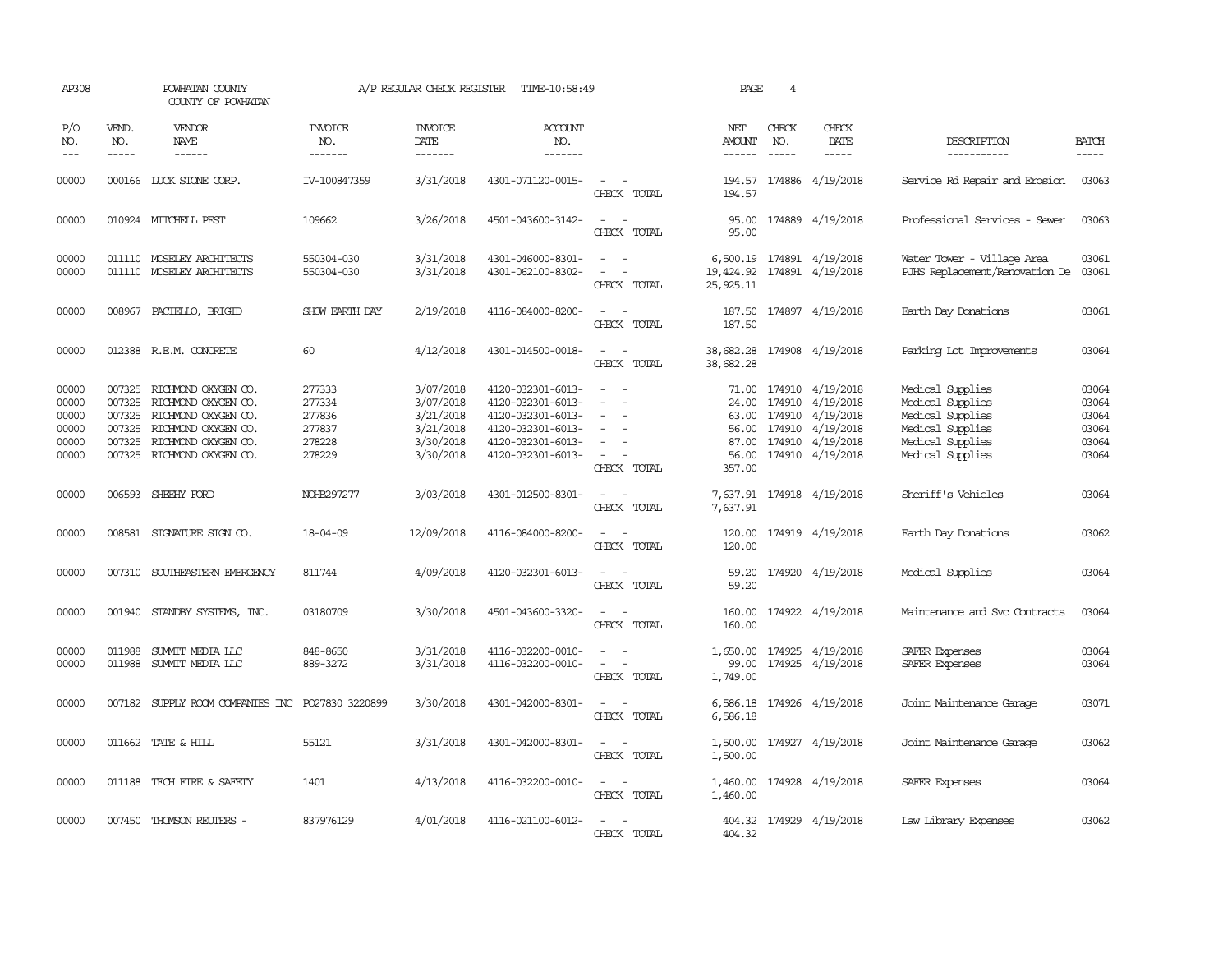| AP308                                              |                                      | POWHATAN COUNTY<br>COUNTY OF POWHATAN                                                                                                                |                                                          | A/P REGULAR CHECK REGISTER                                                 | TIME-10:58:49                                                                                                              |                                                                                                                             | PAGE                           | 4                             |                                                                                                                    |                                                                                                                      |                                                    |
|----------------------------------------------------|--------------------------------------|------------------------------------------------------------------------------------------------------------------------------------------------------|----------------------------------------------------------|----------------------------------------------------------------------------|----------------------------------------------------------------------------------------------------------------------------|-----------------------------------------------------------------------------------------------------------------------------|--------------------------------|-------------------------------|--------------------------------------------------------------------------------------------------------------------|----------------------------------------------------------------------------------------------------------------------|----------------------------------------------------|
| P/O<br>NO.<br>$---$                                | VEND.<br>NO.<br>$- - - - -$          | <b>VENDOR</b><br>NAME                                                                                                                                | <b>INVOICE</b><br>NO.<br>-------                         | <b>INVOICE</b><br>DATE<br>-------                                          | <b>ACCOUNT</b><br>NO.<br>-------                                                                                           |                                                                                                                             | NET<br><b>AMOUNT</b><br>------ | CHECK<br>NO.<br>$\frac{1}{2}$ | CHECK<br>DATE<br>$- - - - -$                                                                                       | DESCRIPTION<br>-----------                                                                                           | <b>BATCH</b><br>-----                              |
| 00000                                              |                                      | 000166 LUCK STONE CORP.                                                                                                                              | IV-100847359                                             | 3/31/2018                                                                  | 4301-071120-0015-                                                                                                          | $\sim$ $ \sim$<br>CHECK TOTAL                                                                                               | 194.57                         |                               | 194.57 174886 4/19/2018                                                                                            | Service Rd Repair and Erosion                                                                                        | 03063                                              |
| 00000                                              |                                      | 010924 MITCHELL PEST                                                                                                                                 | 109662                                                   | 3/26/2018                                                                  | 4501-043600-3142-                                                                                                          | $\frac{1}{2} \left( \frac{1}{2} \right) \left( \frac{1}{2} \right) = \frac{1}{2} \left( \frac{1}{2} \right)$<br>CHECK TOTAL | 95.00                          |                               | 95.00 174889 4/19/2018                                                                                             | Professional Services - Sewer                                                                                        | 03063                                              |
| 00000<br>00000                                     |                                      | 011110 MOSELEY ARCHITECTS<br>011110 MOSELEY ARCHITECTS                                                                                               | 550304-030<br>550304-030                                 | 3/31/2018<br>3/31/2018                                                     | 4301-046000-8301-<br>4301-062100-8302-                                                                                     | $\omega_{\rm{max}}$ and $\omega_{\rm{max}}$<br>$\sim$<br>$\sim$<br>CHECK TOTAL                                              | 19,424.92<br>25, 925.11        |                               | 6,500.19 174891 4/19/2018<br>174891 4/19/2018                                                                      | Water Tower - Village Area<br>RJHS Replacement/Renovation De                                                         | 03061<br>03061                                     |
| 00000                                              |                                      | 008967 PACIELLO, BRIGID                                                                                                                              | SHOW EARTH DAY                                           | 2/19/2018                                                                  | 4116-084000-8200-                                                                                                          | $\overline{\phantom{a}}$<br>CHECK TOTAL                                                                                     | 187.50<br>187.50               |                               | 174897 4/19/2018                                                                                                   | Earth Day Donations                                                                                                  | 03061                                              |
| 00000                                              |                                      | 012388 R.E.M. CONCRETE                                                                                                                               | 60                                                       | 4/12/2018                                                                  | 4301-014500-0018-                                                                                                          | $ -$<br>CHECK TOTAL                                                                                                         | 38,682.28                      |                               | 38,682.28 174908 4/19/2018                                                                                         | Parking Lot Improvements                                                                                             | 03064                                              |
| 00000<br>00000<br>00000<br>00000<br>00000<br>00000 | 007325<br>007325<br>007325<br>007325 | RICHMOND OXYGEN CO.<br>RICHMOND OXYGEN CO.<br>RICHMOND OXYGEN CO.<br>RICHMOND OXYGEN CO.<br>007325 RICHMOND OXYGEN CO.<br>007325 RICHMOND OXYGEN CO. | 277333<br>277334<br>277836<br>277837<br>278228<br>278229 | 3/07/2018<br>3/07/2018<br>3/21/2018<br>3/21/2018<br>3/30/2018<br>3/30/2018 | 4120-032301-6013-<br>4120-032301-6013-<br>4120-032301-6013-<br>4120-032301-6013-<br>4120-032301-6013-<br>4120-032301-6013- | $\sim$<br>$\equiv$<br>$\sim$<br>$\sim$<br>CHECK TOTAL                                                                       | 24.00<br>56.00<br>357.00       | 63.00 174910<br>56.00 174910  | 71.00 174910 4/19/2018<br>174910 4/19/2018<br>4/19/2018<br>4/19/2018<br>87.00 174910 4/19/2018<br>174910 4/19/2018 | Medical Supplies<br>Medical Supplies<br>Medical Supplies<br>Medical Supplies<br>Medical Supplies<br>Medical Supplies | 03064<br>03064<br>03064<br>03064<br>03064<br>03064 |
| 00000                                              |                                      | 006593 SHEEHY FORD                                                                                                                                   | NOHB297277                                               | 3/03/2018                                                                  | 4301-012500-8301-                                                                                                          | $\overline{\phantom{a}}$<br>CHECK TOTAL                                                                                     | 7,637.91                       |                               | 7,637.91 174918 4/19/2018                                                                                          | Sheriff's Vehicles                                                                                                   | 03064                                              |
| 00000                                              |                                      | 008581 SIGNATURE SIGN CO.                                                                                                                            | $18 - 04 - 09$                                           | 12/09/2018                                                                 | 4116-084000-8200-                                                                                                          | $\frac{1}{2} \left( \frac{1}{2} \right) \left( \frac{1}{2} \right) = \frac{1}{2} \left( \frac{1}{2} \right)$<br>CHECK TOTAL | 120.00                         |                               | 120.00 174919 4/19/2018                                                                                            | Earth Day Donations                                                                                                  | 03062                                              |
| 00000                                              |                                      | 007310 SOUTHEASTERN EMERGENCY                                                                                                                        | 811744                                                   | 4/09/2018                                                                  | 4120-032301-6013-                                                                                                          | $\frac{1}{2} \left( \frac{1}{2} \right) \left( \frac{1}{2} \right) = \frac{1}{2} \left( \frac{1}{2} \right)$<br>CHECK TOTAL | 59.20                          |                               | 59.20 174920 4/19/2018                                                                                             | Medical Supplies                                                                                                     | 03064                                              |
| 00000                                              |                                      | 001940 STANDBY SYSTEMS, INC.                                                                                                                         | 03180709                                                 | 3/30/2018                                                                  | 4501-043600-3320-                                                                                                          | $\frac{1}{2} \left( \frac{1}{2} \right) \left( \frac{1}{2} \right) = \frac{1}{2} \left( \frac{1}{2} \right)$<br>CHECK TOTAL | 160.00<br>160.00               |                               | 174922 4/19/2018                                                                                                   | Maintenance and Svc Contracts                                                                                        | 03064                                              |
| 00000<br>00000                                     | 011988                               | SUMMIT MEDIA LLC<br>011988 SUMMIT MEDIA LLC                                                                                                          | 848-8650<br>889-3272                                     | 3/31/2018<br>3/31/2018                                                     | 4116-032200-0010-<br>4116-032200-0010-                                                                                     | $\equiv$<br>$\sim$<br>$\omega_{\rm{max}}$ and $\omega_{\rm{max}}$<br>CHECK TOTAL                                            | 99.00<br>1,749.00              |                               | 1,650.00 174925 4/19/2018<br>174925 4/19/2018                                                                      | SAFER Expenses<br>SAFER Expenses                                                                                     | 03064<br>03064                                     |
| 00000                                              |                                      | 007182 SUPPLY ROOM COMPANIES INC PO27830 3220899                                                                                                     |                                                          | 3/30/2018                                                                  | 4301-042000-8301-                                                                                                          | $\frac{1}{2} \left( \frac{1}{2} \right) \left( \frac{1}{2} \right) = \frac{1}{2} \left( \frac{1}{2} \right)$<br>CHECK TOTAL | 6,586.18                       |                               | 6,586.18 174926 4/19/2018                                                                                          | Joint Maintenance Garage                                                                                             | 03071                                              |
| 00000                                              |                                      | 011662 TATE & HILL                                                                                                                                   | 55121                                                    | 3/31/2018                                                                  | 4301-042000-8301-                                                                                                          | $\frac{1}{2} \left( \frac{1}{2} \right) \left( \frac{1}{2} \right) = \frac{1}{2} \left( \frac{1}{2} \right)$<br>CHECK TOTAL | 1,500.00                       |                               | 1,500.00 174927 4/19/2018                                                                                          | Joint Maintenance Garage                                                                                             | 03062                                              |
| 00000                                              |                                      | 011188 TECH FIRE & SAFETY                                                                                                                            | 1401                                                     | 4/13/2018                                                                  | 4116-032200-0010-                                                                                                          | $\frac{1}{2} \left( \frac{1}{2} \right) \left( \frac{1}{2} \right) = \frac{1}{2} \left( \frac{1}{2} \right)$<br>CHECK TOTAL | 1,460.00                       |                               | 1,460.00 174928 4/19/2018                                                                                          | SAFER Expenses                                                                                                       | 03064                                              |
| 00000                                              |                                      | 007450 THOMSON REUTERS -                                                                                                                             | 837976129                                                | 4/01/2018                                                                  | 4116-021100-6012-                                                                                                          | CHECK TOTAL                                                                                                                 | 404.32                         |                               | 404.32 174929 4/19/2018                                                                                            | Law Library Expenses                                                                                                 | 03062                                              |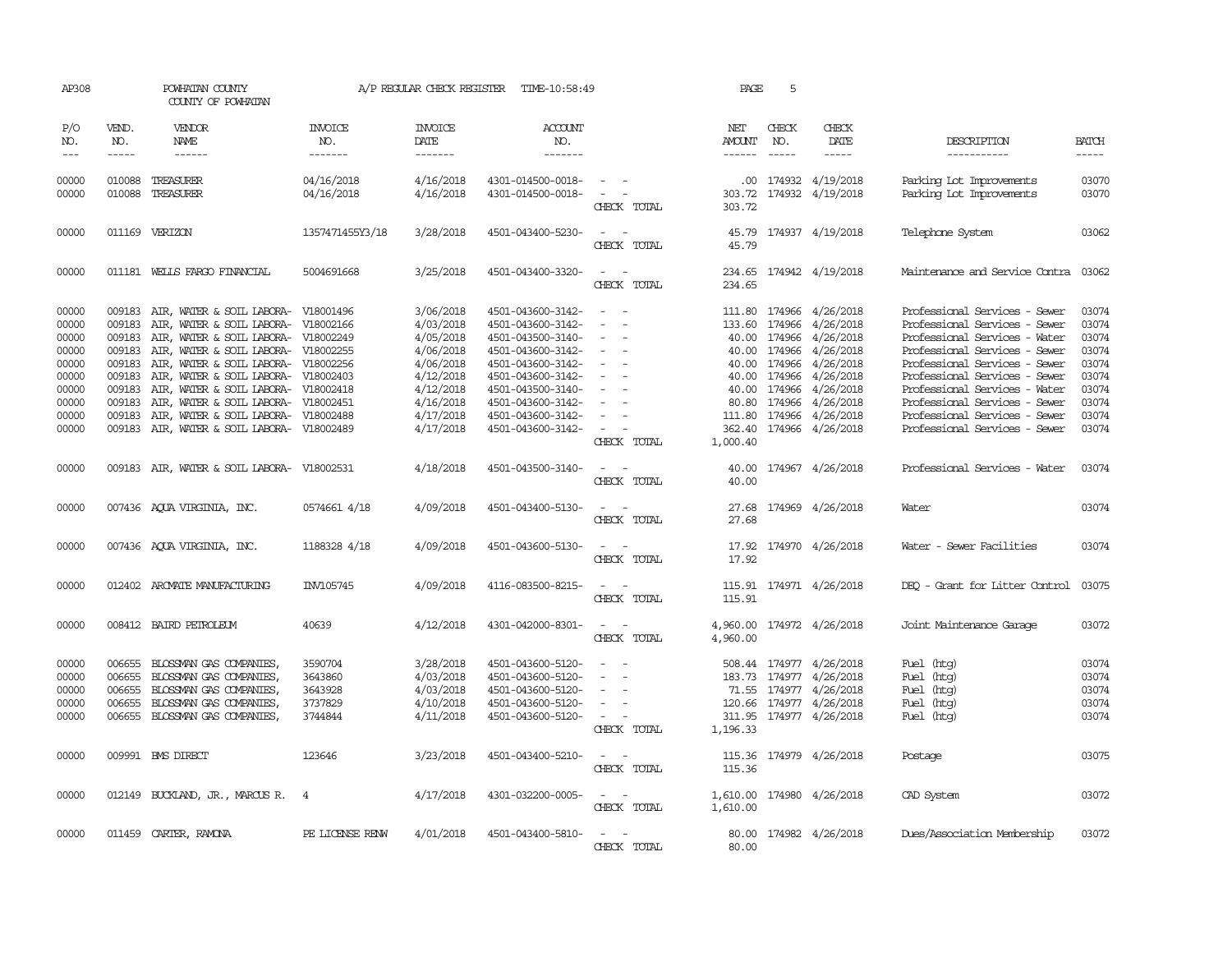| AP308                       |                             | POWHATAN COUNTY<br>COUNTY OF POWHATAN      |                                  | A/P REGULAR CHECK REGISTER        | TIME-10:58:49                    |                                                                                                                             | PAGE                    | 5                             |                              |                                      |                             |
|-----------------------------|-----------------------------|--------------------------------------------|----------------------------------|-----------------------------------|----------------------------------|-----------------------------------------------------------------------------------------------------------------------------|-------------------------|-------------------------------|------------------------------|--------------------------------------|-----------------------------|
| P/O<br>NO.<br>$\frac{1}{2}$ | VEND.<br>NO.<br>$- - - - -$ | VENDOR<br>NAME<br>$- - - - - -$            | <b>INVOICE</b><br>NO.<br>------- | <b>INVOICE</b><br>DATE<br>------- | <b>ACCOUNT</b><br>NO.<br>------- |                                                                                                                             | NET<br>AMOUNT<br>------ | CHECK<br>NO.<br>$\frac{1}{2}$ | CHECK<br>DATE<br>$- - - - -$ | DESCRIPTION<br>-----------           | <b>BATCH</b><br>$- - - - -$ |
|                             |                             |                                            |                                  |                                   |                                  |                                                                                                                             |                         |                               |                              |                                      |                             |
| 00000                       | 010088                      | TREASURER                                  | 04/16/2018                       | 4/16/2018                         | 4301-014500-0018-                | $\sim$ 100 $\mu$                                                                                                            |                         |                               | .00 174932 4/19/2018         | Parking Lot Improvements             | 03070                       |
| 00000                       | 010088                      | TREASURER                                  | 04/16/2018                       | 4/16/2018                         | 4301-014500-0018-                | $\sim$ $-$                                                                                                                  | 303.72                  |                               | 174932 4/19/2018             | Parking Lot Improvements             | 03070                       |
|                             |                             |                                            |                                  |                                   |                                  | CHECK TOTAL                                                                                                                 | 303.72                  |                               |                              |                                      |                             |
| 00000                       |                             | 011169 VERIZON                             | 1357471455Y3/18                  | 3/28/2018                         | 4501-043400-5230-                | $\sim$<br>CHECK TOTAL                                                                                                       | 45.79<br>45.79          |                               | 174937 4/19/2018             | Telephone System                     | 03062                       |
| 00000                       |                             | 011181 WELLS FARGO FINANCIAL               | 5004691668                       | 3/25/2018                         | 4501-043400-3320-                | $\overline{\phantom{a}}$<br>CHECK TOTAL                                                                                     | 234.65                  |                               | 234.65 174942 4/19/2018      | Maintenance and Service Contra 03062 |                             |
| 00000                       | 009183                      | AIR, WATER & SOIL LABORA- V18001496        |                                  | 3/06/2018                         | 4501-043600-3142-                |                                                                                                                             |                         | 111.80 174966                 | 4/26/2018                    | Professional Services - Sewer        | 03074                       |
| 00000                       | 009183                      | AIR, WATER & SOIL LABORA- V18002166        |                                  | 4/03/2018                         | 4501-043600-3142-                | $\overline{\phantom{a}}$                                                                                                    | 133.60 174966           |                               | 4/26/2018                    | Professional Services - Sewer        | 03074                       |
| 00000                       | 009183                      | AIR, WATER & SOIL LABORA- V18002249        |                                  | 4/05/2018                         | 4501-043500-3140-                | $\sim$                                                                                                                      |                         | 40.00 174966                  | 4/26/2018                    | Professional Services - Water        | 03074                       |
| 00000                       | 009183                      | AIR, WATER & SOIL LABORA- V18002255        |                                  | 4/06/2018                         | 4501-043600-3142-                | $\sim$                                                                                                                      |                         | 40.00 174966                  | 4/26/2018                    | Professional Services - Sewer        | 03074                       |
| 00000                       | 009183                      | AIR, WATER & SOIL LABORA- V18002256        |                                  | 4/06/2018                         | 4501-043600-3142-                |                                                                                                                             |                         | 40.00 174966                  | 4/26/2018                    | Professional Services - Sewer        | 03074                       |
| 00000                       | 009183                      | AIR, WATER & SOIL LABORA- V18002403        |                                  | 4/12/2018                         | 4501-043600-3142-                | $\overline{\phantom{a}}$                                                                                                    |                         | 40.00 174966                  | 4/26/2018                    | Professional Services - Sewer        | 03074                       |
| 00000                       | 009183                      | AIR, WATER & SOIL LABORA- V18002418        |                                  | 4/12/2018                         | 4501-043500-3140-                | $\equiv$                                                                                                                    |                         | 40.00 174966                  | 4/26/2018                    | Professional Services - Water        | 03074                       |
| 00000                       | 009183                      | AIR, WATER & SOIL LABORA- V18002451        |                                  | 4/16/2018                         | 4501-043600-3142-                | $\sim$                                                                                                                      |                         | 80.80 174966                  | 4/26/2018                    | Professional Services - Sewer        | 03074                       |
| 00000                       | 009183                      | AIR, WATER & SOIL LABORA- V18002488        |                                  | 4/17/2018                         | 4501-043600-3142-                |                                                                                                                             |                         |                               | 111.80 174966 4/26/2018      | Professional Services - Sewer        | 03074                       |
| 00000                       |                             | 009183 AIR, WATER & SOIL LABORA- V18002489 |                                  | 4/17/2018                         | 4501-043600-3142-                | $\sim$<br>CHECK TOTAL                                                                                                       | 1,000.40                |                               | 362.40 174966 4/26/2018      | Professional Services - Sewer        | 03074                       |
| 00000                       |                             | 009183 AIR, WATER & SOIL LABORA- V18002531 |                                  | 4/18/2018                         | 4501-043500-3140-                | $\frac{1}{2} \left( \frac{1}{2} \right) \left( \frac{1}{2} \right) = \frac{1}{2} \left( \frac{1}{2} \right)$<br>CHECK TOTAL | 40.00                   |                               | 40.00 174967 4/26/2018       | Professional Services - Water        | 03074                       |
| 00000                       |                             | 007436 AQUA VIRGINIA, INC.                 | 0574661 4/18                     | 4/09/2018                         | 4501-043400-5130-                | $\sim$ $\sim$<br>CHECK TOTAL                                                                                                | 27.68                   |                               | 27.68 174969 4/26/2018       | Water                                | 03074                       |
| 00000                       |                             | 007436 AQUA VIRGINIA, INC.                 | 1188328 4/18                     | 4/09/2018                         | 4501-043600-5130-                | $\sim$<br>CHECK TOTAL                                                                                                       | 17.92<br>17.92          |                               | 174970 4/26/2018             | Water - Sewer Facilities             | 03074                       |
| 00000                       |                             | 012402 ARCMATE MANUFACTURING               | INV105745                        | 4/09/2018                         | 4116-083500-8215-                | $\sim$ $ \sim$<br>CHECK TOTAL                                                                                               | 115.91                  |                               | 115.91 174971 4/26/2018      | DEO - Grant for Litter Control       | 03075                       |
| 00000                       |                             | 008412 BAIRD PETROLEUM                     | 40639                            | 4/12/2018                         | 4301-042000-8301-                | $\sim$ $ \sim$<br>CHECK TOTAL                                                                                               | 4,960.00                |                               | 4,960.00 174972 4/26/2018    | Joint Maintenance Garage             | 03072                       |
| 00000                       | 006655                      | BLOSSMAN GAS COMPANIES,                    | 3590704                          | 3/28/2018                         | 4501-043600-5120-                |                                                                                                                             |                         |                               | 508.44 174977 4/26/2018      | Fuel (htg)                           | 03074                       |
| 00000                       | 006655                      | BLOSSMAN GAS COMPANIES,                    | 3643860                          | 4/03/2018                         | 4501-043600-5120-                | $\sim$                                                                                                                      |                         |                               | 183.73 174977 4/26/2018      | Fuel (htg)                           | 03074                       |
| 00000                       | 006655                      | BLOSSMAN GAS COMPANIES,                    | 3643928                          | 4/03/2018                         | 4501-043600-5120-                | $\overline{\phantom{a}}$                                                                                                    |                         |                               | 71.55 174977 4/26/2018       | Fuel (htg)                           | 03074                       |
| 00000                       | 006655                      | BLOSSMAN GAS COMPANIES,                    | 3737829                          | 4/10/2018                         | 4501-043600-5120-                | $\sim$                                                                                                                      |                         |                               | 120.66 174977 4/26/2018      | Fuel (htg)                           | 03074                       |
| 00000                       |                             | 006655 BLOSSMAN GAS COMPANIES,             | 3744844                          | 4/11/2018                         | 4501-043600-5120-                | $\sim$ $\sim$                                                                                                               |                         |                               | 311.95 174977 4/26/2018      | Fuel (htg)                           | 03074                       |
|                             |                             |                                            |                                  |                                   |                                  | CHECK TOTAL                                                                                                                 | 1,196.33                |                               |                              |                                      |                             |
| 00000                       |                             | 009991 BMS DIRECT                          | 123646                           | 3/23/2018                         | 4501-043400-5210-                | $\sim$ $ \sim$<br>CHECK TOTAL                                                                                               | 115.36                  |                               | 115.36 174979 4/26/2018      | Postage                              | 03075                       |
| 00000                       |                             | 012149 BUCKLAND, JR., MARCUS R.            | $\overline{4}$                   | 4/17/2018                         | 4301-032200-0005-                | $\overline{\phantom{a}}$<br>CHECK TOTAL                                                                                     | 1,610.00<br>1,610.00    |                               | 174980 4/26/2018             | CAD System                           | 03072                       |
| 00000                       |                             | 011459 CARTER, RAMONA                      | PE LICENSE RENW                  | 4/01/2018                         | 4501-043400-5810-                | $ -$<br>CHECK TOTAL                                                                                                         | 80.00                   |                               | 80.00 174982 4/26/2018       | Dues/Association Membership          | 03072                       |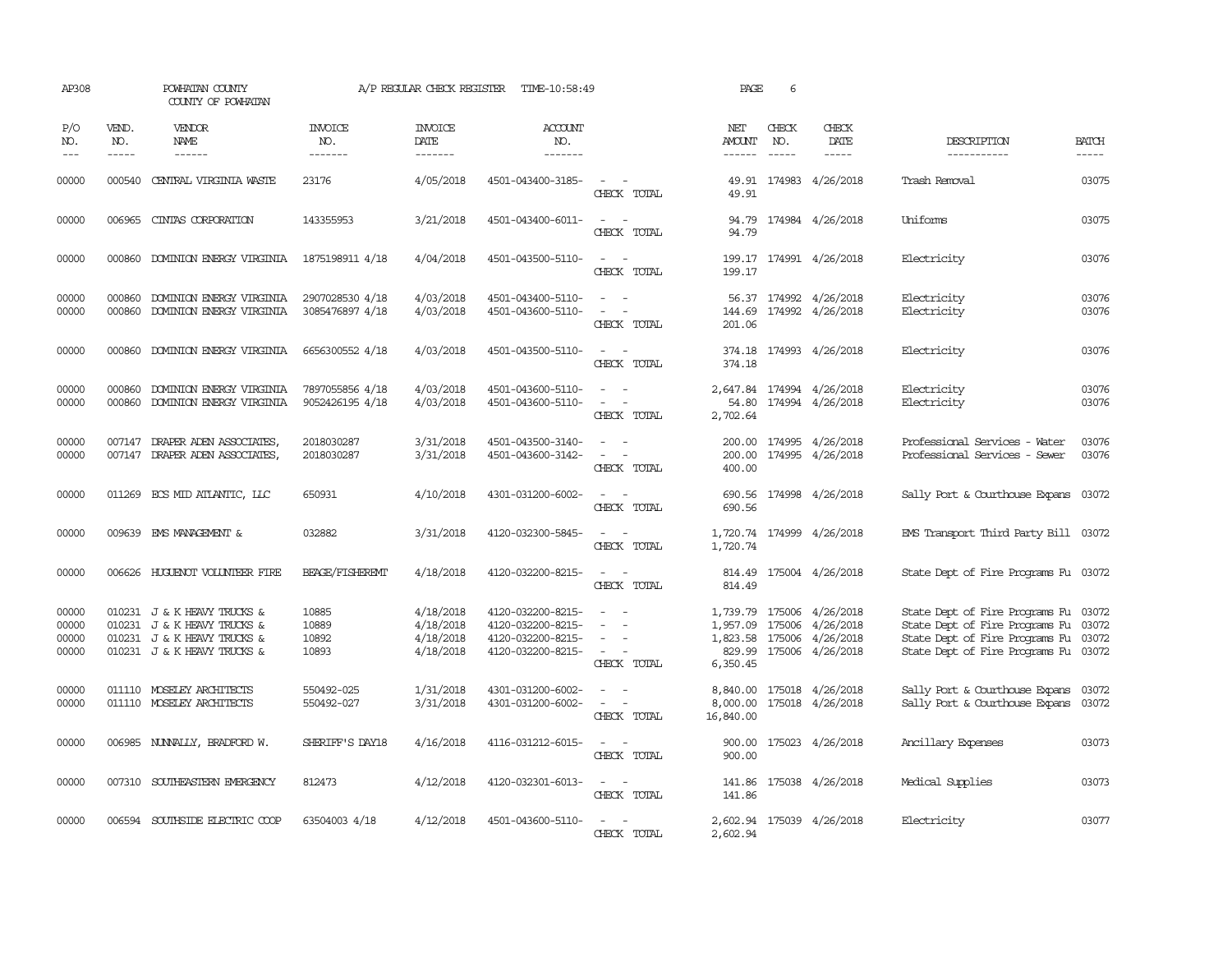| AP308                             |                             | POWHATAN COUNTY<br>COUNTY OF POWHATAN                                                                                    |                                    | A/P REGULAR CHECK REGISTER                       | TIME-10:58:49                                                                    |                                                                                                                             | PAGE                                                     | 6                     |                                                                  |                                                                                                                                            |                                                                                                                                                                                                                                                                                                                                                                                                                                                                         |
|-----------------------------------|-----------------------------|--------------------------------------------------------------------------------------------------------------------------|------------------------------------|--------------------------------------------------|----------------------------------------------------------------------------------|-----------------------------------------------------------------------------------------------------------------------------|----------------------------------------------------------|-----------------------|------------------------------------------------------------------|--------------------------------------------------------------------------------------------------------------------------------------------|-------------------------------------------------------------------------------------------------------------------------------------------------------------------------------------------------------------------------------------------------------------------------------------------------------------------------------------------------------------------------------------------------------------------------------------------------------------------------|
| P/O<br>NO.<br>$\qquad \qquad - -$ | VEND.<br>NO.<br>$- - - - -$ | VENDOR<br>NAME<br>------                                                                                                 | <b>INVOICE</b><br>NO.<br>--------  | <b>INVOICE</b><br>DATE<br>-------                | <b>ACCOUNT</b><br>NO.<br>-------                                                 |                                                                                                                             | NET<br>AMOUNT<br>$- - - - - -$                           | CHECK<br>NO.<br>----- | CHECK<br>DATE<br>-----                                           | DESCRIPTION<br>-----------                                                                                                                 | <b>BATCH</b><br>$\begin{tabular}{ccccc} \multicolumn{2}{c }{\multicolumn{2}{c }{\multicolumn{2}{c }{\multicolumn{2}{c}}{\hspace{-2.2cm}}}} \multicolumn{2}{c }{\multicolumn{2}{c }{\hspace{-2.2cm}}\hline} \multicolumn{2}{c }{\hspace{-2.2cm}}\hline \multicolumn{2}{c }{\hspace{-2.2cm}}\hline \multicolumn{2}{c }{\hspace{-2.2cm}}\hline \multicolumn{2}{c }{\hspace{-2.2cm}}\hline \multicolumn{2}{c }{\hspace{-2.2cm}}\hline \multicolumn{2}{c }{\hspace{-2.2cm}}$ |
| 00000                             | 000540                      | CENTRAL VIRGINIA WASTE                                                                                                   | 23176                              | 4/05/2018                                        | 4501-043400-3185-                                                                | $\sim$<br>$\sim$<br>CHECK TOTAL                                                                                             | 49.91                                                    |                       | 49.91 174983 4/26/2018                                           | Trash Removal                                                                                                                              | 03075                                                                                                                                                                                                                                                                                                                                                                                                                                                                   |
| 00000                             |                             | 006965 CINIAS CORPORATION                                                                                                | 143355953                          | 3/21/2018                                        | 4501-043400-6011-                                                                | $\frac{1}{2} \left( \frac{1}{2} \right) \left( \frac{1}{2} \right) = \frac{1}{2} \left( \frac{1}{2} \right)$<br>CHECK TOTAL | 94.79                                                    |                       | 94.79 174984 4/26/2018                                           | Uniforms                                                                                                                                   | 03075                                                                                                                                                                                                                                                                                                                                                                                                                                                                   |
| 00000                             |                             | 000860 DOMINION ENERGY VIRGINIA                                                                                          | 1875198911 4/18                    | 4/04/2018                                        | 4501-043500-5110-                                                                | $\sim$<br>$\sim$<br>CHECK TOTAL                                                                                             | 199.17                                                   |                       | 199.17 174991 4/26/2018                                          | Electricity                                                                                                                                | 03076                                                                                                                                                                                                                                                                                                                                                                                                                                                                   |
| 00000<br>00000                    | 000860<br>000860            | DOMINION ENERGY VIRGINIA<br>DOMINION ENERGY VIRGINIA                                                                     | 2907028530 4/18<br>3085476897 4/18 | 4/03/2018<br>4/03/2018                           | 4501-043400-5110-<br>4501-043600-5110-                                           | $\sim$<br>$\overline{\phantom{a}}$<br>CHECK TOTAL                                                                           | 144.69<br>201.06                                         |                       | 56.37 174992 4/26/2018<br>174992 4/26/2018                       | Electricity<br>Electricity                                                                                                                 | 03076<br>03076                                                                                                                                                                                                                                                                                                                                                                                                                                                          |
| 00000                             | 000860                      | DOMINION ENERGY VIRGINIA                                                                                                 | 6656300552 4/18                    | 4/03/2018                                        | 4501-043500-5110-                                                                | $\sim$ $ \sim$<br>CHECK TOTAL                                                                                               | 374.18<br>374.18                                         |                       | 174993 4/26/2018                                                 | Electricity                                                                                                                                | 03076                                                                                                                                                                                                                                                                                                                                                                                                                                                                   |
| 00000<br>00000                    | 000860                      | DOMINION ENERGY VIRGINIA<br>000860 DOMINION ENERGY VIRGINIA                                                              | 7897055856 4/18<br>9052426195 4/18 | 4/03/2018<br>4/03/2018                           | 4501-043600-5110-<br>4501-043600-5110-                                           | $\omega_{\rm{max}}$ and $\omega_{\rm{max}}$<br>CHECK TOTAL                                                                  | 2,647.84<br>2,702.64                                     |                       | 174994 4/26/2018<br>54.80 174994 4/26/2018                       | Electricity<br>Electricity                                                                                                                 | 03076<br>03076                                                                                                                                                                                                                                                                                                                                                                                                                                                          |
| 00000<br>00000                    | 007147                      | DRAPER ADEN ASSOCIATES<br>007147 DRAPER ADEN ASSOCIATES,                                                                 | 2018030287<br>2018030287           | 3/31/2018<br>3/31/2018                           | 4501-043500-3140-<br>4501-043600-3142-                                           | $\sim$<br>$\overline{\phantom{a}}$<br>$\overline{\phantom{a}}$<br>CHECK TOTAL                                               | 200.00<br>400.00                                         |                       | 200.00 174995 4/26/2018<br>174995 4/26/2018                      | Professional Services - Water<br>Professional Services - Sewer                                                                             | 03076<br>03076                                                                                                                                                                                                                                                                                                                                                                                                                                                          |
| 00000                             |                             | 011269 ECS MID ATLANTIC, LLC                                                                                             | 650931                             | 4/10/2018                                        | 4301-031200-6002-                                                                | CHECK TOTAL                                                                                                                 | 690.56                                                   |                       | 690.56 174998 4/26/2018                                          | Sally Port & Courthouse Expans                                                                                                             | 03072                                                                                                                                                                                                                                                                                                                                                                                                                                                                   |
| 00000                             |                             | 009639 EMS MANAGEMENT &                                                                                                  | 032882                             | 3/31/2018                                        | 4120-032300-5845-                                                                | $\frac{1}{2} \left( \frac{1}{2} \right) \left( \frac{1}{2} \right) = \frac{1}{2} \left( \frac{1}{2} \right)$<br>CHECK TOTAL | 1,720.74                                                 |                       | 1,720.74 174999 4/26/2018                                        | EMS Transport Third Party Bill 03072                                                                                                       |                                                                                                                                                                                                                                                                                                                                                                                                                                                                         |
| 00000                             | 006626                      | HUGUENOT VOLUNTEER FIRE                                                                                                  | <b>BEAGE/FISHEREMT</b>             | 4/18/2018                                        | 4120-032200-8215-                                                                | $\sim$<br>$\sim$<br>CHECK TOTAL                                                                                             | 814.49                                                   |                       | 814.49 175004 4/26/2018                                          | State Dept of Fire Programs Fu 03072                                                                                                       |                                                                                                                                                                                                                                                                                                                                                                                                                                                                         |
| 00000<br>00000<br>00000<br>00000  |                             | 010231 J & K HEAVY TRUCKS &<br>010231 J & K HEAVY TRUCKS &<br>010231 J & K HEAVY TRUCKS &<br>010231 J & K HEAVY TRUCKS & | 10885<br>10889<br>10892<br>10893   | 4/18/2018<br>4/18/2018<br>4/18/2018<br>4/18/2018 | 4120-032200-8215-<br>4120-032200-8215-<br>4120-032200-8215-<br>4120-032200-8215- | $\overline{\phantom{a}}$<br>CHECK TOTAL                                                                                     | 1,957.09 175006<br>1,823.58 175006<br>829.99<br>6,350.45 | 175006                | 1,739.79 175006 4/26/2018<br>4/26/2018<br>4/26/2018<br>4/26/2018 | State Dept of Fire Programs Fu 03072<br>State Dept of Fire Programs Fu<br>State Dept of Fire Programs Fu<br>State Dept of Fire Programs Fu | 03072<br>03072<br>03072                                                                                                                                                                                                                                                                                                                                                                                                                                                 |
| 00000<br>00000                    |                             | 011110 MOSELEY ARCHITECTS<br>011110 MOSELEY ARCHITECTS                                                                   | 550492-025<br>550492-027           | 1/31/2018<br>3/31/2018                           | 4301-031200-6002-<br>4301-031200-6002-                                           | $\overline{\phantom{a}}$<br>$\sim$<br>$\sim$<br>$\overline{\phantom{a}}$<br>CHECK TOTAL                                     | 8,840.00<br>8,000.00<br>16,840.00                        |                       | 175018 4/26/2018<br>175018 4/26/2018                             | Sally Port & Courthouse Expans<br>Sally Port & Courthouse Expans                                                                           | 03072<br>03072                                                                                                                                                                                                                                                                                                                                                                                                                                                          |
| 00000                             |                             | 006985 NUNNALLY, BRADFORD W.                                                                                             | SHERIFF'S DAY18                    | 4/16/2018                                        | 4116-031212-6015-                                                                | $\sim$<br>$\sim$<br>CHECK TOTAL                                                                                             | 900.00<br>900.00                                         |                       | 175023 4/26/2018                                                 | Ancillary Expenses                                                                                                                         | 03073                                                                                                                                                                                                                                                                                                                                                                                                                                                                   |
| 00000                             |                             | 007310 SOUTHEASTERN EMERGENCY                                                                                            | 812473                             | 4/12/2018                                        | 4120-032301-6013-                                                                | $\frac{1}{2} \left( \frac{1}{2} \right) \left( \frac{1}{2} \right) = \frac{1}{2} \left( \frac{1}{2} \right)$<br>CHECK TOTAL | 141.86<br>141.86                                         |                       | 175038 4/26/2018                                                 | Medical Supplies                                                                                                                           | 03073                                                                                                                                                                                                                                                                                                                                                                                                                                                                   |
| 00000                             |                             | 006594 SOUTHSIDE ELECTRIC COOP                                                                                           | 63504003 4/18                      | 4/12/2018                                        | 4501-043600-5110-                                                                | $\sim$ $ \sim$<br>CHECK TOTAL                                                                                               | 2,602.94                                                 |                       | 2,602.94 175039 4/26/2018                                        | Electricity                                                                                                                                | 03077                                                                                                                                                                                                                                                                                                                                                                                                                                                                   |